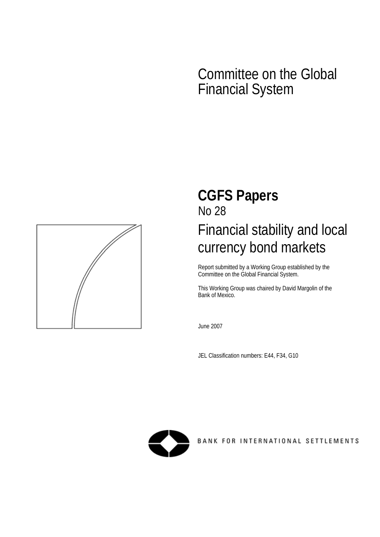# Committee on the Global Financial System



# **CGFS Papers**  No 28 Financial stability and local currency bond markets

Report submitted by a Working Group established by the Committee on the Global Financial System.

This Working Group was chaired by David Margolin of the Bank of Mexico.

June 2007

JEL Classification numbers: E44, F34, G10



BANK FOR INTERNATIONAL SETTLEMENTS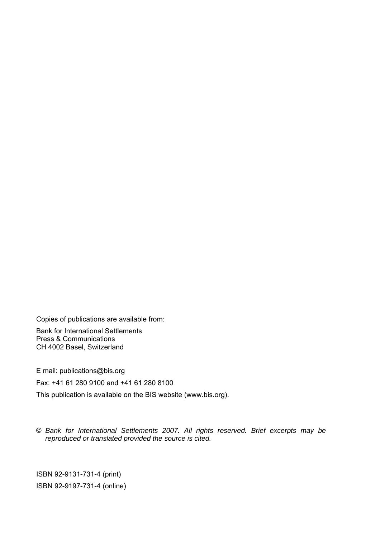Copies of publications are available from:

Bank for International Settlements Press & Communications CH 4002 Basel, Switzerland

E mail: publications@bis.org

Fax: +41 61 280 9100 and +41 61 280 8100

This publication is available on the BIS website (www.bis.org).

© *Bank for International Settlements 2007. All rights reserved. Brief excerpts may be reproduced or translated provided the source is cited.* 

ISBN 92-9131-731-4 (print) ISBN 92-9197-731-4 (online)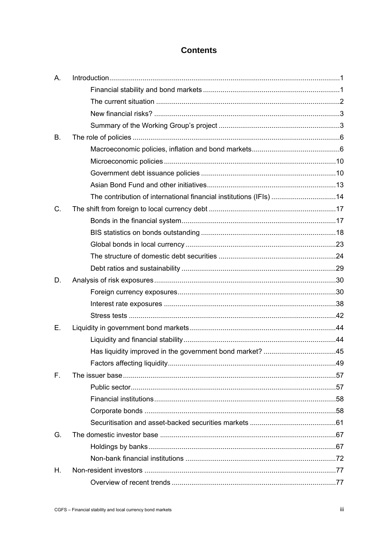# **Contents**

| Α.        |                                                                    |  |
|-----------|--------------------------------------------------------------------|--|
|           |                                                                    |  |
|           |                                                                    |  |
|           |                                                                    |  |
|           |                                                                    |  |
| <b>B.</b> |                                                                    |  |
|           |                                                                    |  |
|           |                                                                    |  |
|           |                                                                    |  |
|           |                                                                    |  |
|           | The contribution of international financial institutions (IFIs) 14 |  |
| C.        |                                                                    |  |
|           |                                                                    |  |
|           |                                                                    |  |
|           |                                                                    |  |
|           |                                                                    |  |
|           |                                                                    |  |
| D.        |                                                                    |  |
|           |                                                                    |  |
|           |                                                                    |  |
|           |                                                                    |  |
| Ε.        |                                                                    |  |
|           |                                                                    |  |
|           |                                                                    |  |
|           |                                                                    |  |
| F.        |                                                                    |  |
|           |                                                                    |  |
|           |                                                                    |  |
|           |                                                                    |  |
|           |                                                                    |  |
| G.        |                                                                    |  |
|           |                                                                    |  |
|           |                                                                    |  |
| Η.        |                                                                    |  |
|           |                                                                    |  |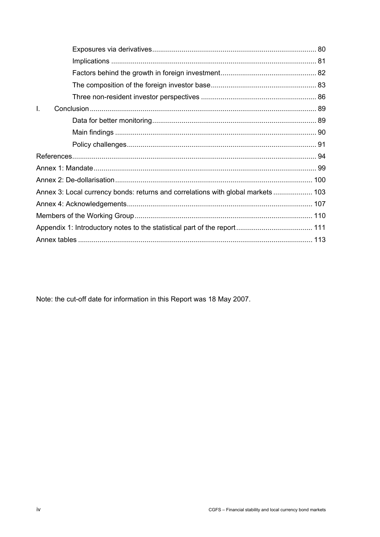| $\mathbf{L}$                                                                     |  |
|----------------------------------------------------------------------------------|--|
|                                                                                  |  |
|                                                                                  |  |
|                                                                                  |  |
|                                                                                  |  |
|                                                                                  |  |
|                                                                                  |  |
| Annex 3: Local currency bonds: returns and correlations with global markets  103 |  |
|                                                                                  |  |
|                                                                                  |  |
|                                                                                  |  |
|                                                                                  |  |

Note: the cut-off date for information in this Report was 18 May 2007.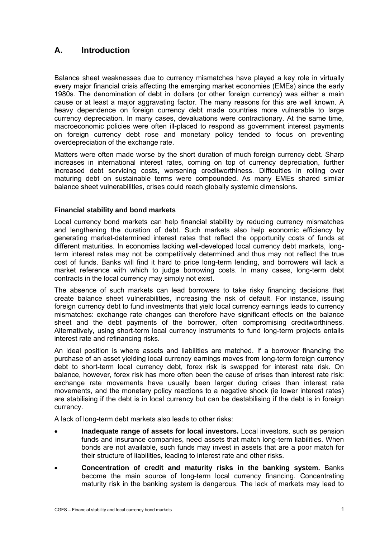# <span id="page-4-0"></span>**A. Introduction**

Balance sheet weaknesses due to currency mismatches have played a key role in virtually every major financial crisis affecting the emerging market economies (EMEs) since the early 1980s. The denomination of debt in dollars (or other foreign currency) was either a main cause or at least a major aggravating factor. The many reasons for this are well known. A heavy dependence on foreign currency debt made countries more vulnerable to large currency depreciation. In many cases, devaluations were contractionary. At the same time, macroeconomic policies were often ill-placed to respond as government interest payments on foreign currency debt rose and monetary policy tended to focus on preventing overdepreciation of the exchange rate.

Matters were often made worse by the short duration of much foreign currency debt. Sharp increases in international interest rates, coming on top of currency depreciation, further increased debt servicing costs, worsening creditworthiness. Difficulties in rolling over maturing debt on sustainable terms were compounded. As many EMEs shared similar balance sheet vulnerabilities, crises could reach globally systemic dimensions.

## **Financial stability and bond markets**

Local currency bond markets can help financial stability by reducing currency mismatches and lengthening the duration of debt. Such markets also help economic efficiency by generating market-determined interest rates that reflect the opportunity costs of funds at different maturities. In economies lacking well-developed local currency debt markets, longterm interest rates may not be competitively determined and thus may not reflect the true cost of funds. Banks will find it hard to price long-term lending, and borrowers will lack a market reference with which to judge borrowing costs. In many cases, long-term debt contracts in the local currency may simply not exist.

The absence of such markets can lead borrowers to take risky financing decisions that create balance sheet vulnerabilities, increasing the risk of default. For instance, issuing foreign currency debt to fund investments that yield local currency earnings leads to currency mismatches: exchange rate changes can therefore have significant effects on the balance sheet and the debt payments of the borrower, often compromising creditworthiness. Alternatively, using short-term local currency instruments to fund long-term projects entails interest rate and refinancing risks.

An ideal position is where assets and liabilities are matched. If a borrower financing the purchase of an asset yielding local currency earnings moves from long-term foreign currency debt to short-term local currency debt, forex risk is swapped for interest rate risk. On balance, however, forex risk has more often been the cause of crises than interest rate risk: exchange rate movements have usually been larger during crises than interest rate movements, and the monetary policy reactions to a negative shock (ie lower interest rates) are stabilising if the debt is in local currency but can be destabilising if the debt is in foreign currency.

A lack of long-term debt markets also leads to other risks:

- **Inadequate range of assets for local investors.** Local investors, such as pension funds and insurance companies, need assets that match long-term liabilities. When bonds are not available, such funds may invest in assets that are a poor match for their structure of liabilities, leading to interest rate and other risks.
- **Concentration of credit and maturity risks in the banking system.** Banks become the main source of long-term local currency financing. Concentrating maturity risk in the banking system is dangerous. The lack of markets may lead to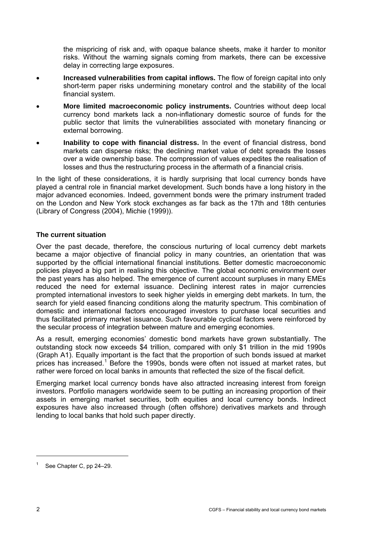<span id="page-5-0"></span>the mispricing of risk and, with opaque balance sheets, make it harder to monitor risks. Without the warning signals coming from markets, there can be excessive delay in correcting large exposures.

- **Increased vulnerabilities from capital inflows.** The flow of foreign capital into only short-term paper risks undermining monetary control and the stability of the local financial system.
- **More limited macroeconomic policy instruments.** Countries without deep local currency bond markets lack a non-inflationary domestic source of funds for the public sector that limits the vulnerabilities associated with monetary financing or external borrowing.
- **Inability to cope with financial distress.** In the event of financial distress, bond markets can disperse risks; the declining market value of debt spreads the losses over a wide ownership base. The compression of values expedites the realisation of losses and thus the restructuring process in the aftermath of a financial crisis.

In the light of these considerations, it is hardly surprising that local currency bonds have played a central role in financial market development. Such bonds have a long history in the major advanced economies. Indeed, government bonds were the primary instrument traded on the London and New York stock exchanges as far back as the 17th and 18th centuries (Library of Congress (2004), Michie (1999)).

## **The current situation**

Over the past decade, therefore, the conscious nurturing of local currency debt markets became a major objective of financial policy in many countries, an orientation that was supported by the official international financial institutions. Better domestic macroeconomic policies played a big part in realising this objective. The global economic environment over the past years has also helped. The emergence of current account surpluses in many EMEs reduced the need for external issuance. Declining interest rates in major currencies prompted international investors to seek higher yields in emerging debt markets. In turn, the search for yield eased financing conditions along the maturity spectrum. This combination of domestic and international factors encouraged investors to purchase local securities and thus facilitated primary market issuance. Such favourable cyclical factors were reinforced by the secular process of integration between mature and emerging economies.

As a result, emerging economies' domestic bond markets have grown substantially. The outstanding stock now exceeds \$4 trillion, compared with only \$1 trillion in the mid 1990s (Graph A1). Equally important is the fact that the proportion of such bonds issued at market prices has increased.<sup>[1](#page-5-1)</sup> Before the 1990s, bonds were often not issued at market rates, but rather were forced on local banks in amounts that reflected the size of the fiscal deficit.

Emerging market local currency bonds have also attracted increasing interest from foreign investors. Portfolio managers worldwide seem to be putting an increasing proportion of their assets in emerging market securities, both equities and local currency bonds. Indirect exposures have also increased through (often offshore) derivatives markets and through lending to local banks that hold such paper directly.

 $\overline{a}$ 

<span id="page-5-1"></span><sup>&</sup>lt;sup>1</sup> See Chapter C, pp 24–29.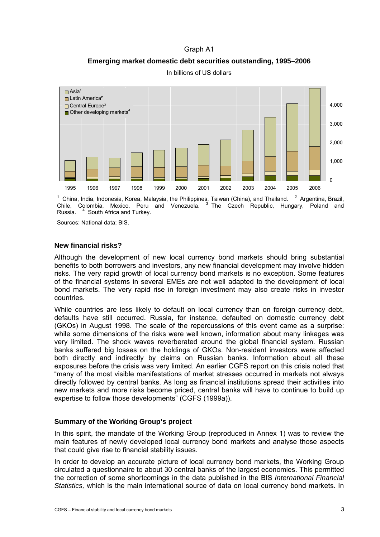## Graph A1

**Emerging market domestic debt securities outstanding, 1995–2006** 

<span id="page-6-0"></span>

In billions of US dollars

1 China, India, Indonesia, Korea, Malaysia, the Philippines, Taiwan (China), and Thailand. <sup>2</sup> Argentina, Brazil, Chile, Colombia, Mexico, Peru and Venezuela. <sup>3</sup> The Czech Republic, Hungary, Poland and Russia. <sup>4</sup> South Africa and Turkey.

Sources: National data; BIS.

## **New financial risks?**

Although the development of new local currency bond markets should bring substantial benefits to both borrowers and investors, any new financial development may involve hidden risks. The very rapid growth of local currency bond markets is no exception. Some features of the financial systems in several EMEs are not well adapted to the development of local bond markets. The very rapid rise in foreign investment may also create risks in investor countries.

While countries are less likely to default on local currency than on foreign currency debt, defaults have still occurred. Russia, for instance, defaulted on domestic currency debt (GKOs) in August 1998. The scale of the repercussions of this event came as a surprise: while some dimensions of the risks were well known, information about many linkages was very limited. The shock waves reverberated around the global financial system. Russian banks suffered big losses on the holdings of GKOs. Non-resident investors were affected both directly and indirectly by claims on Russian banks. Information about all these exposures before the crisis was very limited. An earlier CGFS report on this crisis noted that "many of the most visible manifestations of market stresses occurred in markets not always directly followed by central banks. As long as financial institutions spread their activities into new markets and more risks become priced, central banks will have to continue to build up expertise to follow those developments" (CGFS (1999a)).

## **Summary of the Working Group's project**

In this spirit, the mandate of the Working Group (reproduced in Annex 1) was to review the main features of newly developed local currency bond markets and analyse those aspects that could give rise to financial stability issues.

In order to develop an accurate picture of local currency bond markets, the Working Group circulated a questionnaire to about 30 central banks of the largest economies. This permitted the correction of some shortcomings in the data published in the BIS *International Financial Statistics,* which is the main international source of data on local currency bond markets. In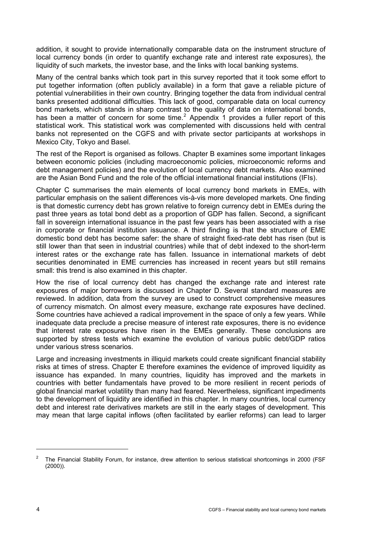addition, it sought to provide internationally comparable data on the instrument structure of local currency bonds (in order to quantify exchange rate and interest rate exposures), the liquidity of such markets, the investor base, and the links with local banking systems.

Many of the central banks which took part in this survey reported that it took some effort to put together information (often publicly available) in a form that gave a reliable picture of potential vulnerabilities in their own country. Bringing together the data from individual central banks presented additional difficulties. This lack of good, comparable data on local currency bond markets, which stands in sharp contrast to the quality of data on international bonds, hasbeen a matter of concern for some time.<sup>2</sup> Appendix 1 provides a fuller report of this statistical work. This statistical work was complemented with discussions held with central banks not represented on the CGFS and with private sector participants at workshops in Mexico City, Tokyo and Basel.

The rest of the Report is organised as follows. Chapter B examines some important linkages between economic policies (including macroeconomic policies, microeconomic reforms and debt management policies) and the evolution of local currency debt markets. Also examined are the Asian Bond Fund and the role of the official international financial institutions (IFIs).

Chapter C summarises the main elements of local currency bond markets in EMEs, with particular emphasis on the salient differences vis-à-vis more developed markets. One finding is that domestic currency debt has grown relative to foreign currency debt in EMEs during the past three years as total bond debt as a proportion of GDP has fallen. Second, a significant fall in sovereign international issuance in the past few years has been associated with a rise in corporate or financial institution issuance. A third finding is that the structure of EME domestic bond debt has become safer: the share of straight fixed-rate debt has risen (but is still lower than that seen in industrial countries) while that of debt indexed to the short-term interest rates or the exchange rate has fallen. Issuance in international markets of debt securities denominated in EME currencies has increased in recent years but still remains small: this trend is also examined in this chapter.

How the rise of local currency debt has changed the exchange rate and interest rate exposures of major borrowers is discussed in Chapter D. Several standard measures are reviewed. In addition, data from the survey are used to construct comprehensive measures of currency mismatch. On almost every measure, exchange rate exposures have declined. Some countries have achieved a radical improvement in the space of only a few years. While inadequate data preclude a precise measure of interest rate exposures, there is no evidence that interest rate exposures have risen in the EMEs generally. These conclusions are supported by stress tests which examine the evolution of various public debt/GDP ratios under various stress scenarios.

Large and increasing investments in illiquid markets could create significant financial stability risks at times of stress. Chapter E therefore examines the evidence of improved liquidity as issuance has expanded. In many countries, liquidity has improved and the markets in countries with better fundamentals have proved to be more resilient in recent periods of global financial market volatility than many had feared. Nevertheless, significant impediments to the development of liquidity are identified in this chapter. In many countries, local currency debt and interest rate derivatives markets are still in the early stages of development. This may mean that large capital inflows (often facilitated by earlier reforms) can lead to larger

 $\overline{a}$ 

<span id="page-7-0"></span><sup>2</sup> The Financial Stability Forum, for instance, drew attention to serious statistical shortcomings in 2000 (FSF (2000)).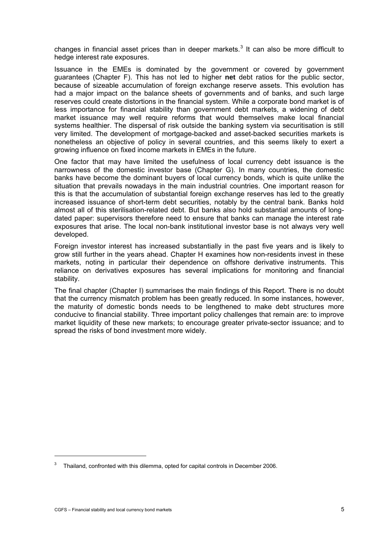changes in financial asset prices than in deeper markets.<sup>[3](#page-8-0)</sup> It can also be more difficult to hedge interest rate exposures.

Issuance in the EMEs is dominated by the government or covered by government guarantees (Chapter F). This has not led to higher **net** debt ratios for the public sector, because of sizeable accumulation of foreign exchange reserve assets. This evolution has had a major impact on the balance sheets of governments and of banks, and such large reserves could create distortions in the financial system. While a corporate bond market is of less importance for financial stability than government debt markets, a widening of debt market issuance may well require reforms that would themselves make local financial systems healthier. The dispersal of risk outside the banking system via securitisation is still very limited. The development of mortgage-backed and asset-backed securities markets is nonetheless an objective of policy in several countries, and this seems likely to exert a growing influence on fixed income markets in EMEs in the future.

One factor that may have limited the usefulness of local currency debt issuance is the narrowness of the domestic investor base (Chapter G). In many countries, the domestic banks have become the dominant buyers of local currency bonds, which is quite unlike the situation that prevails nowadays in the main industrial countries. One important reason for this is that the accumulation of substantial foreign exchange reserves has led to the greatly increased issuance of short-term debt securities, notably by the central bank. Banks hold almost all of this sterilisation-related debt. But banks also hold substantial amounts of longdated paper: supervisors therefore need to ensure that banks can manage the interest rate exposures that arise. The local non-bank institutional investor base is not always very well developed.

Foreign investor interest has increased substantially in the past five years and is likely to grow still further in the years ahead. Chapter H examines how non-residents invest in these markets, noting in particular their dependence on offshore derivative instruments. This reliance on derivatives exposures has several implications for monitoring and financial stability.

The final chapter (Chapter I) summarises the main findings of this Report. There is no doubt that the currency mismatch problem has been greatly reduced. In some instances, however, the maturity of domestic bonds needs to be lengthened to make debt structures more conducive to financial stability. Three important policy challenges that remain are: to improve market liquidity of these new markets; to encourage greater private-sector issuance; and to spread the risks of bond investment more widely.

j

<span id="page-8-0"></span><sup>3</sup> Thailand, confronted with this dilemma, opted for capital controls in December 2006.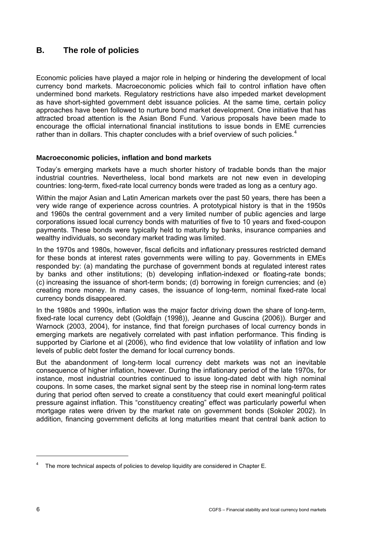# <span id="page-9-0"></span>**B. The role of policies**

Economic policies have played a major role in helping or hindering the development of local currency bond markets. Macroeconomic policies which fail to control inflation have often undermined bond markets. Regulatory restrictions have also impeded market development as have short-sighted government debt issuance policies. At the same time, certain policy approaches have been followed to nurture bond market development. One initiative that has attracted broad attention is the Asian Bond Fund. Various proposals have been made to encourage the official international financial institutions to issue bonds in EME currencies rather than in dollars. This chapter concludes with a brief overview of such policies.<sup>[4](#page-9-1)</sup>

## **Macroeconomic policies, inflation and bond markets**

Today's emerging markets have a much shorter history of tradable bonds than the major industrial countries. Nevertheless, local bond markets are not new even in developing countries: long-term, fixed-rate local currency bonds were traded as long as a century ago.

Within the major Asian and Latin American markets over the past 50 years, there has been a very wide range of experience across countries. A prototypical history is that in the 1950s and 1960s the central government and a very limited number of public agencies and large corporations issued local currency bonds with maturities of five to 10 years and fixed-coupon payments. These bonds were typically held to maturity by banks, insurance companies and wealthy individuals, so secondary market trading was limited.

In the 1970s and 1980s, however, fiscal deficits and inflationary pressures restricted demand for these bonds at interest rates governments were willing to pay. Governments in EMEs responded by: (a) mandating the purchase of government bonds at regulated interest rates by banks and other institutions; (b) developing inflation-indexed or floating-rate bonds; (c) increasing the issuance of short-term bonds; (d) borrowing in foreign currencies; and (e) creating more money. In many cases, the issuance of long-term, nominal fixed-rate local currency bonds disappeared.

In the 1980s and 1990s, inflation was the major factor driving down the share of long-term, fixed-rate local currency debt (Goldfajn (1998)), Jeanne and Guscina (2006)). Burger and Warnock (2003, 2004), for instance, find that foreign purchases of local currency bonds in emerging markets are negatively correlated with past inflation performance. This finding is supported by Ciarlone et al (2006), who find evidence that low volatility of inflation and low levels of public debt foster the demand for local currency bonds.

But the abandonment of long-term local currency debt markets was not an inevitable consequence of higher inflation, however. During the inflationary period of the late 1970s, for instance, most industrial countries continued to issue long-dated debt with high nominal coupons. In some cases, the market signal sent by the steep rise in nominal long-term rates during that period often served to create a constituency that could exert meaningful political pressure against inflation. This "constituency creating" effect was particularly powerful when mortgage rates were driven by the market rate on government bonds (Sokoler 2002). In addition, financing government deficits at long maturities meant that central bank action to

 $\overline{a}$ 

<span id="page-9-1"></span> $4$  The more technical aspects of policies to develop liquidity are considered in Chapter E.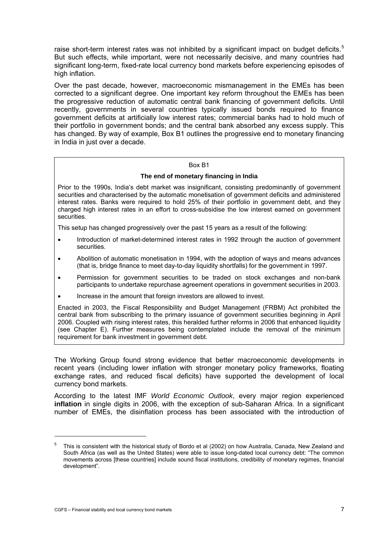raise short-term interest rates was not inhibited by a significant impact on budget deficits.<sup>[5](#page-10-0)</sup> But such effects, while important, were not necessarily decisive, and many countries had significant long-term, fixed-rate local currency bond markets before experiencing episodes of high inflation.

Over the past decade, however, macroeconomic mismanagement in the EMEs has been corrected to a significant degree. One important key reform throughout the EMEs has been the progressive reduction of automatic central bank financing of government deficits. Until recently, governments in several countries typically issued bonds required to finance government deficits at artificially low interest rates; commercial banks had to hold much of their portfolio in government bonds; and the central bank absorbed any excess supply. This has changed. By way of example, Box B1 outlines the progressive end to monetary financing in India in just over a decade.

#### Box B1

## **The end of monetary financing in India**

Prior to the 1990s, India's debt market was insignificant, consisting predominantly of government securities and characterised by the automatic monetisation of government deficits and administered interest rates. Banks were required to hold 25% of their portfolio in government debt, and they charged high interest rates in an effort to cross-subsidise the low interest earned on government securities.

This setup has changed progressively over the past 15 years as a result of the following:

- Introduction of market-determined interest rates in 1992 through the auction of government securities.
- Abolition of automatic monetisation in 1994, with the adoption of ways and means advances (that is, bridge finance to meet day-to-day liquidity shortfalls) for the government in 1997.
- Permission for government securities to be traded on stock exchanges and non-bank participants to undertake repurchase agreement operations in government securities in 2003.
- Increase in the amount that foreign investors are allowed to invest.

Enacted in 2003, the Fiscal Responsibility and Budget Management (FRBM) Act prohibited the central bank from subscribing to the primary issuance of government securities beginning in April 2006. Coupled with rising interest rates, this heralded further reforms in 2006 that enhanced liquidity (see Chapter E). Further measures being contemplated include the removal of the minimum requirement for bank investment in government debt.

The Working Group found strong evidence that better macroeconomic developments in recent years (including lower inflation with stronger monetary policy frameworks, floating exchange rates, and reduced fiscal deficits) have supported the development of local currency bond markets.

According to the latest IMF *World Economic Outlook*, every major region experienced **inflation** in single digits in 2006, with the exception of sub-Saharan Africa. In a significant number of EMEs, the disinflation process has been associated with the introduction of

j

<span id="page-10-0"></span><sup>5</sup> This is consistent with the historical study of Bordo et al (2002) on how Australia, Canada, New Zealand and South Africa (as well as the United States) were able to issue long-dated local currency debt: "The common movements across [these countries] include sound fiscal institutions, credibility of monetary regimes, financial development".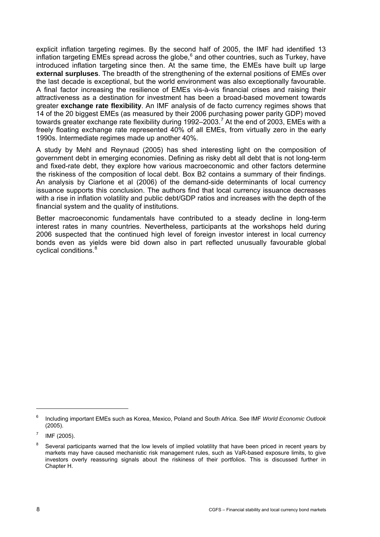explicit inflation targeting regimes. By the second half of 2005, the IMF had identified 13 inflation targeting EMEs spread across the globe,  $^6$  $^6$  and other countries, such as Turkey, have introduced inflation targeting since then. At the same time, the EMEs have built up large **external surpluses**. The breadth of the strengthening of the external positions of EMEs over the last decade is exceptional, but the world environment was also exceptionally favourable. A final factor increasing the resilience of EMEs vis-à-vis financial crises and raising their attractiveness as a destination for investment has been a broad-based movement towards greater **exchange rate flexibility**. An IMF analysis of de facto currency regimes shows that 14 of the 20 biggest EMEs (as measured by their 2006 purchasing power parity GDP) moved towards greater exchange rate flexibility during 1992–2003.<sup>[7](#page-11-1)</sup> At the end of 2003, EMEs with a freely floating exchange rate represented 40% of all EMEs, from virtually zero in the early 1990s. Intermediate regimes made up another 40%.

A study by Mehl and Reynaud (2005) has shed interesting light on the composition of government debt in emerging economies. Defining as risky debt all debt that is not long-term and fixed-rate debt, they explore how various macroeconomic and other factors determine the riskiness of the composition of local debt. Box B2 contains a summary of their findings. An analysis by Ciarlone et al (2006) of the demand-side determinants of local currency issuance supports this conclusion. The authors find that local currency issuance decreases with a rise in inflation volatility and public debt/GDP ratios and increases with the depth of the financial system and the quality of institutions.

Better macroeconomic fundamentals have contributed to a steady decline in long-term interest rates in many countries. Nevertheless, participants at the workshops held during 2006 suspected that the continued high level of foreign investor interest in local currency bonds even as yields were bid down also in part reflected unusually favourable global cyclical conditions.[8](#page-11-2)

 $\overline{a}$ 

<span id="page-11-0"></span><sup>6</sup> Including important EMEs such as Korea, Mexico, Poland and South Africa. See IMF *World Economic Outlook* (2005).

<span id="page-11-1"></span><sup>7</sup> IMF (2005).

<span id="page-11-2"></span><sup>8</sup> Several participants warned that the low levels of implied volatility that have been priced in recent years by markets may have caused mechanistic risk management rules, such as VaR-based exposure limits, to give investors overly reassuring signals about the riskiness of their portfolios. This is discussed further in Chapter H.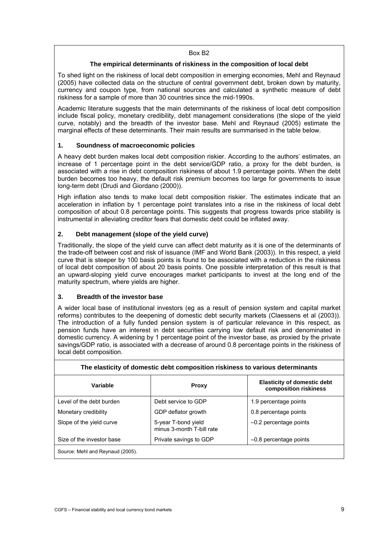#### Box B2

## **The empirical determinants of riskiness in the composition of local debt**

To shed light on the riskiness of local debt composition in emerging economies, Mehl and Reynaud (2005) have collected data on the structure of central government debt, broken down by maturity, currency and coupon type, from national sources and calculated a synthetic measure of debt riskiness for a sample of more than 30 countries since the mid-1990s.

Academic literature suggests that the main determinants of the riskiness of local debt composition include fiscal policy, monetary credibility, debt management considerations (the slope of the yield curve, notably) and the breadth of the investor base. Mehl and Reynaud (2005) estimate the marginal effects of these determinants. Their main results are summarised in the table below.

## **1. Soundness of macroeconomic policies**

A heavy debt burden makes local debt composition riskier. According to the authors' estimates, an increase of 1 percentage point in the debt service/GDP ratio, a proxy for the debt burden, is associated with a rise in debt composition riskiness of about 1.9 percentage points. When the debt burden becomes too heavy, the default risk premium becomes too large for governments to issue long-term debt (Drudi and Giordano (2000)).

High inflation also tends to make local debt composition riskier. The estimates indicate that an acceleration in inflation by 1 percentage point translates into a rise in the riskiness of local debt composition of about 0.8 percentage points. This suggests that progress towards price stability is instrumental in alleviating creditor fears that domestic debt could be inflated away.

## **2. Debt management (slope of the yield curve)**

Traditionally, the slope of the yield curve can affect debt maturity as it is one of the determinants of the trade-off between cost and risk of issuance (IMF and World Bank (2003)). In this respect, a yield curve that is steeper by 100 basis points is found to be associated with a reduction in the riskiness of local debt composition of about 20 basis points. One possible interpretation of this result is that an upward-sloping yield curve encourages market participants to invest at the long end of the maturity spectrum, where yields are higher.

#### **3. Breadth of the investor base**

A wider local base of institutional investors (eg as a result of pension system and capital market reforms) contributes to the deepening of domestic debt security markets (Claessens et al (2003)). The introduction of a fully funded pension system is of particular relevance in this respect, as pension funds have an interest in debt securities carrying low default risk and denominated in domestic currency. A widening by 1 percentage point of the investor base, as proxied by the private savings/GDP ratio, is associated with a decrease of around 0.8 percentage points in the riskiness of local debt composition.

| Variable                         | <b>Proxy</b>                                     | <b>Elasticity of domestic debt</b><br>composition riskiness |  |  |  |  |  |  |  |
|----------------------------------|--------------------------------------------------|-------------------------------------------------------------|--|--|--|--|--|--|--|
| Level of the debt burden         | Debt service to GDP                              | 1.9 percentage points                                       |  |  |  |  |  |  |  |
| Monetary credibility             | GDP deflator growth                              | 0.8 percentage points                                       |  |  |  |  |  |  |  |
| Slope of the yield curve         | 5-year T-bond yield<br>minus 3-month T-bill rate | $-0.2$ percentage points                                    |  |  |  |  |  |  |  |
| Size of the investor base        | Private savings to GDP                           | $-0.8$ percentage points                                    |  |  |  |  |  |  |  |
| Source: Mehl and Reynaud (2005). |                                                  |                                                             |  |  |  |  |  |  |  |

#### **The elasticity of domestic debt composition riskiness to various determinants**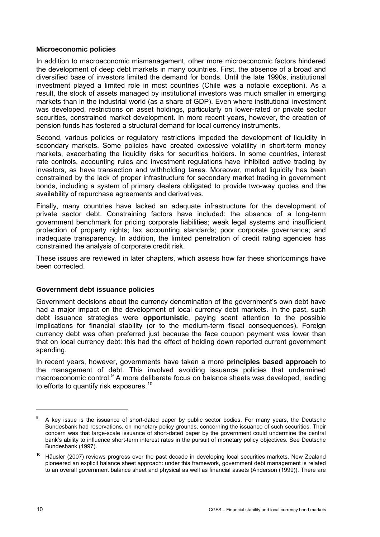## <span id="page-13-0"></span>**Microeconomic policies**

In addition to macroeconomic mismanagement, other more microeconomic factors hindered the development of deep debt markets in many countries. First, the absence of a broad and diversified base of investors limited the demand for bonds. Until the late 1990s, institutional investment played a limited role in most countries (Chile was a notable exception). As a result, the stock of assets managed by institutional investors was much smaller in emerging markets than in the industrial world (as a share of GDP). Even where institutional investment was developed, restrictions on asset holdings, particularly on lower-rated or private sector securities, constrained market development. In more recent years, however, the creation of pension funds has fostered a structural demand for local currency instruments.

Second, various policies or regulatory restrictions impeded the development of liquidity in secondary markets. Some policies have created excessive volatility in short-term money markets, exacerbating the liquidity risks for securities holders. In some countries, interest rate controls, accounting rules and investment regulations have inhibited active trading by investors, as have transaction and withholding taxes. Moreover, market liquidity has been constrained by the lack of proper infrastructure for secondary market trading in government bonds, including a system of primary dealers obligated to provide two-way quotes and the availability of repurchase agreements and derivatives.

Finally, many countries have lacked an adequate infrastructure for the development of private sector debt. Constraining factors have included: the absence of a long-term government benchmark for pricing corporate liabilities; weak legal systems and insufficient protection of property rights; lax accounting standards; poor corporate governance; and inadequate transparency. In addition, the limited penetration of credit rating agencies has constrained the analysis of corporate credit risk.

These issues are reviewed in later chapters, which assess how far these shortcomings have been corrected.

#### **Government debt issuance policies**

Government decisions about the currency denomination of the government's own debt have had a major impact on the development of local currency debt markets. In the past, such debt issuance strategies were **opportunistic**, paying scant attention to the possible implications for financial stability (or to the medium-term fiscal consequences). Foreign currency debt was often preferred just because the face coupon payment was lower than that on local currency debt: this had the effect of holding down reported current government spending.

In recent years, however, governments have taken a more **principles based approach** to the management of debt. This involved avoiding issuance policies that undermined macroeconomic control.<sup>[9](#page-13-1)</sup> A more deliberate focus on balance sheets was developed, leading to efforts to quantify risk exposures.<sup>[10](#page-13-2)</sup>

-

<span id="page-13-1"></span><sup>9</sup> A key issue is the issuance of short-dated paper by public sector bodies. For many years, the Deutsche Bundesbank had reservations, on monetary policy grounds, concerning the issuance of such securities. Their concern was that large-scale issuance of short-dated paper by the government could undermine the central bank's ability to influence short-term interest rates in the pursuit of monetary policy objectives. See Deutsche Bundesbank (1997).

<span id="page-13-2"></span>Häusler (2007) reviews progress over the past decade in developing local securities markets. New Zealand pioneered an explicit balance sheet approach: under this framework, government debt management is related to an overall government balance sheet and physical as well as financial assets (Anderson (1999)). There are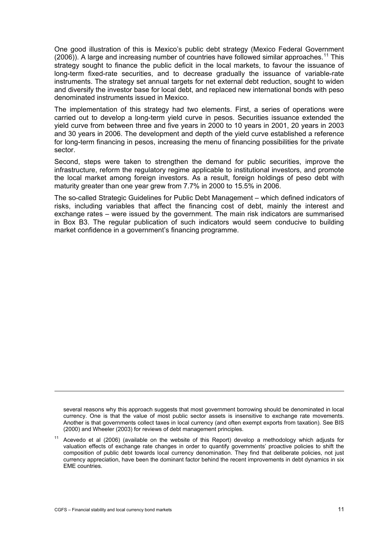One good illustration of this is Mexico's public debt strategy (Mexico Federal Government  $(2006)$ ). A large and increasing number of countries have followed similar approaches.<sup>[11](#page-14-0)</sup> This strategy sought to finance the public deficit in the local markets, to favour the issuance of long-term fixed-rate securities, and to decrease gradually the issuance of variable-rate instruments. The strategy set annual targets for net external debt reduction, sought to widen and diversify the investor base for local debt, and replaced new international bonds with peso denominated instruments issued in Mexico.

The implementation of this strategy had two elements. First, a series of operations were carried out to develop a long-term yield curve in pesos. Securities issuance extended the yield curve from between three and five years in 2000 to 10 years in 2001, 20 years in 2003 and 30 years in 2006. The development and depth of the yield curve established a reference for long-term financing in pesos, increasing the menu of financing possibilities for the private sector.

Second, steps were taken to strengthen the demand for public securities, improve the infrastructure, reform the regulatory regime applicable to institutional investors, and promote the local market among foreign investors. As a result, foreign holdings of peso debt with maturity greater than one year grew from 7.7% in 2000 to 15.5% in 2006.

The so-called Strategic Guidelines for Public Debt Management – which defined indicators of risks, including variables that affect the financing cost of debt, mainly the interest and exchange rates – were issued by the government. The main risk indicators are summarised in Box B3. The regular publication of such indicators would seem conducive to building market confidence in a government's financing programme.

several reasons why this approach suggests that most government borrowing should be denominated in local currency. One is that the value of most public sector assets is insensitive to exchange rate movements. Another is that governments collect taxes in local currency (and often exempt exports from taxation). See BIS (2000) and Wheeler (2003) for reviews of debt management principles.

-

<span id="page-14-0"></span><sup>&</sup>lt;sup>11</sup> Acevedo et al (2006) (available on the website of this Report) develop a methodology which adjusts for valuation effects of exchange rate changes in order to quantify governments' proactive policies to shift the composition of public debt towards local currency denomination. They find that deliberate policies, not just currency appreciation, have been the dominant factor behind the recent improvements in debt dynamics in six EME countries.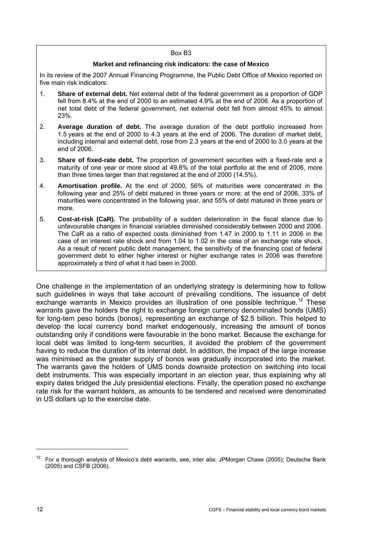#### Box B3

#### **Market and refinancing risk indicators: the case of Mexico**

In its review of the 2007 Annual Financing Programme, the Public Debt Office of Mexico reported on five main risk indicators:

- 1. **Share of external debt.** Net external debt of the federal government as a proportion of GDP fell from 8.4% at the end of 2000 to an estimated 4.9% at the end of 2006. As a proportion of net total debt of the federal government, net external debt fell from almost 45% to almost 23%.
- 2. **Average duration of debt.** The average duration of the debt portfolio increased from 1.5 years at the end of 2000 to 4.3 years at the end of 2006. The duration of market debt, including internal and external debt, rose from 2.3 years at the end of 2000 to 3.0 years at the end of 2006.
- 3. **Share of fixed-rate debt.** The proportion of government securities with a fixed-rate and a maturity of one year or more stood at 49.8% of the total portfolio at the end of 2006, more than three times larger than that registered at the end of 2000 (14.5%).
- 4. **Amortisation profile.** At the end of 2000, 56% of maturities were concentrated in the following year and 25% of debt matured in three years or more; at the end of 2006, 33% of maturities were concentrated in the following year, and 55% of debt matured in three years or more.
- 5. **Cost-at-risk (CaR).** The probability of a sudden deterioration in the fiscal stance due to unfavourable changes in financial variables diminished considerably between 2000 and 2006. The CaR as a ratio of expected costs diminished from 1.47 in 2000 to 1.11 in 2006 in the case of an interest rate shock and from 1.04 to 1.02 in the case of an exchange rate shock. As a result of recent public debt management, the sensitivity of the financing cost of federal government debt to either higher interest or higher exchange rates in 2006 was therefore approximately a third of what it had been in 2000.

One challenge in the implementation of an underlying strategy is determining how to follow such guidelines in ways that take account of prevailing conditions. The issuance of debt exchange warrants in Mexico provides an illustration of one possible technique.<sup>[1](#page-15-0)2</sup> These warrants gave the holders the right to exchange foreign currency denominated bonds (UMS) for long-tem peso bonds (bonos), representing an exchange of \$2.5 billion. This helped to develop the local currency bond market endogenously, increasing the amount of bonos outstanding only if conditions were favourable in the bono market. Because the exchange for local debt was limited to long-term securities, it avoided the problem of the government having to reduce the duration of its internal debt. In addition, the impact of the large increase was minimised as the greater supply of bonos was gradually incorporated into the market. The warrants gave the holders of UMS bonds downside protection on switching into local debt instruments. This was especially important in an election year, thus explaining why all expiry dates bridged the July presidential elections. Finally, the operation posed no exchange rate risk for the warrant holders, as amounts to be tendered and received were denominated in US dollars up to the exercise date.

 $\overline{a}$ 

<span id="page-15-0"></span><sup>&</sup>lt;sup>12</sup> For a thorough analysis of Mexico's debt warrants, see, inter alia: JPMorgan Chase (2005); Deutsche Bank (2005) and CSFB (2006).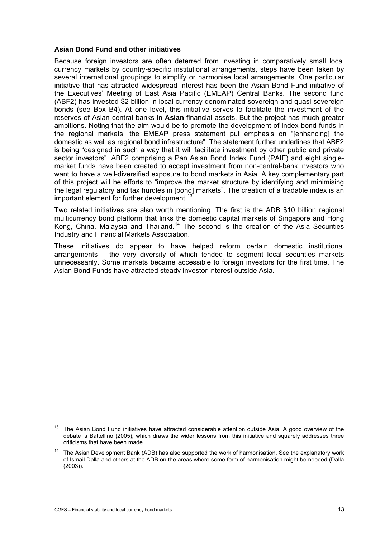#### <span id="page-16-0"></span>**Asian Bond Fund and other initiatives**

Because foreign investors are often deterred from investing in comparatively small local currency markets by country-specific institutional arrangements, steps have been taken by several international groupings to simplify or harmonise local arrangements. One particular initiative that has attracted widespread interest has been the Asian Bond Fund initiative of the Executives' Meeting of East Asia Pacific (EMEAP) Central Banks. The second fund (ABF2) has invested \$2 billion in local currency denominated sovereign and quasi sovereign bonds (see Box B4). At one level, this initiative serves to facilitate the investment of the reserves of Asian central banks in **Asian** financial assets. But the project has much greater ambitions. Noting that the aim would be to promote the development of index bond funds in the regional markets, the EMEAP press statement put emphasis on "[enhancing] the domestic as well as regional bond infrastructure". The statement further underlines that ABF2 is being "designed in such a way that it will facilitate investment by other public and private sector investors". ABF2 comprising a Pan Asian Bond Index Fund (PAIF) and eight singlemarket funds have been created to accept investment from non-central-bank investors who want to have a well-diversified exposure to bond markets in Asia. A key complementary part of this project will be efforts to "improve the market structure by identifying and minimising the legal regulatory and tax hurdles in [bond] markets". The creation of a tradable index is an important element for further development.<sup>[1](#page-16-1)3</sup>

Two related initiatives are also worth mentioning. The first is the ADB \$10 billion regional multicurrency bond platform that links the domestic capital markets of Singapore and Hong Kong, China, Malaysia and Thailand.<sup>[14](#page-16-2)</sup> The second is the creation of the Asia Securities Industry and Financial Markets Association.

These initiatives do appear to have helped reform certain domestic institutional arrangements – the very diversity of which tended to segment local securities markets unnecessarily. Some markets became accessible to foreign investors for the first time. The Asian Bond Funds have attracted steady investor interest outside Asia.

j

<span id="page-16-1"></span>The Asian Bond Fund initiatives have attracted considerable attention outside Asia. A good overview of the debate is Battellino (2005), which draws the wider lessons from this initiative and squarely addresses three criticisms that have been made.

<span id="page-16-2"></span><sup>14</sup> The Asian Development Bank (ADB) has also supported the work of harmonisation. See the explanatory work of Ismail Dalla and others at the ADB on the areas where some form of harmonisation might be needed (Dalla (2003)).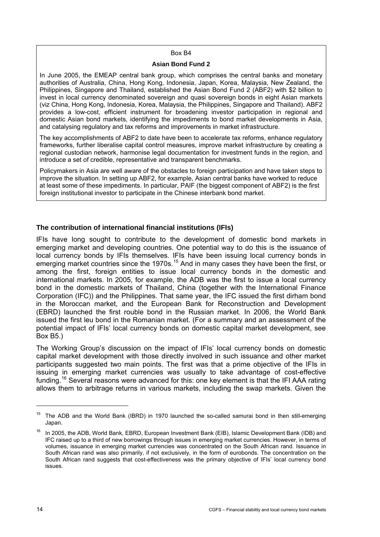#### Box B4

#### **Asian Bond Fund 2**

<span id="page-17-0"></span>In June 2005, the EMEAP central bank group, which comprises the central banks and monetary authorities of Australia, China, Hong Kong, Indonesia, Japan, Korea, Malaysia, New Zealand, the Philippines, Singapore and Thailand, established the Asian Bond Fund 2 (ABF2) with \$2 billion to invest in local currency denominated sovereign and quasi sovereign bonds in eight Asian markets (viz China, Hong Kong, Indonesia, Korea, Malaysia, the Philippines, Singapore and Thailand). ABF2 provides a low-cost, efficient instrument for broadening investor participation in regional and domestic Asian bond markets, identifying the impediments to bond market developments in Asia, and catalysing regulatory and tax reforms and improvements in market infrastructure.

The key accomplishments of ABF2 to date have been to accelerate tax reforms, enhance regulatory frameworks, further liberalise capital control measures, improve market infrastructure by creating a regional custodian network, harmonise legal documentation for investment funds in the region, and introduce a set of credible, representative and transparent benchmarks.

Policymakers in Asia are well aware of the obstacles to foreign participation and have taken steps to improve the situation. In setting up ABF2, for example, Asian central banks have worked to reduce at least some of these impediments. In particular, PAIF (the biggest component of ABF2) is the first foreign institutional investor to participate in the Chinese interbank bond market.

## **The contribution of international financial institutions (IFIs)**

IFIs have long sought to contribute to the development of domestic bond markets in emerging market and developing countries. One potential way to do this is the issuance of local currency bonds by IFIs themselves. IFIs have been issuing local currency bonds in emerging market countries since the [1](#page-17-1)970s.<sup>15</sup> And in many cases they have been the first, or among the first, foreign entities to issue local currency bonds in the domestic and international markets. In 2005, for example, the ADB was the first to issue a local currency bond in the domestic markets of Thailand, China (together with the International Finance Corporation (IFC)) and the Philippines. That same year, the IFC issued the first dirham bond in the Moroccan market, and the European Bank for Reconstruction and Development (EBRD) launched the first rouble bond in the Russian market. In 2006, the World Bank issued the first leu bond in the Romanian market. (For a summary and an assessment of the potential impact of IFIs' local currency bonds on domestic capital market development, see Box B5.)

The Working Group's discussion on the impact of IFIs' local currency bonds on domestic capital market development with those directly involved in such issuance and other market participants suggested two main points. The first was that a prime objective of the IFIs in issuing in emerging market currencies was usually to take advantage of cost-effective funding.<sup>[1](#page-17-2)6</sup> Several reasons were advanced for this: one key element is that the IFI AAA rating allows them to arbitrage returns in various markets, including the swap markets. Given the

-

<sup>&</sup>lt;sup>15</sup> The ADB and the World Bank (IBRD) in 1970 launched the so-called samurai bond in then still-emerging Japan.

<span id="page-17-2"></span><span id="page-17-1"></span><sup>&</sup>lt;sup>16</sup> In 2005, the ADB, World Bank, EBRD, European Investment Bank (EIB), Islamic Development Bank (IDB) and IFC raised up to a third of new borrowings through issues in emerging market currencies. However, in terms of volumes, issuance in emerging market currencies was concentrated on the South African rand. Issuance in South African rand was also primarily, if not exclusively, in the form of eurobonds. The concentration on the South African rand suggests that cost-effectiveness was the primary objective of IFIs' local currency bond issues.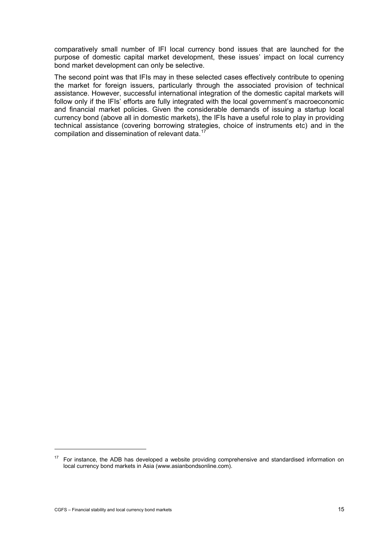comparatively small number of IFI local currency bond issues that are launched for the purpose of domestic capital market development, these issues' impact on local currency bond market development can only be selective.

The second point was that IFIs may in these selected cases effectively contribute to opening the market for foreign issuers, particularly through the associated provision of technical assistance. However, successful international integration of the domestic capital markets will follow only if the IFIs' efforts are fully integrated with the local government's macroeconomic and financial market policies. Given the considerable demands of issuing a startup local currency bond (above all in domestic markets), the IFIs have a useful role to play in providing technical assistance (covering borrowing strategies, choice of instruments etc) and in the compilation and dissemination of relevant data.<sup>[17](#page-18-0)</sup>

j

<span id="page-18-0"></span><sup>17</sup> For instance, the ADB has developed a website providing comprehensive and standardised information on local currency bond markets in Asia (www.asianbondsonline.com).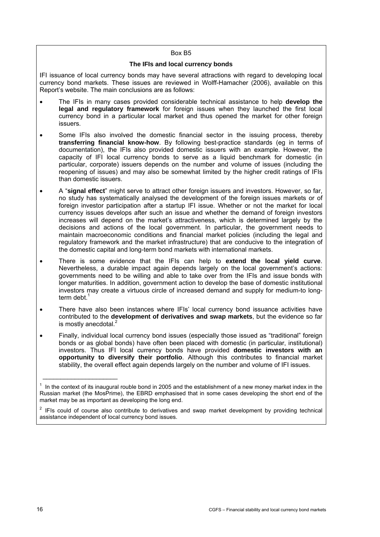#### Box B5

#### **The IFIs and local currency bonds**

IFI issuance of local currency bonds may have several attractions with regard to developing local currency bond markets. These issues are reviewed in Wolff-Hamacher (2006), available on this Report's website. The main conclusions are as follows:

- The IFIs in many cases provided considerable technical assistance to help **develop the legal and regulatory framework** for foreign issues when they launched the first local currency bond in a particular local market and thus opened the market for other foreign issuers.
- Some IFIs also involved the domestic financial sector in the issuing process, thereby **transferring financial know-how**. By following best-practice standards (eg in terms of documentation), the IFIs also provided domestic issuers with an example. However, the capacity of IFI local currency bonds to serve as a liquid benchmark for domestic (in particular, corporate) issuers depends on the number and volume of issues (including the reopening of issues) and may also be somewhat limited by the higher credit ratings of IFIs than domestic issuers.
- A "**signal effect**" might serve to attract other foreign issuers and investors. However, so far, no study has systematically analysed the development of the foreign issues markets or of foreign investor participation after a startup IFI issue. Whether or not the market for local currency issues develops after such an issue and whether the demand of foreign investors increases will depend on the market's attractiveness, which is determined largely by the decisions and actions of the local government. In particular, the government needs to maintain macroeconomic conditions and financial market policies (including the legal and regulatory framework and the market infrastructure) that are conducive to the integration of the domestic capital and long-term bond markets with international markets.
- There is some evidence that the IFIs can help to **extend the local yield curve**. Nevertheless, a durable impact again depends largely on the local government's actions: governments need to be willing and able to take over from the IFIs and issue bonds with longer maturities. In addition, government action to develop the base of domestic institutional investors may create a virtuous circle of increased demand and supply for medium-to longterm debt.<sup>1</sup>
- There have also been instances where IFIs' local currency bond issuance activities have contributed to the **development of derivatives and swap markets**, but the evidence so far is mostly anecdotal.<sup>2</sup>
- Finally, individual local currency bond issues (especially those issued as "traditional" foreign bonds or as global bonds) have often been placed with domestic (in particular, institutional) investors. Thus IFI local currency bonds have provided **domestic investors with an opportunity to diversify their portfolio**. Although this contributes to financial market stability, the overall effect again depends largely on the number and volume of IFI issues.

\_\_\_\_\_\_\_\_\_\_\_\_\_\_\_\_\_\_\_\_\_

 $1$  In the context of its inaugural rouble bond in 2005 and the establishment of a new money market index in the Russian market (the MosPrime), the EBRD emphasised that in some cases developing the short end of the market may be as important as developing the long end.

<sup>&</sup>lt;sup>2</sup> IFIs could of course also contribute to derivatives and swap market development by providing technical assistance independent of local currency bond issues.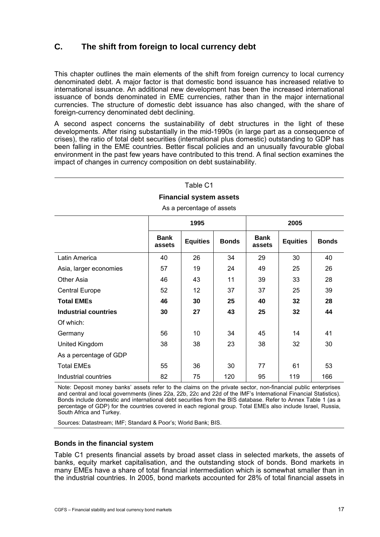# <span id="page-20-0"></span>**C. The shift from foreign to local currency debt**

This chapter outlines the main elements of the shift from foreign currency to local currency denominated debt. A major factor is that domestic bond issuance has increased relative to international issuance. An additional new development has been the increased international issuance of bonds denominated in EME currencies, rather than in the major international currencies. The structure of domestic debt issuance has also changed, with the share of foreign-currency denominated debt declining.

A second aspect concerns the sustainability of debt structures in the light of these developments. After rising substantially in the mid-1990s (in large part as a consequence of crises), the ratio of total debt securities (international plus domestic) outstanding to GDP has been falling in the EME countries. Better fiscal policies and an unusually favourable global environment in the past few years have contributed to this trend. A final section examines the impact of changes in currency composition on debt sustainability.

 $T$ skla $\sim$ 

| Table CT                                                                                                             |    |    |     |    |     |     |  |  |  |
|----------------------------------------------------------------------------------------------------------------------|----|----|-----|----|-----|-----|--|--|--|
| <b>Financial system assets</b>                                                                                       |    |    |     |    |     |     |  |  |  |
| As a percentage of assets                                                                                            |    |    |     |    |     |     |  |  |  |
| 1995<br>2005                                                                                                         |    |    |     |    |     |     |  |  |  |
| <b>Bank</b><br><b>Bank</b><br><b>Equities</b><br><b>Equities</b><br><b>Bonds</b><br><b>Bonds</b><br>assets<br>assets |    |    |     |    |     |     |  |  |  |
| Latin America                                                                                                        | 40 | 26 | 34  | 29 | 30  | 40  |  |  |  |
| Asia, larger economies                                                                                               | 57 | 19 | 24  | 49 | 25  | 26  |  |  |  |
| Other Asia                                                                                                           | 46 | 43 | 11  | 39 | 33  | 28  |  |  |  |
| <b>Central Europe</b>                                                                                                | 52 | 12 | 37  | 37 | 25  | 39  |  |  |  |
| <b>Total EMEs</b>                                                                                                    | 46 | 30 | 25  | 40 | 32  | 28  |  |  |  |
| <b>Industrial countries</b>                                                                                          | 30 | 27 | 43  | 25 | 32  | 44  |  |  |  |
| Of which:                                                                                                            |    |    |     |    |     |     |  |  |  |
| Germany                                                                                                              | 56 | 10 | 34  | 45 | 14  | 41  |  |  |  |
| United Kingdom                                                                                                       | 38 | 38 | 23  | 38 | 32  | 30  |  |  |  |
| As a percentage of GDP                                                                                               |    |    |     |    |     |     |  |  |  |
| <b>Total EMEs</b>                                                                                                    | 55 | 36 | 30  | 77 | 61  | 53  |  |  |  |
| Industrial countries                                                                                                 | 82 | 75 | 120 | 95 | 119 | 166 |  |  |  |

Note: Deposit money banks' assets refer to the claims on the private sector, non-financial public enterprises and central and local governments (lines 22a, 22b, 22c and 22d of the IMF's International Financial Statistics). Bonds include domestic and international debt securities from the BIS database. Refer to Annex Table 1 (as a percentage of GDP) for the countries covered in each regional group. Total EMEs also include Israel, Russia, South Africa and Turkey.

Sources: Datastream; IMF; Standard & Poor's; World Bank; BIS.

#### **Bonds in the financial system**

Table C1 presents financial assets by broad asset class in selected markets, the assets of banks, equity market capitalisation, and the outstanding stock of bonds. Bond markets in many EMEs have a share of total financial intermediation which is somewhat smaller than in the industrial countries. In 2005, bond markets accounted for 28% of total financial assets in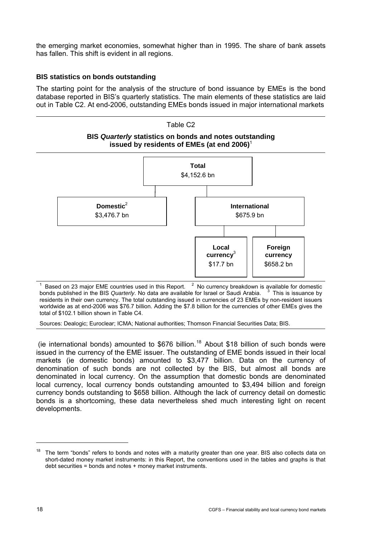<span id="page-21-0"></span>the emerging market economies, somewhat higher than in 1995. The share of bank assets has fallen. This shift is evident in all regions.

## **BIS statistics on bonds outstanding**

The starting point for the analysis of the structure of bond issuance by EMEs is the bond database reported in BIS's quarterly statistics. The main elements of these statistics are laid out in Table C2. At end-2006, outstanding EMEs bonds issued in major international markets



1 Based on 23 major EME countries used in this Report.  $2\,$  No currency breakdown is available for domestic bonds published in the BIS *Quarterly*. No data are available for Israel or Saudi Arabia. <sup>3</sup>  $3$  This is issuance by residents in their own currency. The total outstanding issued in currencies of 23 EMEs by non-resident issuers worldwide as at end-2006 was \$76.7 billion. Adding the \$7.8 billion for the currencies of other EMEs gives the total of \$102.1 billion shown in Table C4.

Sources: Dealogic; Euroclear; ICMA; National authorities; Thomson Financial Securities Data; BIS.

(ie international bonds) amounted to \$676 billion.<sup>[18](#page-21-1)</sup> About \$18 billion of such bonds were issued in the currency of the EME issuer. The outstanding of EME bonds issued in their local markets (ie domestic bonds) amounted to \$3,477 billion. Data on the currency of denomination of such bonds are not collected by the BIS, but almost all bonds are denominated in local currency. On the assumption that domestic bonds are denominated local currency, local currency bonds outstanding amounted to \$3,494 billion and foreign currency bonds outstanding to \$658 billion. Although the lack of currency detail on domestic bonds is a shortcoming, these data nevertheless shed much interesting light on recent developments.

-

<span id="page-21-1"></span>The term "bonds" refers to bonds and notes with a maturity greater than one year. BIS also collects data on short-dated money market instruments: in this Report, the conventions used in the tables and graphs is that debt securities = bonds and notes + money market instruments.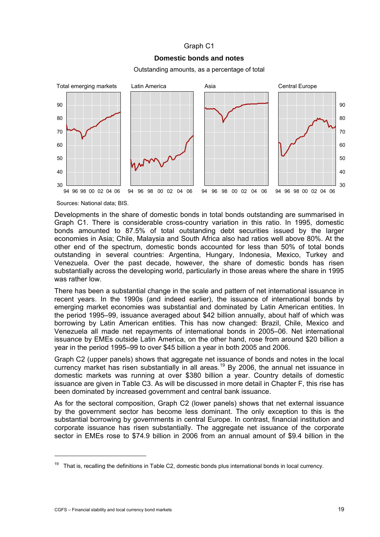## Graph C1

## **Domestic bonds and notes**

Outstanding amounts, as a percentage of total



Sources: National data; BIS.

Developments in the share of domestic bonds in total bonds outstanding are summarised in Graph C1. There is considerable cross-country variation in this ratio. In 1995, domestic bonds amounted to 87.5% of total outstanding debt securities issued by the larger economies in Asia; Chile, Malaysia and South Africa also had ratios well above 80%. At the other end of the spectrum, domestic bonds accounted for less than 50% of total bonds outstanding in several countries: Argentina, Hungary, Indonesia, Mexico, Turkey and Venezuela. Over the past decade, however, the share of domestic bonds has risen substantially across the developing world, particularly in those areas where the share in 1995 was rather low.

There has been a substantial change in the scale and pattern of net international issuance in recent years. In the 1990s (and indeed earlier), the issuance of international bonds by emerging market economies was substantial and dominated by Latin American entities. In the period 1995–99, issuance averaged about \$42 billion annually, about half of which was borrowing by Latin American entities. This has now changed: Brazil, Chile, Mexico and Venezuela all made net repayments of international bonds in 2005–06. Net international issuance by EMEs outside Latin America, on the other hand, rose from around \$20 billion a year in the period 1995–99 to over \$45 billion a year in both 2005 and 2006.

Graph C2 (upper panels) shows that aggregate net issuance of bonds and notes in the local currency market has risen substantially in all areas.<sup>[1](#page-22-0)9</sup> By 2006, the annual net issuance in domestic markets was running at over \$380 billion a year. Country details of domestic issuance are given in Table C3. As will be discussed in more detail in Chapter F, this rise has been dominated by increased government and central bank issuance.

As for the sectoral composition, Graph C2 (lower panels) shows that net external issuance by the government sector has become less dominant. The only exception to this is the substantial borrowing by governments in central Europe. In contrast, financial institution and corporate issuance has risen substantially. The aggregate net issuance of the corporate sector in EMEs rose to \$74.9 billion in 2006 from an annual amount of \$9.4 billion in the

j

<span id="page-22-0"></span> $19$  That is, recalling the definitions in Table C2, domestic bonds plus international bonds in local currency.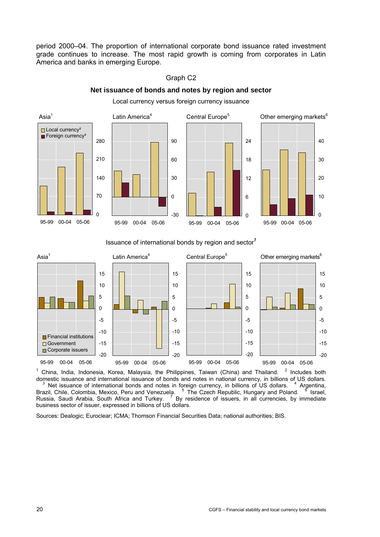period 2000–04. The proportion of international corporate bond issuance rated investment grade continues to increase. The most rapid growth is coming from corporates in Latin America and banks in emerging Europe.

#### $\text{Asia}^1$ Latin America<sup>4</sup> Central Europe<sup>5</sup> Other emerging markets<sup>6</sup>  $\Omega$ 70 140 210 280 95-99 00-04 05-06 Local currency<sup>2</sup> Foreign currency<sup>3</sup> -30 0 30 60 90 95-99 00-04 05-06  $\Omega$ 6 12 18 24 95-99 00-04 05-06 95-99 00-04 05-06

# Graph C2

**Net issuance of bonds and notes by region and sector** 

Local currency versus foreign currency issuance

#### Issuance of international bonds by region and sector**<sup>7</sup>**



1 China, India, Indonesia, Korea, Malaysia, the Philippines, Taiwan (China) and Thailand. <sup>2</sup> Includes both domestic issuance and international issuance of bonds and notes in national currency, in billions of US dollars.<br><sup>3</sup> Net issuance of international bonds and notes in foreign currency, in billions of US dollars. <sup>4</sup> Argenti  $3$  Net issuance of international bonds and notes in foreign currency, in billions of US dollars.  $4$  Argentina, Brazil, Chile, Colombia, Mexico, Peru and Venezuela. <sup>5</sup> The Czech Republic, Hungary and Poland. <sup>6</sup> Israel, Russia, Saudi Arabia, South Africa and Turkey. <sup>7</sup> By residence of issuers, in all currencies, by immediate business sector of issuer, expressed in billions of US dollars.

Sources: Dealogic; Euroclear; ICMA; Thomson Financial Securities Data; national authorities; BIS.

 $\Omega$ 

10

20

30

40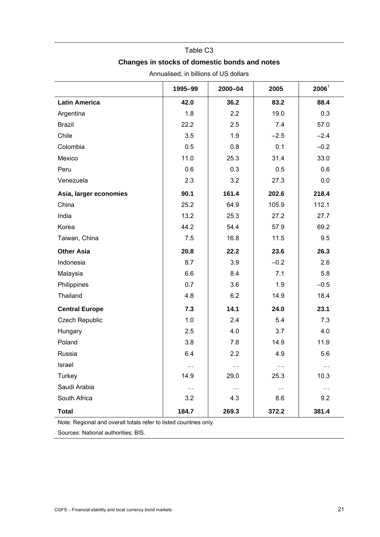## Table C3

# **Changes in stocks of domestic bonds and notes**

|                        | 1995-99  | 2000-04  | 2005     | $2006^1$ |
|------------------------|----------|----------|----------|----------|
| <b>Latin America</b>   | 42.0     | 36.2     | 83.2     | 88.4     |
| Argentina              | 1.8      | 2.2      | 19.0     | 0.3      |
| <b>Brazil</b>          | 22.2     | 2.5      | 7.4      | 57.0     |
| Chile                  | 3.5      | 1.9      | $-2.5$   | $-2.4$   |
| Colombia               | 0.5      | 0.8      | 0.1      | $-0.2$   |
| Mexico                 | 11.0     | 25.3     | 31.4     | 33.0     |
| Peru                   | 0.6      | 0.3      | 0.5      | 0.6      |
| Venezuela              | 2.3      | 3.2      | 27.3     | 0.0      |
| Asia, larger economies | 90.1     | 161.4    | 202.6    | 218.4    |
| China                  | 25.2     | 64.9     | 105.9    | 112.1    |
| India                  | 13.2     | 25.3     | 27.2     | 27.7     |
| Korea                  | 44.2     | 54.4     | 57.9     | 69.2     |
| Taiwan, China          | 7.5      | 16.8     | 11.5     | 9.5      |
| <b>Other Asia</b>      | 20.8     | 22.2     | 23.6     | 26.3     |
| Indonesia              | 8.7      | 3.9      | $-0.2$   | 2.6      |
| Malaysia               | 6.6      | 8.4      | 7.1      | 5.8      |
| Philippines            | 0.7      | 3.6      | 1.9      | $-0.5$   |
| Thailand               | 4.8      | 6.2      | 14.9     | 18.4     |
| <b>Central Europe</b>  | 7.3      | 14.1     | 24.0     | 23.1     |
| Czech Republic         | $1.0$    | 2.4      | 5.4      | 7.3      |
| Hungary                | 2.5      | 4.0      | 3.7      | 4.0      |
| Poland                 | 3.8      | 7.8      | 14.9     | 11.9     |
| Russia                 | 6.4      | 2.2      | 4.9      | 5.6      |
| Israel                 | $\cdots$ | $\cdots$ | $\cdots$ | $\cdots$ |
| Turkey                 | 14.9     | 29.0     | 25.3     | 10.3     |
| Saudi Arabia           | $\cdots$ | $\ldots$ | $\ldots$ | $\ldots$ |
| South Africa           | 3.2      | 4.3      | 8.6      | 9.2      |
| <b>Total</b>           | 184.7    | 269.3    | 372.2    | 381.4    |

Annualised, in billions of US dollars

Note: Regional and overall totals refer to listed countries only.

Sources: National authorities; BIS.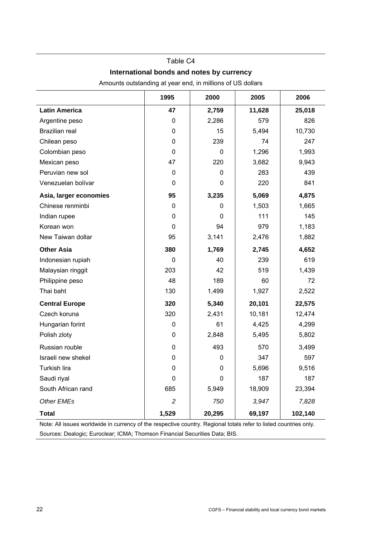# Table C4

## **International bonds and notes by currency**

|                        | 1995           | 2000         | 2005   | 2006    |  |  |  |  |
|------------------------|----------------|--------------|--------|---------|--|--|--|--|
| <b>Latin America</b>   | 47             | 2,759        | 11,628 | 25,018  |  |  |  |  |
| Argentine peso         | 0              | 2,286        | 579    | 826     |  |  |  |  |
| <b>Brazilian real</b>  | 0              | 15           | 5,494  | 10,730  |  |  |  |  |
| Chilean peso           | 0              | 239          | 74     | 247     |  |  |  |  |
| Colombian peso         | 0              | $\mathbf{0}$ | 1,296  | 1,993   |  |  |  |  |
| Mexican peso           | 47             | 220          | 3,682  | 9,943   |  |  |  |  |
| Peruvian new sol       | 0              | 0            | 283    | 439     |  |  |  |  |
| Venezuelan bolívar     | $\mathbf{0}$   | 0            | 220    | 841     |  |  |  |  |
| Asia, larger economies | 95             | 3,235        | 5,069  | 4,875   |  |  |  |  |
| Chinese renminbi       | 0              | 0            | 1,503  | 1,665   |  |  |  |  |
| Indian rupee           | 0              | 0            | 111    | 145     |  |  |  |  |
| Korean won             | 0              | 94           | 979    | 1,183   |  |  |  |  |
| New Taiwan dollar      | 95             | 3,141        | 2,476  | 1,882   |  |  |  |  |
| <b>Other Asia</b>      | 380            | 1,769        | 2,745  | 4,652   |  |  |  |  |
| Indonesian rupiah      | 0              | 40           | 239    | 619     |  |  |  |  |
| Malaysian ringgit      | 203            | 42           | 519    | 1,439   |  |  |  |  |
| Philippine peso        | 48             | 189          | 60     | 72      |  |  |  |  |
| Thai baht              | 130            | 1,499        | 1,927  | 2,522   |  |  |  |  |
| <b>Central Europe</b>  | 320            | 5,340        | 20,101 | 22,575  |  |  |  |  |
| Czech koruna           | 320            | 2,431        | 10,181 | 12,474  |  |  |  |  |
| Hungarian forint       | 0              | 61           | 4,425  | 4,299   |  |  |  |  |
| Polish zloty           | 0              | 2,848        | 5,495  | 5,802   |  |  |  |  |
| Russian rouble         | 0              | 493          | 570    | 3,499   |  |  |  |  |
| Israeli new shekel     | 0              | 0            | 347    | 597     |  |  |  |  |
| Turkish lira           | 0              | 0            | 5,696  | 9,516   |  |  |  |  |
| Saudi riyal            | $\pmb{0}$      | $\pmb{0}$    | 187    | 187     |  |  |  |  |
| South African rand     | 685            | 5,949        | 18,909 | 23,394  |  |  |  |  |
| Other EMEs             | $\overline{c}$ | 750          | 3,947  | 7,828   |  |  |  |  |
| <b>Total</b>           | 1,529          | 20,295       | 69,197 | 102,140 |  |  |  |  |

Amounts outstanding at year end, in millions of US dollars

Note: All issues worldwide in currency of the respective country. Regional totals refer to listed countries only. Sources: Dealogic; Euroclear; ICMA; Thomson Financial Securities Data; BIS.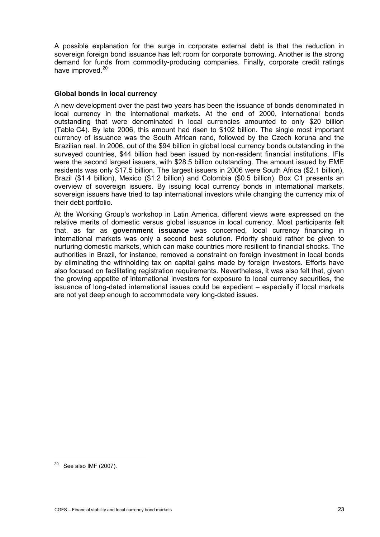<span id="page-26-0"></span>A possible explanation for the surge in corporate external debt is that the reduction in sovereign foreign bond issuance has left room for corporate borrowing. Another is the strong demand for funds from commodity-producing companies. Finally, corporate credit ratings have improved.<sup>[20](#page-26-0)</sup>

## **Global bonds in local currency**

A new development over the past two years has been the issuance of bonds denominated in local currency in the international markets. At the end of 2000, international bonds outstanding that were denominated in local currencies amounted to only \$20 billion (Table C4). By late 2006, this amount had risen to \$102 billion. The single most important currency of issuance was the South African rand, followed by the Czech koruna and the Brazilian real. In 2006, out of the \$94 billion in global local currency bonds outstanding in the surveyed countries, \$44 billion had been issued by non-resident financial institutions. IFIs were the second largest issuers, with \$28.5 billion outstanding. The amount issued by EME residents was only \$17.5 billion. The largest issuers in 2006 were South Africa (\$2.1 billion), Brazil (\$1.4 billion), Mexico (\$1.2 billion) and Colombia (\$0.5 billion). Box C1 presents an overview of sovereign issuers. By issuing local currency bonds in international markets, sovereign issuers have tried to tap international investors while changing the currency mix of their debt portfolio.

At the Working Group's workshop in Latin America, different views were expressed on the relative merits of domestic versus global issuance in local currency. Most participants felt that, as far as **government issuance** was concerned, local currency financing in international markets was only a second best solution. Priority should rather be given to nurturing domestic markets, which can make countries more resilient to financial shocks. The authorities in Brazil, for instance, removed a constraint on foreign investment in local bonds by eliminating the withholding tax on capital gains made by foreign investors. Efforts have also focused on facilitating registration requirements. Nevertheless, it was also felt that, given the growing appetite of international investors for exposure to local currency securities, the issuance of long-dated international issues could be expedient – especially if local markets are not yet deep enough to accommodate very long-dated issues.

j

 $20$  See also IMF (2007).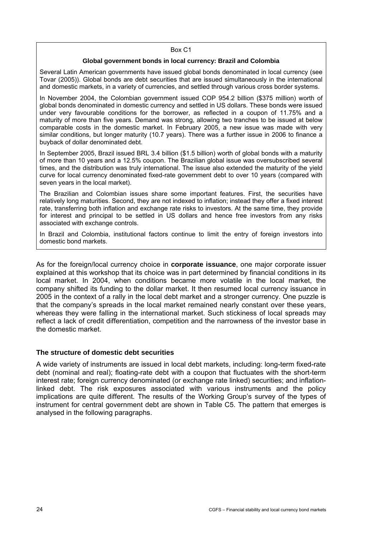#### Box C1

#### **Global government bonds in local currency: Brazil and Colombia**

<span id="page-27-0"></span>Several Latin American governments have issued global bonds denominated in local currency (see Tovar (2005)). Global bonds are debt securities that are issued simultaneously in the international and domestic markets, in a variety of currencies, and settled through various cross border systems.

In November 2004, the Colombian government issued COP 954.2 billion (\$375 million) worth of global bonds denominated in domestic currency and settled in US dollars. These bonds were issued under very favourable conditions for the borrower, as reflected in a coupon of 11.75% and a maturity of more than five years. Demand was strong, allowing two tranches to be issued at below comparable costs in the domestic market. In February 2005, a new issue was made with very similar conditions, but longer maturity (10.7 years). There was a further issue in 2006 to finance a buyback of dollar denominated debt.

In September 2005, Brazil issued BRL 3.4 billion (\$1.5 billion) worth of global bonds with a maturity of more than 10 years and a 12.5% coupon. The Brazilian global issue was oversubscribed several times, and the distribution was truly international. The issue also extended the maturity of the yield curve for local currency denominated fixed-rate government debt to over 10 years (compared with seven years in the local market).

The Brazilian and Colombian issues share some important features. First, the securities have relatively long maturities. Second, they are not indexed to inflation; instead they offer a fixed interest rate, transferring both inflation and exchange rate risks to investors. At the same time, they provide for interest and principal to be settled in US dollars and hence free investors from any risks associated with exchange controls.

In Brazil and Colombia, institutional factors continue to limit the entry of foreign investors into domestic bond markets.

As for the foreign/local currency choice in **corporate issuance**, one major corporate issuer explained at this workshop that its choice was in part determined by financial conditions in its local market. In 2004, when conditions became more volatile in the local market, the company shifted its funding to the dollar market. It then resumed local currency issuance in 2005 in the context of a rally in the local debt market and a stronger currency. One puzzle is that the company's spreads in the local market remained nearly constant over these years, whereas they were falling in the international market. Such stickiness of local spreads may reflect a lack of credit differentiation, competition and the narrowness of the investor base in the domestic market.

#### **The structure of domestic debt securities**

A wide variety of instruments are issued in local debt markets, including: long-term fixed-rate debt (nominal and real); floating-rate debt with a coupon that fluctuates with the short-term interest rate; foreign currency denominated (or exchange rate linked) securities; and inflationlinked debt. The risk exposures associated with various instruments and the policy implications are quite different. The results of the Working Group's survey of the types of instrument for central government debt are shown in Table C5. The pattern that emerges is analysed in the following paragraphs.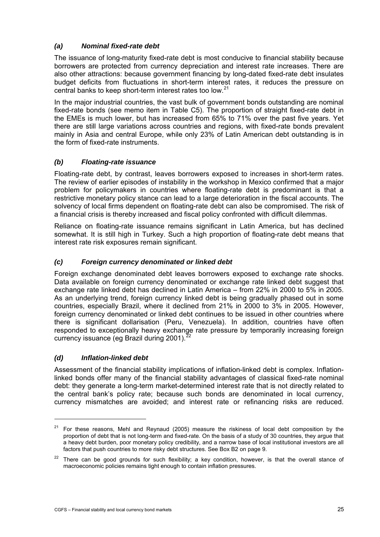# <span id="page-28-0"></span>*(a) Nominal fixed-rate debt*

The issuance of long-maturity fixed-rate debt is most conducive to financial stability because borrowers are protected from currency depreciation and interest rate increases. There are also other attractions: because government financing by long-dated fixed-rate debt insulates budget deficits from fluctuations in short-term interest rates, it reduces the pressure on central banks to keep short-term interest rates too low.<sup>[21](#page-28-0)</sup>

In the major industrial countries, the vast bulk of government bonds outstanding are nominal fixed-rate bonds (see memo item in Table C5). The proportion of straight fixed-rate debt in the EMEs is much lower, but has increased from 65% to 71% over the past five years. Yet there are still large variations across countries and regions, with fixed-rate bonds prevalent mainly in Asia and central Europe, while only 23% of Latin American debt outstanding is in the form of fixed-rate instruments.

## *(b) Floating-rate issuance*

Floating-rate debt, by contrast, leaves borrowers exposed to increases in short-term rates. The review of earlier episodes of instability in the workshop in Mexico confirmed that a major problem for policymakers in countries where floating-rate debt is predominant is that a restrictive monetary policy stance can lead to a large deterioration in the fiscal accounts. The solvency of local firms dependent on floating-rate debt can also be compromised. The risk of a financial crisis is thereby increased and fiscal policy confronted with difficult dilemmas.

Reliance on floating-rate issuance remains significant in Latin America, but has declined somewhat. It is still high in Turkey. Such a high proportion of floating-rate debt means that interest rate risk exposures remain significant.

# *(c) Foreign currency denominated or linked debt*

Foreign exchange denominated debt leaves borrowers exposed to exchange rate shocks. Data available on foreign currency denominated or exchange rate linked debt suggest that exchange rate linked debt has declined in Latin America – from 22% in 2000 to 5% in 2005. As an underlying trend, foreign currency linked debt is being gradually phased out in some countries, especially Brazil, where it declined from 21% in 2000 to 3% in 2005. However, foreign currency denominated or linked debt continues to be issued in other countries where there is significant dollarisation (Peru, Venezuela). In addition, countries have often responded to exceptionally heavy exchange rate pressure [by](#page-28-0) temporarily increasing foreign currency issuance (eg Brazil during  $2001$ ).<sup>2</sup>

## *(d) Inflation-linked debt*

<u>.</u>

Assessment of the financial stability implications of inflation-linked debt is complex. Inflationlinked bonds offer many of the financial stability advantages of classical fixed-rate nominal debt: they generate a long-term market-determined interest rate that is not directly related to the central bank's policy rate; because such bonds are denominated in local currency, currency mismatches are avoided; and interest rate or refinancing risks are reduced.

 $21$  For these reasons, Mehl and Reynaud (2005) measure the riskiness of local debt composition by the proportion of debt that is not long-term and fixed-rate. On the basis of a study of 30 countries, they argue that a heavy debt burden, poor monetary policy credibility, and a narrow base of local institutional investors are all factors that push countries to more risky debt structures. See Box B2 on page 9.

 $22$  There can be good grounds for such flexibility; a key condition, however, is that the overall stance of macroeconomic policies remains tight enough to contain inflation pressures.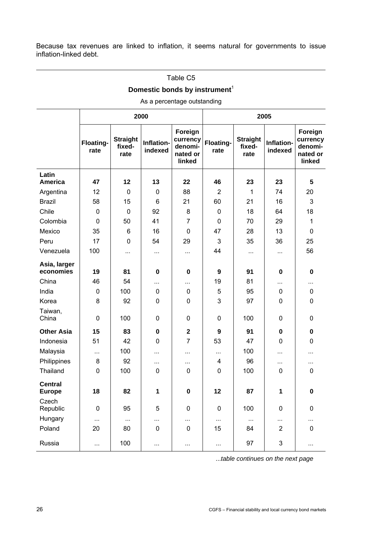Because tax revenues are linked to inflation, it seems natural for governments to issue inflation-linked debt.

|  | Table C5 |
|--|----------|
|  |          |

# **Domestic bonds by instrument<sup>1</sup>**

## As a percentage outstanding

|                                 |                   |                                   | 2000                  |                                                      | 2005              |                                   |                       |                                                      |
|---------------------------------|-------------------|-----------------------------------|-----------------------|------------------------------------------------------|-------------------|-----------------------------------|-----------------------|------------------------------------------------------|
|                                 | Floating-<br>rate | <b>Straight</b><br>fixed-<br>rate | Inflation-<br>indexed | Foreign<br>currency<br>denomi-<br>nated or<br>linked | Floating-<br>rate | <b>Straight</b><br>fixed-<br>rate | Inflation-<br>indexed | Foreign<br>currency<br>denomi-<br>nated or<br>linked |
| Latin<br><b>America</b>         | 47                | 12                                | 13                    | 22                                                   | 46                | 23                                | 23                    | 5                                                    |
| Argentina                       | 12                | $\mathbf 0$                       | 0                     | 88                                                   | $\overline{2}$    | 1                                 | 74                    | 20                                                   |
| <b>Brazil</b>                   | 58                | 15                                | 6                     | 21                                                   | 60                | 21                                | 16                    | 3                                                    |
| Chile                           | 0                 | $\mathbf 0$                       | 92                    | 8                                                    | 0                 | 18                                | 64                    | 18                                                   |
| Colombia                        | 0                 | 50                                | 41                    | $\overline{7}$                                       | $\mathbf 0$       | 70                                | 29                    | 1                                                    |
| Mexico                          | 35                | 6                                 | 16                    | $\mathbf 0$                                          | 47                | 28                                | 13                    | 0                                                    |
| Peru                            | 17                | $\mathbf 0$                       | 54                    | 29                                                   | 3                 | 35                                | 36                    | 25                                                   |
| Venezuela                       | 100               | $\cdots$                          | $\cdots$              | $\cdots$                                             | 44                | $\cdots$                          | $\cdots$              | 56                                                   |
| Asia, larger<br>economies       | 19                | 81                                | 0                     | $\mathbf 0$                                          | $\boldsymbol{9}$  | 91                                | $\mathbf 0$           | 0                                                    |
| China                           | 46                | 54                                |                       | $\cdots$                                             | 19                | 81                                | $\cdots$              | .                                                    |
| India                           | 0                 | 100                               | 0                     | $\mathbf 0$                                          | 5                 | 95                                | $\mathbf 0$           | 0                                                    |
| Korea                           | 8                 | 92                                | 0                     | $\mathbf 0$                                          | 3                 | 97                                | 0                     | 0                                                    |
| Taiwan,<br>China                | $\mathbf 0$       | 100                               | 0                     | $\pmb{0}$                                            | 0                 | 100                               | 0                     | 0                                                    |
| <b>Other Asia</b>               | 15                | 83                                | 0                     | $\mathbf{2}$                                         | $\boldsymbol{9}$  | 91                                | 0                     | $\mathbf 0$                                          |
| Indonesia                       | 51                | 42                                | 0                     | $\overline{7}$                                       | 53                | 47                                | 0                     | 0                                                    |
| Malaysia                        |                   | 100                               | $\cdots$              | $\ddotsc$                                            |                   | 100                               | $\cdots$              | $\cdots$                                             |
| Philippines                     | 8                 | 92                                | $\cdots$              | $\cdots$                                             | 4                 | 96                                | $\cdots$              |                                                      |
| Thailand                        | $\mathbf 0$       | 100                               | 0                     | $\mathbf 0$                                          | 0                 | 100                               | 0                     | 0                                                    |
| <b>Central</b><br><b>Europe</b> | 18                | 82                                | 1                     | $\mathbf 0$                                          | 12                | 87                                | 1                     | $\mathbf 0$                                          |
| Czech<br>Republic               | $\mathbf 0$       | 95                                | 5                     | $\pmb{0}$                                            | $\pmb{0}$         | 100                               | $\pmb{0}$             | 0                                                    |
| Hungary                         | $\ddotsc$         | $\ldots$                          |                       | $\cdots$                                             |                   | $\cdots$                          |                       | $\ldots$                                             |
| Poland                          | 20                | 80                                | 0                     | $\pmb{0}$                                            | 15                | 84                                | $\overline{2}$        | $\pmb{0}$                                            |
| Russia                          |                   | 100                               | $\cdots$              | $\cdots$                                             | $\cdots$          | 97                                | 3                     | $\ldots$                                             |

...*table continues on the next page*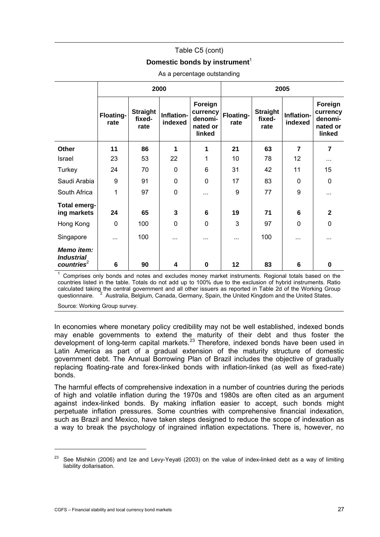## Table C5 (cont)

## **Domestic bonds by instrument**<sup>1</sup>

<span id="page-30-0"></span>

|                                                           |                   |                                   | 2000                  |                                                      | 2005              |                                   |                       |                                                      |
|-----------------------------------------------------------|-------------------|-----------------------------------|-----------------------|------------------------------------------------------|-------------------|-----------------------------------|-----------------------|------------------------------------------------------|
|                                                           | Floating-<br>rate | <b>Straight</b><br>fixed-<br>rate | Inflation-<br>indexed | Foreign<br>currency<br>denomi-<br>nated or<br>linked | Floating-<br>rate | <b>Straight</b><br>fixed-<br>rate | Inflation-<br>indexed | Foreign<br>currency<br>denomi-<br>nated or<br>linked |
| Other                                                     | 11                | 86                                | 1                     | 1                                                    | 21                | 63                                | $\overline{7}$        | 7                                                    |
| <b>Israel</b>                                             | 23                | 53                                | 22                    | 1                                                    | 10                | 78                                | 12                    | $\cdots$                                             |
| Turkey                                                    | 24                | 70                                | $\mathbf 0$           | 6                                                    | 31                | 42                                | 11                    | 15                                                   |
| Saudi Arabia                                              | 9                 | 91                                | $\mathbf 0$           | 0                                                    | 17                | 83                                | 0                     | 0                                                    |
| South Africa                                              | 1                 | 97                                | $\mathbf 0$           | $\cdots$                                             | 9                 | 77                                | 9                     | $\cdots$                                             |
| <b>Total emerg-</b><br>ing markets                        | 24                | 65                                | 3                     | 6                                                    | 19                | 71                                | 6                     | $\mathbf{2}$                                         |
| Hong Kong                                                 | $\Omega$          | 100                               | $\mathbf 0$           | 0                                                    | 3                 | 97                                | $\Omega$              | $\Omega$                                             |
| Singapore                                                 |                   | 100                               | $\cdots$              | $\cdots$                                             | $\cdots$          | 100                               | $\cdots$              | $\cdots$                                             |
| Memo item:<br><b>Industrial</b><br>countries <sup>2</sup> | 6                 | 90                                | 4                     | 0                                                    | 12                | 83                                | 6                     | $\bf{0}$                                             |

#### As a percentage outstanding

1 Comprises only bonds and notes and excludes money market instruments. Regional totals based on the countries listed in the table. Totals do not add up to 100% due to the exclusion of hybrid instruments. Ratio calculated taking the central government and all other issuers as reported in Table 2d of the Working Group questionnaire. <sup>2</sup>  $A$ ustralia, Belgium, Canada, Germany, Spain, the United Kingdom and the United States.

Source: Working Group survey.

In economies where monetary policy credibility may not be well established, indexed bonds may enable governments to extend the maturity of their debt and thus foster the development of long-term capital markets. $^{23}$  $^{23}$  $^{23}$  Therefore, indexed bonds have been used in Latin America as part of a gradual extension of the maturity structure of domestic government debt. The Annual Borrowing Plan of Brazil includes the objective of gradually replacing floating-rate and forex-linked bonds with inflation-linked (as well as fixed-rate) bonds.

The harmful effects of comprehensive indexation in a number of countries during the periods of high and volatile inflation during the 1970s and 1980s are often cited as an argument against index-linked bonds. By making inflation easier to accept, such bonds might perpetuate inflation pressures. Some countries with comprehensive financial indexation, such as Brazil and Mexico, have taken steps designed to reduce the scope of indexation as a way to break the psychology of ingrained inflation expectations. There is, however, no

j

 $23$  See Mishkin (2006) and Ize and Levy-Yeyati (2003) on the value of index-linked debt as a way of limiting liability dollarisation.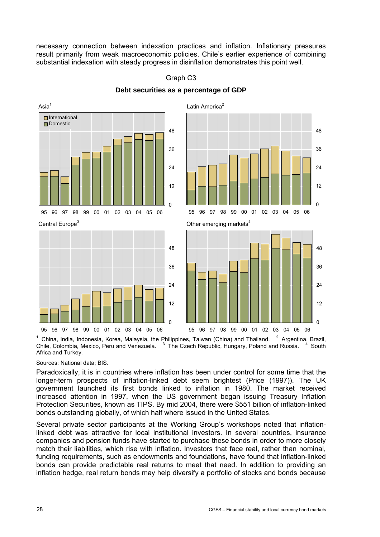necessary connection between indexation practices and inflation. Inflationary pressures result primarily from weak macroeconomic policies. Chile's earlier experience of combining substantial indexation with steady progress in disinflation demonstrates this point well.



Graph C3 **Debt securities as a percentage of GDP** 

1 China, India, Indonesia, Korea, Malaysia, the Philippines, Taiwan (China) and Thailand. <sup>2</sup> <sup>2</sup> Argentina, Brazil, Chile, Colombia, Mexico, Peru and Venezuela.  $3\overline{}$  The Czech Republic, Hungary, Poland and Russia.  $4\overline{}$ <sup>4</sup> South Africa and Turkey.

Sources: National data; BIS.

Paradoxically, it is in countries where inflation has been under control for some time that the longer-term prospects of inflation-linked debt seem brightest (Price (1997)). The UK government launched its first bonds linked to inflation in 1980. The market received increased attention in 1997, when the US government began issuing Treasury Inflation Protection Securities, known as TIPS. By mid 2004, there were \$551 billion of inflation-linked bonds outstanding globally, of which half where issued in the United States.

Several private sector participants at the Working Group's workshops noted that inflationlinked debt was attractive for local institutional investors. In several countries, insurance companies and pension funds have started to purchase these bonds in order to more closely match their liabilities, which rise with inflation. Investors that face real, rather than nominal, funding requirements, such as endowments and foundations, have found that inflation-linked bonds can provide predictable real returns to meet that need. In addition to providing an inflation hedge, real return bonds may help diversify a portfolio of stocks and bonds because

0

12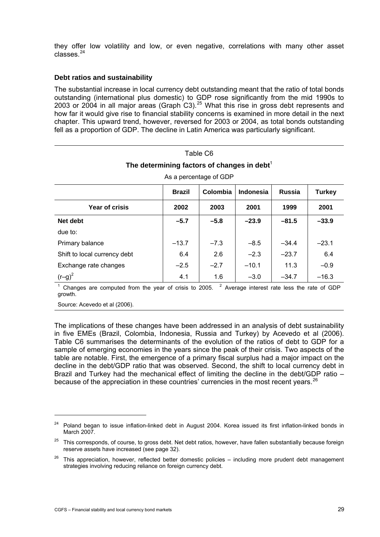<span id="page-32-0"></span>they offer low volatility and low, or even negative, correlations with many other asset classes.[2](#page-32-0)4

## **Debt ratios and sustainability**

The substantial increase in local currency debt outstanding meant that the ratio of total bonds outstanding (international plus domestic) to GDP rose significantly from the mid 1990s to [2](#page-32-0)003 or 2004 in all major areas (Graph  $C3$ ).<sup>25</sup> What this rise in gross debt represents and how far it would give rise to financial stability concerns is examined in more detail in the next chapter. This upward trend, however, reversed for 2003 or 2004, as total bonds outstanding fell as a proportion of GDP. The decline in Latin America was particularly significant.

Table C6

| The determining factors of changes in debt $^1$                                 |         |        |         |         |         |  |  |  |  |
|---------------------------------------------------------------------------------|---------|--------|---------|---------|---------|--|--|--|--|
| As a percentage of GDP                                                          |         |        |         |         |         |  |  |  |  |
| Colombia<br><b>Indonesia</b><br><b>Russia</b><br><b>Turkey</b><br><b>Brazil</b> |         |        |         |         |         |  |  |  |  |
| Year of crisis<br>2002<br>2003<br>2001<br>1999<br>2001                          |         |        |         |         |         |  |  |  |  |
| $-5.7$<br>$-5.8$<br>Net debt<br>$-23.9$<br>$-81.5$<br>$-33.9$                   |         |        |         |         |         |  |  |  |  |
| due to:                                                                         |         |        |         |         |         |  |  |  |  |
| Primary balance                                                                 | $-13.7$ | $-7.3$ | $-8.5$  | $-34.4$ | $-23.1$ |  |  |  |  |
| Shift to local currency debt                                                    | 6.4     | 2.6    | $-2.3$  | $-23.7$ | 6.4     |  |  |  |  |
| Exchange rate changes                                                           | $-2.5$  | $-2.7$ | $-10.1$ | 11.3    | $-0.9$  |  |  |  |  |
| $(r-g)^2$                                                                       | 4.1     | 1.6    | $-3.0$  | $-34.7$ | $-16.3$ |  |  |  |  |

<sup>1</sup> Changes are computed from the year of crisis to 2005. <sup>2</sup> Average interest rate less the rate of GDP growth.

Source: Acevedo et al (2006).

j

The implications of these changes have been addressed in an analysis of debt sustainability in five EMEs (Brazil, Colombia, Indonesia, Russia and Turkey) by Acevedo et al (2006). Table C6 summarises the determinants of the evolution of the ratios of debt to GDP for a sample of emerging economies in the years since the peak of their crisis. Two aspects of the table are notable. First, the emergence of a primary fiscal surplus had a major impact on the decline in the debt/GDP ratio that was observed. Second, the shift to local currency debt in Brazil and Turkey had the mechanical effect of limiting the decline in the debt/GDP ratio – because of the appreciation in these countries' currencies in the most recent years.  $^{26}$  $^{26}$  $^{26}$ 

 $24$  Poland began to issue inflation-linked debt in August 2004. Korea issued its first inflation-linked bonds in March 2007.

<sup>&</sup>lt;sup>25</sup> This corresponds, of course, to gross debt. Net debt ratios, however, have fallen substantially because foreign reserve assets have increased (see page 32).

 $26$  This appreciation, however, reflected better domestic policies – including more prudent debt management strategies involving reducing reliance on foreign currency debt.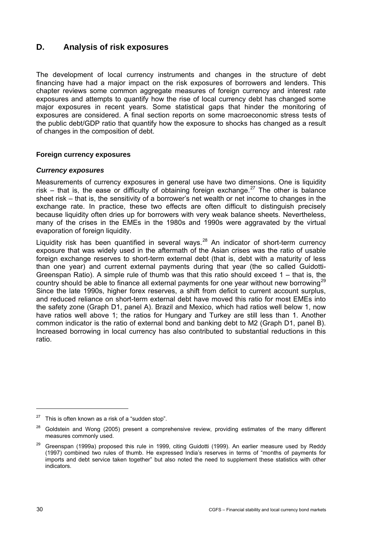# <span id="page-33-0"></span>**D. Analysis of risk exposures**

The development of local currency instruments and changes in the structure of debt financing have had a major impact on the risk exposures of borrowers and lenders. This chapter reviews some common aggregate measures of foreign currency and interest rate exposures and attempts to quantify how the rise of local currency debt has changed some major exposures in recent years. Some statistical gaps that hinder the monitoring of exposures are considered. A final section reports on some macroeconomic stress tests of the public debt/GDP ratio that quantify how the exposure to shocks has changed as a result of changes in the composition of debt.

## **Foreign currency exposures**

## *Currency exposures*

Measurements of currency exposures in general use have two dimensions. One is liquidity risk – that is, the ease or difficulty of obtaining foreign exchange.<sup>[27](#page-33-0)</sup> The other is balance sheet risk – that is, the sensitivity of a borrower's net wealth or net income to changes in the exchange rate. In practice, these two effects are often difficult to distinguish precisely because liquidity often dries up for borrowers with very weak balance sheets. Nevertheless, many of the crises in the EMEs in the 1980s and 1990s were aggravated by the virtual evaporation of foreign liquidity.

Liquidity risk has been quantified in several ways.<sup>[2](#page-33-0)8</sup> An indicator of short-term currency exposure that was widely used in the aftermath of the Asian crises was the ratio of usable foreign exchange reserves to short-term external debt (that is, debt with a maturity of less than one year) and current external payments during that year (the so called Guidotti-Greenspan Ratio). A simple rule of thumb was that this ratio should exceed 1 – that is, the country should be able to finance all external payments for one year without new borrowing<sup>[2](#page-33-0)9</sup> Since the late 1990s, higher forex reserves, a shift from deficit to current account surplus, and reduced reliance on short-term external debt have moved this ratio for most EMEs into the safety zone (Graph D1, panel A). Brazil and Mexico, which had ratios well below 1, now have ratios well above 1; the ratios for Hungary and Turkey are still less than 1. Another common indicator is the ratio of external bond and banking debt to M2 (Graph D1, panel B). Increased borrowing in local currency has also contributed to substantial reductions in this ratio.

 $\overline{a}$ 

 $27$  This is often known as a risk of a "sudden stop".

 $28$  Goldstein and Wong (2005) present a comprehensive review, providing estimates of the many different measures commonly used.

<sup>&</sup>lt;sup>29</sup> Greenspan (1999a) proposed this rule in 1999, citing Guidotti (1999). An earlier measure used by Reddy (1997) combined two rules of thumb. He expressed India's reserves in terms of "months of payments for imports and debt service taken together" but also noted the need to supplement these statistics with other indicators.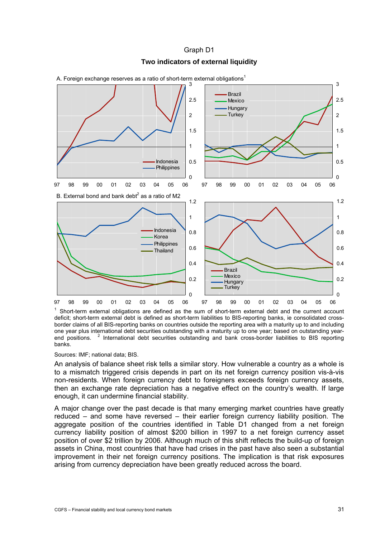#### Graph D1

## **Two indicators of external liquidity**



A. Foreign exchange reserves as a ratio of short-term external obligations<sup>1</sup>

<sup>1</sup> Short-term external obligations are defined as the sum of short-term external debt and the current account deficit; short-term external debt is defined as short-term liabilities to BIS-reporting banks, ie consolidated crossborder claims of all BIS-reporting banks on countries outside the reporting area with a maturity up to and including one year plus international debt securities outstanding with a maturity up to one year; based on outstanding yearend positions. <sup>2</sup> International debt securities outstanding and bank cross-border liabilities to BIS reporting banks.

#### Sources: IMF; national data; BIS.

An analysis of balance sheet risk tells a similar story. How vulnerable a country as a whole is to a mismatch triggered crisis depends in part on its net foreign currency position vis-à-vis non-residents. When foreign currency debt to foreigners exceeds foreign currency assets, then an exchange rate depreciation has a negative effect on the country's wealth. If large enough, it can undermine financial stability.

A major change over the past decade is that many emerging market countries have greatly reduced – and some have reversed – their earlier foreign currency liability position. The aggregate position of the countries identified in Table D1 changed from a net foreign currency liability position of almost \$200 billion in 1997 to a net foreign currency asset position of over \$2 trillion by 2006. Although much of this shift reflects the build-up of foreign assets in China, most countries that have had crises in the past have also seen a substantial improvement in their net foreign currency positions. The implication is that risk exposures arising from currency depreciation have been greatly reduced across the board.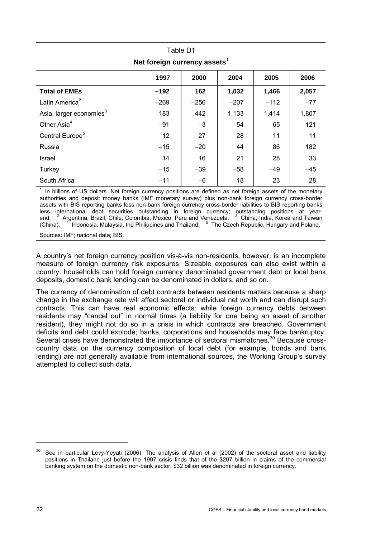<span id="page-35-0"></span>

| Net foreign currency assets         |                                      |        |        |        |       |  |  |  |  |
|-------------------------------------|--------------------------------------|--------|--------|--------|-------|--|--|--|--|
|                                     | 1997<br>2000<br>2004<br>2005<br>2006 |        |        |        |       |  |  |  |  |
| <b>Total of EMEs</b>                | $-192$                               | 162    | 1,032  | 1,466  | 2,057 |  |  |  |  |
| Latin America <sup>2</sup>          | $-269$                               | $-256$ | $-207$ | $-112$ | $-77$ |  |  |  |  |
| Asia, larger economies <sup>3</sup> | 183                                  | 442    | 1,133  | 1,414  | 1,807 |  |  |  |  |
| Other Asia <sup>4</sup>             | $-91$                                | $-3$   | 54     | 65     | 121   |  |  |  |  |
| Central Europe <sup>5</sup>         | 12                                   | 27     | 28     | 11     | 11    |  |  |  |  |
| Russia                              | $-15$                                | $-20$  | 44     | 86     | 182   |  |  |  |  |
| Israel                              | 14                                   | 16     | 21     | 28     | 33    |  |  |  |  |
| Turkey                              | $-15$                                | $-39$  | $-58$  | $-49$  | $-45$ |  |  |  |  |
| South Africa                        | $-11$                                | $-6$   | 18     | 23     | 28    |  |  |  |  |

Table D1 **Net foreign currency assets**<sup>1</sup>

 $1$  In billions of US dollars. Net foreign currency positions are defined as net foreign assets of the monetary authorities and deposit money banks (IMF monetary survey) plus non-bank foreign currency cross-border assets with BIS reporting banks less non-bank foreign currency cross-border liabilities to BIS reporting banks less international debt securities outstanding in foreign currency; outstanding positions at yearend. <sup>2</sup> Argentina, Brazil, Chile, Colombia, Mexico, Peru and Venezuela. <sup>3</sup> China, India, Korea and Taiwan (China). <sup>4</sup> Indonesia, Malaysia, the Philippines and Thailand. <sup>5</sup> The Czech Republic, Hungary and Poland.

Sources: IMF; national data; BIS.

A country's net foreign currency position vis-à-vis non-residents, however, is an incomplete measure of foreign currency risk exposures. Sizeable exposures can also exist within a country: households can hold foreign currency denominated government debt or local bank deposits, domestic bank lending can be denominated in dollars, and so on.

The currency of denomination of debt contracts between residents matters because a sharp change in the exchange rate will affect sectoral or individual net worth and can disrupt such contracts. This can have real economic effects: while foreign currency debts between residents may "cancel out" in normal times (a liability for one being an asset of another resident), they might not do so in a crisis in which contracts are breached. Government deficits and debt could explode; banks, corporations and households may face bankruptcy. Several crises have demonstrated the importance of sectoral mismatches.<sup>[3](#page-35-0)0</sup> Because crosscountry data on the currency composition of local debt (for example, bonds and bank lending) are not generally available from international sources, the Working Group's survey attempted to collect such data.

-

 $30$  See in particular Levy-Yevati (2006). The analysis of Allen et al (2002) of the sectoral asset and liability positions in Thailand just before the 1997 crisis finds that of the \$207 billion in claims of the commercial banking system on the domestic non-bank sector, \$32 billion was denominated in foreign currency.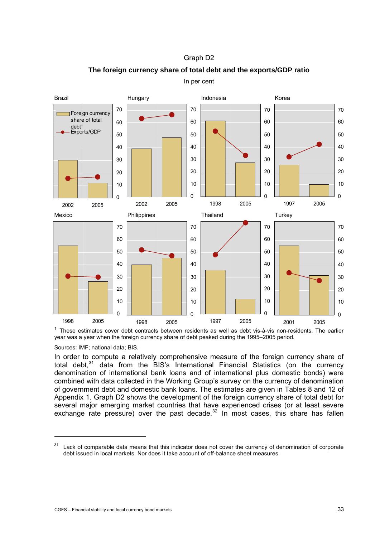<span id="page-36-0"></span>

Graph D2 **The foreign currency share of total debt and the exports/GDP ratio** 

In per cent

<sup>1</sup> These estimates cover debt contracts between residents as well as debt vis-à-vis non-residents. The earlier year was a year when the foreign currency share of debt peaked during the 1995–2005 period.

Sources: IMF; national data; BIS.

<u>.</u>

In order to compute a relatively comprehensive measure of the foreign currency share of total debt.<sup>[3](#page-36-0)1</sup> data from the BIS's International Financial Statistics (on the currency denomination of international bank loans and of international plus domestic bonds) were combined with data collected in the Working Group's survey on the currency of denomination of government debt and domestic bank loans. The estimates are given in Tables 8 and 12 of Appendix 1. Graph D2 shows the development of the foreign currency share of total debt for several major emerging market countries that have experienced crises (or at least severe exchange rate pressure) over the past decade. In most cases, this share has fallen

<sup>&</sup>lt;sup>31</sup> Lack of comparable data means that this indicator does not cover the currency of denomination of corporate debt issued in local markets. Nor does it take account of off-balance sheet measures.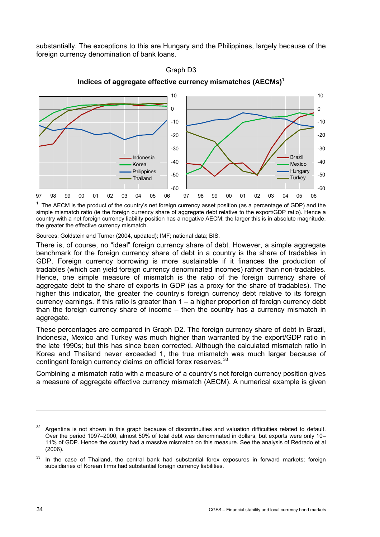<span id="page-37-0"></span>substantially. The exceptions to this are Hungary and the Philippines, largely because of the foreign currency denomination of bank loans.



### Graph D3

**Indices of aggregate effective currency mismatches (AECMs)**<sup>1</sup>

 $1$  The AECM is the product of the country's net foreign currency asset position (as a percentage of GDP) and the simple mismatch ratio (ie the foreign currency share of aggregate debt relative to the export/GDP ratio). Hence a country with a net foreign currency liability position has a negative AECM; the larger this is in absolute magnitude, the greater the effective currency mismatch.

Sources: Goldstein and Turner (2004, updated); IMF; national data; BIS.

There is, of course, no "ideal" foreign currency share of debt. However, a simple aggregate benchmark for the foreign currency share of debt in a country is the share of tradables in GDP. Foreign currency borrowing is more sustainable if it finances the production of tradables (which can yield foreign currency denominated incomes) rather than non-tradables. Hence, one simple measure of mismatch is the ratio of the foreign currency share of aggregate debt to the share of exports in GDP (as a proxy for the share of tradables). The higher this indicator, the greater the country's foreign currency debt relative to its foreign currency earnings. If this ratio is greater than 1 – a higher proportion of foreign currency debt than the foreign currency share of income – then the country has a currency mismatch in aggregate.

These percentages are compared in Graph D2. The foreign currency share of debt in Brazil, Indonesia, Mexico and Turkey was much higher than warranted by the export/GDP ratio in the late 1990s; but this has since been corrected. Although the calculated mismatch ratio in Korea and Thailand never exceeded 1, the true mismatch was much larger because of contingent foreign currency claims on official forex reserves.<sup>[3](#page-37-0)3</sup>

Combining a mismatch ratio with a measure of a country's net foreign currency position gives a measure of aggregate effective currency mismatch (AECM). A numerical example is given

<sup>32</sup> Argentina is not shown in this graph because of discontinuities and valuation difficulties related to default. Over the period 1997–2000, almost 50% of total debt was denominated in dollars, but exports were only 10– 11% of GDP. Hence the country had a massive mismatch on this measure. See the analysis of Redrado et al (2006).

 $33$  In the case of Thailand, the central bank had substantial forex exposures in forward markets; foreign subsidiaries of Korean firms had substantial foreign currency liabilities.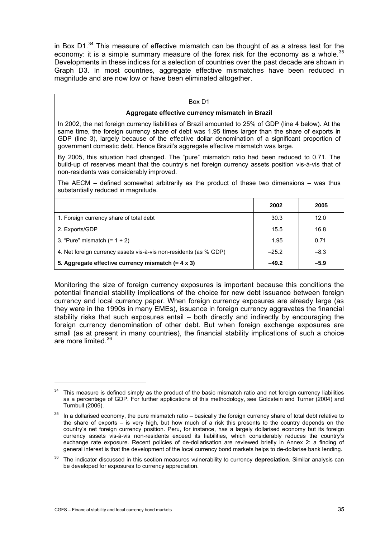<span id="page-38-0"></span>in Box D1. $34$  $34$  This measure of effective mismatch can be thought of as a stress test for the economy: it is a simple summary measure of the forex risk for the economy as a whole. $35$ Developments in these indices for a selection of countries over the past decade are shown in Graph D3. In most countries, aggregate effective mismatches have been reduced in magnitude and are now low or have been eliminated altogether.

### Box D1

### **Aggregate effective currency mismatch in Brazil**

In 2002, the net foreign currency liabilities of Brazil amounted to 25% of GDP (line 4 below). At the same time, the foreign currency share of debt was 1.95 times larger than the share of exports in GDP (line 3), largely because of the effective dollar denomination of a significant proportion of government domestic debt. Hence Brazil's aggregate effective mismatch was large.

By 2005, this situation had changed. The "pure" mismatch ratio had been reduced to 0.71. The build-up of reserves meant that the country's net foreign currency assets position vis-à-vis that of non-residents was considerably improved.

The AECM  $-$  defined somewhat arbitrarily as the product of these two dimensions  $-$  was thus substantially reduced in magnitude.

|                                                                   | 2002    | 2005   |
|-------------------------------------------------------------------|---------|--------|
| 1. Foreign currency share of total debt                           | 30.3    | 12.0   |
| 2. Exports/GDP                                                    | 15.5    | 16.8   |
| 3. "Pure" mismatch $(= 1 \div 2)$                                 | 1.95    | 0.71   |
| 4. Net foreign currency assets vis-à-vis non-residents (as % GDP) | $-25.2$ | $-8.3$ |
| 5. Aggregate effective currency mismatch $(= 4 \times 3)$         | $-49.2$ | $-5.9$ |

Monitoring the size of foreign currency exposures is important because this conditions the potential financial stability implications of the choice for new debt issuance between foreign currency and local currency paper. When foreign currency exposures are already large (as they were in the 1990s in many EMEs), issuance in foreign currency aggravates the financial stability risks that such exposures entail – both directly and indirectly by encouraging the foreign currency denomination of other debt. But when foreign exchange exposures are small (as at present in many countries), the financial stability implications of such a choice are more limited.<sup>[3](#page-38-0)6</sup>

-

This measure is defined simply as the product of the basic mismatch ratio and net foreign currency liabilities as a percentage of GDP. For further applications of this methodology, see Goldstein and Turner (2004) and Turnbull (2006).

 $35$  In a dollarised economv. the pure mismatch ratio – basically the foreign currency share of total debt relative to the share of exports – is very high, but how much of a risk this presents to the country depends on the country's net foreign currency position. Peru, for instance, has a largely dollarised economy but its foreign currency assets vis-à-vis non-residents exceed its liabilities, which considerably reduces the country's exchange rate exposure. Recent policies of de-dollarisation are reviewed briefly in Annex 2: a finding of general interest is that the development of the local currency bond markets helps to de-dollarise bank lending.

<sup>36</sup> The indicator discussed in this section measures vulnerability to currency **depreciation**. Similar analysis can be developed for exposures to currency appreciation.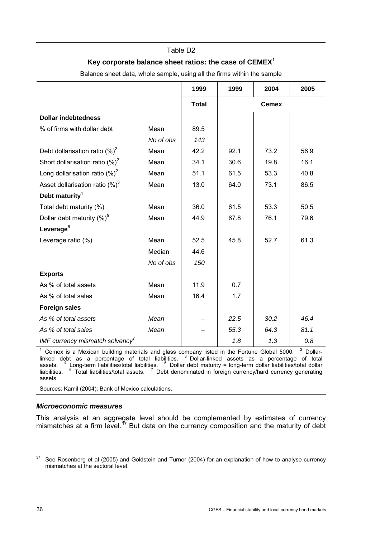### Table D2

### **Key corporate balance sheet ratios: the case of CEMEX**<sup>1</sup>

<span id="page-39-0"></span>**1999 1999 2004 2005 Total Cemex Dollar indebtedness**  % of firms with dollar debt  $\vert$  Mean  $\vert$  89.5  *No of obs 143*  Debt dollarisation ratio  $(\%)^2$ | Mean | 42.2 | 92.1 | 73.2 | 56.9 Short dollarisation ratio  $(%)^2$ | Mean | 34.1 | 30.6 | 19.8 | 16.1 Long dollarisation ratio  $(%)^2$ | Mean | 51.1 | 61.5 | 53.3 | 40.8 Asset dollarisation ratio  $(\%)^3$ | Mean | 13.0 | 64.0 | 73.1 | 86.5 **Debt maturity**<sup>4</sup> Total debt maturity (%) Mean 36.0 61.5 53.3 50.5 Dollar debt maturity  $(%)^5$ | Mean | 44.9 | 67.8 | 76.1 | 79.6 **Leverage**<sup>6</sup> Leverage ratio (%) Mean 52.5 45.8 52.7 61.3 Median 44.6  *No of obs 150*  **Exports**  As % of total assets Mean 11.9 0.7 As % of total sales  $\vert$  Mean  $\vert$  16.4  $\vert$  1.7 **Foreign sales**  *As % of total assets Mean – 22.5 30.2 46.4 As % of total sales Mean – 55.3 64.3 81.1 IMF currency mismatch solvency*<sup>7</sup> *1.8 1.3 0.8* 

Balance sheet data, whole sample, using all the firms within the sample

<sup>1</sup> Cemex is a Mexican building materials and glass company listed in the Fortune Global 5000. <sup>2</sup>  $2$  Dollarlinked debt as a percentage of total liabilities. <sup>3</sup> Dollar-linked assets as a percentage of total assets. Long-term liabilities/total liabilities. <sup>5</sup> Dollar debt maturity = long-term dollar liabilities/total dollar liabilities. Total liabilities/total assets. <sup>7</sup> Debt denominated in foreign currency/hard currency generating assets.

Sources: Kamil (2004); Bank of Mexico calculations.

### *Microeconomic measures*

This analysis at an aggregate level should be complemented by estimates of currency mismatches at a firm level.<sup>[3](#page-39-0)7</sup> But data on the currency composition and the maturity of debt

 $37$  See Rosenberg et al (2005) and Goldstein and Turner (2004) for an explanation of how to analyse currency mismatches at the sectoral level.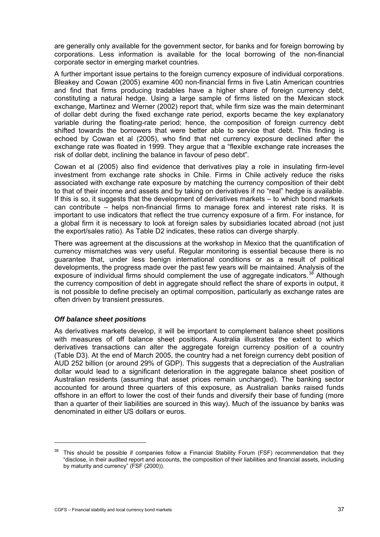<span id="page-40-0"></span>are generally only available for the government sector, for banks and for foreign borrowing by corporations. Less information is available for the local borrowing of the non-financial corporate sector in emerging market countries.

A further important issue pertains to the foreign currency exposure of individual corporations. Bleakey and Cowan (2005) examine 400 non-financial firms in five Latin American countries and find that firms producing tradables have a higher share of foreign currency debt, constituting a natural hedge. Using a large sample of firms listed on the Mexican stock exchange, Martinez and Werner (2002) report that, while firm size was the main determinant of dollar debt during the fixed exchange rate period, exports became the key explanatory variable during the floating-rate period; hence, the composition of foreign currency debt shifted towards the borrowers that were better able to service that debt. This finding is echoed by Cowan et al (2005), who find that net currency exposure declined after the exchange rate was floated in 1999. They argue that a "flexible exchange rate increases the risk of dollar debt, inclining the balance in favour of peso debt".

Cowan et al (2005) also find evidence that derivatives play a role in insulating firm-level investment from exchange rate shocks in Chile. Firms in Chile actively reduce the risks associated with exchange rate exposure by matching the currency composition of their debt to that of their income and assets and by taking on derivatives if no "real" hedge is available. If this is so, it suggests that the development of derivatives markets – to which bond markets can contribute – helps non-financial firms to manage forex and interest rate risks. It is important to use indicators that reflect the true currency exposure of a firm. For instance, for a global firm it is necessary to look at foreign sales by subsidiaries located abroad (not just the export/sales ratio). As Table D2 indicates, these ratios can diverge sharply.

There was agreement at the discussions at the workshop in Mexico that the quantification of currency mismatches was very useful. Regular monitoring is essential because there is no guarantee that, under less benign international conditions or as a result of political developments, the progress made over the past few years will be maintained. Analysis of the exposure of individual firms should complement the use of aggregate indicators.<sup>[3](#page-40-0)8</sup> Although the currency composition of debt in aggregate should reflect the share of exports in output, it is not possible to define precisely an optimal composition, particularly as exchange rates are often driven by transient pressures.

## *Off balance sheet positions*

 $\overline{a}$ 

As derivatives markets develop, it will be important to complement balance sheet positions with measures of off balance sheet positions. Australia illustrates the extent to which derivatives transactions can alter the aggregate foreign currency position of a country (Table D3). At the end of March 2005, the country had a net foreign currency debt position of AUD 252 billion (or around 29% of GDP). This suggests that a depreciation of the Australian dollar would lead to a significant deterioration in the aggregate balance sheet position of Australian residents (assuming that asset prices remain unchanged). The banking sector accounted for around three quarters of this exposure, as Australian banks raised funds offshore in an effort to lower the cost of their funds and diversify their base of funding (more than a quarter of their liabilities are sourced in this way). Much of the issuance by banks was denominated in either US dollars or euros.

 $38$  This should be possible if companies follow a Financial Stability Forum (FSF) recommendation that they "disclose, in their audited report and accounts, the composition of their liabilities and financial assets, including by maturity and currency" (FSF (2000)).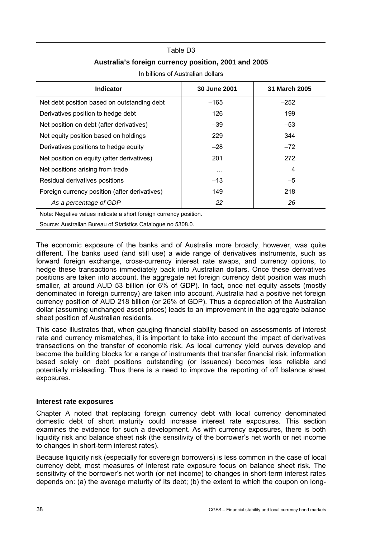### Table D3

## **Australia's foreign currency position, 2001 and 2005**

| <b>Indicator</b>                              | 30 June 2001 | 31 March 2005 |
|-----------------------------------------------|--------------|---------------|
| Net debt position based on outstanding debt   | $-165$       | $-252$        |
| Derivatives position to hedge debt            | 126          | 199           |
| Net position on debt (after derivatives)      | $-39$        | $-53$         |
| Net equity position based on holdings         | 229          | 344           |
| Derivatives positions to hedge equity         | $-28$        | $-72$         |
| Net position on equity (after derivatives)    | 201          | 272           |
| Net positions arising from trade              | $\cdots$     | 4             |
| Residual derivatives positions                | $-13$        | $-5$          |
| Foreign currency position (after derivatives) | 149          | 218           |
| As a percentage of GDP                        | 22           | 26            |
|                                               |              |               |

In billions of Australian dollars

Note: Negative values indicate a short foreign currency position.

Source: Australian Bureau of Statistics Catalogue no 5308.0.

The economic exposure of the banks and of Australia more broadly, however, was quite different. The banks used (and still use) a wide range of derivatives instruments, such as forward foreign exchange, cross-currency interest rate swaps, and currency options, to hedge these transactions immediately back into Australian dollars. Once these derivatives positions are taken into account, the aggregate net foreign currency debt position was much smaller, at around AUD 53 billion (or 6% of GDP). In fact, once net equity assets (mostly denominated in foreign currency) are taken into account, Australia had a positive net foreign currency position of AUD 218 billion (or 26% of GDP). Thus a depreciation of the Australian dollar (assuming unchanged asset prices) leads to an improvement in the aggregate balance sheet position of Australian residents.

This case illustrates that, when gauging financial stability based on assessments of interest rate and currency mismatches, it is important to take into account the impact of derivatives transactions on the transfer of economic risk. As local currency yield curves develop and become the building blocks for a range of instruments that transfer financial risk, information based solely on debt positions outstanding (or issuance) becomes less reliable and potentially misleading. Thus there is a need to improve the reporting of off balance sheet exposures.

### **Interest rate exposures**

Chapter A noted that replacing foreign currency debt with local currency denominated domestic debt of short maturity could increase interest rate exposures. This section examines the evidence for such a development. As with currency exposures, there is both liquidity risk and balance sheet risk (the sensitivity of the borrower's net worth or net income to changes in short-term interest rates).

Because liquidity risk (especially for sovereign borrowers) is less common in the case of local currency debt, most measures of interest rate exposure focus on balance sheet risk. The sensitivity of the borrower's net worth (or net income) to changes in short-term interest rates depends on: (a) the average maturity of its debt; (b) the extent to which the coupon on long-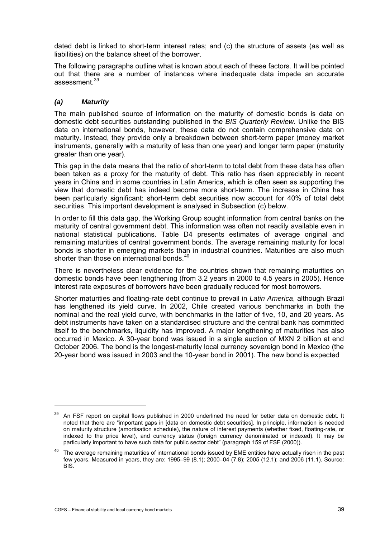<span id="page-42-0"></span>dated debt is linked to short-term interest rates; and (c) the structure of assets (as well as liabilities) on the balance sheet of the borrower.

The following paragraphs outline what is known about each of these factors. It will be pointed out that there are a number of instances where inadequate data impede an accurate assessment.[3](#page-42-0)9

## *(a) Maturity*

The main published source of information on the maturity of domestic bonds is data on domestic debt securities outstanding published in the *BIS Quarterly Review*. Unlike the BIS data on international bonds, however, these data do not contain comprehensive data on maturity. Instead, they provide only a breakdown between short-term paper (money market instruments, generally with a maturity of less than one year) and longer term paper (maturity greater than one year).

This gap in the data means that the ratio of short-term to total debt from these data has often been taken as a proxy for the maturity of debt. This ratio has risen appreciably in recent years in China and in some countries in Latin America, which is often seen as supporting the view that domestic debt has indeed become more short-term. The increase in China has been particularly significant: short-term debt securities now account for 40% of total debt securities. This important development is analysed in Subsection (c) below.

In order to fill this data gap, the Working Group sought information from central banks on the maturity of central government debt. This information was often not readily available even in national statistical publications. Table D4 presents estimates of average original and remaining maturities of central government bonds. The average remaining maturity for local bonds is shorter in emerging markets than in industrial countries. Maturities are also much shorter than those on international bonds.<sup>[4](#page-42-0)0</sup>

There is nevertheless clear evidence for the countries shown that remaining maturities on domestic bonds have been lengthening (from 3.2 years in 2000 to 4.5 years in 2005). Hence interest rate exposures of borrowers have been gradually reduced for most borrowers.

Shorter maturities and floating-rate debt continue to prevail in *Latin America*, although Brazil has lengthened its yield curve. In 2002, Chile created various benchmarks in both the nominal and the real yield curve, with benchmarks in the latter of five, 10, and 20 years. As debt instruments have taken on a standardised structure and the central bank has committed itself to the benchmarks, liquidity has improved. A major lengthening of maturities has also occurred in Mexico. A 30-year bond was issued in a single auction of MXN 2 billion at end October 2006. The bond is the longest-maturity local currency sovereign bond in Mexico (the 20-year bond was issued in 2003 and the 10-year bond in 2001). The new bond is expected

-

<sup>&</sup>lt;sup>39</sup> An FSF report on capital flows published in 2000 underlined the need for better data on domestic debt. It noted that there are "important gaps in [data on domestic debt securities]. In principle, information is needed on maturity structure (amortisation schedule), the nature of interest payments (whether fixed, floating-rate, or indexed to the price level), and currency status (foreign currency denominated or indexed). It may be particularly important to have such data for public sector debt" (paragraph 159 of FSF (2000)).

<sup>&</sup>lt;sup>40</sup> The average remaining maturities of international bonds issued by EME entities have actually risen in the past few years. Measured in years, they are: 1995–99 (8.1); 2000–04 (7.8); 2005 (12.1); and 2006 (11.1). Source: BIS.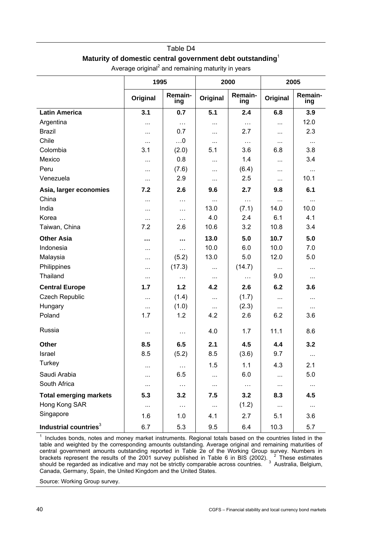# Table D4 **Maturity of domestic central government debt outstanding**<sup>1</sup>

|                                   | 1995     |                | 2000     |                | 2005     |                |  |
|-----------------------------------|----------|----------------|----------|----------------|----------|----------------|--|
|                                   | Original | Remain-<br>ing | Original | Remain-<br>ing | Original | Remain-<br>ing |  |
| <b>Latin America</b>              | 3.1      | 0.7            | 5.1      | 2.4            | 6.8      | 3.9            |  |
| Argentina                         |          | $\ldots$       | $\cdots$ | $\cdots$       | $\cdots$ | 12.0           |  |
| <b>Brazil</b>                     | $\cdots$ | 0.7            | $\cdots$ | 2.7            |          | 2.3            |  |
| Chile                             | $\cdots$ | $\ldots 0$     | $\cdots$ | $\cdots$       | $\cdots$ | $\ldots$       |  |
| Colombia                          | 3.1      | (2.0)          | 5.1      | 3.6            | 6.8      | 3.8            |  |
| Mexico                            | .        | 0.8            | $\cdots$ | 1.4            | $\cdots$ | 3.4            |  |
| Peru                              | .        | (7.6)          | $\cdots$ | (6.4)          |          | $\cdots$       |  |
| Venezuela                         | $\cdots$ | 2.9            | $\cdots$ | 2.5            | $\cdots$ | 10.1           |  |
| Asia, larger economies            | 7.2      | 2.6            | 9.6      | 2.7            | 9.8      | 6.1            |  |
| China                             | .        | $\cdots$       | $\cdots$ | $\cdots$       | $\cdots$ | $\cdots$       |  |
| India                             | $\cdots$ | $\cdots$       | 13.0     | (7.1)          | 14.0     | 10.0           |  |
| Korea                             | $\cdots$ | $\cdots$       | 4.0      | 2.4            | 6.1      | 4.1            |  |
| Taiwan, China                     | 7.2      | 2.6            | 10.6     | 3.2            | 10.8     | 3.4            |  |
| <b>Other Asia</b>                 |          | $\cdots$       | 13.0     | 5.0            | 10.7     | 5.0            |  |
| Indonesia                         | $\cdots$ | $\cdots$       | 10.0     | 6.0            | 10.0     | 7.0            |  |
| Malaysia                          | $\cdots$ | (5.2)          | 13.0     | 5.0            | 12.0     | 5.0            |  |
| Philippines                       | $\cdots$ | (17.3)         | $\cdots$ | (14.7)         | $\cdots$ | $\cdots$       |  |
| Thailand                          | $\cdots$ | $\cdots$       | $\cdots$ | $\cdots$       | 9.0      | $\cdots$       |  |
| <b>Central Europe</b>             | 1.7      | 1.2            | 4.2      | 2.6            | 6.2      | 3.6            |  |
| <b>Czech Republic</b>             | $\cdots$ | (1.4)          | $\cdots$ | (1.7)          | $\cdots$ |                |  |
| Hungary                           |          | (1.0)          | $\cdots$ | (2.3)          | .        | $\cdots$       |  |
| Poland                            | 1.7      | 1.2            | 4.2      | 2.6            | 6.2      | 3.6            |  |
| Russia                            | $\cdots$ | $\cdots$       | 4.0      | 1.7            | 11.1     | 8.6            |  |
| Other                             | 8.5      | 6.5            | 2.1      | 4.5            | 4.4      | 3.2            |  |
| Israel                            | 8.5      | (5.2)          | 8.5      | (3.6)          | 9.7      | $\cdots$       |  |
| Turkey                            |          | $\ldots$       | 1.5      | 1.1            | 4.3      | 2.1            |  |
| Saudi Arabia                      |          | 6.5            | $\cdots$ | 6.0            | .        | 5.0            |  |
| South Africa                      | $\cdots$ | $\ldots$       | $\cdots$ | $\ldots$       | $\cdots$ | $\ldots$       |  |
| <b>Total emerging markets</b>     | 5.3      | 3.2            | 7.5      | 3.2            | 8.3      | 4.5            |  |
| Hong Kong SAR                     | $\cdots$ | $\ldots$       | $\ldots$ | (1.2)          | $\cdots$ | $\cdots$       |  |
| Singapore                         | 1.6      | 1.0            | 4.1      | 2.7            | 5.1      | 3.6            |  |
| Industrial countries <sup>3</sup> | 6.7      | 5.3            | 9.5      | 6.4            | 10.3     | 5.7            |  |

Average original<sup>2</sup> and remaining maturity in years

<sup>1</sup> Includes bonds, notes and money market instruments. Regional totals based on the countries listed in the table and weighted by the corresponding amounts outstanding. Average original and remaining maturities of central government amounts outstanding reported in Table 2e of the Working Group survey. Numbers in brackets represent the results of the 2001 survey published in Table 6 in BIS (2002).  $\frac{2}{3}$  These estimates should be regarded as indicative and may not be strictly comparable across countries. <sup>3</sup> Australia, Belgium, Canada, Germany, Spain, the United Kingdom and the United States.

Source: Working Group survey.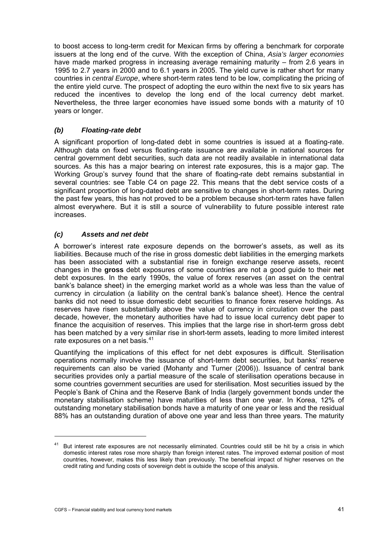<span id="page-44-0"></span>to boost access to long-term credit for Mexican firms by offering a benchmark for corporate issuers at the long end of the curve. With the exception of China, *Asia's larger economies* have made marked progress in increasing average remaining maturity – from 2.6 years in 1995 to 2.7 years in 2000 and to 6.1 years in 2005. The yield curve is rather short for many countries in *central Europe*, where short-term rates tend to be low, complicating the pricing of the entire yield curve. The prospect of adopting the euro within the next five to six years has reduced the incentives to develop the long end of the local currency debt market. Nevertheless, the three larger economies have issued some bonds with a maturity of 10 years or longer.

## *(b) Floating-rate debt*

A significant proportion of long-dated debt in some countries is issued at a floating-rate. Although data on fixed versus floating-rate issuance are available in national sources for central government debt securities, such data are not readily available in international data sources. As this has a major bearing on interest rate exposures, this is a major gap. The Working Group's survey found that the share of floating-rate debt remains substantial in several countries: see Table C4 on page 22. This means that the debt service costs of a significant proportion of long-dated debt are sensitive to changes in short-term rates. During the past few years, this has not proved to be a problem because short-term rates have fallen almost everywhere. But it is still a source of vulnerability to future possible interest rate increases.

## *(c) Assets and net debt*

A borrower's interest rate exposure depends on the borrower's assets, as well as its liabilities. Because much of the rise in gross domestic debt liabilities in the emerging markets has been associated with a substantial rise in foreign exchange reserve assets, recent changes in the **gross** debt exposures of some countries are not a good guide to their **net** debt exposures. In the early 1990s, the value of forex reserves (an asset on the central bank's balance sheet) in the emerging market world as a whole was less than the value of currency in circulation (a liability on the central bank's balance sheet). Hence the central banks did not need to issue domestic debt securities to finance forex reserve holdings. As reserves have risen substantially above the value of currency in circulation over the past decade, however, the monetary authorities have had to issue local currency debt paper to finance the acquisition of reserves. This implies that the large rise in short-term gross debt has been matched by a very similar rise in short-term assets, leading to more limited interest rate exposures on a net basis.<sup>[41](#page-44-0)</sup>

Quantifying the implications of this effect for net debt exposures is difficult. Sterilisation operations normally involve the issuance of short-term debt securities, but banks' reserve requirements can also be varied (Mohanty and Turner (2006)). Issuance of central bank securities provides only a partial measure of the scale of sterilisation operations because in some countries government securities are used for sterilisation. Most securities issued by the People's Bank of China and the Reserve Bank of India (largely government bonds under the monetary stabilisation scheme) have maturities of less than one year. In Korea, 12% of outstanding monetary stabilisation bonds have a maturity of one year or less and the residual 88% has an outstanding duration of above one year and less than three years. The maturity

j

<sup>41</sup> But interest rate exposures are not necessarily eliminated. Countries could still be hit by a crisis in which domestic interest rates rose more sharply than foreign interest rates. The improved external position of most countries, however, makes this less likely than previously. The beneficial impact of higher reserves on the credit rating and funding costs of sovereign debt is outside the scope of this analysis.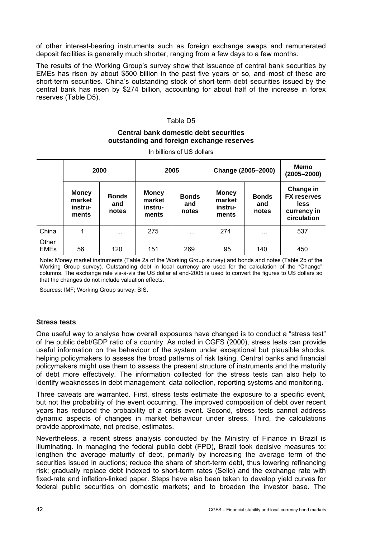of other interest-bearing instruments such as foreign exchange swaps and remunerated deposit facilities is generally much shorter, ranging from a few days to a few months.

The results of the Working Group's survey show that issuance of central bank securities by EMEs has risen by about \$500 billion in the past five years or so, and most of these are short-term securities. China's outstanding stock of short-term debt securities issued by the central bank has risen by \$274 billion, accounting for about half of the increase in forex reserves (Table D5).

## Table D5 **Central bank domestic debt securities outstanding and foreign exchange reserves**

In billions of US dollars

|                      | 2000                                       |                              | 2005                                       |                              |                                            | Change (2005-2000)           |                                                                       |  |
|----------------------|--------------------------------------------|------------------------------|--------------------------------------------|------------------------------|--------------------------------------------|------------------------------|-----------------------------------------------------------------------|--|
|                      | <b>Money</b><br>market<br>instru-<br>ments | <b>Bonds</b><br>and<br>notes | <b>Money</b><br>market<br>instru-<br>ments | <b>Bonds</b><br>and<br>notes | <b>Money</b><br>market<br>instru-<br>ments | <b>Bonds</b><br>and<br>notes | Change in<br><b>FX reserves</b><br>less<br>currency in<br>circulation |  |
| China                | 1                                          | $\cdots$                     | 275                                        | $\cdots$                     | 274                                        | $\cdots$                     | 537                                                                   |  |
| Other<br><b>EMEs</b> | 56                                         | 120                          | 151                                        | 269                          | 95                                         | 140                          | 450                                                                   |  |

Note: Money market instruments (Table 2a of the Working Group survey) and bonds and notes (Table 2b of the Working Group survey). Outstanding debt in local currency are used for the calculation of the "Change" columns. The exchange rate vis-à-vis the US dollar at end-2005 is used to convert the figures to US dollars so that the changes do not include valuation effects.

Sources: IMF; Working Group survey; BIS.

### **Stress tests**

One useful way to analyse how overall exposures have changed is to conduct a "stress test" of the public debt/GDP ratio of a country. As noted in CGFS (2000), stress tests can provide useful information on the behaviour of the system under exceptional but plausible shocks, helping policymakers to assess the broad patterns of risk taking. Central banks and financial policymakers might use them to assess the present structure of instruments and the maturity of debt more effectively. The information collected for the stress tests can also help to identify weaknesses in debt management, data collection, reporting systems and monitoring.

Three caveats are warranted. First, stress tests estimate the exposure to a specific event, but not the probability of the event occurring. The improved composition of debt over recent years has reduced the probability of a crisis event. Second, stress tests cannot address dynamic aspects of changes in market behaviour under stress. Third, the calculations provide approximate, not precise, estimates.

Nevertheless, a recent stress analysis conducted by the Ministry of Finance in Brazil is illuminating. In managing the federal public debt (FPD), Brazil took decisive measures to: lengthen the average maturity of debt, primarily by increasing the average term of the securities issued in auctions; reduce the share of short-term debt, thus lowering refinancing risk; gradually replace debt indexed to short-term rates (Selic) and the exchange rate with fixed-rate and inflation-linked paper. Steps have also been taken to develop yield curves for federal public securities on domestic markets; and to broaden the investor base. The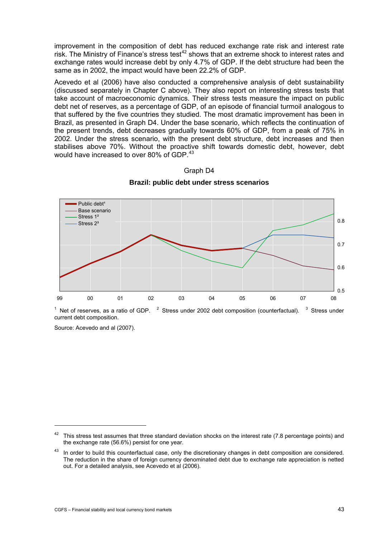<span id="page-46-0"></span>improvement in the composition of debt has reduced exchange rate risk and interest rate risk. The Ministry of Finance's stress test<sup>[4](#page-46-0)2</sup> shows that an extreme shock to interest rates and exchange rates would increase debt by only 4.7% of GDP. If the debt structure had been the same as in 2002, the impact would have been 22.2% of GDP.

Acevedo et al (2006) have also conducted a comprehensive analysis of debt sustainability (discussed separately in Chapter C above). They also report on interesting stress tests that take account of macroeconomic dynamics. Their stress tests measure the impact on public debt net of reserves, as a percentage of GDP, of an episode of financial turmoil analogous to that suffered by the five countries they studied. The most dramatic improvement has been in Brazil, as presented in Graph D4. Under the base scenario, which reflects the continuation of the present trends, debt decreases gradually towards 60% of GDP, from a peak of 75% in 2002. Under the stress scenario, with the present debt structure, debt increases and then stabilises above 70%. Without the proactive shift towards domestic debt, however, debt would have increased to over 80% of GDP [43](#page-46-0)





<sup>1</sup> Net of reserves, as a ratio of GDP.  $2$  Stress under 2002 debt composition (counterfactual).  $3$  Stress under current debt composition.

Source: Acevedo and al (2007).

 $42$  This stress test assumes that three standard deviation shocks on the interest rate (7.8 percentage points) and the exchange rate (56.6%) persist for one year.

In order to build this counterfactual case, only the discretionary changes in debt composition are considered. The reduction in the share of foreign currency denominated debt due to exchange rate appreciation is netted out. For a detailed analysis, see Acevedo et al (2006).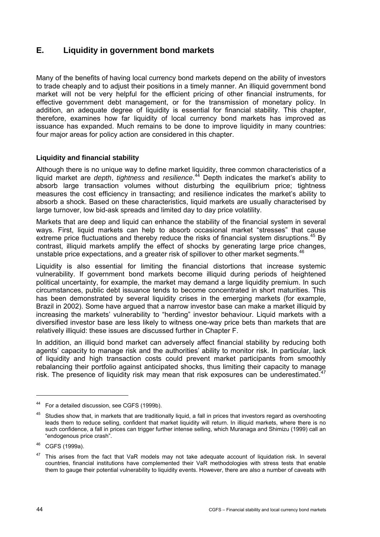# <span id="page-47-0"></span>**E. Liquidity in government bond markets**

Many of the benefits of having local currency bond markets depend on the ability of investors to trade cheaply and to adjust their positions in a timely manner. An illiquid government bond market will not be very helpful for the efficient pricing of other financial instruments, for effective government debt management, or for the transmission of monetary policy. In addition, an adequate degree of liquidity is essential for financial stability. This chapter, therefore, examines how far liquidity of local currency bond markets has improved as issuance has expanded. Much remains to be done to improve liquidity in many countries: four major areas for policy action are considered in this chapter.

## **Liquidity and financial stability**

Although there is no unique way to define market liquidity, three common characteristics of a liquid market are *depth*, *tightness* and *resilience*. [4](#page-47-0)4 Depth indicates the market's ability to absorb large transaction volumes without disturbing the equilibrium price; tightness measures the cost efficiency in transacting; and resilience indicates the market's ability to absorb a shock. Based on these characteristics, liquid markets are usually characterised by large turnover, low bid-ask spreads and limited day to day price volatility.

Markets that are deep and liquid can enhance the stability of the financial system in several ways. First, liquid markets can help to absorb occasional market "stresses" that cause extreme price fluctuations and thereby reduce the risks of financial system disruptions.<sup>[45](#page-47-0)</sup> By contrast, illiquid markets amplify the effect of shocks by generating large price changes, unstable price expectations, and a greater risk of spillover to other market segments.<sup>4</sup>

Liquidity is also essential for limiting the financial distortions that increase systemic vulnerability. If government bond markets become illiquid during periods of heightened political uncertainty, for example, the market may demand a large liquidity premium. In such circumstances, public debt issuance tends to become concentrated in short maturities. This has been demonstrated by several liquidity crises in the emerging markets (for example, Brazil in 2002). Some have argued that a narrow investor base can make a market illiquid by increasing the markets' vulnerability to "herding" investor behaviour. Liquid markets with a diversified investor base are less likely to witness one-way price bets than markets that are relatively illiquid: these issues are discussed further in Chapter F.

In addition, an illiquid bond market can adversely affect financial stability by reducing both agents' capacity to manage risk and the authorities' ability to monitor risk. In particular, lack of liquidity and high transaction costs could prevent market participants from smoothly rebalancing their portfolio against anticipated shocks, thus limiting their capacity to manage risk. The presence of liquidity risk may mean that risk exposures can be underestimated. $47$  $47$ 

<sup>44</sup> For a detailed discussion, see CGFS (1999b).

<sup>&</sup>lt;sup>45</sup> Studies show that, in markets that are traditionally liquid, a fall in prices that investors regard as overshooting leads them to reduce selling, confident that market liquidity will return. In illiquid markets, where there is no such confidence, a fall in prices can trigger further intense selling, which Muranaga and Shimizu (1999) call an "endogenous price crash".

<sup>46</sup> CGFS (1999a).

This arises from the fact that VaR models may not take adequate account of liquidation risk. In several countries, financial institutions have complemented their VaR methodologies with stress tests that enable them to gauge their potential vulnerability to liquidity events. However, there are also a number of caveats with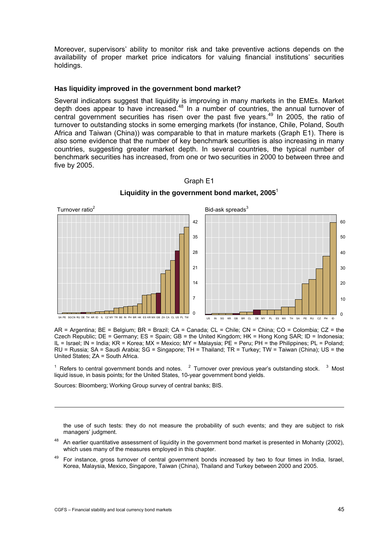<span id="page-48-0"></span>Moreover, supervisors' ability to monitor risk and take preventive actions depends on the availability of proper market price indicators for valuing financial institutions' securities holdings.

### **Has liquidity improved in the government bond market?**

Several indicators suggest that liquidity is improving in many markets in the EMEs. Market depth does appear to have increased.[4](#page-48-0)8 In a number of countries, the annual turnover of central government securities has risen over the past five years.  $49$  In 2005, the ratio of turnover to outstanding stocks in some emerging markets (for instance, Chile, Poland, South Africa and Taiwan (China)) was comparable to that in mature markets (Graph E1). There is also some evidence that the number of key benchmark securities is also increasing in many countries, suggesting greater market depth. In several countries, the typical number of benchmark securities has increased, from one or two securities in 2000 to between three and five by 2005.



## Graph E1

**Liquidity in the government bond market, 2005**<sup>1</sup>

AR = Argentina; BE = Belgium; BR = Brazil; CA = Canada; CL = Chile; CN = China; CO = Colombia; CZ = the Czech Republic; DE = Germany; ES = Spain; GB = the United Kingdom; HK = Hong Kong SAR; ID = Indonesia; IL = Israel; IN = India; KR = Korea; MX = Mexico; MY = Malaysia; PE = Peru; PH = the Philippines; PL = Poland; RU = Russia; SA = Saudi Arabia; SG = Singapore; TH = Thailand; TR = Turkey; TW = Taiwan (China); US = the United States; ZA = South Africa.

<sup>1</sup> Refers to central government bonds and notes.  $2$  Turnover over previous year's outstanding stock.  $3$  Most liquid issue, in basis points; for the United States, 10-year government bond yields.

Sources: Bloomberg; Working Group survey of central banks; BIS.

the use of such tests: they do not measure the probability of such events; and they are subject to risk managers' judgment.

- $48$  An earlier quantitative assessment of liquidity in the government bond market is presented in Mohanty (2002), which uses many of the measures employed in this chapter.
- <sup>49</sup> For instance, gross turnover of central government bonds increased by two to four times in India, Israel, Korea, Malaysia, Mexico, Singapore, Taiwan (China), Thailand and Turkey between 2000 and 2005.

-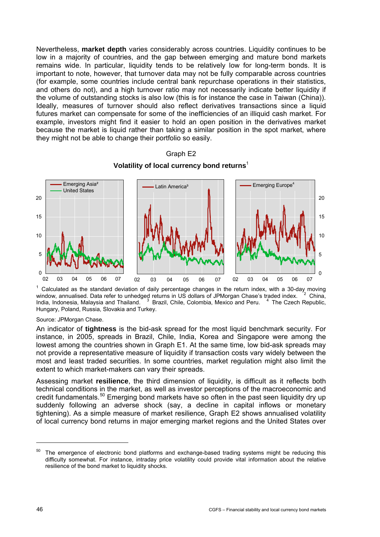<span id="page-49-0"></span>Nevertheless, **market depth** varies considerably across countries. Liquidity continues to be low in a majority of countries, and the gap between emerging and mature bond markets remains wide. In particular, liquidity tends to be relatively low for long-term bonds. It is important to note, however, that turnover data may not be fully comparable across countries (for example, some countries include central bank repurchase operations in their statistics, and others do not), and a high turnover ratio may not necessarily indicate better liquidity if the volume of outstanding stocks is also low (this is for instance the case in Taiwan (China)). Ideally, measures of turnover should also reflect derivatives transactions since a liquid futures market can compensate for some of the inefficiencies of an illiquid cash market. For example, investors might find it easier to hold an open position in the derivatives market because the market is liquid rather than taking a similar position in the spot market, where they might not be able to change their portfolio so easily.



## Graph E2 **Volatility of local currency bond returns**<sup>1</sup>

1 Calculated as the standard deviation of daily percentage changes in the return index, with a 30-day moving window, annualised. Data refer to unhedged returns in US dollars of JPMorgan Chase's traded index.  $2^2$  China, India, Indonesia, Malaysia and Thailand. <sup>3</sup> Brazil, Chile, Colombia, Mexico and Peru. <sup>4</sup> The Czech Republic, Hungary, Poland, Russia, Slovakia and Turkey.

Source: JPMorgan Chase.

An indicator of **tightness** is the bid-ask spread for the most liquid benchmark security. For instance, in 2005, spreads in Brazil, Chile, India, Korea and Singapore were among the lowest among the countries shown in Graph E1. At the same time, low bid-ask spreads may not provide a representative measure of liquidity if transaction costs vary widely between the most and least traded securities. In some countries, market regulation might also limit the extent to which market-makers can vary their spreads.

Assessing market **resilience**, the third dimension of liquidity, is difficult as it reflects both technical conditions in the market, as well as investor perceptions of the macroeconomic and credit fundamentals.<sup>[5](#page-49-0)0</sup> Emerging bond markets have so often in the past seen liquidity dry up suddenly following an adverse shock (say, a decline in capital inflows or monetary tightening). As a simple measure of market resilience, Graph E2 shows annualised volatility of local currency bond returns in major emerging market regions and the United States over

-

 $50$  The emergence of electronic bond platforms and exchange-based trading systems might be reducing this difficulty somewhat. For instance, intraday price volatility could provide vital information about the relative resilience of the bond market to liquidity shocks.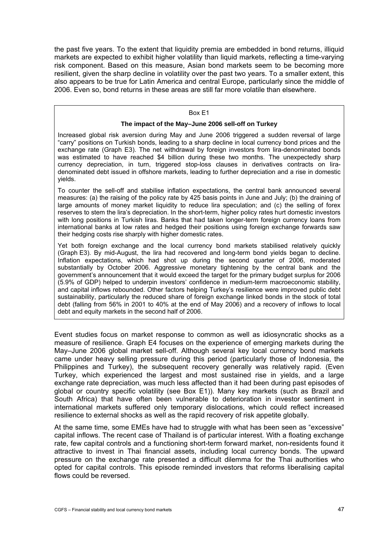the past five years. To the extent that liquidity premia are embedded in bond returns, illiquid markets are expected to exhibit higher volatility than liquid markets, reflecting a time-varying risk component. Based on this measure, Asian bond markets seem to be becoming more resilient, given the sharp decline in volatility over the past two years. To a smaller extent, this also appears to be true for Latin America and central Europe, particularly since the middle of 2006. Even so, bond returns in these areas are still far more volatile than elsewhere.

### Box E1

### **The impact of the May–June 2006 sell-off on Turkey**

Increased global risk aversion during May and June 2006 triggered a sudden reversal of large "carry" positions on Turkish bonds, leading to a sharp decline in local currency bond prices and the exchange rate (Graph E3). The net withdrawal by foreign investors from lira-denominated bonds was estimated to have reached \$4 billion during these two months. The unexpectedly sharp currency depreciation, in turn, triggered stop-loss clauses in derivatives contracts on liradenominated debt issued in offshore markets, leading to further depreciation and a rise in domestic yields.

To counter the sell-off and stabilise inflation expectations, the central bank announced several measures: (a) the raising of the policy rate by 425 basis points in June and July; (b) the draining of large amounts of money market liquidity to reduce lira speculation; and (c) the selling of forex reserves to stem the lira's depreciation. In the short-term, higher policy rates hurt domestic investors with long positions in Turkish liras. Banks that had taken longer-term foreign currency loans from international banks at low rates and hedged their positions using foreign exchange forwards saw their hedging costs rise sharply with higher domestic rates.

Yet both foreign exchange and the local currency bond markets stabilised relatively quickly (Graph E3). By mid-August, the lira had recovered and long-term bond yields began to decline. Inflation expectations, which had shot up during the second quarter of 2006, moderated substantially by October 2006. Aggressive monetary tightening by the central bank and the government's announcement that it would exceed the target for the primary budget surplus for 2006 (5.9% of GDP) helped to underpin investors' confidence in medium-term macroeconomic stability, and capital inflows rebounded. Other factors helping Turkey's resilience were improved public debt sustainability, particularly the reduced share of foreign exchange linked bonds in the stock of total debt (falling from 56% in 2001 to 40% at the end of May 2006) and a recovery of inflows to local debt and equity markets in the second half of 2006.

Event studies focus on market response to common as well as idiosyncratic shocks as a measure of resilience. Graph E4 focuses on the experience of emerging markets during the May–June 2006 global market sell-off. Although several key local currency bond markets came under heavy selling pressure during this period (particularly those of Indonesia, the Philippines and Turkey), the subsequent recovery generally was relatively rapid. (Even Turkey, which experienced the largest and most sustained rise in yields, and a large exchange rate depreciation, was much less affected than it had been during past episodes of global or country specific volatility (see Box E1)). Many key markets (such as Brazil and South Africa) that have often been vulnerable to deterioration in investor sentiment in international markets suffered only temporary dislocations, which could reflect increased resilience to external shocks as well as the rapid recovery of risk appetite globally.

At the same time, some EMEs have had to struggle with what has been seen as "excessive" capital inflows. The recent case of Thailand is of particular interest. With a floating exchange rate, few capital controls and a functioning short-term forward market, non-residents found it attractive to invest in Thai financial assets, including local currency bonds. The upward pressure on the exchange rate presented a difficult dilemma for the Thai authorities who opted for capital controls. This episode reminded investors that reforms liberalising capital flows could be reversed.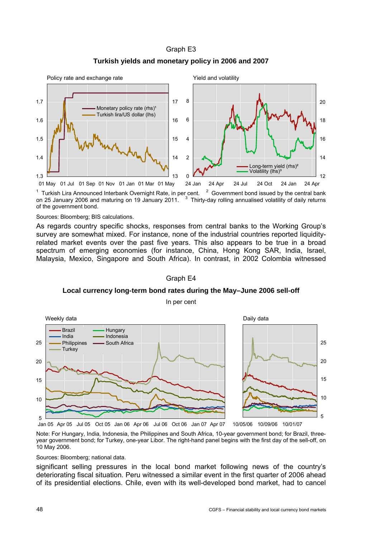### Graph E3





<sup>1</sup> Turkish Lira Announced Interbank Overnight Rate, in per cent.  $2$  $2$  Government bond issued by the central bank on 25 January 2006 and maturing on 19 January 2011.  $3$  Thirty-day rolling annualised volatility of daily returns of the government bond.

Sources: Bloomberg; BIS calculations.

As regards country specific shocks, responses from central banks to the Working Group's survey are somewhat mixed. For instance, none of the industrial countries reported liquidityrelated market events over the past five years. This also appears to be true in a broad spectrum of emerging economies (for instance, China, Hong Kong SAR, India, Israel, Malaysia, Mexico, Singapore and South Africa). In contrast, in 2002 Colombia witnessed

#### Graph E4

**Local currency long-term bond rates during the May–June 2006 sell-off** 

In per cent



Note: For Hungary, India, Indonesia, the Philippines and South Africa, 10-year government bond; for Brazil, threeyear government bond; for Turkey, one-year Libor. The right-hand panel begins with the first day of the sell-off, on 10 May 2006.

Sources: Bloomberg; national data.

significant selling pressures in the local bond market following news of the country's deteriorating fiscal situation. Peru witnessed a similar event in the first quarter of 2006 ahead of its presidential elections. Chile, even with its well-developed bond market, had to cancel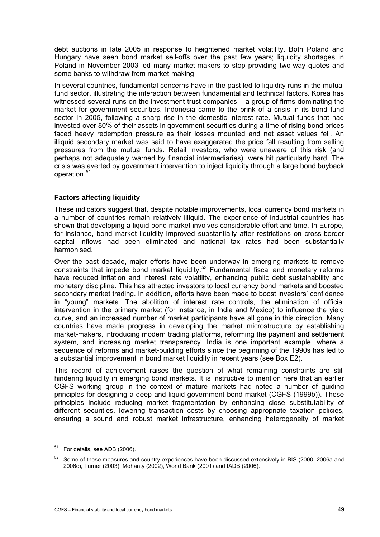<span id="page-52-0"></span>debt auctions in late 2005 in response to heightened market volatility. Both Poland and Hungary have seen bond market sell-offs over the past few years; liquidity shortages in Poland in November 2003 led many market-makers to stop providing two-way quotes and some banks to withdraw from market-making.

In several countries, fundamental concerns have in the past led to liquidity runs in the mutual fund sector, illustrating the interaction between fundamental and technical factors. Korea has witnessed several runs on the investment trust companies – a group of firms dominating the market for government securities. Indonesia came to the brink of a crisis in its bond fund sector in 2005, following a sharp rise in the domestic interest rate. Mutual funds that had invested over 80% of their assets in government securities during a time of rising bond prices faced heavy redemption pressure as their losses mounted and net asset values fell. An illiquid secondary market was said to have exaggerated the price fall resulting from selling pressures from the mutual funds. Retail investors, who were unaware of this risk (and perhaps not adequately warned by financial intermediaries), were hit particularly hard. The crisis was averted by government intervention to inject liquidity through a large bond buyback operation.<sup>[5](#page-52-0)1</sup>

## **Factors affecting liquidity**

These indicators suggest that, despite notable improvements, local currency bond markets in a number of countries remain relatively illiquid. The experience of industrial countries has shown that developing a liquid bond market involves considerable effort and time. In Europe, for instance, bond market liquidity improved substantially after restrictions on cross-border capital inflows had been eliminated and national tax rates had been substantially harmonised.

Over the past decade, major efforts have been underway in emerging markets to remove constraints that impede bond market liquidity.<sup>[5](#page-52-0)2</sup> Fundamental fiscal and monetary reforms have reduced inflation and interest rate volatility, enhancing public debt sustainability and monetary discipline. This has attracted investors to local currency bond markets and boosted secondary market trading. In addition, efforts have been made to boost investors' confidence in "young" markets. The abolition of interest rate controls, the elimination of official intervention in the primary market (for instance, in India and Mexico) to influence the yield curve, and an increased number of market participants have all gone in this direction. Many countries have made progress in developing the market microstructure by establishing market-makers, introducing modern trading platforms, reforming the payment and settlement system, and increasing market transparency. India is one important example, where a sequence of reforms and market-building efforts since the beginning of the 1990s has led to a substantial improvement in bond market liquidity in recent years (see Box E2).

This record of achievement raises the question of what remaining constraints are still hindering liquidity in emerging bond markets. It is instructive to mention here that an earlier CGFS working group in the context of mature markets had noted a number of guiding principles for designing a deep and liquid government bond market (CGFS (1999b)). These principles include reducing market fragmentation by enhancing close substitutability of different securities, lowering transaction costs by choosing appropriate taxation policies, ensuring a sound and robust market infrastructure, enhancing heterogeneity of market

-

<sup>51</sup> For details, see ADB (2006).

<sup>&</sup>lt;sup>52</sup> Some of these measures and country experiences have been discussed extensively in BIS (2000, 2006a and 2006c), Turner (2003), Mohanty (2002), World Bank (2001) and IADB (2006).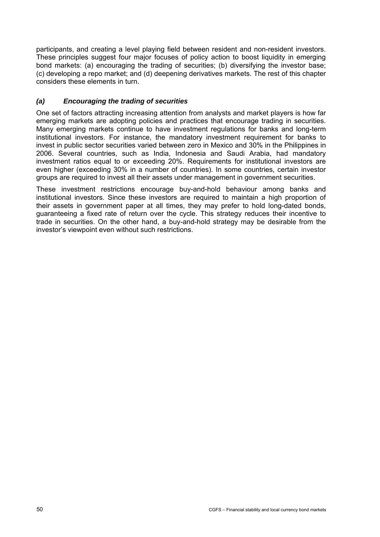participants, and creating a level playing field between resident and non-resident investors. These principles suggest four major focuses of policy action to boost liquidity in emerging bond markets: (a) encouraging the trading of securities; (b) diversifying the investor base; (c) developing a repo market; and (d) deepening derivatives markets. The rest of this chapter considers these elements in turn.

## *(a) Encouraging the trading of securities*

One set of factors attracting increasing attention from analysts and market players is how far emerging markets are adopting policies and practices that encourage trading in securities. Many emerging markets continue to have investment regulations for banks and long-term institutional investors. For instance, the mandatory investment requirement for banks to invest in public sector securities varied between zero in Mexico and 30% in the Philippines in 2006. Several countries, such as India, Indonesia and Saudi Arabia, had mandatory investment ratios equal to or exceeding 20%. Requirements for institutional investors are even higher (exceeding 30% in a number of countries). In some countries, certain investor groups are required to invest all their assets under management in government securities.

These investment restrictions encourage buy-and-hold behaviour among banks and institutional investors. Since these investors are required to maintain a high proportion of their assets in government paper at all times, they may prefer to hold long-dated bonds, guaranteeing a fixed rate of return over the cycle. This strategy reduces their incentive to trade in securities. On the other hand, a buy-and-hold strategy may be desirable from the investor's viewpoint even without such restrictions.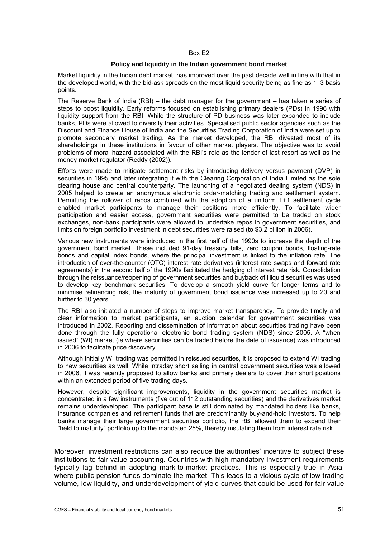#### Box E2

### **Policy and liquidity in the Indian government bond market**

Market liquidity in the Indian debt market has improved over the past decade well in line with that in the developed world, with the bid-ask spreads on the most liquid security being as fine as 1–3 basis points.

The Reserve Bank of India (RBI) – the debt manager for the government – has taken a series of steps to boost liquidity. Early reforms focused on establishing primary dealers (PDs) in 1996 with liquidity support from the RBI. While the structure of PD business was later expanded to include banks, PDs were allowed to diversify their activities. Specialised public sector agencies such as the Discount and Finance House of India and the Securities Trading Corporation of India were set up to promote secondary market trading. As the market developed, the RBI divested most of its shareholdings in these institutions in favour of other market players. The objective was to avoid problems of moral hazard associated with the RBI's role as the lender of last resort as well as the money market regulator (Reddy (2002)).

Efforts were made to mitigate settlement risks by introducing delivery versus payment (DVP) in securities in 1995 and later integrating it with the Clearing Corporation of India Limited as the sole clearing house and central counterparty. The launching of a negotiated dealing system (NDS) in 2005 helped to create an anonymous electronic order-matching trading and settlement system. Permitting the rollover of repos combined with the adoption of a uniform T+1 settlement cycle enabled market participants to manage their positions more efficiently. To facilitate wider participation and easier access, government securities were permitted to be traded on stock exchanges, non-bank participants were allowed to undertake repos in government securities, and limits on foreign portfolio investment in debt securities were raised (to \$3.2 billion in 2006).

Various new instruments were introduced in the first half of the 1990s to increase the depth of the government bond market. These included 91-day treasury bills, zero coupon bonds, floating-rate bonds and capital index bonds, where the principal investment is linked to the inflation rate. The introduction of over-the-counter (OTC) interest rate derivatives (interest rate swaps and forward rate agreements) in the second half of the 1990s facilitated the hedging of interest rate risk. Consolidation through the reissuance/reopening of government securities and buyback of illiquid securities was used to develop key benchmark securities. To develop a smooth yield curve for longer terms and to minimise refinancing risk, the maturity of government bond issuance was increased up to 20 and further to 30 years.

The RBI also initiated a number of steps to improve market transparency. To provide timely and clear information to market participants, an auction calendar for government securities was introduced in 2002. Reporting and dissemination of information about securities trading have been done through the fully operational electronic bond trading system (NDS) since 2005. A "when issued" (WI) market (ie where securities can be traded before the date of issuance) was introduced in 2006 to facilitate price discovery.

Although initially WI trading was permitted in reissued securities, it is proposed to extend WI trading to new securities as well. While intraday short selling in central government securities was allowed in 2006, it was recently proposed to allow banks and primary dealers to cover their short positions within an extended period of five trading days.

However, despite significant improvements, liquidity in the government securities market is concentrated in a few instruments (five out of 112 outstanding securities) and the derivatives market remains underdeveloped. The participant base is still dominated by mandated holders like banks, insurance companies and retirement funds that are predominantly buy-and-hold investors. To help banks manage their large government securities portfolio, the RBI allowed them to expand their "held to maturity" portfolio up to the mandated 25%, thereby insulating them from interest rate risk.

Moreover, investment restrictions can also reduce the authorities' incentive to subject these institutions to fair value accounting. Countries with high mandatory investment requirements typically lag behind in adopting mark-to-market practices. This is especially true in Asia, where public pension funds dominate the market. This leads to a vicious cycle of low trading volume, low liquidity, and underdevelopment of yield curves that could be used for fair value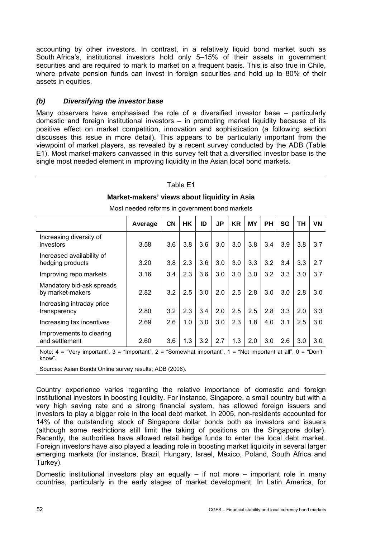accounting by other investors. In contrast, in a relatively liquid bond market such as South Africa's, institutional investors hold only 5–15% of their assets in government securities and are required to mark to market on a frequent basis. This is also true in Chile, where private pension funds can invest in foreign securities and hold up to 80% of their assets in equities.

## *(b) Diversifying the investor base*

Many observers have emphasised the role of a diversified investor base – particularly domestic and foreign institutional investors – in promoting market liquidity because of its positive effect on market competition, innovation and sophistication (a following section discusses this issue in more detail). This appears to be particularly important from the viewpoint of market players, as revealed by a recent survey conducted by the ADB (Table E1). Most market-makers canvassed in this survey felt that a diversified investor base is the single most needed element in improving liquidity in the Asian local bond markets.

### Table E1

### **Market-makers' views about liquidity in Asia**

|                                               | Average | <b>CN</b> | <b>HK</b> | ID  | <b>JP</b> | <b>KR</b> | <b>MY</b> | <b>PH</b> | <b>SG</b> | TН  | <b>VN</b> |
|-----------------------------------------------|---------|-----------|-----------|-----|-----------|-----------|-----------|-----------|-----------|-----|-----------|
| Increasing diversity of<br>investors          | 3.58    | 3.6       | 3.8       | 3.6 | 3.0       | 3.0       | 3.8       | 3.4       | 3.9       | 3.8 | 3.7       |
| Increased availability of<br>hedging products | 3.20    | 3.8       | 2.3       | 3.6 | 3.0       | 3.0       | 3.3       | 3.2       | 3.4       | 3.3 | 2.7       |
| Improving repo markets                        | 3.16    | 3.4       | 2.3       | 3.6 | 3.0       | 3.0       | 3.0       | 3.2       | 3.3       | 3.0 | 3.7       |
| Mandatory bid-ask spreads<br>by market-makers | 2.82    | 3.2       | 2.5       | 3.0 | 2.0       | 2.5       | 2.8       | 3.0       | 3.0       | 2.8 | 3.0       |
| Increasing intraday price<br>transparency     | 2.80    | 3.2       | 2.3       | 3.4 | 2.0       | 2.5       | 2.5       | 2.8       | 3.3       | 2.0 | 3.3       |
| Increasing tax incentives                     | 2.69    | 2.6       | 1.0       | 3.0 | 3.0       | 2.3       | 1.8       | 4.0       | 3.1       | 2.5 | 3.0       |
| Improvements to clearing<br>and settlement    | 2.60    | 3.6       | 1.3       | 3.2 | 2.7       | 1.3       | 2.0       | 3.0       | 2.6       | 3.0 | 3.0       |

Most needed reforms in government bond markets

Note: 4 = "Very important", 3 = "Important", 2 = "Somewhat important", 1 = "Not important at all", 0 = "Don't know".

Sources: Asian Bonds Online survey results; ADB (2006).

Country experience varies regarding the relative importance of domestic and foreign institutional investors in boosting liquidity. For instance, Singapore, a small country but with a very high saving rate and a strong financial system, has allowed foreign issuers and investors to play a bigger role in the local debt market. In 2005, non-residents accounted for 14% of the outstanding stock of Singapore dollar bonds both as investors and issuers (although some restrictions still limit the taking of positions on the Singapore dollar). Recently, the authorities have allowed retail hedge funds to enter the local debt market. Foreign investors have also played a leading role in boosting market liquidity in several larger emerging markets (for instance, Brazil, Hungary, Israel, Mexico, Poland, South Africa and Turkey).

Domestic institutional investors play an equally  $-$  if not more  $-$  important role in many countries, particularly in the early stages of market development. In Latin America, for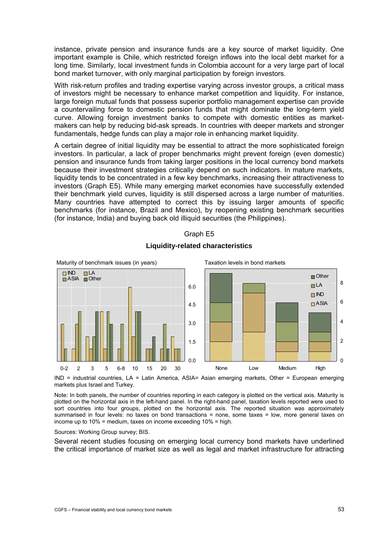instance, private pension and insurance funds are a key source of market liquidity. One important example is Chile, which restricted foreign inflows into the local debt market for a long time. Similarly, local investment funds in Colombia account for a very large part of local bond market turnover, with only marginal participation by foreign investors.

With risk-return profiles and trading expertise varying across investor groups, a critical mass of investors might be necessary to enhance market competition and liquidity. For instance, large foreign mutual funds that possess superior portfolio management expertise can provide a countervailing force to domestic pension funds that might dominate the long-term yield curve. Allowing foreign investment banks to compete with domestic entities as marketmakers can help by reducing bid-ask spreads. In countries with deeper markets and stronger fundamentals, hedge funds can play a major role in enhancing market liquidity.

A certain degree of initial liquidity may be essential to attract the more sophisticated foreign investors. In particular, a lack of proper benchmarks might prevent foreign (even domestic) pension and insurance funds from taking larger positions in the local currency bond markets because their investment strategies critically depend on such indicators. In mature markets, liquidity tends to be concentrated in a few key benchmarks, increasing their attractiveness to investors (Graph E5). While many emerging market economies have successfully extended their benchmark yield curves, liquidity is still dispersed across a large number of maturities. Many countries have attempted to correct this by issuing larger amounts of specific benchmarks (for instance, Brazil and Mexico), by reopening existing benchmark securities (for instance, India) and buying back old illiquid securities (the Philippines).



## Graph E5 **Liquidity-related characteristics**

IND = industrial countries, LA = Latin America, ASIA= Asian emerging markets, Other = European emerging markets plus Israel and Turkey.

Note: In both panels, the number of countries reporting in each category is plotted on the vertical axis. Maturity is plotted on the horizontal axis in the left-hand panel. In the right-hand panel, taxation levels reported were used to sort countries into four groups, plotted on the horizontal axis. The reported situation was approximately summarised in four levels: no taxes on bond transactions = none, some taxes = low, more general taxes on income up to 10% = medium, taxes on income exceeding 10% = high.

### Sources: Working Group survey; BIS.

Several recent studies focusing on emerging local currency bond markets have underlined the critical importance of market size as well as legal and market infrastructure for attracting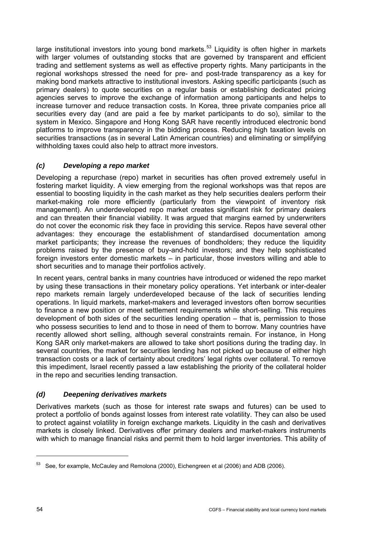<span id="page-57-0"></span>large institutional investors into young bond markets.<sup>[5](#page-57-0)3</sup> Liquidity is often higher in markets with larger volumes of outstanding stocks that are governed by transparent and efficient trading and settlement systems as well as effective property rights. Many participants in the regional workshops stressed the need for pre- and post-trade transparency as a key for making bond markets attractive to institutional investors. Asking specific participants (such as primary dealers) to quote securities on a regular basis or establishing dedicated pricing agencies serves to improve the exchange of information among participants and helps to increase turnover and reduce transaction costs. In Korea, three private companies price all securities every day (and are paid a fee by market participants to do so), similar to the system in Mexico. Singapore and Hong Kong SAR have recently introduced electronic bond platforms to improve transparency in the bidding process. Reducing high taxation levels on securities transactions (as in several Latin American countries) and eliminating or simplifying withholding taxes could also help to attract more investors.

## *(c) Developing a repo market*

Developing a repurchase (repo) market in securities has often proved extremely useful in fostering market liquidity. A view emerging from the regional workshops was that repos are essential to boosting liquidity in the cash market as they help securities dealers perform their market-making role more efficiently (particularly from the viewpoint of inventory risk management). An underdeveloped repo market creates significant risk for primary dealers and can threaten their financial viability. It was argued that margins earned by underwriters do not cover the economic risk they face in providing this service. Repos have several other advantages: they encourage the establishment of standardised documentation among market participants; they increase the revenues of bondholders; they reduce the liquidity problems raised by the presence of buy-and-hold investors; and they help sophisticated foreign investors enter domestic markets – in particular, those investors willing and able to short securities and to manage their portfolios actively.

In recent years, central banks in many countries have introduced or widened the repo market by using these transactions in their monetary policy operations. Yet interbank or inter-dealer repo markets remain largely underdeveloped because of the lack of securities lending operations. In liquid markets, market-makers and leveraged investors often borrow securities to finance a new position or meet settlement requirements while short-selling. This requires development of both sides of the securities lending operation – that is, permission to those who possess securities to lend and to those in need of them to borrow. Many countries have recently allowed short selling, although several constraints remain. For instance, in Hong Kong SAR only market-makers are allowed to take short positions during the trading day. In several countries, the market for securities lending has not picked up because of either high transaction costs or a lack of certainty about creditors' legal rights over collateral. To remove this impediment, Israel recently passed a law establishing the priority of the collateral holder in the repo and securities lending transaction.

## *(d) Deepening derivatives markets*

Derivatives markets (such as those for interest rate swaps and futures) can be used to protect a portfolio of bonds against losses from interest rate volatility. They can also be used to protect against volatility in foreign exchange markets. Liquidity in the cash and derivatives markets is closely linked. Derivatives offer primary dealers and market-makers instruments with which to manage financial risks and permit them to hold larger inventories. This ability of

<sup>53</sup> See, for example, McCauley and Remolona (2000), Eichengreen et al (2006) and ADB (2006).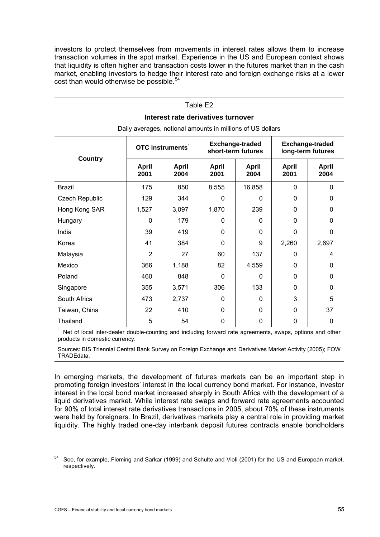<span id="page-58-0"></span>investors to protect themselves from movements in interest rates allows them to increase transaction volumes in the spot market. Experience in the US and European context shows that liquidity is often higher and transaction costs lower in the futures market than in the cash market, enabling investors to hedge their interest rate and foreign exchange risks at a lower cost than would otherwise be possible.<sup>[54](#page-58-0)</sup>

## Table E2

### **Interest rate derivatives turnover**

| <b>Country</b>        | OTC instruments $1$  |                      |                      | <b>Exchange-traded</b><br>short-term futures | <b>Exchange-traded</b><br>long-term futures |                      |  |  |  |  |  |
|-----------------------|----------------------|----------------------|----------------------|----------------------------------------------|---------------------------------------------|----------------------|--|--|--|--|--|
|                       | <b>April</b><br>2001 | <b>April</b><br>2004 | <b>April</b><br>2001 | April<br>2004                                | <b>April</b><br>2001                        | <b>April</b><br>2004 |  |  |  |  |  |
| Brazil                | 175                  | 850                  | 8,555                | 16,858                                       | 0                                           | $\Omega$             |  |  |  |  |  |
| <b>Czech Republic</b> | 129                  | 344                  | $\Omega$             | 0                                            | 0                                           | 0                    |  |  |  |  |  |
| Hong Kong SAR         | 1,527                | 3,097                | 1,870                | 239                                          | 0                                           | 0                    |  |  |  |  |  |
| Hungary               | 0                    | 179                  | $\mathbf 0$          | 0                                            | 0                                           | 0                    |  |  |  |  |  |
| India                 | 39                   | 419                  | $\mathbf 0$          | 0                                            | 0                                           | $\mathbf{0}$         |  |  |  |  |  |
| Korea                 | 41                   | 384                  | $\Omega$             | 9                                            | 2,260                                       | 2,697                |  |  |  |  |  |
| Malaysia              | $\overline{2}$       | 27                   | 60                   | 137                                          | 0                                           | 4                    |  |  |  |  |  |
| Mexico                | 366                  | 1,188                | 82                   | 4,559                                        | 0                                           | 0                    |  |  |  |  |  |
| Poland                | 460                  | 848                  | $\Omega$             | 0                                            | 0                                           | $\Omega$             |  |  |  |  |  |
| Singapore             | 355                  | 3,571                | 306                  | 133                                          | 0                                           | 0                    |  |  |  |  |  |
| South Africa          | 473                  | 2,737                | $\mathbf 0$          | 0                                            | 3                                           | 5                    |  |  |  |  |  |
| Taiwan, China         | 22                   | 410                  | $\mathbf 0$          | 0                                            | 0                                           | 37                   |  |  |  |  |  |
| Thailand              | 5                    | 54                   | $\mathbf 0$          | 0                                            | 0                                           | 0                    |  |  |  |  |  |

Daily averages, notional amounts in millions of US dollars

<sup>1</sup> Net of local inter-dealer double-counting and including forward rate agreements, swaps, options and other products in domestic currency.

Sources: BIS Triennial Central Bank Survey on Foreign Exchange and Derivatives Market Activity (2005); FOW TRADEdata.

In emerging markets, the development of futures markets can be an important step in promoting foreign investors' interest in the local currency bond market. For instance, investor interest in the local bond market increased sharply in South Africa with the development of a liquid derivatives market. While interest rate swaps and forward rate agreements accounted for 90% of total interest rate derivatives transactions in 2005, about 70% of these instruments were held by foreigners. In Brazil, derivatives markets play a central role in providing market liquidity. The highly traded one-day interbank deposit futures contracts enable bondholders

j

<sup>54</sup> See, for example, Fleming and Sarkar (1999) and Schulte and Violi (2001) for the US and European market, respectively.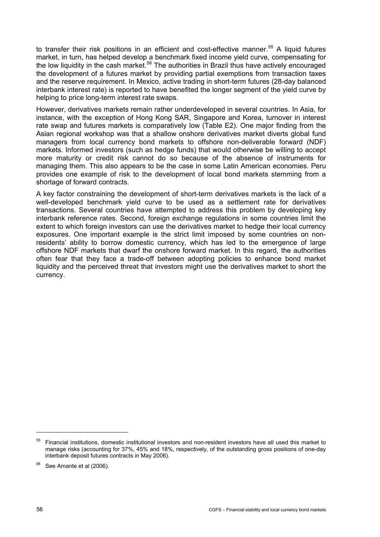<span id="page-59-0"></span>to transfer their risk positions in an efficient and cost-effective manner.<sup>[5](#page-59-0)5</sup> A liquid futures market, in turn, has helped develop a benchmark fixed income yield curve, compensating for the low liquidity in the cash market.<sup>[56](#page-59-0)</sup> The authorities in Brazil thus have actively encouraged the development of a futures market by providing partial exemptions from transaction taxes and the reserve requirement. In Mexico, active trading in short-term futures (28-day balanced interbank interest rate) is reported to have benefited the longer segment of the yield curve by helping to price long-term interest rate swaps.

However, derivatives markets remain rather underdeveloped in several countries. In Asia, for instance, with the exception of Hong Kong SAR, Singapore and Korea, turnover in interest rate swap and futures markets is comparatively low (Table E2). One major finding from the Asian regional workshop was that a shallow onshore derivatives market diverts global fund managers from local currency bond markets to offshore non-deliverable forward (NDF) markets. Informed investors (such as hedge funds) that would otherwise be willing to accept more maturity or credit risk cannot do so because of the absence of instruments for managing them. This also appears to be the case in some Latin American economies. Peru provides one example of risk to the development of local bond markets stemming from a shortage of forward contracts.

A key factor constraining the development of short-term derivatives markets is the lack of a well-developed benchmark yield curve to be used as a settlement rate for derivatives transactions. Several countries have attempted to address this problem by developing key interbank reference rates. Second, foreign exchange regulations in some countries limit the extent to which foreign investors can use the derivatives market to hedge their local currency exposures. One important example is the strict limit imposed by some countries on nonresidents' ability to borrow domestic currency, which has led to the emergence of large offshore NDF markets that dwarf the onshore forward market. In this regard, the authorities often fear that they face a trade-off between adopting policies to enhance bond market liquidity and the perceived threat that investors might use the derivatives market to short the currency.

<sup>55</sup> Financial institutions, domestic institutional investors and non-resident investors have all used this market to manage risks (accounting for 37%, 45% and 18%, respectively, of the outstanding gross positions of one-day interbank deposit futures contracts in May 2006).

<sup>&</sup>lt;sup>56</sup> See Amante et al (2006).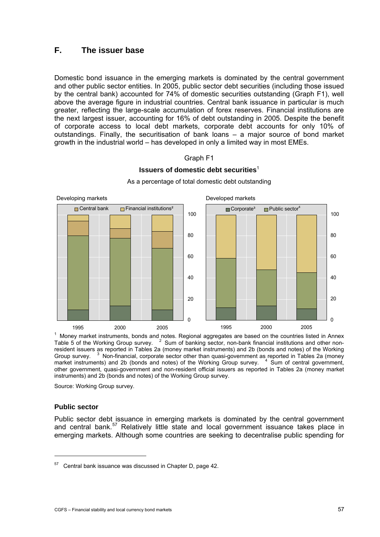# <span id="page-60-0"></span>**F. The issuer base**

Domestic bond issuance in the emerging markets is dominated by the central government and other public sector entities. In 2005, public sector debt securities (including those issued by the central bank) accounted for 74% of domestic securities outstanding (Graph F1), well above the average figure in industrial countries. Central bank issuance in particular is much greater, reflecting the large-scale accumulation of forex reserves. Financial institutions are the next largest issuer, accounting for 16% of debt outstanding in 2005. Despite the benefit of corporate access to local debt markets, corporate debt accounts for only 10% of outstandings. Finally, the securitisation of bank loans – a major source of bond market growth in the industrial world – has developed in only a limited way in most EMEs.

## Graph F1

## **Issuers of domestic debt securities**<sup>1</sup>



As a percentage of total domestic debt outstanding

<sup>1</sup> Money market instruments, bonds and notes. Regional aggregates are based on the countries listed in Annex Table 5 of the Working Group survey. <sup>2</sup> Sum of banking sector, non-bank financial institutions and other nonresident issuers as reported in Tables 2a (money market instruments) and 2b (bonds and notes) of the Working Group survey. Non-financial, corporate sector other than quasi-government as reported in Tables 2a (money market instruments) and 2b (bonds and notes) of the Working Group survey. <sup>4</sup> Sum of central government, other government, quasi-government and non-resident official issuers as reported in Tables 2a (money market instruments) and 2b (bonds and notes) of the Working Group survey.

Source: Working Group survey.

## **Public sector**

j

Public sector debt issuance in emerging markets is dominated by the central government and central bank.<sup>[57](#page-60-0)</sup> Relatively little state and local government issuance takes place in emerging markets. Although some countries are seeking to decentralise public spending for

<sup>57</sup> Central bank issuance was discussed in Chapter D, page 42.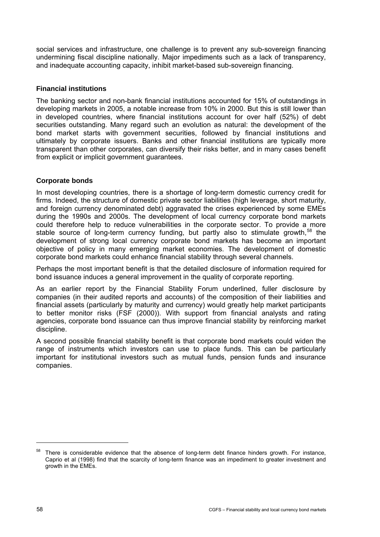<span id="page-61-0"></span>social services and infrastructure, one challenge is to prevent any sub-sovereign financing undermining fiscal discipline nationally. Major impediments such as a lack of transparency, and inadequate accounting capacity, inhibit market-based sub-sovereign financing.

## **Financial institutions**

The banking sector and non-bank financial institutions accounted for 15% of outstandings in developing markets in 2005, a notable increase from 10% in 2000. But this is still lower than in developed countries, where financial institutions account for over half (52%) of debt securities outstanding. Many regard such an evolution as natural: the development of the bond market starts with government securities, followed by financial institutions and ultimately by corporate issuers. Banks and other financial institutions are typically more transparent than other corporates, can diversify their risks better, and in many cases benefit from explicit or implicit government guarantees.

## **Corporate bonds**

In most developing countries, there is a shortage of long-term domestic currency credit for firms. Indeed, the structure of domestic private sector liabilities (high leverage, short maturity, and foreign currency denominated debt) aggravated the crises experienced by some EMEs during the 1990s and 2000s. The development of local currency corporate bond markets could therefore help to reduce vulnerabilities in the corporate sector. To provide a more stable source of long-term currency funding, but partly also to stimulate growth,<sup>[58](#page-61-0)</sup> the development of strong local currency corporate bond markets has become an important objective of policy in many emerging market economies. The development of domestic corporate bond markets could enhance financial stability through several channels.

Perhaps the most important benefit is that the detailed disclosure of information required for bond issuance induces a general improvement in the quality of corporate reporting.

As an earlier report by the Financial Stability Forum underlined, fuller disclosure by companies (in their audited reports and accounts) of the composition of their liabilities and financial assets (particularly by maturity and currency) would greatly help market participants to better monitor risks (FSF (2000)). With support from financial analysts and rating agencies, corporate bond issuance can thus improve financial stability by reinforcing market discipline.

A second possible financial stability benefit is that corporate bond markets could widen the range of instruments which investors can use to place funds. This can be particularly important for institutional investors such as mutual funds, pension funds and insurance companies.

-

<sup>&</sup>lt;sup>58</sup> There is considerable evidence that the absence of long-term debt finance hinders growth. For instance, Caprio et al (1998) find that the scarcity of long-term finance was an impediment to greater investment and growth in the EMEs.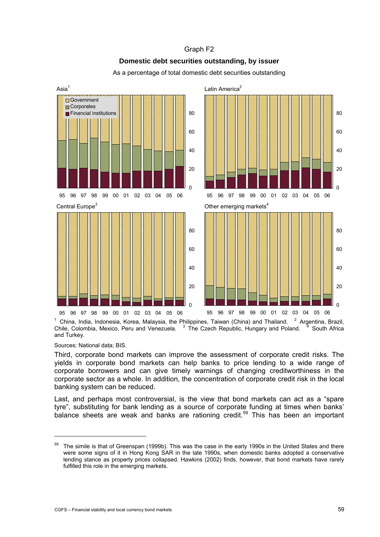### Graph F2

## **Domestic debt securities outstanding, by issuer**

<span id="page-62-0"></span>Asia<sup>1</sup> Latin America<sup>2</sup>  $\Omega$ 20 40 60 80 95 96 97 98 99 00 01 02 03 04 05 06 **□**Government **Corporates**  $\blacksquare$  Financial institutions  $\Omega$  $20$ 40 60 80 95 96 97 98 99 00 01 02 03 04 05 06 Central Europe<sup>3</sup> Other emerging markets<sup>4</sup>  $\Omega$ 20  $40$ 60 80 95 96 97 98 99 00 01 02 03 04 05 06  $\Omega$ 20 40 60 80 95 96 97 98 99 00 01 02 03 04 05 06

As a percentage of total domestic debt securities outstanding

<sup>1</sup> China, India, Indonesia, Korea, Malaysia, the Philippines, Taiwan (China) and Thailand. <sup>2</sup> Argentina, Brazil, Chile, Colombia, Mexico, Peru and Venezuela.  $3$  The Czech Republic, Hungary and Poland.  $3$  South Africa and Turkey.

Sources: National data; BIS.

j

Third, corporate bond markets can improve the assessment of corporate credit risks. The yields in corporate bond markets can help banks to price lending to a wide range of corporate borrowers and can give timely warnings of changing creditworthiness in the corporate sector as a whole. In addition, the concentration of corporate credit risk in the local banking system can be reduced.

Last, and perhaps most controversial, is the view that bond markets can act as a "spare tyre", substituting for bank lending as a source of corporate funding at times when banks' balance sheets are weak and banks are rationing credit.<sup>[5](#page-62-0)9</sup> This has been an important

<sup>59</sup> The simile is that of Greenspan (1999b). This was the case in the early 1990s in the United States and there were some signs of it in Hong Kong SAR in the late 1990s, when domestic banks adopted a conservative lending stance as property prices collapsed. Hawkins (2002) finds, however, that bond markets have rarely fulfilled this role in the emerging markets.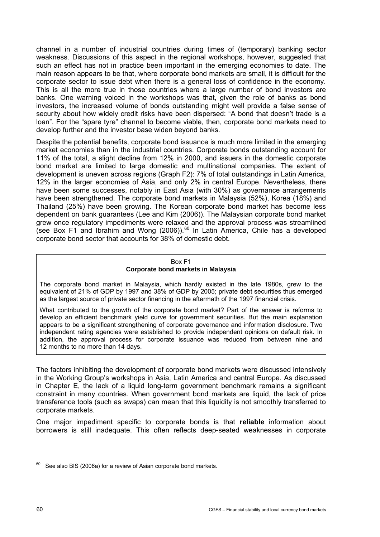<span id="page-63-0"></span>channel in a number of industrial countries during times of (temporary) banking sector weakness. Discussions of this aspect in the regional workshops, however, suggested that such an effect has not in practice been important in the emerging economies to date. The main reason appears to be that, where corporate bond markets are small, it is difficult for the corporate sector to issue debt when there is a general loss of confidence in the economy. This is all the more true in those countries where a large number of bond investors are banks. One warning voiced in the workshops was that, given the role of banks as bond investors, the increased volume of bonds outstanding might well provide a false sense of security about how widely credit risks have been dispersed: "A bond that doesn't trade is a loan". For the "spare tyre" channel to become viable, then, corporate bond markets need to develop further and the investor base widen beyond banks.

Despite the potential benefits, corporate bond issuance is much more limited in the emerging market economies than in the industrial countries. Corporate bonds outstanding account for 11% of the total, a slight decline from 12% in 2000, and issuers in the domestic corporate bond market are limited to large domestic and multinational companies. The extent of development is uneven across regions (Graph F2): 7% of total outstandings in Latin America, 12% in the larger economies of Asia, and only 2% in central Europe. Nevertheless, there have been some successes, notably in East Asia (with 30%) as governance arrangements have been strengthened. The corporate bond markets in Malaysia (52%), Korea (18%) and Thailand (25%) have been growing. The Korean corporate bond market has become less dependent on bank guarantees (Lee and Kim (2006)). The Malaysian corporate bond market grew once regulatory impediments were relaxed and the approval process was streamlined (see Box F1 and Ibrahim and Wong (2006)).<sup>[60](#page-63-0)</sup> In Latin America, Chile has a developed corporate bond sector that accounts for 38% of domestic debt.

### Box F1 **Corporate bond markets in Malaysia**

The corporate bond market in Malaysia, which hardly existed in the late 1980s, grew to the equivalent of 21% of GDP by 1997 and 38% of GDP by 2005; private debt securities thus emerged as the largest source of private sector financing in the aftermath of the 1997 financial crisis.

What contributed to the growth of the corporate bond market? Part of the answer is reforms to develop an efficient benchmark yield curve for government securities. But the main explanation appears to be a significant strengthening of corporate governance and information disclosure. Two independent rating agencies were established to provide independent opinions on default risk. In addition, the approval process for corporate issuance was reduced from between nine and 12 months to no more than 14 days.

The factors inhibiting the development of corporate bond markets were discussed intensively in the Working Group's workshops in Asia, Latin America and central Europe. As discussed in Chapter E, the lack of a liquid long-term government benchmark remains a significant constraint in many countries. When government bond markets are liquid, the lack of price transference tools (such as swaps) can mean that this liquidity is not smoothly transferred to corporate markets.

One major impediment specific to corporate bonds is that **reliable** information about borrowers is still inadequate. This often reflects deep-seated weaknesses in corporate

 $60$  See also BIS (2006a) for a review of Asian corporate bond markets.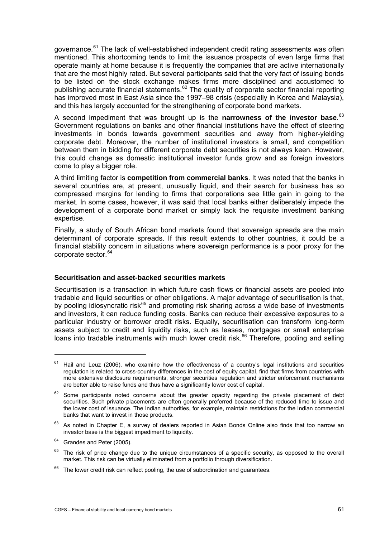<span id="page-64-0"></span>governance.<sup>[6](#page-64-0)1</sup> The lack of well-established independent credit rating assessments was often mentioned. This shortcoming tends to limit the issuance prospects of even large firms that operate mainly at home because it is frequently the companies that are active internationally that are the most highly rated. But several participants said that the very fact of issuing bonds to be listed on the stock exchange makes firms more disciplined and accustomed to publishing accurate financial statements.[6](#page-64-0)2 The quality of corporate sector financial reporting has improved most in East Asia since the 1997–98 crisis (especially in Korea and Malaysia). and this has largely accounted for the strengthening of corporate bond markets.

A second impediment that was brought up is the **narrowness of the investor base**. [63](#page-64-0) Government regulations on banks and other financial institutions have the effect of steering investments in bonds towards government securities and away from higher-yielding corporate debt. Moreover, the number of institutional investors is small, and competition between them in bidding for different corporate debt securities is not always keen. However, this could change as domestic institutional investor funds grow and as foreign investors come to play a bigger role.

A third limiting factor is **competition from commercial banks**. It was noted that the banks in several countries are, at present, unusually liquid, and their search for business has so compressed margins for lending to firms that corporations see little gain in going to the market. In some cases, however, it was said that local banks either deliberately impede the development of a corporate bond market or simply lack the requisite investment banking expertise.

Finally, a study of South African bond markets found that sovereign spreads are the main determinant of corporate spreads. If this result extends to other countries, it could be a financial stability concern in situations where sovereign performance is a poor proxy for the corporate sector.<sup>[6](#page-64-0)4</sup>

### **Securitisation and asset-backed securities markets**

Securitisation is a transaction in which future cash flows or financial assets are pooled into tradable and liquid securities or other obligations. A major advantage of securitisation is that, by pooling idiosyncratic risk<sup>[6](#page-64-0)5</sup> and promoting risk sharing across a wide base of investments and investors, it can reduce funding costs. Banks can reduce their excessive exposures to a particular industry or borrower credit risks. Equally, securitisation can transform long-term assets subject to credit and liquidity risks, such as leases, mortgages or small enterprise loans into tradable instruments with much lower credit risk.<sup>[66](#page-64-0)</sup> Therefore, pooling and selling

 $61$  Hail and Leuz (2006), who examine how the effectiveness of a country's legal institutions and securities regulation is related to cross-country differences in the cost of equity capital, find that firms from countries with more extensive disclosure requirements, stronger securities regulation and stricter enforcement mechanisms are better able to raise funds and thus have a significantly lower cost of capital.

 $62$  Some participants noted concerns about the greater opacity regarding the private placement of debt securities. Such private placements are often generally preferred because of the reduced time to issue and the lower cost of issuance. The Indian authorities, for example, maintain restrictions for the Indian commercial banks that want to invest in those products.

 $63$  As noted in Chapter E, a survey of dealers reported in Asian Bonds Online also finds that too narrow an investor base is the biggest impediment to liquidity.

<sup>&</sup>lt;sup>64</sup> Grandes and Peter (2005).

<sup>&</sup>lt;sup>65</sup> The risk of price change due to the unique circumstances of a specific security, as opposed to the overall market. This risk can be virtually eliminated from a portfolio through diversification.

 $66$  The lower credit risk can reflect pooling, the use of subordination and guarantees.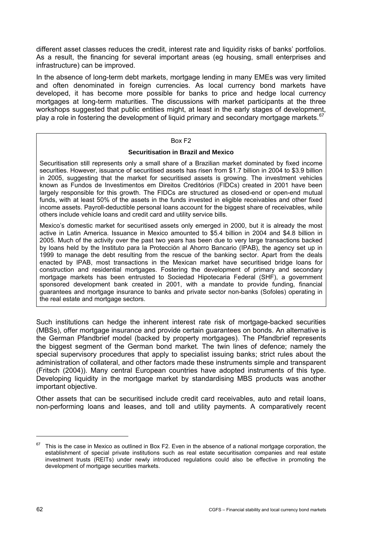<span id="page-65-0"></span>different asset classes reduces the credit, interest rate and liquidity risks of banks' portfolios. As a result, the financing for several important areas (eg housing, small enterprises and infrastructure) can be improved.

In the absence of long-term debt markets, mortgage lending in many EMEs was very limited and often denominated in foreign currencies. As local currency bond markets have developed, it has become more possible for banks to price and hedge local currency mortgages at long-term maturities. The discussions with market participants at the three workshops suggested that public entities might, at least in the early stages of development, play a role in fostering the development of liquid primary and secondary mortgage markets.<sup>[67](#page-65-0)</sup>

### Box F2

### **Securitisation in Brazil and Mexico**

Securitisation still represents only a small share of a Brazilian market dominated by fixed income securities. However, issuance of securitised assets has risen from \$1.7 billion in 2004 to \$3.9 billion in 2005, suggesting that the market for securitised assets is growing. The investment vehicles known as Fundos de Investimentos em Direitos Creditórios (FIDCs) created in 2001 have been largely responsible for this growth. The FIDCs are structured as closed-end or open-end mutual funds, with at least 50% of the assets in the funds invested in eligible receivables and other fixed income assets. Payroll-deductible personal loans account for the biggest share of receivables, while others include vehicle loans and credit card and utility service bills.

Mexico's domestic market for securitised assets only emerged in 2000, but it is already the most active in Latin America. Issuance in Mexico amounted to \$5.4 billion in 2004 and \$4.8 billion in 2005. Much of the activity over the past two years has been due to very large transactions backed by loans held by the Instituto para la Protección al Ahorro Bancario (IPAB), the agency set up in 1999 to manage the debt resulting from the rescue of the banking sector. Apart from the deals enacted by IPAB, most transactions in the Mexican market have securitised bridge loans for construction and residential mortgages. Fostering the development of primary and secondary mortgage markets has been entrusted to Sociedad Hipotecaria Federal (SHF), a government sponsored development bank created in 2001, with a mandate to provide funding, financial guarantees and mortgage insurance to banks and private sector non-banks (Sofoles) operating in the real estate and mortgage sectors.

Such institutions can hedge the inherent interest rate risk of mortgage-backed securities (MBSs), offer mortgage insurance and provide certain guarantees on bonds. An alternative is the German Pfandbrief model (backed by property mortgages). The Pfandbrief represents the biggest segment of the German bond market. The twin lines of defence; namely the special supervisory procedures that apply to specialist issuing banks; strict rules about the administration of collateral, and other factors made these instruments simple and transparent (Fritsch (2004)). Many central European countries have adopted instruments of this type. Developing liquidity in the mortgage market by standardising MBS products was another important objective.

Other assets that can be securitised include credit card receivables, auto and retail loans, non-performing loans and leases, and toll and utility payments. A comparatively recent

This is the case in Mexico as outlined in Box F2. Even in the absence of a national mortgage corporation, the establishment of special private institutions such as real estate securitisation companies and real estate investment trusts (REITs) under newly introduced regulations could also be effective in promoting the development of mortgage securities markets.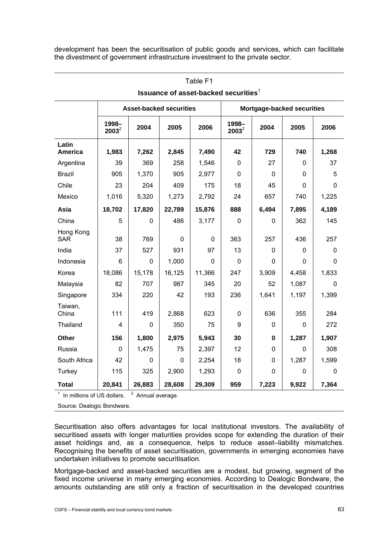development has been the securitisation of public goods and services, which can facilitate the divestment of government infrastructure investment to the private sector.

| <b>Issuance of asset-backed securities</b> |                                 |             |              |                                |             |                    |                            |  |  |  |  |  |
|--------------------------------------------|---------------------------------|-------------|--------------|--------------------------------|-------------|--------------------|----------------------------|--|--|--|--|--|
|                                            |                                 |             |              |                                |             |                    |                            |  |  |  |  |  |
| 1998-<br>$2003^2$                          | 2004                            | 2005        | 2006         | 1998-<br>$2003^2$              | 2004        | 2005               | 2006                       |  |  |  |  |  |
| 1,983                                      | 7,262                           | 2,845       | 7,490        | 42                             | 729         | 740                | 1,268                      |  |  |  |  |  |
| 39                                         | 369                             | 258         | 1,546        | $\mathbf 0$                    | 27          | 0                  | 37                         |  |  |  |  |  |
| 905                                        | 1,370                           | 905         | 2,977        | $\mathbf 0$                    | $\mathbf 0$ | 0                  | 5                          |  |  |  |  |  |
| 23                                         | 204                             | 409         | 175          | 18                             | 45          | $\mathbf 0$        | $\mathbf 0$                |  |  |  |  |  |
| 1,016                                      | 5,320                           | 1,273       | 2,792        | 24                             | 657         | 740                | 1,225                      |  |  |  |  |  |
| 18,702                                     | 17,820                          | 22,789      | 15,876       | 888                            | 6,494       | 7,895              | 4,189                      |  |  |  |  |  |
| 5                                          | 0                               | 486         | 3,177        | $\mathbf 0$                    | 0           | 362                | 145                        |  |  |  |  |  |
| 38                                         | 769                             | 0           | $\mathbf{0}$ | 363                            | 257         | 436                | 257                        |  |  |  |  |  |
| 37                                         | 527                             | 931         | 97           | 13                             | 0           | 0                  | 0                          |  |  |  |  |  |
| $6\phantom{1}$                             | $\mathbf 0$                     | 1,000       | $\Omega$     | $\mathbf 0$                    | $\mathbf 0$ | $\mathbf 0$        | $\mathbf 0$                |  |  |  |  |  |
| 18,086                                     | 15,178                          | 16,125      | 11,366       | 247                            | 3,909       | 4,458              | 1,833                      |  |  |  |  |  |
| 82                                         | 707                             | 987         | 345          | 20                             | 52          | 1,087              | 0                          |  |  |  |  |  |
| 334                                        | 220                             | 42          | 193          | 236                            | 1,641       | 1,197              | 1,399                      |  |  |  |  |  |
| 111                                        | 419                             | 2,868       | 623          | $\mathbf 0$                    | 636         | 355                | 284                        |  |  |  |  |  |
| $\overline{4}$                             | $\Omega$                        | 350         | 75           | 9                              | $\mathbf 0$ | 0                  | 272                        |  |  |  |  |  |
| 156                                        | 1,800                           | 2,975       | 5,943        | 30                             | $\bf{0}$    | 1,287              | 1,907                      |  |  |  |  |  |
| $\Omega$                                   | 1,475                           | 75          | 2,397        | 12                             | 0           | $\mathbf 0$        | 308                        |  |  |  |  |  |
| 42                                         | 0                               | $\mathbf 0$ | 2,254        | 18                             | $\mathbf 0$ | 1,287              | 1,599                      |  |  |  |  |  |
| 115                                        | 325                             | 2,900       | 1,293        | $\mathbf 0$                    | 0           | 0                  | 0                          |  |  |  |  |  |
| 20,841                                     | 26,883                          | 28,608      | 29,309       | 959                            | 7,223       | 9,922              | 7,364                      |  |  |  |  |  |
|                                            | $^1$ In millione of LIS dollare |             |              | <b>Asset-backed securities</b> |             | $2$ Appual overage | Mortgage-backed securities |  |  |  |  |  |

# Table F1 **Issuance of asset-backed securities** $^1$

 In millions of US dollars. <sup>2</sup> Annual average.

Source: Dealogic Bondware.

Securitisation also offers advantages for local institutional investors. The availability of securitised assets with longer maturities provides scope for extending the duration of their asset holdings and, as a consequence, helps to reduce asset–liability mismatches. Recognising the benefits of asset securitisation, governments in emerging economies have undertaken initiatives to promote securitisation.

Mortgage-backed and asset-backed securities are a modest, but growing, segment of the fixed income universe in many emerging economies. According to Dealogic Bondware, the amounts outstanding are still only a fraction of securitisation in the developed countries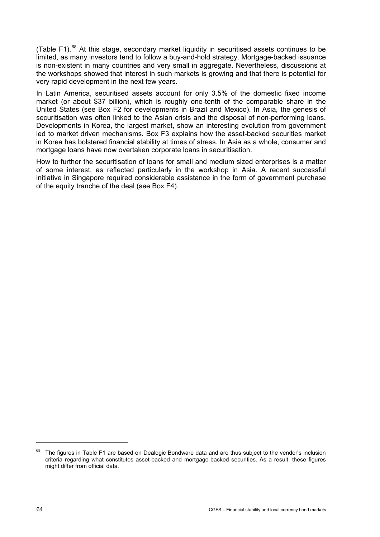<span id="page-67-0"></span>(Table F1).<sup>[6](#page-67-0)8</sup> At this stage, secondary market liquidity in securitised assets continues to be limited, as many investors tend to follow a buy-and-hold strategy. Mortgage-backed issuance is non-existent in many countries and very small in aggregate. Nevertheless, discussions at the workshops showed that interest in such markets is growing and that there is potential for very rapid development in the next few years.

In Latin America, securitised assets account for only 3.5% of the domestic fixed income market (or about \$37 billion), which is roughly one-tenth of the comparable share in the United States (see Box F2 for developments in Brazil and Mexico). In Asia, the genesis of securitisation was often linked to the Asian crisis and the disposal of non-performing loans. Developments in Korea, the largest market, show an interesting evolution from government led to market driven mechanisms. Box F3 explains how the asset-backed securities market in Korea has bolstered financial stability at times of stress. In Asia as a whole, consumer and mortgage loans have now overtaken corporate loans in securitisation.

How to further the securitisation of loans for small and medium sized enterprises is a matter of some interest, as reflected particularly in the workshop in Asia. A recent successful initiative in Singapore required considerable assistance in the form of government purchase of the equity tranche of the deal (see Box F4).

-

<sup>&</sup>lt;sup>68</sup> The figures in Table F1 are based on Dealogic Bondware data and are thus subject to the vendor's inclusion criteria regarding what constitutes asset-backed and mortgage-backed securities. As a result, these figures might differ from official data.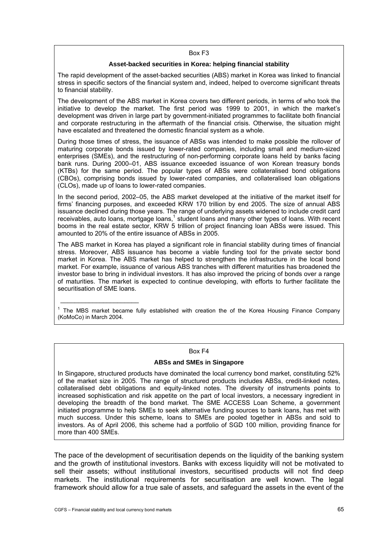#### Box F3

### **Asset-backed securities in Korea: helping financial stability**

The rapid development of the asset-backed securities (ABS) market in Korea was linked to financial stress in specific sectors of the financial system and, indeed, helped to overcome significant threats to financial stability.

The development of the ABS market in Korea covers two different periods, in terms of who took the initiative to develop the market. The first period was 1999 to 2001, in which the market's development was driven in large part by government-initiated programmes to facilitate both financial and corporate restructuring in the aftermath of the financial crisis. Otherwise, the situation might have escalated and threatened the domestic financial system as a whole.

During those times of stress, the issuance of ABSs was intended to make possible the rollover of maturing corporate bonds issued by lower-rated companies, including small and medium-sized enterprises (SMEs), and the restructuring of non-performing corporate loans held by banks facing bank runs. During 2000–01, ABS issuance exceeded issuance of won Korean treasury bonds (KTBs) for the same period. The popular types of ABSs were collateralised bond obligations (CBOs), comprising bonds issued by lower-rated companies, and collateralised loan obligations (CLOs), made up of loans to lower-rated companies.

In the second period, 2002–05, the ABS market developed at the initiative of the market itself for firms' financing purposes, and exceeded KRW 170 trillion by end 2005. The size of annual ABS issuance declined during those years. The range of underlying assets widened to include credit card receivables, auto loans, mortgage loans,<sup>1</sup> student loans and many other types of loans. With recent booms in the real estate sector, KRW 5 trillion of project financing loan ABSs were issued. This amounted to 20% of the entire issuance of ABSs in 2005.

The ABS market in Korea has played a significant role in financial stability during times of financial stress. Moreover, ABS issuance has become a viable funding tool for the private sector bond market in Korea. The ABS market has helped to strengthen the infrastructure in the local bond market. For example, issuance of various ABS tranches with different maturities has broadened the investor base to bring in individual investors. It has also improved the pricing of bonds over a range of maturities. The market is expected to continue developing, with efforts to further facilitate the securitisation of SME loans.

<sup>1</sup> The MBS market became fully established with creation the of the Korea Housing Finance Company (KoMoCo) in March 2004.

#### Box F4

### **ABSs and SMEs in Singapore**

In Singapore, structured products have dominated the local currency bond market, constituting 52% of the market size in 2005. The range of structured products includes ABSs, credit-linked notes, collateralised debt obligations and equity-linked notes. The diversity of instruments points to increased sophistication and risk appetite on the part of local investors, a necessary ingredient in developing the breadth of the bond market. The SME ACCESS Loan Scheme, a government initiated programme to help SMEs to seek alternative funding sources to bank loans, has met with much success. Under this scheme, loans to SMEs are pooled together in ABSs and sold to investors. As of April 2006, this scheme had a portfolio of SGD 100 million, providing finance for more than 400 SMEs.

The pace of the development of securitisation depends on the liquidity of the banking system and the growth of institutional investors. Banks with excess liquidity will not be motivated to sell their assets; without institutional investors, securitised products will not find deep markets. The institutional requirements for securitisation are well known. The legal framework should allow for a true sale of assets, and safeguard the assets in the event of the

\_\_\_\_\_\_\_\_\_\_\_\_\_\_\_\_\_\_\_\_\_\_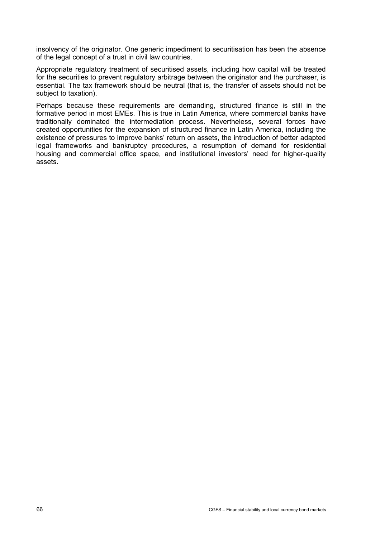insolvency of the originator. One generic impediment to securitisation has been the absence of the legal concept of a trust in civil law countries.

Appropriate regulatory treatment of securitised assets, including how capital will be treated for the securities to prevent regulatory arbitrage between the originator and the purchaser, is essential. The tax framework should be neutral (that is, the transfer of assets should not be subject to taxation).

Perhaps because these requirements are demanding, structured finance is still in the formative period in most EMEs. This is true in Latin America, where commercial banks have traditionally dominated the intermediation process. Nevertheless, several forces have created opportunities for the expansion of structured finance in Latin America, including the existence of pressures to improve banks' return on assets, the introduction of better adapted legal frameworks and bankruptcy procedures, a resumption of demand for residential housing and commercial office space, and institutional investors' need for higher-quality assets.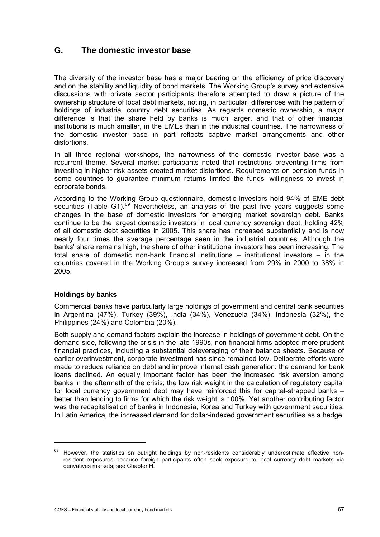# <span id="page-70-0"></span>**G. The domestic investor base**

The diversity of the investor base has a major bearing on the efficiency of price discovery and on the stability and liquidity of bond markets. The Working Group's survey and extensive discussions with private sector participants therefore attempted to draw a picture of the ownership structure of local debt markets, noting, in particular, differences with the pattern of holdings of industrial country debt securities. As regards domestic ownership, a major difference is that the share held by banks is much larger, and that of other financial institutions is much smaller, in the EMEs than in the industrial countries. The narrowness of the domestic investor base in part reflects captive market arrangements and other distortions.

In all three regional workshops, the narrowness of the domestic investor base was a recurrent theme. Several market participants noted that restrictions preventing firms from investing in higher-risk assets created market distortions. Requirements on pension funds in some countries to guarantee minimum returns limited the funds' willingness to invest in corporate bonds.

According to the Working Group questionnaire, domestic investors hold 94% of EME debt securities (Table G1).<sup>[69](#page-70-0)</sup> Nevertheless, an analysis of the past five years suggests some changes in the base of domestic investors for emerging market sovereign debt. Banks continue to be the largest domestic investors in local currency sovereign debt, holding 42% of all domestic debt securities in 2005. This share has increased substantially and is now nearly four times the average percentage seen in the industrial countries. Although the banks' share remains high, the share of other institutional investors has been increasing. The total share of domestic non-bank financial institutions – institutional investors – in the countries covered in the Working Group's survey increased from 29% in 2000 to 38% in 2005.

## **Holdings by banks**

-

Commercial banks have particularly large holdings of government and central bank securities in Argentina (47%), Turkey (39%), India (34%), Venezuela (34%), Indonesia (32%), the Philippines (24%) and Colombia (20%).

Both supply and demand factors explain the increase in holdings of government debt. On the demand side, following the crisis in the late 1990s, non-financial firms adopted more prudent financial practices, including a substantial deleveraging of their balance sheets. Because of earlier overinvestment, corporate investment has since remained low. Deliberate efforts were made to reduce reliance on debt and improve internal cash generation: the demand for bank loans declined. An equally important factor has been the increased risk aversion among banks in the aftermath of the crisis; the low risk weight in the calculation of regulatory capital for local currency government debt may have reinforced this for capital-strapped banks – better than lending to firms for which the risk weight is 100%. Yet another contributing factor was the recapitalisation of banks in Indonesia, Korea and Turkey with government securities. In Latin America, the increased demand for dollar-indexed government securities as a hedge

<sup>&</sup>lt;sup>69</sup> However, the statistics on outright holdings by non-residents considerably underestimate effective nonresident exposures because foreign participants often seek exposure to local currency debt markets via derivatives markets; see Chapter H.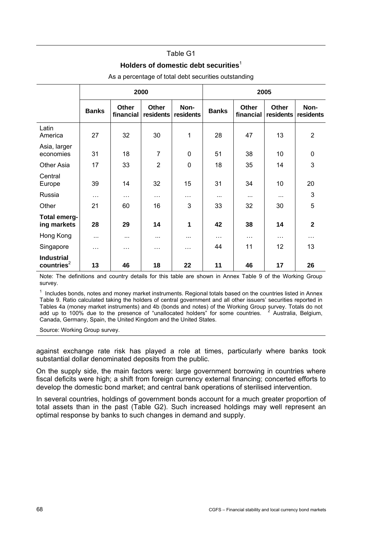### Table G1

## **Holders of domestic debt securities**<sup>1</sup>

|                                             |              |                    | 2000               |                   | 2005         |                           |                           |                   |  |
|---------------------------------------------|--------------|--------------------|--------------------|-------------------|--------------|---------------------------|---------------------------|-------------------|--|
|                                             | <b>Banks</b> | Other<br>financial | Other<br>residents | Non-<br>residents | <b>Banks</b> | <b>Other</b><br>financial | <b>Other</b><br>residents | Non-<br>residents |  |
| Latin<br>America                            | 27           | 32                 | 30                 | 1                 | 28           | 47                        | 13                        | $\overline{2}$    |  |
| Asia, larger<br>economies                   | 31           | 18                 | 7                  | 0                 | 51           | 38                        | 10                        | 0                 |  |
| <b>Other Asia</b>                           | 17           | 33                 | $\overline{2}$     | 0                 | 18           | 35                        | 14                        | 3                 |  |
| Central<br>Europe                           | 39           | 14                 | 32                 | 15                | 31           | 34                        | 10                        | 20                |  |
| Russia                                      | $\cdots$     | $\cdots$           | $\cdots$           | $\cdots$          | $\cdots$     | $\cdots$                  | $\cdots$                  | 3                 |  |
| Other                                       | 21           | 60                 | 16                 | 3                 | 33           | 32                        | 30                        | 5                 |  |
| Total emerg-<br>ing markets                 | 28           | 29                 | 14                 | 1                 | 42           | 38                        | 14                        | $\mathbf{2}$      |  |
| Hong Kong                                   | $\cdots$     | $\cdots$           | $\cdots$           |                   | $\cdots$     | $\ddotsc$                 | $\cdots$                  | .                 |  |
| Singapore                                   | $\cdots$     | $\cdots$           | $\cdots$           | $\cdots$          | 44           | 11                        | 12                        | 13                |  |
| <b>Industrial</b><br>countries <sup>2</sup> | 13           | 46                 | 18                 | 22                | 11           | 46                        | 17                        | 26                |  |

As a percentage of total debt securities outstanding

Note: The definitions and country details for this table are shown in Annex Table 9 of the Working Group survey.

 $1$  Includes bonds, notes and money market instruments. Regional totals based on the countries listed in Annex Table 9. Ratio calculated taking the holders of central government and all other issuers' securities reported in Tables 4a (money market instruments) and 4b (bonds and notes) of the Working Group survey. Totals do not add up to 100% due to the presence of "unallocated holders" for some countries. <sup>2</sup> <sup>2</sup> Australia, Belgium, Canada, Germany, Spain, the United Kingdom and the United States.

Source: Working Group survey.

against exchange rate risk has played a role at times, particularly where banks took substantial dollar denominated deposits from the public.

On the supply side, the main factors were: large government borrowing in countries where fiscal deficits were high; a shift from foreign currency external financing; concerted efforts to develop the domestic bond market; and central bank operations of sterilised intervention.

In several countries, holdings of government bonds account for a much greater proportion of total assets than in the past (Table G2). Such increased holdings may well represent an optimal response by banks to such changes in demand and supply.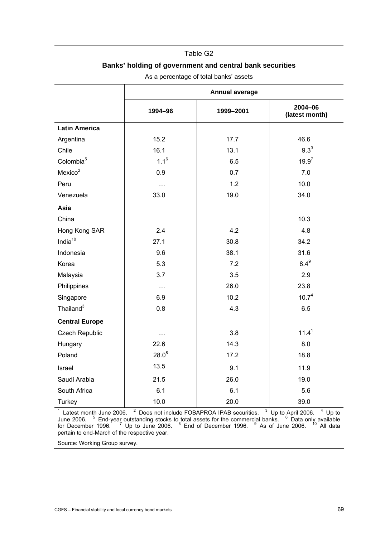#### Table G2

## **Banks' holding of government and central bank securities**

|                       | <b>Annual average</b> |           |                           |  |  |  |  |
|-----------------------|-----------------------|-----------|---------------------------|--|--|--|--|
|                       | 1994-96               | 1999-2001 | 2004-06<br>(latest month) |  |  |  |  |
| <b>Latin America</b>  |                       |           |                           |  |  |  |  |
| Argentina             | 15.2                  | 17.7      | 46.6                      |  |  |  |  |
| Chile                 | 16.1                  | 13.1      | $9.3^{3}$                 |  |  |  |  |
| Colombia <sup>5</sup> | $1.1^6$               | 6.5       | 19.9 <sup>7</sup>         |  |  |  |  |
| Mexico <sup>2</sup>   | 0.9                   | 0.7       | 7.0                       |  |  |  |  |
| Peru                  | .                     | 1.2       | 10.0                      |  |  |  |  |
| Venezuela             | 33.0                  | 19.0      | 34.0                      |  |  |  |  |
| Asia                  |                       |           |                           |  |  |  |  |
| China                 |                       |           | 10.3                      |  |  |  |  |
| Hong Kong SAR         | 2.4                   | 4.2       | 4.8                       |  |  |  |  |
| India $10$            | 27.1                  | 30.8      | 34.2                      |  |  |  |  |
| Indonesia             | 9.6                   | 38.1      | 31.6                      |  |  |  |  |
| Korea                 | 5.3                   | 7.2       | $8.4^9$                   |  |  |  |  |
| Malaysia              | 3.7                   | 3.5       | 2.9                       |  |  |  |  |
| Philippines           | $\cdots$              | 26.0      | 23.8                      |  |  |  |  |
| Singapore             | 6.9                   | 10.2      | 10.7 <sup>4</sup>         |  |  |  |  |
| Thailand <sup>3</sup> | 0.8                   | 4.3       | 6.5                       |  |  |  |  |
| <b>Central Europe</b> |                       |           |                           |  |  |  |  |
| <b>Czech Republic</b> | .                     | 3.8       | 11.4 <sup>1</sup>         |  |  |  |  |
| Hungary               | 22.6                  | 14.3      | 8.0                       |  |  |  |  |
| Poland                | $28.0^{8}$            | 17.2      | 18.8                      |  |  |  |  |
| Israel                | 13.5                  | 9.1       | 11.9                      |  |  |  |  |
| Saudi Arabia          | 21.5                  | 26.0      | 19.0                      |  |  |  |  |
| South Africa          | 6.1                   | 6.1       | 5.6                       |  |  |  |  |
| Turkey                | 10.0                  | 20.0      | 39.0                      |  |  |  |  |

As a percentage of total banks' assets

<sup>1</sup> Latest month June 2006.  $2$  Does not include FOBAPROA IPAB securities.  $3$  Up to April 2006.  $4$  Up to June 2006. <sup>5</sup> End-year outstanding stocks to total assets for the commercial banks. <sup>6</sup> Data only available for December 1996.  $\frac{7}{1}$  Up to June 2006.  $\frac{8}{10}$  End of December 1996.  $\frac{9}{10}$  As of June 2006.  $\frac{10}{10}$  All data pertain to end-March of the respective year.

Source: Working Group survey.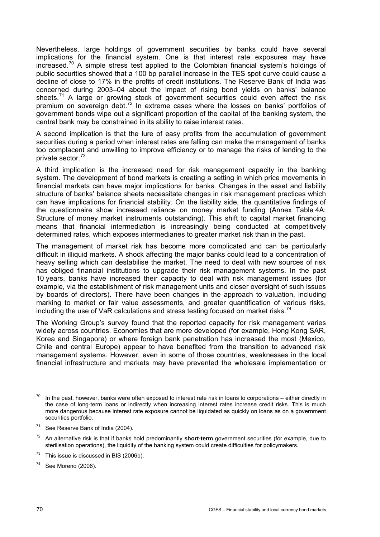<span id="page-73-0"></span>Nevertheless, large holdings of government securities by banks could have several implications for the financial system. One is that interest rate exposures may have increased.<sup>[70](#page-73-0)</sup> A simple stress test applied to the Colombian financial system's holdings of public securities showed that a 100 bp parallel increase in the TES spot curve could cause a decline of close to 17% in the profits of credit institutions. The Reserve Bank of India was concerned during 2003–04 about the impact of rising bond yields on banks' balance sheets.<sup>[71](#page-73-0)</sup> A large or growing stock of government securities could even affect the risk premium on sovereign debt. $72$  In extreme cases where the losses on banks' portfolios of government bonds wipe out a significant proportion of the capital of the banking system, the central bank may be constrained in its ability to raise interest rates.

A second implication is that the lure of easy profits from the accumulation of government securities during a period when interest rates are falling can make the management of banks too complacent and unwilling to improve efficiency or to manage the risks of lending to the private sector.<sup>[7](#page-73-0)3</sup>

A third implication is the increased need for risk management capacity in the banking system. The development of bond markets is creating a setting in which price movements in financial markets can have major implications for banks. Changes in the asset and liability structure of banks' balance sheets necessitate changes in risk management practices which can have implications for financial stability. On the liability side, the quantitative findings of the questionnaire show increased reliance on money market funding (Annex Table 4A: Structure of money market instruments outstanding). This shift to capital market financing means that financial intermediation is increasingly being conducted at competitively determined rates, which exposes intermediaries to greater market risk than in the past.

The management of market risk has become more complicated and can be particularly difficult in illiquid markets. A shock affecting the major banks could lead to a concentration of heavy selling which can destabilise the market. The need to deal with new sources of risk has obliged financial institutions to upgrade their risk management systems. In the past 10 years, banks have increased their capacity to deal with risk management issues (for example, via the establishment of risk management units and closer oversight of such issues by boards of directors). There have been changes in the approach to valuation, including marking to market or fair value assessments, and greater quantification of various risks, including the use of VaR calculations and stress testing focused on market risks.<sup>[7](#page-73-0)4</sup>

The Working Group's survey found that the reported capacity for risk management varies widely across countries. Economies that are more developed (for example, Hong Kong SAR, Korea and Singapore) or where foreign bank penetration has increased the most (Mexico, Chile and central Europe) appear to have benefited from the transition to advanced risk management systems. However, even in some of those countries, weaknesses in the local financial infrastructure and markets may have prevented the wholesale implementation or

 $\overline{a}$ 

In the past, however, banks were often exposed to interest rate risk in loans to corporations – either directly in the case of long-term loans or indirectly when increasing interest rates increase credit risks. This is much more dangerous because interest rate exposure cannot be liquidated as quickly on loans as on a government securities portfolio.

 $71$  See Reserve Bank of India (2004).

<sup>72</sup> An alternative risk is that if banks hold predominantly **short-term** government securities (for example, due to sterilisation operations), the liquidity of the banking system could create difficulties for policymakers.

 $73$  This issue is discussed in BIS (2006b).

 $74$  See Moreno (2006).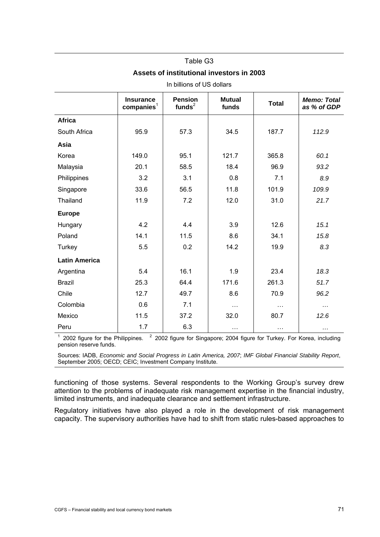| In billions of US dollars |                                            |                             |                        |              |                                   |  |  |  |  |
|---------------------------|--------------------------------------------|-----------------------------|------------------------|--------------|-----------------------------------|--|--|--|--|
|                           | <b>Insurance</b><br>comparies <sup>1</sup> | <b>Pension</b><br>funds $2$ | <b>Mutual</b><br>funds | <b>Total</b> | <b>Memo: Total</b><br>as % of GDP |  |  |  |  |
| <b>Africa</b>             |                                            |                             |                        |              |                                   |  |  |  |  |
| South Africa              | 95.9                                       | 57.3                        | 34.5                   | 187.7        | 112.9                             |  |  |  |  |
| Asia                      |                                            |                             |                        |              |                                   |  |  |  |  |
| Korea                     | 149.0                                      | 95.1                        | 121.7                  | 365.8        | 60.1                              |  |  |  |  |
| Malaysia                  | 20.1                                       | 58.5                        | 18.4                   | 96.9         | 93.2                              |  |  |  |  |
| Philippines               | 3.2                                        | 3.1                         | 0.8                    | 7.1          | 8.9                               |  |  |  |  |
| Singapore                 | 33.6                                       | 56.5                        | 11.8                   | 101.9        | 109.9                             |  |  |  |  |
| Thailand                  | 11.9                                       | 7.2                         | 12.0                   | 31.0         | 21.7                              |  |  |  |  |
| <b>Europe</b>             |                                            |                             |                        |              |                                   |  |  |  |  |
| Hungary                   | 4.2                                        | 4.4                         | 3.9                    | 12.6         | 15.1                              |  |  |  |  |
| Poland                    | 14.1                                       | 11.5                        | 8.6                    | 34.1         | 15.8                              |  |  |  |  |
| Turkey                    | 5.5                                        | 0.2                         | 14.2                   | 19.9         | 8.3                               |  |  |  |  |
| <b>Latin America</b>      |                                            |                             |                        |              |                                   |  |  |  |  |
| Argentina                 | 5.4                                        | 16.1                        | 1.9                    | 23.4         | 18.3                              |  |  |  |  |
| <b>Brazil</b>             | 25.3                                       | 64.4                        | 171.6                  | 261.3        | 51.7                              |  |  |  |  |
| Chile                     | 12.7                                       | 49.7                        | 8.6                    | 70.9         | 96.2                              |  |  |  |  |
| Colombia                  | 0.6                                        | 7.1                         | $\cdots$               | $\cdots$     | $\cdots$                          |  |  |  |  |
| Mexico                    | 11.5                                       | 37.2                        | 32.0                   | 80.7         | 12.6                              |  |  |  |  |
| Peru                      | 1.7                                        | 6.3                         | $\ddotsc$              | $\cdots$     | $\cdots$                          |  |  |  |  |

# Table G3 **Assets of institutional investors in 2003**

 $1$  2002 figure for the Philippines.  $2$  2002 figure for Singapore; 2004 figure for Turkey. For Korea, including pension reserve funds.

Sources: IADB, *Economic and Social Progress in Latin America, 2007*; *IMF Global Financial Stability Report*, September 2005; OECD; CEIC; Investment Company Institute.

functioning of those systems. Several respondents to the Working Group's survey drew attention to the problems of inadequate risk management expertise in the financial industry, limited instruments, and inadequate clearance and settlement infrastructure.

Regulatory initiatives have also played a role in the development of risk management capacity. The supervisory authorities have had to shift from static rules-based approaches to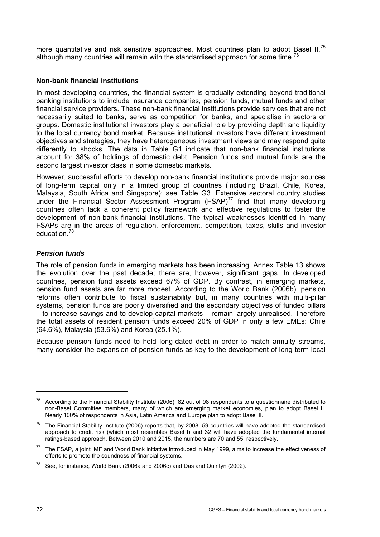<span id="page-75-0"></span>more quantitative and risk sensitive approaches. Most countries plan to adopt Basel II,<sup>[7](#page-75-0)5</sup> although many countries will remain with the standardised approach for some time.<sup>[76](#page-75-0)</sup>

# **Non-bank financial institutions**

In most developing countries, the financial system is gradually extending beyond traditional banking institutions to include insurance companies, pension funds, mutual funds and other financial service providers. These non-bank financial institutions provide services that are not necessarily suited to banks, serve as competition for banks, and specialise in sectors or groups. Domestic institutional investors play a beneficial role by providing depth and liquidity to the local currency bond market. Because institutional investors have different investment objectives and strategies, they have heterogeneous investment views and may respond quite differently to shocks. The data in Table G1 indicate that non-bank financial institutions account for 38% of holdings of domestic debt. Pension funds and mutual funds are the second largest investor class in some domestic markets.

However, successful efforts to develop non-bank financial institutions provide major sources of long-term capital only in a limited group of countries (including Brazil, Chile, Korea, Malaysia, South Africa and Singapore): see Table G3. Ext[en](#page-75-0)sive sectoral country studies under the Financial Sector Assessment Program  $(FSAP)^{77}$  find that many developing countries often lack a coherent policy framework and effective regulations to foster the development of non-bank financial institutions. The typical weaknesses identified in many FSAPs ar[e](#page-75-0) in the areas of regulation, enforcement, competition, taxes, skills and investor education.<sup>78</sup>

# *Pension funds*

The role of pension funds in emerging markets has been increasing. Annex Table 13 shows the evolution over the past decade; there are, however, significant gaps. In developed countries, pension fund assets exceed 67% of GDP. By contrast, in emerging markets, pension fund assets are far more modest. According to the World Bank (2006b), pension reforms often contribute to fiscal sustainability but, in many countries with multi-pillar systems, pension funds are poorly diversified and the secondary objectives of funded pillars – to increase savings and to develop capital markets – remain largely unrealised. Therefore the total assets of resident pension funds exceed 20% of GDP in only a few EMEs: Chile (64.6%), Malaysia (53.6%) and Korea (25.1%).

Because pension funds need to hold long-dated debt in order to match annuity streams, many consider the expansion of pension funds as key to the development of long-term local

 $\overline{a}$ 

 $75$  According to the Financial Stability Institute (2006), 82 out of 98 respondents to a questionnaire distributed to non-Basel Committee members, many of which are emerging market economies, plan to adopt Basel II. Nearly 100% of respondents in Asia, Latin America and Europe plan to adopt Basel II.

 $76$  The Financial Stability Institute (2006) reports that, by 2008, 59 countries will have adopted the standardised approach to credit risk (which most resembles Basel I) and 32 will have adopted the fundamental internal ratings-based approach. Between 2010 and 2015, the numbers are 70 and 55, respectively.

 $77$  The FSAP, a joint IMF and World Bank initiative introduced in May 1999, aims to increase the effectiveness of efforts to promote the soundness of financial systems.

<sup>78</sup> See, for instance, World Bank (2006a and 2006c) and Das and Quintyn (2002).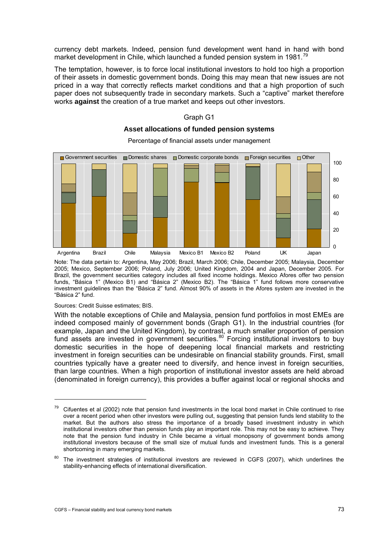<span id="page-76-0"></span>currency debt markets. Indeed, pension fund development went hand in hand with bond market development in Chile, which launched a funded pension system in 1981.<sup>[7](#page-76-0)9</sup>

The temptation, however, is to force local institutional investors to hold too high a proportion of their assets in domestic government bonds. Doing this may mean that new issues are not priced in a way that correctly reflects market conditions and that a high proportion of such paper does not subsequently trade in secondary markets. Such a "captive" market therefore works **against** the creation of a true market and keeps out other investors.



**Asset allocations of funded pension systems** 

Graph G1

Note: The data pertain to: Argentina, May 2006; Brazil, March 2006; Chile, December 2005; Malaysia, December 2005; Mexico, September 2006; Poland, July 2006; United Kingdom, 2004 and Japan, December 2005. For Brazil, the government securities category includes all fixed income holdings. Mexico Afores offer two pension funds, "Básica 1" (Mexico B1) and "Básica 2" (Mexico B2). The "Básica 1" fund follows more conservative investment guidelines than the "Básica 2" fund. Almost 90% of assets in the Afores system are invested in the "Básica 2" fund.

Sources: Credit Suisse estimates; BIS.

j

With the notable exceptions of Chile and Malaysia, pension fund portfolios in most EMEs are indeed composed mainly of government bonds (Graph G1). In the industrial countries (for example, Japan and the United Kingdom), by contrast, a much smaller proportion of pension fund assets are invested in government securities.<sup>[8](#page-76-0)0</sup> Forcing institutional investors to buy domestic securities in the hope of deepening local financial markets and restricting investment in foreign securities can be undesirable on financial stability grounds. First, small countries typically have a greater need to diversify, and hence invest in foreign securities, than large countries. When a high proportion of institutional investor assets are held abroad (denominated in foreign currency), this provides a buffer against local or regional shocks and

 $79$  Cifuentes et al (2002) note that pension fund investments in the local bond market in Chile continued to rise over a recent period when other investors were pulling out, suggesting that pension funds lend stability to the market. But the authors also stress the importance of a broadly based investment industry in which institutional investors other than pension funds play an important role. This may not be easy to achieve. They note that the pension fund industry in Chile became a virtual monopsony of government bonds among institutional investors because of the small size of mutual funds and investment funds. This is a general shortcoming in many emerging markets.

<sup>&</sup>lt;sup>80</sup> The investment strategies of institutional investors are reviewed in CGFS (2007), which underlines the stability-enhancing effects of international diversification.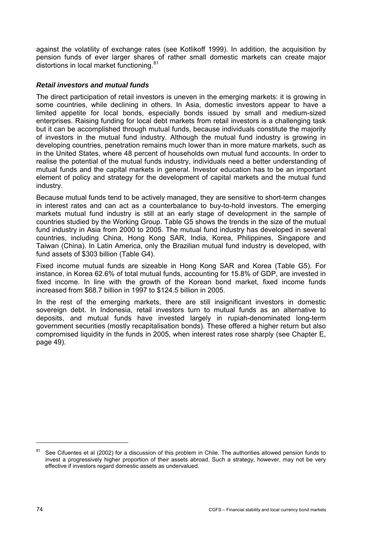<span id="page-77-0"></span>against the volatility of exchange rates (see Kotlikoff 1999). In addition, the acquisition by pension funds of ever larger shares of rather small domestic markets can create major distortions in local market functioning. $81$  $81$ 

## *Retail investors and mutual funds*

The direct participation of retail investors is uneven in the emerging markets: it is growing in some countries, while declining in others. In Asia, domestic investors appear to have a limited appetite for local bonds, especially bonds issued by small and medium-sized enterprises. Raising funding for local debt markets from retail investors is a challenging task but it can be accomplished through mutual funds, because individuals constitute the majority of investors in the mutual fund industry. Although the mutual fund industry is growing in developing countries, penetration remains much lower than in more mature markets, such as in the United States, where 48 percent of households own mutual fund accounts. In order to realise the potential of the mutual funds industry, individuals need a better understanding of mutual funds and the capital markets in general. Investor education has to be an important element of policy and strategy for the development of capital markets and the mutual fund industry.

Because mutual funds tend to be actively managed, they are sensitive to short-term changes in interest rates and can act as a counterbalance to buy-to-hold investors. The emerging markets mutual fund industry is still at an early stage of development in the sample of countries studied by the Working Group. Table G5 shows the trends in the size of the mutual fund industry in Asia from 2000 to 2005. The mutual fund industry has developed in several countries, including China, Hong Kong SAR, India, Korea, Philippines, Singapore and Taiwan (China). In Latin America, only the Brazilian mutual fund industry is developed, with fund assets of \$303 billion (Table G4).

Fixed income mutual funds are sizeable in Hong Kong SAR and Korea (Table G5). For instance, in Korea 62.6% of total mutual funds, accounting for 15.8% of GDP, are invested in fixed income. In line with the growth of the Korean bond market, fixed income funds increased from \$68.7 billion in 1997 to \$124.5 billion in 2005.

In the rest of the emerging markets, there are still insignificant investors in domestic sovereign debt. In Indonesia, retail investors turn to mutual funds as an alternative to deposits, and mutual funds have invested largely in rupiah-denominated long-term government securities (mostly recapitalisation bonds). These offered a higher return but also compromised liquidity in the funds in 2005, when interest rates rose sharply (see Chapter E, page 49).

-

<sup>&</sup>lt;sup>81</sup> See Cifuentes et al (2002) for a discussion of this problem in Chile. The authorities allowed pension funds to invest a progressively higher proportion of their assets abroad. Such a strategy, however, may not be very effective if investors regard domestic assets as undervalued.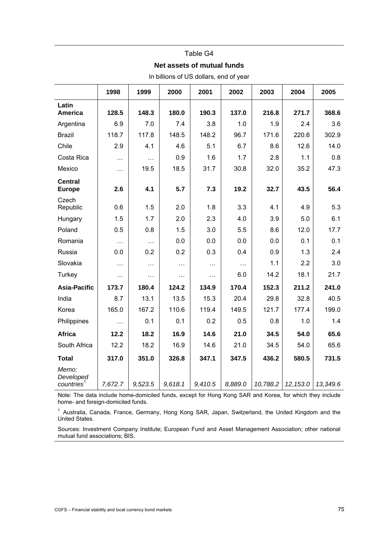#### Table G4

#### **Net assets of mutual funds**

|                                              | 1998     | 1999      | 2000     | 2001     | 2002     | 2003     | 2004     | 2005     |
|----------------------------------------------|----------|-----------|----------|----------|----------|----------|----------|----------|
| Latin<br><b>America</b>                      | 128.5    | 148.3     | 180.0    | 190.3    | 137.0    | 216.8    | 271.7    | 368.6    |
| Argentina                                    | 6.9      | 7.0       | 7.4      | 3.8      | 1.0      | 1.9      | 2.4      | 3.6      |
| <b>Brazil</b>                                | 118.7    | 117.8     | 148.5    | 148.2    | 96.7     | 171.6    | 220.6    | 302.9    |
| Chile                                        | 2.9      | 4.1       | 4.6      | 5.1      | 6.7      | 8.6      | 12.6     | 14.0     |
| Costa Rica                                   | .        | $\cdots$  | 0.9      | 1.6      | 1.7      | 2.8      | 1.1      | 0.8      |
| Mexico                                       | $\cdots$ | 19.5      | 18.5     | 31.7     | 30.8     | 32.0     | 35.2     | 47.3     |
| <b>Central</b><br><b>Europe</b>              | 2.6      | 4.1       | 5.7      | 7.3      | 19.2     | 32.7     | 43.5     | 56.4     |
| Czech<br>Republic                            | 0.6      | 1.5       | 2.0      | 1.8      | 3.3      | 4.1      | 4.9      | 5.3      |
| Hungary                                      | 1.5      | 1.7       | 2.0      | 2.3      | 4.0      | 3.9      | 5.0      | 6.1      |
| Poland                                       | 0.5      | 0.8       | 1.5      | 3.0      | 5.5      | 8.6      | 12.0     | 17.7     |
| Romania                                      | $\cdots$ | $\ddotsc$ | 0.0      | 0.0      | 0.0      | 0.0      | 0.1      | 0.1      |
| Russia                                       | 0.0      | 0.2       | 0.2      | 0.3      | 0.4      | 0.9      | 1.3      | 2.4      |
| Slovakia                                     | .        | $\cdots$  | $\cdots$ | $\cdots$ | $\cdots$ | 1.1      | 2.2      | 3.0      |
| Turkey                                       | .        | $\cdots$  | $\cdots$ | .        | 6.0      | 14.2     | 18.1     | 21.7     |
| <b>Asia-Pacific</b>                          | 173.7    | 180.4     | 124.2    | 134.9    | 170.4    | 152.3    | 211.2    | 241.0    |
| India                                        | 8.7      | 13.1      | 13.5     | 15.3     | 20.4     | 29.8     | 32.8     | 40.5     |
| Korea                                        | 165.0    | 167.2     | 110.6    | 119.4    | 149.5    | 121.7    | 177.4    | 199.0    |
| Philippines                                  | $\cdots$ | 0.1       | 0.1      | 0.2      | 0.5      | 0.8      | 1.0      | 1.4      |
| <b>Africa</b>                                | 12.2     | 18.2      | 16.9     | 14.6     | 21.0     | 34.5     | 54.0     | 65.6     |
| South Africa                                 | 12.2     | 18.2      | 16.9     | 14.6     | 21.0     | 34.5     | 54.0     | 65.6     |
| <b>Total</b>                                 | 317.0    | 351.0     | 326.8    | 347.1    | 347.5    | 436.2    | 580.5    | 731.5    |
| Memo:<br>Developed<br>countries <sup>1</sup> | 7,672.7  | 9,523.5   | 9,618.1  | 9,410.5  | 8,889.0  | 10,788.2 | 12,153.0 | 13,349.6 |

In billions of US dollars, end of year

Note: The data include home-domiciled funds, except for Hong Kong SAR and Korea, for which they include home- and foreign-domiciled funds.

<sup>1</sup> Australia, Canada, France, Germany, Hong Kong SAR, Japan, Switzerland, the United Kingdom and the United States.

Sources: Investment Company Institute; European Fund and Asset Management Association; other national mutual fund associations; BIS.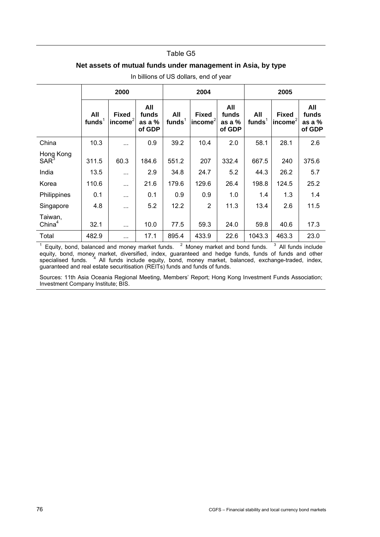#### Table G5

## **Net assets of mutual funds under management in Asia, by type**

|                               | 2000             |                              |                                  |                   | 2004                                |                                  | 2005             |                                        |                                    |
|-------------------------------|------------------|------------------------------|----------------------------------|-------------------|-------------------------------------|----------------------------------|------------------|----------------------------------------|------------------------------------|
|                               | All<br>funds $1$ | <b>Fixed</b><br>$ income^2 $ | All<br>funds<br>as a %<br>of GDP | All<br>funds $^1$ | <b>Fixed</b><br>$ $ income ${}^{2}$ | All<br>funds<br>as a %<br>of GDP | All<br>funds $1$ | <b>Fixed</b><br>$  \mathsf{income}^2 $ | All<br>funds<br>as a $%$<br>of GDP |
| China                         | 10.3             | $\cdots$                     | 0.9                              | 39.2              | 10.4                                | 2.0                              | 58.1             | 28.1                                   | 2.6                                |
| Hong Kong<br>SAR <sup>3</sup> | 311.5            | 60.3                         | 184.6                            | 551.2             | 207                                 | 332.4                            | 667.5            | 240                                    | 375.6                              |
| India                         | 13.5             | $\cdots$                     | 2.9                              | 34.8              | 24.7                                | 5.2                              | 44.3             | 26.2                                   | 5.7                                |
| Korea                         | 110.6            | $\cdots$                     | 21.6                             | 179.6             | 129.6                               | 26.4                             | 198.8            | 124.5                                  | 25.2                               |
| Philippines                   | 0.1              | $\ddotsc$                    | 0.1                              | 0.9               | 0.9                                 | 1.0                              | 1.4              | 1.3                                    | 1.4                                |
| Singapore                     | 4.8              | $\cdots$                     | 5.2                              | 12.2              | $\overline{2}$                      | 11.3                             | 13.4             | 2.6                                    | 11.5                               |
| Taiwan,<br>China <sup>4</sup> | 32.1             | $\cdots$                     | 10.0                             | 77.5              | 59.3                                | 24.0                             | 59.8             | 40.6                                   | 17.3                               |
| Total                         | 482.9            | $\cdots$                     | 17.1                             | 895.4             | 433.9                               | 22.6                             | 1043.3           | 463.3                                  | 23.0                               |

In billions of US dollars, end of year

<sup>1</sup> Equity, bond, balanced and money market funds.  $2$  Money market and bond funds.  $3$  All funds include equity, bond, money market, diversified, index, guaranteed and hedge funds, funds of funds and other specialised funds. <sup>4</sup> All funds include equity, bond, money market, balanced, exchange-traded, index, guaranteed and real estate securitisation (REITs) funds and funds of funds.

Sources: 11th Asia Oceania Regional Meeting, Members' Report; Hong Kong Investment Funds Association; Investment Company Institute; BIS.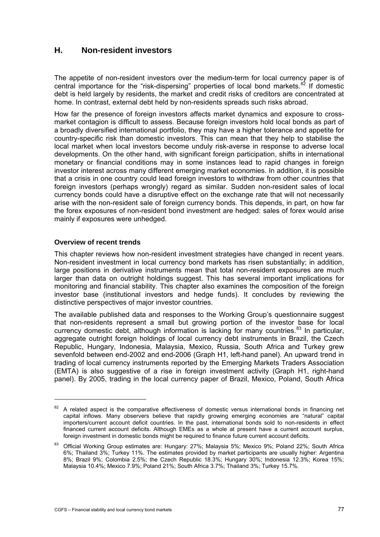# <span id="page-80-0"></span>**H. Non-resident investors**

The appetite of non-resident investors over the medium-term for local currency paper is of central importance for the "risk-dispersing" properties of local bond markets.<sup>[82](#page-80-0)</sup> If domestic debt is held largely by residents, the market and credit risks of creditors are concentrated at home. In contrast, external debt held by non-residents spreads such risks abroad.

How far the presence of foreign investors affects market dynamics and exposure to crossmarket contagion is difficult to assess. Because foreign investors hold local bonds as part of a broadly diversified international portfolio, they may have a higher tolerance and appetite for country-specific risk than domestic investors. This can mean that they help to stabilise the local market when local investors become unduly risk-averse in response to adverse local developments. On the other hand, with significant foreign participation, shifts in international monetary or financial conditions may in some instances lead to rapid changes in foreign investor interest across many different emerging market economies. In addition, it is possible that a crisis in one country could lead foreign investors to withdraw from other countries that foreign investors (perhaps wrongly) regard as similar. Sudden non-resident sales of local currency bonds could have a disruptive effect on the exchange rate that will not necessarily arise with the non-resident sale of foreign currency bonds. This depends, in part, on how far the forex exposures of non-resident bond investment are hedged: sales of forex would arise mainly if exposures were unhedged.

## **Overview of recent trends**

j

This chapter reviews how non-resident investment strategies have changed in recent years. Non-resident investment in local currency bond markets has risen substantially; in addition, large positions in derivative instruments mean that total non-resident exposures are much larger than data on outright holdings suggest. This has several important implications for monitoring and financial stability. This chapter also examines the composition of the foreign investor base (institutional investors and hedge funds). It concludes by reviewing the distinctive perspectives of major investor countries.

The available published data and responses to the Working Group's questionnaire suggest that non-residents represent a small but growing portion of the investor base for local currency domestic debt, although information is lacking for many countries.<sup>[8](#page-80-0)3</sup> In particular, aggregate outright foreign holdings of local currency debt instruments in Brazil, the Czech Republic, Hungary, Indonesia, Malaysia, Mexico, Russia, South Africa and Turkey grew sevenfold between end-2002 and end-2006 (Graph H1, left-hand panel). An upward trend in trading of local currency instruments reported by the Emerging Markets Traders Association (EMTA) is also suggestive of a rise in foreign investment activity (Graph H1, right-hand panel). By 2005, trading in the local currency paper of Brazil, Mexico, Poland, South Africa

<sup>&</sup>lt;sup>82</sup> A related aspect is the comparative effectiveness of domestic versus international bonds in financing net capital inflows. Many observers believe that rapidly growing emerging economies are "natural" capital importers/current account deficit countries. In the past, international bonds sold to non-residents in effect financed current account deficits. Although EMEs as a whole at present have a current account surplus, foreign investment in domestic bonds might be required to finance future current account deficits.

<sup>83</sup> Official Working Group estimates are: Hungary: 27%; Malaysia 5%; Mexico 9%; Poland 22%; South Africa 6%; Thailand 3%; Turkey 11%. The estimates provided by market participants are usually higher: Argentina 8%; Brazil 9%; Colombia 2.5%; the Czech Republic 18.3%; Hungary 30%; Indonesia 12.3%; Korea 15%; Malaysia 10.4%; Mexico 7.9%; Poland 21%; South Africa 3.7%; Thailand 3%; Turkey 15.7%.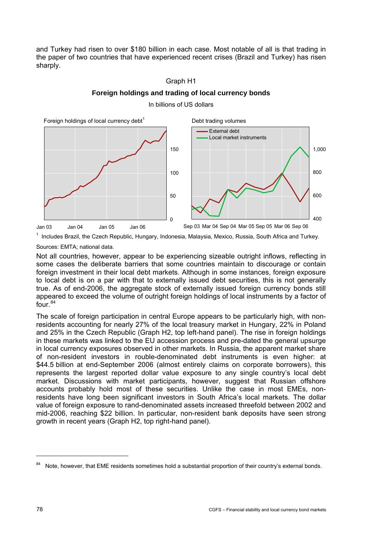<span id="page-81-0"></span>and Turkey had risen to over \$180 billion in each case. Most notable of all is that trading in the paper of two countries that have experienced recent crises (Brazil and Turkey) has risen sharply.

## Graph H1



**Foreign holdings and trading of local currency bonds**  In billions of US dollars

<sup>1</sup> Includes Brazil, the Czech Republic, Hungary, Indonesia, Malaysia, Mexico, Russia, South Africa and Turkey.

Sources: EMTA; national data.

Not all countries, however, appear to be experiencing sizeable outright inflows, reflecting in some cases the deliberate barriers that some countries maintain to discourage or contain foreign investment in their local debt markets. Although in some instances, foreign exposure to local debt is on a par with that to externally issued debt securities, this is not generally true. As of end-2006, the aggregate stock of externally issued foreign currency bonds still appeared to exceed the volume of outright foreign holdings of local instruments by a factor of  $f$ our.<sup>[8](#page-81-0)4</sup>

The scale of foreign participation in central Europe appears to be particularly high, with nonresidents accounting for nearly 27% of the local treasury market in Hungary, 22% in Poland and 25% in the Czech Republic (Graph H2, top left-hand panel). The rise in foreign holdings in these markets was linked to the EU accession process and pre-dated the general upsurge in local currency exposures observed in other markets. In Russia, the apparent market share of non-resident investors in rouble-denominated debt instruments is even higher: at \$44.5 billion at end-September 2006 (almost entirely claims on corporate borrowers), this represents the largest reported dollar value exposure to any single country's local debt market. Discussions with market participants, however, suggest that Russian offshore accounts probably hold most of these securities. Unlike the case in most EMEs, nonresidents have long been significant investors in South Africa's local markets. The dollar value of foreign exposure to rand-denominated assets increased threefold between 2002 and mid-2006, reaching \$22 billion. In particular, non-resident bank deposits have seen strong growth in recent years (Graph H2, top right-hand panel).

 $\overline{a}$ 

<sup>&</sup>lt;sup>84</sup> Note, however, that EME residents sometimes hold a substantial proportion of their country's external bonds.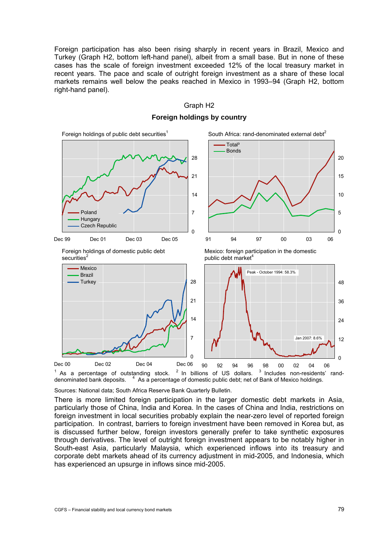Foreign participation has also been rising sharply in recent years in Brazil, Mexico and Turkey (Graph H2, bottom left-hand panel), albeit from a small base. But in none of these cases has the scale of foreign investment exceeded 12% of the local treasury market in recent years. The pace and scale of outright foreign investment as a share of these local markets remains well below the peaks reached in Mexico in 1993–94 (Graph H2, bottom right-hand panel).

## Graph H2

Foreign holdings of public debt securities $<sup>1</sup>$ </sup> South Africa: rand-denominated external debt $2^2$ 0 7 14 21 28 Dec 99 Dec 01 Dec 03 Dec 05 Poland **Hungary** Czech Republic 0 5 10 15 20 91 94 97 00 03 06 Total<sup>3</sup> Bonds Foreign holdings of domestic public debt Mexico: foreign participation in the domestic securities $2$ public debt market<sup>4</sup>  $\Omega$ 7 14 21 28 Dec 00 Dec 02 Dec 04 Dec 06 Mexico Brazil **Turkey** 0 12 24 36 48 90 92 94 96 98 00 02 04 06 Peak - October 1994: 58.3% Jan 2007: 8.6%

# **Foreign holdings by country**

 $1$  As a percentage of outstanding stock.  $2$ In billions of US dollars.  $3$  Includes non-residents' randdenominated bank deposits. <sup>4</sup> <sup>4</sup> As a percentage of domestic public debt; net of Bank of Mexico holdings.

Sources: National data; South Africa Reserve Bank Quarterly Bulletin.

There is more limited foreign participation in the larger domestic debt markets in Asia, particularly those of China, India and Korea. In the cases of China and India, restrictions on foreign investment in local securities probably explain the near-zero level of reported foreign participation. In contrast, barriers to foreign investment have been removed in Korea but, as is discussed further below, foreign investors generally prefer to take synthetic exposures through derivatives. The level of outright foreign investment appears to be notably higher in South-east Asia, particularly Malaysia, which experienced inflows into its treasury and corporate debt markets ahead of its currency adjustment in mid-2005, and Indonesia, which has experienced an upsurge in inflows since mid-2005.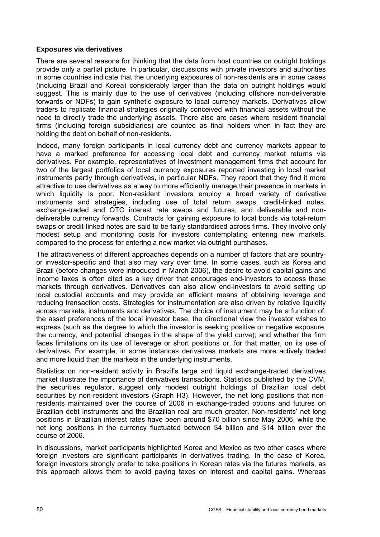## **Exposures via derivatives**

There are several reasons for thinking that the data from host countries on outright holdings provide only a partial picture. In particular, discussions with private investors and authorities in some countries indicate that the underlying exposures of non-residents are in some cases (including Brazil and Korea) considerably larger than the data on outright holdings would suggest. This is mainly due to the use of derivatives (including offshore non-deliverable forwards or NDFs) to gain synthetic exposure to local currency markets. Derivatives allow traders to replicate financial strategies originally conceived with financial assets without the need to directly trade the underlying assets. There also are cases where resident financial firms (including foreign subsidiaries) are counted as final holders when in fact they are holding the debt on behalf of non-residents.

Indeed, many foreign participants in local currency debt and currency markets appear to have a marked preference for accessing local debt and currency market returns via derivatives. For example, representatives of investment management firms that account for two of the largest portfolios of local currency exposures reported investing in local market instruments partly through derivatives, in particular NDFs. They report that they find it more attractive to use derivatives as a way to more efficiently manage their presence in markets in which liquidity is poor. Non-resident investors employ a broad variety of derivative instruments and strategies, including use of total return swaps, credit-linked notes, exchange-traded and OTC interest rate swaps and futures, and deliverable and nondeliverable currency forwards. Contracts for gaining exposure to local bonds via total-return swaps or credit-linked notes are said to be fairly standardised across firms. They involve only modest setup and monitoring costs for investors contemplating entering new markets, compared to the process for entering a new market via outright purchases.

The attractiveness of different approaches depends on a number of factors that are countryor investor-specific and that also may vary over time. In some cases, such as Korea and Brazil (before changes were introduced in March 2006), the desire to avoid capital gains and income taxes is often cited as a key driver that encourages end-investors to access these markets through derivatives. Derivatives can also allow end-investors to avoid setting up local custodial accounts and may provide an efficient means of obtaining leverage and reducing transaction costs. Strategies for instrumentation are also driven by relative liquidity across markets, instruments and derivatives. The choice of instrument may be a function of: the asset preferences of the local investor base; the directional view the investor wishes to express (such as the degree to which the investor is seeking positive or negative exposure, the currency, and potential changes in the shape of the yield curve); and whether the firm faces limitations on its use of leverage or short positions or, for that matter, on its use of derivatives. For example, in some instances derivatives markets are more actively traded and more liquid than the markets in the underlying instruments.

Statistics on non-resident activity in Brazil's large and liquid exchange-traded derivatives market illustrate the importance of derivatives transactions. Statistics published by the CVM, the securities regulator, suggest only modest outright holdings of Brazilian local debt securities by non-resident investors (Graph H3). However, the net long positions that nonresidents maintained over the course of 2006 in exchange-traded options and futures on Brazilian debt instruments and the Brazilian real are much greater. Non-residents' net long positions in Brazilian interest rates have been around \$70 billion since May 2006, while the net long positions in the currency fluctuated between \$4 billion and \$14 billion over the course of 2006.

In discussions, market participants highlighted Korea and Mexico as two other cases where foreign investors are significant participants in derivatives trading. In the case of Korea, foreign investors strongly prefer to take positions in Korean rates via the futures markets, as this approach allows them to avoid paying taxes on interest and capital gains. Whereas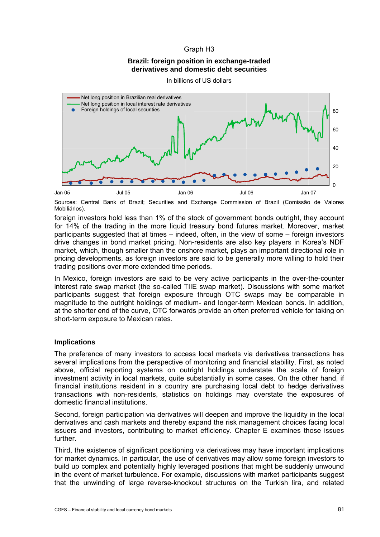### Graph H3

### **Brazil: foreign position in exchange-traded derivatives and domestic debt securities**





Sources: Central Bank of Brazil; Securities and Exchange Commission of Brazil (Comissão de Valores Mobiliários).

foreign investors hold less than 1% of the stock of government bonds outright, they account for 14% of the trading in the more liquid treasury bond futures market. Moreover, market participants suggested that at times – indeed, often, in the view of some – foreign investors drive changes in bond market pricing. Non-residents are also key players in Korea's NDF market, which, though smaller than the onshore market, plays an important directional role in pricing developments, as foreign investors are said to be generally more willing to hold their trading positions over more extended time periods.

In Mexico, foreign investors are said to be very active participants in the over-the-counter interest rate swap market (the so-called TIIE swap market). Discussions with some market participants suggest that foreign exposure through OTC swaps may be comparable in magnitude to the outright holdings of medium- and longer-term Mexican bonds. In addition, at the shorter end of the curve, OTC forwards provide an often preferred vehicle for taking on short-term exposure to Mexican rates.

#### **Implications**

The preference of many investors to access local markets via derivatives transactions has several implications from the perspective of monitoring and financial stability. First, as noted above, official reporting systems on outright holdings understate the scale of foreign investment activity in local markets, quite substantially in some cases. On the other hand, if financial institutions resident in a country are purchasing local debt to hedge derivatives transactions with non-residents, statistics on holdings may overstate the exposures of domestic financial institutions.

Second, foreign participation via derivatives will deepen and improve the liquidity in the local derivatives and cash markets and thereby expand the risk management choices facing local issuers and investors, contributing to market efficiency. Chapter E examines those issues further.

Third, the existence of significant positioning via derivatives may have important implications for market dynamics. In particular, the use of derivatives may allow some foreign investors to build up complex and potentially highly leveraged positions that might be suddenly unwound in the event of market turbulence. For example, discussions with market participants suggest that the unwinding of large reverse-knockout structures on the Turkish lira, and related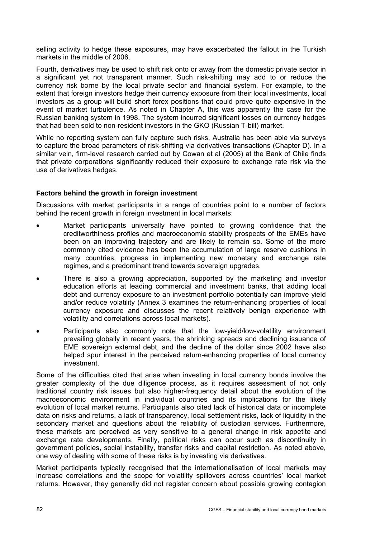selling activity to hedge these exposures, may have exacerbated the fallout in the Turkish markets in the middle of 2006.

Fourth, derivatives may be used to shift risk onto or away from the domestic private sector in a significant yet not transparent manner. Such risk-shifting may add to or reduce the currency risk borne by the local private sector and financial system. For example, to the extent that foreign investors hedge their currency exposure from their local investments, local investors as a group will build short forex positions that could prove quite expensive in the event of market turbulence. As noted in Chapter A, this was apparently the case for the Russian banking system in 1998. The system incurred significant losses on currency hedges that had been sold to non-resident investors in the GKO (Russian T-bill) market.

While no reporting system can fully capture such risks, Australia has been able via surveys to capture the broad parameters of risk-shifting via derivatives transactions (Chapter D). In a similar vein, firm-level research carried out by Cowan et al (2005) at the Bank of Chile finds that private corporations significantly reduced their exposure to exchange rate risk via the use of derivatives hedges.

## **Factors behind the growth in foreign investment**

Discussions with market participants in a range of countries point to a number of factors behind the recent growth in foreign investment in local markets:

- Market participants universally have pointed to growing confidence that the creditworthiness profiles and macroeconomic stability prospects of the EMEs have been on an improving trajectory and are likely to remain so. Some of the more commonly cited evidence has been the accumulation of large reserve cushions in many countries, progress in implementing new monetary and exchange rate regimes, and a predominant trend towards sovereign upgrades.
- There is also a growing appreciation, supported by the marketing and investor education efforts at leading commercial and investment banks, that adding local debt and currency exposure to an investment portfolio potentially can improve yield and/or reduce volatility (Annex 3 examines the return-enhancing properties of local currency exposure and discusses the recent relatively benign experience with volatility and correlations across local markets).
- Participants also commonly note that the low-yield/low-volatility environment prevailing globally in recent years, the shrinking spreads and declining issuance of EME sovereign external debt, and the decline of the dollar since 2002 have also helped spur interest in the perceived return-enhancing properties of local currency investment.

Some of the difficulties cited that arise when investing in local currency bonds involve the greater complexity of the due diligence process, as it requires assessment of not only traditional country risk issues but also higher-frequency detail about the evolution of the macroeconomic environment in individual countries and its implications for the likely evolution of local market returns. Participants also cited lack of historical data or incomplete data on risks and returns, a lack of transparency, local settlement risks, lack of liquidity in the secondary market and questions about the reliability of custodian services. Furthermore, these markets are perceived as very sensitive to a general change in risk appetite and exchange rate developments. Finally, political risks can occur such as discontinuity in government policies, social instability, transfer risks and capital restriction. As noted above, one way of dealing with some of these risks is by investing via derivatives.

Market participants typically recognised that the internationalisation of local markets may increase correlations and the scope for volatility spillovers across countries' local market returns. However, they generally did not register concern about possible growing contagion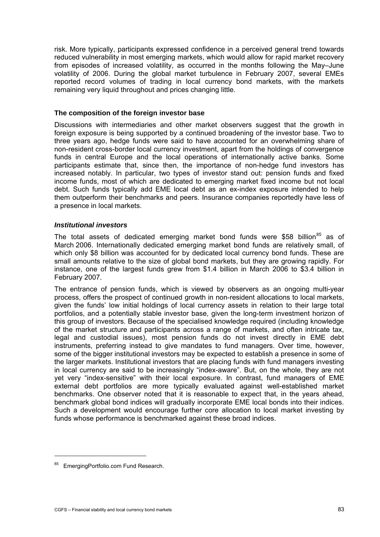<span id="page-86-0"></span>risk. More typically, participants expressed confidence in a perceived general trend towards reduced vulnerability in most emerging markets, which would allow for rapid market recovery from episodes of increased volatility, as occurred in the months following the May–June volatility of 2006. During the global market turbulence in February 2007, several EMEs reported record volumes of trading in local currency bond markets, with the markets remaining very liquid throughout and prices changing little.

## **The composition of the foreign investor base**

Discussions with intermediaries and other market observers suggest that the growth in foreign exposure is being supported by a continued broadening of the investor base. Two to three years ago, hedge funds were said to have accounted for an overwhelming share of non-resident cross-border local currency investment, apart from the holdings of convergence funds in central Europe and the local operations of internationally active banks. Some participants estimate that, since then, the importance of non-hedge fund investors has increased notably. In particular, two types of investor stand out: pension funds and fixed income funds, most of which are dedicated to emerging market fixed income but not local debt. Such funds typically add EME local debt as an ex-index exposure intended to help them outperform their benchmarks and peers. Insurance companies reportedly have less of a presence in local markets.

## *Institutional investors*

The total assets of dedicated emerging market bond funds were \$5[8](#page-86-0) billion<sup>85</sup> as of March 2006. Internationally dedicated emerging market bond funds are relatively small, of which only \$8 billion was accounted for by dedicated local currency bond funds. These are small amounts relative to the size of global bond markets, but they are growing rapidly. For instance, one of the largest funds grew from \$1.4 billion in March 2006 to \$3.4 billion in February 2007.

The entrance of pension funds, which is viewed by observers as an ongoing multi-year process, offers the prospect of continued growth in non-resident allocations to local markets, given the funds' low initial holdings of local currency assets in relation to their large total portfolios, and a potentially stable investor base, given the long-term investment horizon of this group of investors. Because of the specialised knowledge required (including knowledge of the market structure and participants across a range of markets, and often intricate tax, legal and custodial issues), most pension funds do not invest directly in EME debt instruments, preferring instead to give mandates to fund managers. Over time, however, some of the bigger institutional investors may be expected to establish a presence in some of the larger markets. Institutional investors that are placing funds with fund managers investing in local currency are said to be increasingly "index-aware". But, on the whole, they are not yet very "index-sensitive" with their local exposure. In contrast, fund managers of EME external debt portfolios are more typically evaluated against well-established market benchmarks. One observer noted that it is reasonable to expect that, in the years ahead, benchmark global bond indices will gradually incorporate EME local bonds into their indices. Such a development would encourage further core allocation to local market investing by funds whose performance is benchmarked against these broad indices.

j

<sup>85</sup> EmergingPortfolio.com Fund Research.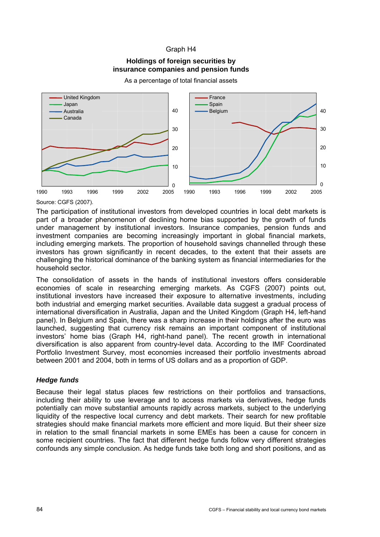## Graph H4

## **Holdings of foreign securities by insurance companies and pension funds**

As a percentage of total financial assets



Source: CGFS (2007).

The participation of institutional investors from developed countries in local debt markets is part of a broader phenomenon of declining home bias supported by the growth of funds under management by institutional investors. Insurance companies, pension funds and investment companies are becoming increasingly important in global financial markets, including emerging markets. The proportion of household savings channelled through these investors has grown significantly in recent decades, to the extent that their assets are challenging the historical dominance of the banking system as financial intermediaries for the household sector.

The consolidation of assets in the hands of institutional investors offers considerable economies of scale in researching emerging markets. As CGFS (2007) points out, institutional investors have increased their exposure to alternative investments, including both industrial and emerging market securities. Available data suggest a gradual process of international diversification in Australia, Japan and the United Kingdom (Graph H4, left-hand panel). In Belgium and Spain, there was a sharp increase in their holdings after the euro was launched, suggesting that currency risk remains an important component of institutional investors' home bias (Graph H4, right-hand panel). The recent growth in international diversification is also apparent from country-level data. According to the IMF Coordinated Portfolio Investment Survey, most economies increased their portfolio investments abroad between 2001 and 2004, both in terms of US dollars and as a proportion of GDP.

## *Hedge funds*

Because their legal status places few restrictions on their portfolios and transactions, including their ability to use leverage and to access markets via derivatives, hedge funds potentially can move substantial amounts rapidly across markets, subject to the underlying liquidity of the respective local currency and debt markets. Their search for new profitable strategies should make financial markets more efficient and more liquid. But their sheer size in relation to the small financial markets in some EMEs has been a cause for concern in some recipient countries. The fact that different hedge funds follow very different strategies confounds any simple conclusion. As hedge funds take both long and short positions, and as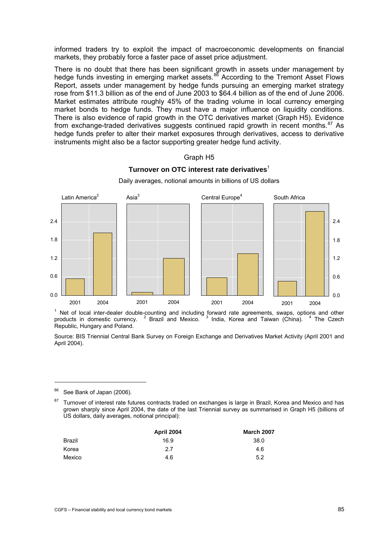<span id="page-88-0"></span>informed traders try to exploit the impact of macroeconomic developments on financial markets, they probably force a faster pace of asset price adjustment.

There is no doubt that there has been significant growth in assets under management by hedge funds investing in emerging market assets.<sup>[86](#page-88-0)</sup> According to the Tremont Asset Flows Report, assets under management by hedge funds pursuing an emerging market strategy rose from \$11.3 billion as of the end of June 2003 to \$64.4 billion as of the end of June 2006. Market estimates attribute roughly 45% of the trading volume in local currency emerging market bonds to hedge funds. They must have a major influence on liquidity conditions. There is also evidence of rapid growth in the OTC derivatives market (Graph H5). Evidence from exchange-traded derivatives suggests continued rapid growth in recent months. $87$  $87$  As hedge funds prefer to alter their market exposures through derivatives, access to derivative instruments might also be a factor supporting greater hedge fund activity.

#### Graph H5

#### **Turnover on OTC interest rate derivatives**<sup>1</sup>



Daily averages, notional amounts in billions of US dollars

products in domestic currency. <sup>2</sup> Brazil and Mexico. India, Korea and Taiwan (China). <sup>4</sup> The Czech Republic, Hungary and Poland.

Source: BIS Triennial Central Bank Survey on Foreign Exchange and Derivatives Market Activity (April 2001 and April 2004).

86 See Bank of Japan (2006).

j

<sup>&</sup>lt;sup>87</sup> Turnover of interest rate futures contracts traded on exchanges is large in Brazil, Korea and Mexico and has grown sharply since April 2004, the date of the last Triennial survey as summarised in Graph H5 (billions of US dollars, daily averages, notional principal):

|               | April 2004 | <b>March 2007</b> |
|---------------|------------|-------------------|
| <b>Brazil</b> | 16.9       | 38.0              |
| Korea         | 2.7        | 4.6               |
| Mexico        | 4.6        | 5.2               |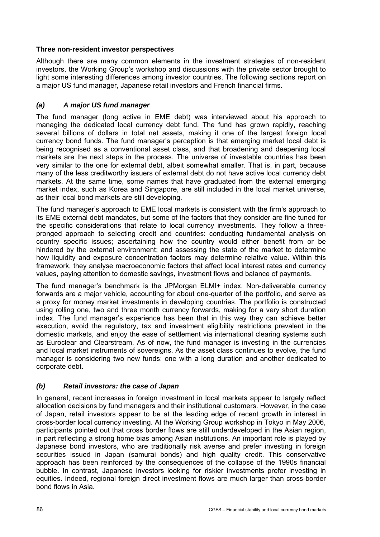# **Three non-resident investor perspectives**

Although there are many common elements in the investment strategies of non-resident investors, the Working Group's workshop and discussions with the private sector brought to light some interesting differences among investor countries. The following sections report on a major US fund manager, Japanese retail investors and French financial firms.

# *(a) A major US fund manager*

The fund manager (long active in EME debt) was interviewed about his approach to managing the dedicated local currency debt fund. The fund has grown rapidly, reaching several billions of dollars in total net assets, making it one of the largest foreign local currency bond funds. The fund manager's perception is that emerging market local debt is being recognised as a conventional asset class, and that broadening and deepening local markets are the next steps in the process. The universe of investable countries has been very similar to the one for external debt, albeit somewhat smaller. That is, in part, because many of the less creditworthy issuers of external debt do not have active local currency debt markets. At the same time, some names that have graduated from the external emerging market index, such as Korea and Singapore, are still included in the local market universe, as their local bond markets are still developing.

The fund manager's approach to EME local markets is consistent with the firm's approach to its EME external debt mandates, but some of the factors that they consider are fine tuned for the specific considerations that relate to local currency investments. They follow a threepronged approach to selecting credit and countries: conducting fundamental analysis on country specific issues; ascertaining how the country would either benefit from or be hindered by the external environment; and assessing the state of the market to determine how liquidity and exposure concentration factors may determine relative value. Within this framework, they analyse macroeconomic factors that affect local interest rates and currency values, paying attention to domestic savings, investment flows and balance of payments.

The fund manager's benchmark is the JPMorgan ELMI+ index. Non-deliverable currency forwards are a major vehicle, accounting for about one-quarter of the portfolio, and serve as a proxy for money market investments in developing countries. The portfolio is constructed using rolling one, two and three month currency forwards, making for a very short duration index. The fund manager's experience has been that in this way they can achieve better execution, avoid the regulatory, tax and investment eligibility restrictions prevalent in the domestic markets, and enjoy the ease of settlement via international clearing systems such as Euroclear and Clearstream. As of now, the fund manager is investing in the currencies and local market instruments of sovereigns. As the asset class continues to evolve, the fund manager is considering two new funds: one with a long duration and another dedicated to corporate debt.

# *(b) Retail investors: the case of Japan*

In general, recent increases in foreign investment in local markets appear to largely reflect allocation decisions by fund managers and their institutional customers. However, in the case of Japan, retail investors appear to be at the leading edge of recent growth in interest in cross-border local currency investing. At the Working Group workshop in Tokyo in May 2006, participants pointed out that cross border flows are still underdeveloped in the Asian region, in part reflecting a strong home bias among Asian institutions. An important role is played by Japanese bond investors, who are traditionally risk averse and prefer investing in foreign securities issued in Japan (samurai bonds) and high quality credit. This conservative approach has been reinforced by the consequences of the collapse of the 1990s financial bubble. In contrast, Japanese investors looking for riskier investments prefer investing in equities. Indeed, regional foreign direct investment flows are much larger than cross-border bond flows in Asia.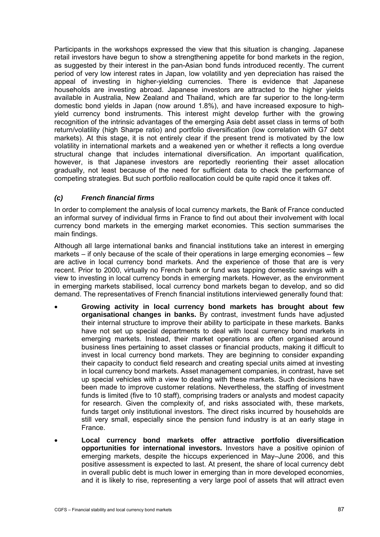Participants in the workshops expressed the view that this situation is changing. Japanese retail investors have begun to show a strengthening appetite for bond markets in the region, as suggested by their interest in the pan-Asian bond funds introduced recently. The current period of very low interest rates in Japan, low volatility and yen depreciation has raised the appeal of investing in higher-yielding currencies. There is evidence that Japanese households are investing abroad. Japanese investors are attracted to the higher yields available in Australia, New Zealand and Thailand, which are far superior to the long-term domestic bond yields in Japan (now around 1.8%), and have increased exposure to highyield currency bond instruments. This interest might develop further with the growing recognition of the intrinsic advantages of the emerging Asia debt asset class in terms of both return/volatility (high Sharpe ratio) and portfolio diversification (low correlation with G7 debt markets). At this stage, it is not entirely clear if the present trend is motivated by the low volatility in international markets and a weakened yen or whether it reflects a long overdue structural change that includes international diversification. An important qualification, however, is that Japanese investors are reportedly reorienting their asset allocation gradually, not least because of the need for sufficient data to check the performance of competing strategies. But such portfolio reallocation could be quite rapid once it takes off.

# *(c) French financial firms*

In order to complement the analysis of local currency markets, the Bank of France conducted an informal survey of individual firms in France to find out about their involvement with local currency bond markets in the emerging market economies. This section summarises the main findings.

Although all large international banks and financial institutions take an interest in emerging markets – if only because of the scale of their operations in large emerging economies – few are active in local currency bond markets. And the experience of those that are is very recent. Prior to 2000, virtually no French bank or fund was tapping domestic savings with a view to investing in local currency bonds in emerging markets. However, as the environment in emerging markets stabilised, local currency bond markets began to develop, and so did demand. The representatives of French financial institutions interviewed generally found that:

- **Growing activity in local currency bond markets has brought about few organisational changes in banks.** By contrast, investment funds have adjusted their internal structure to improve their ability to participate in these markets. Banks have not set up special departments to deal with local currency bond markets in emerging markets. Instead, their market operations are often organised around business lines pertaining to asset classes or financial products, making it difficult to invest in local currency bond markets. They are beginning to consider expanding their capacity to conduct field research and creating special units aimed at investing in local currency bond markets. Asset management companies, in contrast, have set up special vehicles with a view to dealing with these markets. Such decisions have been made to improve customer relations. Nevertheless, the staffing of investment funds is limited (five to 10 staff), comprising traders or analysts and modest capacity for research. Given the complexity of, and risks associated with, these markets, funds target only institutional investors. The direct risks incurred by households are still very small, especially since the pension fund industry is at an early stage in France.
- **Local currency bond markets offer attractive portfolio diversification opportunities for international investors.** Investors have a positive opinion of emerging markets, despite the hiccups experienced in May–June 2006, and this positive assessment is expected to last. At present, the share of local currency debt in overall public debt is much lower in emerging than in more developed economies, and it is likely to rise, representing a very large pool of assets that will attract even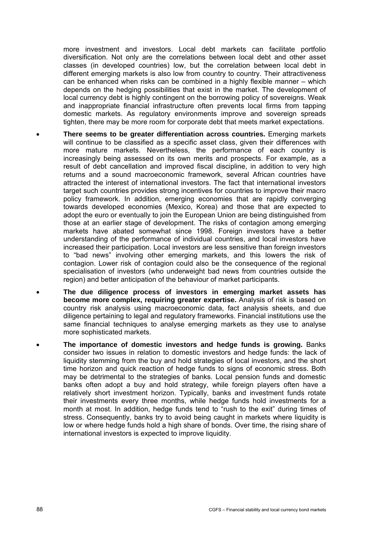more investment and investors. Local debt markets can facilitate portfolio diversification. Not only are the correlations between local debt and other asset classes (in developed countries) low, but the correlation between local debt in different emerging markets is also low from country to country. Their attractiveness can be enhanced when risks can be combined in a highly flexible manner – which depends on the hedging possibilities that exist in the market. The development of local currency debt is highly contingent on the borrowing policy of sovereigns. Weak and inappropriate financial infrastructure often prevents local firms from tapping domestic markets. As regulatory environments improve and sovereign spreads tighten, there may be more room for corporate debt that meets market expectations.

- **There seems to be greater differentiation across countries.** Emerging markets will continue to be classified as a specific asset class, given their differences with more mature markets. Nevertheless, the performance of each country is increasingly being assessed on its own merits and prospects. For example, as a result of debt cancellation and improved fiscal discipline, in addition to very high returns and a sound macroeconomic framework, several African countries have attracted the interest of international investors. The fact that international investors target such countries provides strong incentives for countries to improve their macro policy framework. In addition, emerging economies that are rapidly converging towards developed economies (Mexico, Korea) and those that are expected to adopt the euro or eventually to join the European Union are being distinguished from those at an earlier stage of development. The risks of contagion among emerging markets have abated somewhat since 1998. Foreign investors have a better understanding of the performance of individual countries, and local investors have increased their participation. Local investors are less sensitive than foreign investors to "bad news" involving other emerging markets, and this lowers the risk of contagion. Lower risk of contagion could also be the consequence of the regional specialisation of investors (who underweight bad news from countries outside the region) and better anticipation of the behaviour of market participants.
- **The due diligence process of investors in emerging market assets has become more complex, requiring greater expertise.** Analysis of risk is based on country risk analysis using macroeconomic data, fact analysis sheets, and due diligence pertaining to legal and regulatory frameworks. Financial institutions use the same financial techniques to analyse emerging markets as they use to analyse more sophisticated markets.
- **The importance of domestic investors and hedge funds is growing.** Banks consider two issues in relation to domestic investors and hedge funds: the lack of liquidity stemming from the buy and hold strategies of local investors, and the short time horizon and quick reaction of hedge funds to signs of economic stress. Both may be detrimental to the strategies of banks. Local pension funds and domestic banks often adopt a buy and hold strategy, while foreign players often have a relatively short investment horizon. Typically, banks and investment funds rotate their investments every three months, while hedge funds hold investments for a month at most. In addition, hedge funds tend to "rush to the exit" during times of stress. Consequently, banks try to avoid being caught in markets where liquidity is low or where hedge funds hold a high share of bonds. Over time, the rising share of international investors is expected to improve liquidity.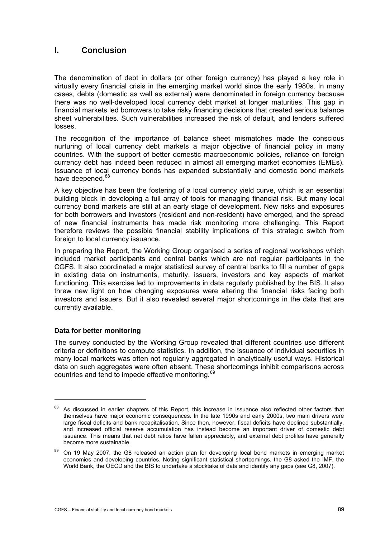# <span id="page-92-0"></span>**I. Conclusion**

The denomination of debt in dollars (or other foreign currency) has played a key role in virtually every financial crisis in the emerging market world since the early 1980s. In many cases, debts (domestic as well as external) were denominated in foreign currency because there was no well-developed local currency debt market at longer maturities. This gap in financial markets led borrowers to take risky financing decisions that created serious balance sheet vulnerabilities. Such vulnerabilities increased the risk of default, and lenders suffered losses.

The recognition of the importance of balance sheet mismatches made the conscious nurturing of local currency debt markets a major objective of financial policy in many countries. With the support of better domestic macroeconomic policies, reliance on foreign currency debt has indeed been reduced in almost all emerging market economies (EMEs). Issuance of local currency bonds has expanded substantially and domestic bond markets have deepened.<sup>[8](#page-92-0)8</sup>

A key objective has been the fostering of a local currency yield curve, which is an essential building block in developing a full array of tools for managing financial risk. But many local currency bond markets are still at an early stage of development. New risks and exposures for both borrowers and investors (resident and non-resident) have emerged, and the spread of new financial instruments has made risk monitoring more challenging. This Report therefore reviews the possible financial stability implications of this strategic switch from foreign to local currency issuance.

In preparing the Report, the Working Group organised a series of regional workshops which included market participants and central banks which are not regular participants in the CGFS. It also coordinated a major statistical survey of central banks to fill a number of gaps in existing data on instruments, maturity, issuers, investors and key aspects of market functioning. This exercise led to improvements in data regularly published by the BIS. It also threw new light on how changing exposures were altering the financial risks facing both investors and issuers. But it also revealed several major shortcomings in the data that are currently available.

## **Data for better monitoring**

j

The survey conducted by the Working Group revealed that different countries use different criteria or definitions to compute statistics. In addition, the issuance of individual securities in many local markets was often not regularly aggregated in analytically useful ways. Historical data on such aggregates were often absent. These shortcomings inhibit comparisons across countries and tend to impede effective monitoring.<sup>[89](#page-92-0)</sup>

<sup>&</sup>lt;sup>88</sup> As discussed in earlier chapters of this Report, this increase in issuance also reflected other factors that themselves have major economic consequences. In the late 1990s and early 2000s, two main drivers were large fiscal deficits and bank recapitalisation. Since then, however, fiscal deficits have declined substantially, and increased official reserve accumulation has instead become an important driver of domestic debt issuance. This means that net debt ratios have fallen appreciably, and external debt profiles have generally become more sustainable.

<sup>&</sup>lt;sup>89</sup> On 19 May 2007, the G8 released an action plan for developing local bond markets in emerging market economies and developing countries. Noting significant statistical shortcomings, the G8 asked the IMF, the World Bank, the OECD and the BIS to undertake a stocktake of data and identify any gaps (see G8, 2007).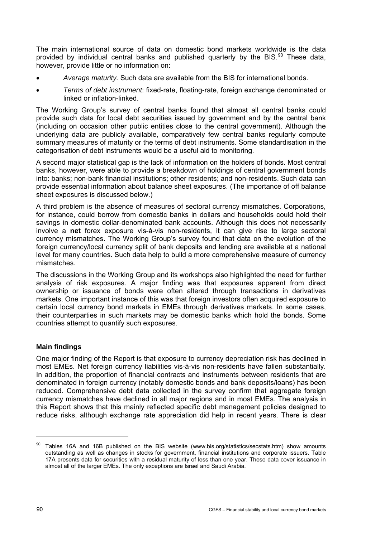<span id="page-93-0"></span>The main international source of data on domestic bond markets worldwide is the data provided by individual central banks and published quarterly by the BIS. $90$  $90$  These data, however, provide little or no information on:

- *Average maturity.* Such data are available from the BIS for international bonds.
- *Terms of debt instrument*: fixed-rate, floating-rate, foreign exchange denominated or linked or inflation-linked.

The Working Group's survey of central banks found that almost all central banks could provide such data for local debt securities issued by government and by the central bank (including on occasion other public entities close to the central government). Although the underlying data are publicly available, comparatively few central banks regularly compute summary measures of maturity or the terms of debt instruments. Some standardisation in the categorisation of debt instruments would be a useful aid to monitoring.

A second major statistical gap is the lack of information on the holders of bonds. Most central banks, however, were able to provide a breakdown of holdings of central government bonds into: banks; non-bank financial institutions; other residents; and non-residents. Such data can provide essential information about balance sheet exposures. (The importance of off balance sheet exposures is discussed below.)

A third problem is the absence of measures of sectoral currency mismatches. Corporations, for instance, could borrow from domestic banks in dollars and households could hold their savings in domestic dollar-denominated bank accounts. Although this does not necessarily involve a **net** forex exposure vis-à-vis non-residents, it can give rise to large sectoral currency mismatches. The Working Group's survey found that data on the evolution of the foreign currency/local currency split of bank deposits and lending are available at a national level for many countries. Such data help to build a more comprehensive measure of currency mismatches.

The discussions in the Working Group and its workshops also highlighted the need for further analysis of risk exposures. A major finding was that exposures apparent from direct ownership or issuance of bonds were often altered through transactions in derivatives markets. One important instance of this was that foreign investors often acquired exposure to certain local currency bond markets in EMEs through derivatives markets. In some cases, their counterparties in such markets may be domestic banks which hold the bonds. Some countries attempt to quantify such exposures.

# **Main findings**

One major finding of the Report is that exposure to currency depreciation risk has declined in most EMEs. Net foreign currency liabilities vis-à-vis non-residents have fallen substantially. In addition, the proportion of financial contracts and instruments between residents that are denominated in foreign currency (notably domestic bonds and bank deposits/loans) has been reduced. Comprehensive debt data collected in the survey confirm that aggregate foreign currency mismatches have declined in all major regions and in most EMEs. The analysis in this Report shows that this mainly reflected specific debt management policies designed to reduce risks, although exchange rate appreciation did help in recent years. There is clear

 $\overline{a}$ 

<sup>90</sup> Tables 16A and 16B published on the BIS website (www.bis.org/statistics/secstats.htm) show amounts outstanding as well as changes in stocks for government, financial institutions and corporate issuers. Table 17A presents data for securities with a residual maturity of less than one year. These data cover issuance in almost all of the larger EMEs. The only exceptions are Israel and Saudi Arabia.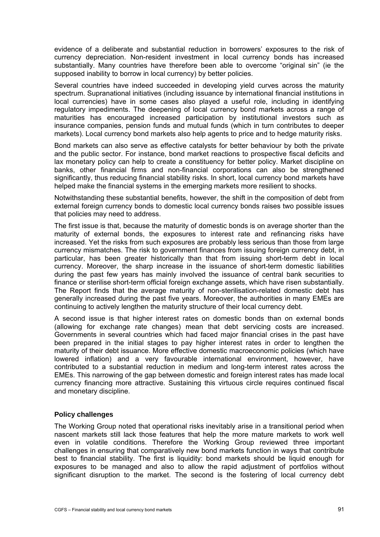evidence of a deliberate and substantial reduction in borrowers' exposures to the risk of currency depreciation. Non-resident investment in local currency bonds has increased substantially. Many countries have therefore been able to overcome "original sin" (ie the supposed inability to borrow in local currency) by better policies.

Several countries have indeed succeeded in developing yield curves across the maturity spectrum. Supranational initiatives (including issuance by international financial institutions in local currencies) have in some cases also played a useful role, including in identifying regulatory impediments. The deepening of local currency bond markets across a range of maturities has encouraged increased participation by institutional investors such as insurance companies, pension funds and mutual funds (which in turn contributes to deeper markets). Local currency bond markets also help agents to price and to hedge maturity risks.

Bond markets can also serve as effective catalysts for better behaviour by both the private and the public sector. For instance, bond market reactions to prospective fiscal deficits and lax monetary policy can help to create a constituency for better policy. Market discipline on banks, other financial firms and non-financial corporations can also be strengthened significantly, thus reducing financial stability risks. In short, local currency bond markets have helped make the financial systems in the emerging markets more resilient to shocks.

Notwithstanding these substantial benefits, however, the shift in the composition of debt from external foreign currency bonds to domestic local currency bonds raises two possible issues that policies may need to address.

The first issue is that, because the maturity of domestic bonds is on average shorter than the maturity of external bonds, the exposures to interest rate and refinancing risks have increased. Yet the risks from such exposures are probably less serious than those from large currency mismatches. The risk to government finances from issuing foreign currency debt, in particular, has been greater historically than that from issuing short-term debt in local currency. Moreover, the sharp increase in the issuance of short-term domestic liabilities during the past few years has mainly involved the issuance of central bank securities to finance or sterilise short-term official foreign exchange assets, which have risen substantially. The Report finds that the average maturity of non-sterilisation-related domestic debt has generally increased during the past five years. Moreover, the authorities in many EMEs are continuing to actively lengthen the maturity structure of their local currency debt.

A second issue is that higher interest rates on domestic bonds than on external bonds (allowing for exchange rate changes) mean that debt servicing costs are increased. Governments in several countries which had faced major financial crises in the past have been prepared in the initial stages to pay higher interest rates in order to lengthen the maturity of their debt issuance. More effective domestic macroeconomic policies (which have lowered inflation) and a very favourable international environment, however, have contributed to a substantial reduction in medium and long-term interest rates across the EMEs. This narrowing of the gap between domestic and foreign interest rates has made local currency financing more attractive. Sustaining this virtuous circle requires continued fiscal and monetary discipline.

## **Policy challenges**

The Working Group noted that operational risks inevitably arise in a transitional period when nascent markets still lack those features that help the more mature markets to work well even in volatile conditions. Therefore the Working Group reviewed three important challenges in ensuring that comparatively new bond markets function in ways that contribute best to financial stability. The first is liquidity: bond markets should be liquid enough for exposures to be managed and also to allow the rapid adjustment of portfolios without significant disruption to the market. The second is the fostering of local currency debt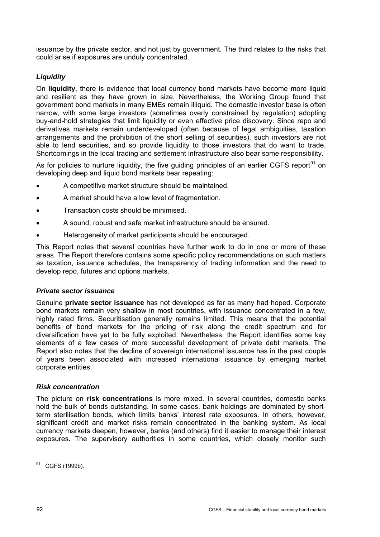<span id="page-95-0"></span>issuance by the private sector, and not just by government. The third relates to the risks that could arise if exposures are unduly concentrated.

# *Liquidity*

On **liquidity**, there is evidence that local currency bond markets have become more liquid and resilient as they have grown in size. Nevertheless, the Working Group found that government bond markets in many EMEs remain illiquid. The domestic investor base is often narrow, with some large investors (sometimes overly constrained by regulation) adopting buy-and-hold strategies that limit liquidity or even effective price discovery. Since repo and derivatives markets remain underdeveloped (often because of legal ambiguities, taxation arrangements and the prohibition of the short selling of securities), such investors are not able to lend securities, and so provide liquidity to those investors that do want to trade. Shortcomings in the local trading and settlement infrastructure also bear some responsibility.

As for policies to nurture liquidity, the five quiding principles of an earlier CGFS report<sup>[9](#page-95-0)1</sup> on developing deep and liquid bond markets bear repeating:

- A competitive market structure should be maintained.
- A market should have a low level of fragmentation.
- Transaction costs should be minimised.
- A sound, robust and safe market infrastructure should be ensured.
- Heterogeneity of market participants should be encouraged.

This Report notes that several countries have further work to do in one or more of these areas. The Report therefore contains some specific policy recommendations on such matters as taxation, issuance schedules, the transparency of trading information and the need to develop repo, futures and options markets.

## *Private sector issuance*

Genuine **private sector issuance** has not developed as far as many had hoped. Corporate bond markets remain very shallow in most countries, with issuance concentrated in a few, highly rated firms. Securitisation generally remains limited. This means that the potential benefits of bond markets for the pricing of risk along the credit spectrum and for diversification have yet to be fully exploited. Nevertheless, the Report identifies some key elements of a few cases of more successful development of private debt markets. The Report also notes that the decline of sovereign international issuance has in the past couple of years been associated with increased international issuance by emerging market corporate entities.

## *Risk concentration*

The picture on **risk concentrations** is more mixed. In several countries, domestic banks hold the bulk of bonds outstanding. In some cases, bank holdings are dominated by shortterm sterilisation bonds, which limits banks' interest rate exposures. In others, however, significant credit and market risks remain concentrated in the banking system. As local currency markets deepen, however, banks (and others) find it easier to manage their interest exposures. The supervisory authorities in some countries, which closely monitor such

 $\overline{a}$ 

<sup>&</sup>lt;sup>91</sup> CGFS (1999b).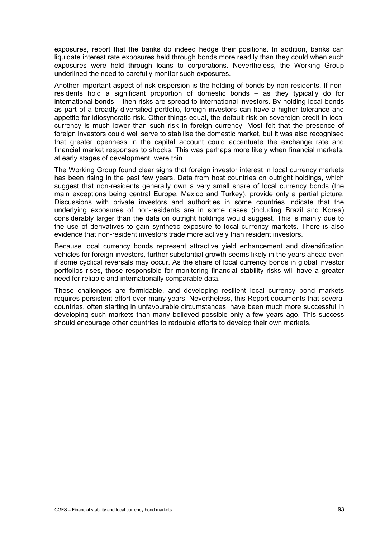exposures, report that the banks do indeed hedge their positions. In addition, banks can liquidate interest rate exposures held through bonds more readily than they could when such exposures were held through loans to corporations. Nevertheless, the Working Group underlined the need to carefully monitor such exposures.

Another important aspect of risk dispersion is the holding of bonds by non-residents. If nonresidents hold a significant proportion of domestic bonds – as they typically do for international bonds – then risks are spread to international investors. By holding local bonds as part of a broadly diversified portfolio, foreign investors can have a higher tolerance and appetite for idiosyncratic risk. Other things equal, the default risk on sovereign credit in local currency is much lower than such risk in foreign currency. Most felt that the presence of foreign investors could well serve to stabilise the domestic market, but it was also recognised that greater openness in the capital account could accentuate the exchange rate and financial market responses to shocks. This was perhaps more likely when financial markets, at early stages of development, were thin.

The Working Group found clear signs that foreign investor interest in local currency markets has been rising in the past few years. Data from host countries on outright holdings, which suggest that non-residents generally own a very small share of local currency bonds (the main exceptions being central Europe, Mexico and Turkey), provide only a partial picture. Discussions with private investors and authorities in some countries indicate that the underlying exposures of non-residents are in some cases (including Brazil and Korea) considerably larger than the data on outright holdings would suggest. This is mainly due to the use of derivatives to gain synthetic exposure to local currency markets. There is also evidence that non-resident investors trade more actively than resident investors.

Because local currency bonds represent attractive yield enhancement and diversification vehicles for foreign investors, further substantial growth seems likely in the years ahead even if some cyclical reversals may occur. As the share of local currency bonds in global investor portfolios rises, those responsible for monitoring financial stability risks will have a greater need for reliable and internationally comparable data.

These challenges are formidable, and developing resilient local currency bond markets requires persistent effort over many years. Nevertheless, this Report documents that several countries, often starting in unfavourable circumstances, have been much more successful in developing such markets than many believed possible only a few years ago. This success should encourage other countries to redouble efforts to develop their own markets.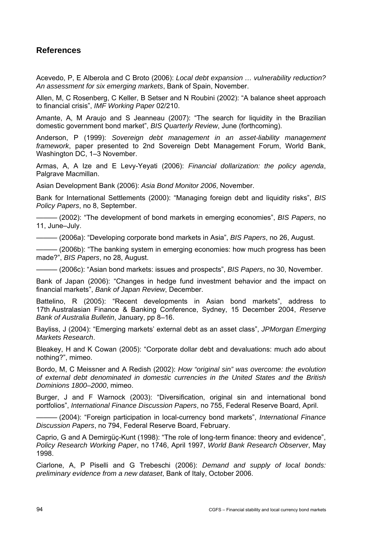# **References**

Acevedo, P, E Alberola and C Broto (2006): *Local debt expansion … vulnerability reduction? An assessment for six emerging markets*, Bank of Spain, November.

Allen, M, C Rosenberg, C Keller, B Setser and N Roubini (2002): "A balance sheet approach to financial crisis", *IMF Working Paper* 02/210.

Amante, A, M Araujo and S Jeanneau (2007): "The search for liquidity in the Brazilian domestic government bond market", *BIS Quarterly Review*, June (forthcoming).

Anderson, P (1999): *Sovereign debt management in an asset-liability management framework*, paper presented to 2nd Sovereign Debt Management Forum, World Bank, Washington DC, 1–3 November.

Armas, A, A Ize and E Levy-Yeyati (2006): *Financial dollarization: the policy agenda*, Palgrave Macmillan.

Asian Development Bank (2006): *Asia Bond Monitor 2006*, November.

Bank for International Settlements (2000): "Managing foreign debt and liquidity risks", *BIS Policy Papers*, no 8, September.

——— (2002): "The development of bond markets in emerging economies", *BIS Papers*, no 11, June–July.

——— (2006a): "Developing corporate bond markets in Asia", *BIS Papers*, no 26, August.

 $-$  (2006b): "The banking system in emerging economies: how much progress has been made?", *BIS Papers*, no 28, August.

——— (2006c): "Asian bond markets: issues and prospects", *BIS Papers*, no 30, November.

Bank of Japan (2006): "Changes in hedge fund investment behavior and the impact on financial markets", *Bank of Japan Review*, December.

Battelino, R (2005): "Recent developments in Asian bond markets", address to 17th Australasian Finance & Banking Conference, Sydney, 15 December 2004, *Reserve Bank of Australia Bulletin*, January, pp 8–16.

Bayliss, J (2004): "Emerging markets' external debt as an asset class", *JPMorgan Emerging Markets Research*.

Bleakey, H and K Cowan (2005): "Corporate dollar debt and devaluations: much ado about nothing?", mimeo.

Bordo, M, C Meissner and A Redish (2002): *How "original sin" was overcome: the evolution of external debt denominated in domestic currencies in the United States and the British Dominions 1800–2000*, mimeo.

Burger, J and F Warnock (2003): "Diversification, original sin and international bond portfolios", *International Finance Discussion Papers*, no 755, Federal Reserve Board, April.

——— (2004): "Foreign participation in local-currency bond markets", *International Finance Discussion Papers*, no 794, Federal Reserve Board, February.

Caprio, G and A Demirgüç-Kunt (1998): "The role of long-term finance: theory and evidence", *Policy Research Working Paper*, no 1746, April 1997, *World Bank Research Observer*, May 1998.

Ciarlone, A, P Piselli and G Trebeschi (2006): *Demand and supply of local bonds: preliminary evidence from a new dataset*, Bank of Italy, October 2006.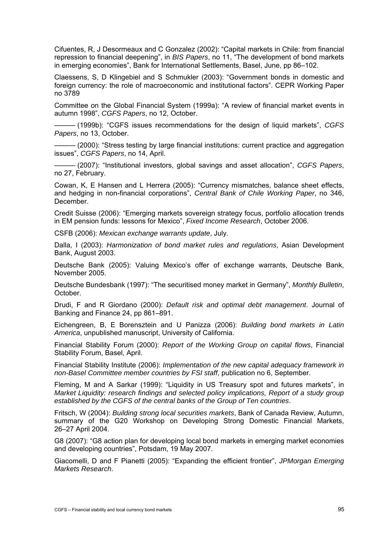Cifuentes, R, J Desormeaux and C Gonzalez (2002): "Capital markets in Chile: from financial repression to financial deepening", in *BIS Papers*, no 11, "The development of bond markets in emerging economies", Bank for International Settlements, Basel, June, pp 86–102.

Claessens, S, D Klingebiel and S Schmukler (2003): "Government bonds in domestic and foreign currency: the role of macroeconomic and institutional factors". CEPR Working Paper no 3789

Committee on the Global Financial System (1999a): "A review of financial market events in autumn 1998", *CGFS Papers*, no 12, October.

——— (1999b): "CGFS issues recommendations for the design of liquid markets", *CGFS Papers*, no 13, October.

- (2000): "Stress testing by large financial institutions: current practice and aggregation issues", *CGFS Papers*, no 14, April.

——— (2007): "Institutional investors, global savings and asset allocation", *CGFS Papers*, no 27, February.

Cowan, K, E Hansen and L Herrera (2005): "Currency mismatches, balance sheet effects, and hedging in non-financial corporations", *Central Bank of Chile Working Paper*, no 346, **December** 

Credit Suisse (2006): "Emerging markets sovereign strategy focus, portfolio allocation trends in EM pension funds: lessons for Mexico", *Fixed Income Research*, October 2006.

CSFB (2006): *Mexican exchange warrants update*, July.

Dalla, I (2003): *Harmonization of bond market rules and regulations*, Asian Development Bank, August 2003.

Deutsche Bank (2005): Valuing Mexico's offer of exchange warrants, Deutsche Bank, November 2005.

Deutsche Bundesbank (1997): "The securitised money market in Germany", *Monthly Bulletin*, October.

Drudi, F and R Giordano (2000): *Default risk and optimal debt management*. Journal of Banking and Finance 24, pp 861–891.

Eichengreen, B, E Borensztein and U Panizza (2006): *Building bond markets in Latin America*, unpublished manuscript, University of California.

Financial Stability Forum (2000): *Report of the Working Group on capital flows*, Financial Stability Forum, Basel, April.

Financial Stability Institute (2006): *Implementation of the new capital adequacy framework in non-Basel Committee member countries by FSI staff*, publication no 6, September.

Fleming, M and A Sarkar (1999): "Liquidity in US Treasury spot and futures markets", in *Market Liquidity: research findings and selected policy implications, Report of a study group established by the CGFS of the central banks of the Group of Ten countries*.

Fritsch, W (2004): *Building strong local securities markets*, Bank of Canada Review, Autumn, summary of the G20 Workshop on Developing Strong Domestic Financial Markets, 26–27 April 2004.

G8 (2007): "G8 action plan for developing local bond markets in emerging market economies and developing countries", Potsdam, 19 May 2007.

Giacomelli, D and F Pianetti (2005): "Expanding the efficient frontier", *JPMorgan Emerging Markets Research*.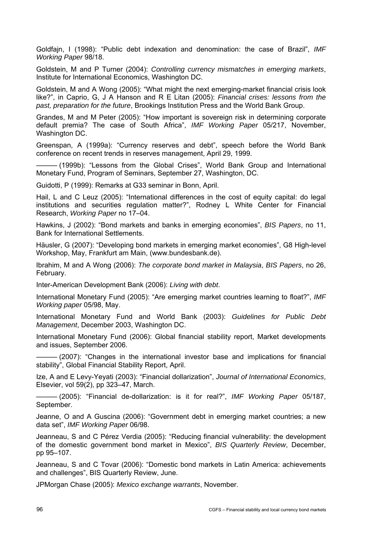Goldfajn, I (1998): "Public debt indexation and denomination: the case of Brazil", *IMF Working Paper* 98/18.

Goldstein, M and P Turner (2004): *Controlling currency mismatches in emerging markets*, Institute for International Economics, Washington DC.

Goldstein, M and A Wong (2005): "What might the next emerging-market financial crisis look like?", in Caprio, G, J A Hanson and R E Litan (2005): *Financial crises: lessons from the past, preparation for the future*, Brookings Institution Press and the World Bank Group.

Grandes, M and M Peter (2005): "How important is sovereign risk in determining corporate default premia? The case of South Africa", *IMF Working Paper* 05/217, November, Washington DC.

Greenspan, A (1999a): "Currency reserves and debt", speech before the World Bank conference on recent trends in reserves management, April 29, 1999.

- (1999b): "Lessons from the Global Crises", World Bank Group and International Monetary Fund, Program of Seminars, September 27, Washington, DC.

Guidotti, P (1999): Remarks at G33 seminar in Bonn, April.

Hail, L and C Leuz (2005): "International differences in the cost of equity capital: do legal institutions and securities regulation matter?", Rodney L White Center for Financial Research, *Working Paper* no 17–04.

Hawkins, J (2002): "Bond markets and banks in emerging economies", *BIS Papers*, no 11, Bank for International Settlements.

Häusler, G (2007): "Developing bond markets in emerging market economies", G8 High-level Workshop, May, Frankfurt am Main, (www.bundesbank.de).

Ibrahim, M and A Wong (2006): *The corporate bond market in Malaysia*, *BIS Papers*, no 26, February.

Inter-American Development Bank (2006): *Living with debt*.

International Monetary Fund (2005): "Are emerging market countries learning to float?", *IMF Working paper* 05/98, May.

International Monetary Fund and World Bank (2003): *Guidelines for Public Debt Management*, December 2003, Washington DC.

International Monetary Fund (2006): Global financial stability report, Market developments and issues, September 2006.

- (2007): "Changes in the international investor base and implications for financial stability", Global Financial Stability Report, April.

Ize, A and E Levy-Yeyati (2003): "Financial dollarization", *Journal of International Economics*, Elsevier, vol 59(2), pp 323–47, March.

——— (2005): "Financial de-dollarization: is it for real?", *IMF Working Paper* 05/187, September.

Jeanne, O and A Guscina (2006): "Government debt in emerging market countries; a new data set", *IMF Working Paper* 06/98.

Jeanneau, S and C Pérez Verdia (2005): "Reducing financial vulnerability: the development of the domestic government bond market in Mexico", *BIS Quarterly Review*, December, pp 95–107.

Jeanneau, S and C Tovar (2006): "Domestic bond markets in Latin America: achievements and challenges", BIS Quarterly Review, June.

JPMorgan Chase (2005): *Mexico exchange warrants*, November.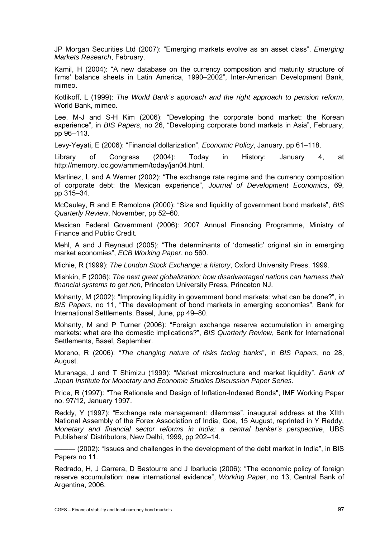JP Morgan Securities Ltd (2007): "Emerging markets evolve as an asset class", *Emerging Markets Research*, February.

Kamil, H (2004): "A new database on the currency composition and maturity structure of firms' balance sheets in Latin America, 1990–2002", Inter-American Development Bank, mimeo.

Kotlikoff, L (1999): *The World Bank's approach and the right approach to pension reform*, World Bank, mimeo.

Lee, M-J and S-H Kim (2006): "Developing the corporate bond market: the Korean experience", in *BIS Papers*, no 26, "Developing corporate bond markets in Asia", February, pp 96–113.

Levy-Yeyati, E (2006): "Financial dollarization", *Economic Policy*, January, pp 61–118.

Library of Congress (2004): Today in History: January 4, at http://memory.loc.gov/ammem/today/jan04.html.

Martinez, L and A Werner (2002): "The exchange rate regime and the currency composition of corporate debt: the Mexican experience", *Journal of Development Economics*, 69, pp 315–34.

McCauley, R and E Remolona (2000): "Size and liquidity of government bond markets", *BIS Quarterly Review*, November, pp 52–60.

Mexican Federal Government (2006): 2007 Annual Financing Programme, Ministry of Finance and Public Credit.

Mehl, A and J Reynaud (2005): "The determinants of 'domestic' original sin in emerging market economies", *ECB Working Paper*, no 560.

Michie, R (1999): *The London Stock Exchange: a history*, Oxford University Press, 1999.

Mishkin, F (2006): *The next great globalization: how disadvantaged nations can harness their financial systems to get rich*, Princeton University Press, Princeton NJ.

Mohanty, M (2002): "Improving liquidity in government bond markets: what can be done?", in *BIS Papers*, no 11, "The development of bond markets in emerging economies", Bank for International Settlements, Basel, June, pp 49–80.

Mohanty, M and P Turner (2006): "Foreign exchange reserve accumulation in emerging markets: what are the domestic implications?", *BIS Quarterly Review*, Bank for International Settlements, Basel, September.

Moreno, R (2006): "*The changing nature of risks facing banks*", in *BIS Papers*, no 28, August.

Muranaga, J and T Shimizu (1999): "Market microstructure and market liquidity", *Bank of Japan Institute for Monetary and Economic Studies Discussion Paper Series*.

Price, R (1997): "The Rationale and Design of Inflation-Indexed Bonds", IMF Working Paper no. 97/12, January 1997.

Reddy, Y (1997): "Exchange rate management: dilemmas", inaugural address at the XIIth National Assembly of the Forex Association of India, Goa, 15 August, reprinted in Y Reddy, *Monetary and financial sector reforms in India: a central banker's perspective*, UBS Publishers' Distributors, New Delhi, 1999, pp 202–14.

——— (2002): "Issues and challenges in the development of the debt market in India", in BIS Papers no 11.

Redrado, H, J Carrera, D Bastourre and J Ibarlucia (2006): "The economic policy of foreign reserve accumulation: new international evidence", *Working Paper*, no 13, Central Bank of Argentina, 2006.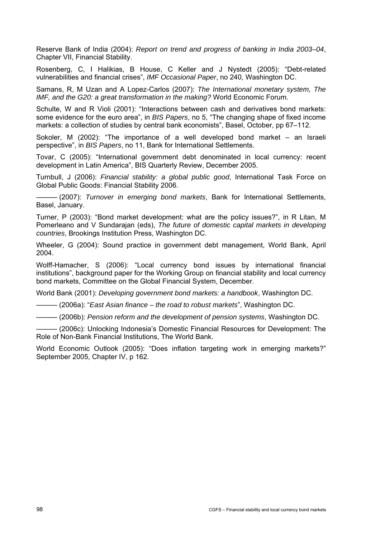Reserve Bank of India (2004): *Report on trend and progress of banking in India 2003–04*, Chapter VII, Financial Stability.

Rosenberg, C, I Halikias, B House, C Keller and J Nystedt (2005): "Debt-related vulnerabilities and financial crises", *IMF Occasional Paper*, no 240, Washington DC.

Samans, R, M Uzan and A Lopez-Carlos (2007): *The International monetary system, The IMF, and the G20: a great transformation in the making?* World Economic Forum.

Schulte, W and R Violi (2001): "Interactions between cash and derivatives bond markets: some evidence for the euro area", in *BIS Papers*, no 5, "The changing shape of fixed income markets: a collection of studies by central bank economists", Basel, October, pp 67–112.

Sokoler, M (2002): "The importance of a well developed bond market – an Israeli perspective", in *BIS Papers*, no 11, Bank for International Settlements.

Tovar, C (2005): "International government debt denominated in local currency: recent development in Latin America", BIS Quarterly Review, December 2005.

Turnbull, J (2006): *Financial stability: a global public good*, International Task Force on Global Public Goods: Financial Stability 2006.

——— (2007): *Turnover in emerging bond markets*, Bank for International Settlements, Basel, January.

Turner, P (2003): "Bond market development: what are the policy issues?", in R Litan, M Pomerleano and V Sundarajan (eds), *The future of domestic capital markets in developing countries*, Brookings Institution Press, Washington DC.

Wheeler, G (2004): Sound practice in government debt management, World Bank, April 2004.

Wolff-Hamacher, S (2006): "Local currency bond issues by international financial institutions", background paper for the Working Group on financial stability and local currency bond markets, Committee on the Global Financial System, December.

World Bank (2001): *Developing government bond markets: a handbook*, Washington DC.

——— (2006a): "*East Asian finance – the road to robust markets*", Washington DC.

——— (2006b): *Pension reform and the development of pension systems*, Washington DC.

——— (2006c): Unlocking Indonesia's Domestic Financial Resources for Development: The Role of Non-Bank Financial Institutions, The World Bank.

World Economic Outlook (2005): "Does inflation targeting work in emerging markets?" September 2005, Chapter IV, p 162.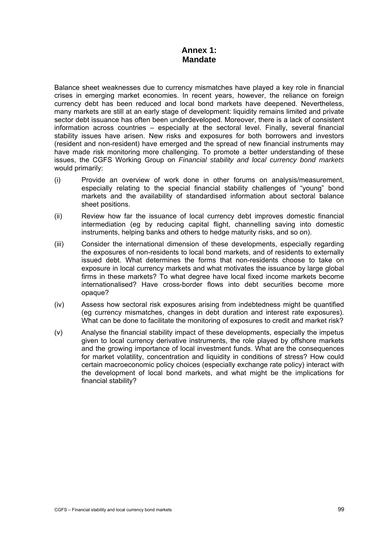# **Annex 1: Mandate**

Balance sheet weaknesses due to currency mismatches have played a key role in financial crises in emerging market economies. In recent years, however, the reliance on foreign currency debt has been reduced and local bond markets have deepened. Nevertheless, many markets are still at an early stage of development: liquidity remains limited and private sector debt issuance has often been underdeveloped. Moreover, there is a lack of consistent information across countries – especially at the sectoral level. Finally, several financial stability issues have arisen. New risks and exposures for both borrowers and investors (resident and non-resident) have emerged and the spread of new financial instruments may have made risk monitoring more challenging. To promote a better understanding of these issues, the CGFS Working Group on *Financial stability and local currency bond markets* would primarily:

- (i) Provide an overview of work done in other forums on analysis/measurement, especially relating to the special financial stability challenges of "young" bond markets and the availability of standardised information about sectoral balance sheet positions.
- (ii) Review how far the issuance of local currency debt improves domestic financial intermediation (eg by reducing capital flight, channelling saving into domestic instruments, helping banks and others to hedge maturity risks, and so on).
- (iii) Consider the international dimension of these developments, especially regarding the exposures of non-residents to local bond markets, and of residents to externally issued debt. What determines the forms that non-residents choose to take on exposure in local currency markets and what motivates the issuance by large global firms in these markets? To what degree have local fixed income markets become internationalised? Have cross-border flows into debt securities become more opaque?
- (iv) Assess how sectoral risk exposures arising from indebtedness might be quantified (eg currency mismatches, changes in debt duration and interest rate exposures). What can be done to facilitate the monitoring of exposures to credit and market risk?
- (v) Analyse the financial stability impact of these developments, especially the impetus given to local currency derivative instruments, the role played by offshore markets and the growing importance of local investment funds. What are the consequences for market volatility, concentration and liquidity in conditions of stress? How could certain macroeconomic policy choices (especially exchange rate policy) interact with the development of local bond markets, and what might be the implications for financial stability?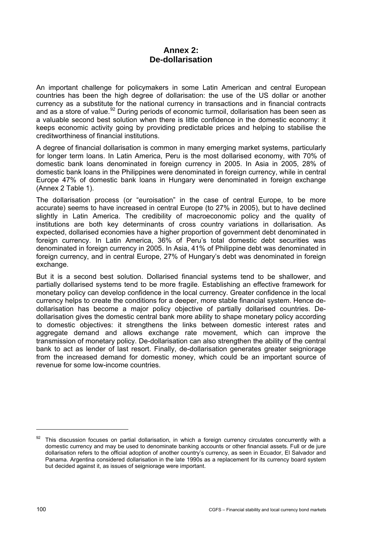# **Annex 2: De-dollarisation**

<span id="page-103-0"></span>An important challenge for policymakers in some Latin American and central European countries has been the high degree of dollarisation: the use of the US dollar or another currency as a substitute for the national currency in transactions and in financial contracts and as a store of value.<sup>[92](#page-103-0)</sup> During periods of economic turmoil, dollarisation has been seen as a valuable second best solution when there is little confidence in the domestic economy: it keeps economic activity going by providing predictable prices and helping to stabilise the creditworthiness of financial institutions.

A degree of financial dollarisation is common in many emerging market systems, particularly for longer term loans. In Latin America, Peru is the most dollarised economy, with 70% of domestic bank loans denominated in foreign currency in 2005. In Asia in 2005, 28% of domestic bank loans in the Philippines were denominated in foreign currency, while in central Europe 47% of domestic bank loans in Hungary were denominated in foreign exchange (Annex 2 Table 1).

The dollarisation process (or "euroisation" in the case of central Europe, to be more accurate) seems to have increased in central Europe (to 27% in 2005), but to have declined slightly in Latin America. The credibility of macroeconomic policy and the quality of institutions are both key determinants of cross country variations in dollarisation. As expected, dollarised economies have a higher proportion of government debt denominated in foreign currency. In Latin America, 36% of Peru's total domestic debt securities was denominated in foreign currency in 2005. In Asia, 41% of Philippine debt was denominated in foreign currency, and in central Europe, 27% of Hungary's debt was denominated in foreign exchange.

But it is a second best solution. Dollarised financial systems tend to be shallower, and partially dollarised systems tend to be more fragile. Establishing an effective framework for monetary policy can develop confidence in the local currency. Greater confidence in the local currency helps to create the conditions for a deeper, more stable financial system. Hence dedollarisation has become a major policy objective of partially dollarised countries. Dedollarisation gives the domestic central bank more ability to shape monetary policy according to domestic objectives: it strengthens the links between domestic interest rates and aggregate demand and allows exchange rate movement, which can improve the transmission of monetary policy. De-dollarisation can also strengthen the ability of the central bank to act as lender of last resort. Finally, de-dollarisation generates greater seigniorage from the increased demand for domestic money, which could be an important source of revenue for some low-income countries.

 $\overline{a}$ 

<sup>&</sup>lt;sup>92</sup> This discussion focuses on partial dollarisation, in which a foreign currency circulates concurrently with a domestic currency and may be used to denominate banking accounts or other financial assets. Full or de jure dollarisation refers to the official adoption of another country's currency, as seen in Ecuador, El Salvador and Panama. Argentina considered dollarisation in the late 1990s as a replacement for its currency board system but decided against it, as issues of seigniorage were important.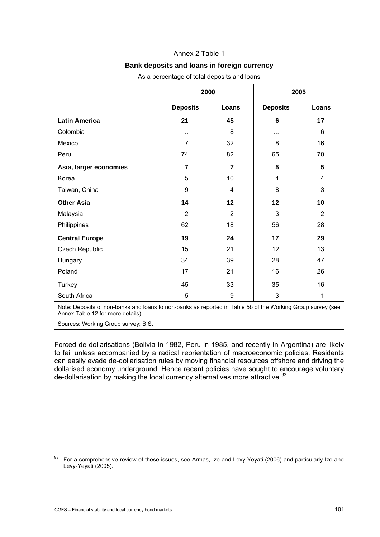### Annex 2 Table 1

### **Bank deposits and loans in foreign currency**

<span id="page-104-0"></span>

|                        |                         | 2000                    | 2005            |                 |  |
|------------------------|-------------------------|-------------------------|-----------------|-----------------|--|
|                        | <b>Deposits</b>         | Loans                   | <b>Deposits</b> | Loans           |  |
| <b>Latin America</b>   | 21                      | 45                      | 6               | 17              |  |
| Colombia               | $\cdots$                | 8                       | $\cdots$        | 6               |  |
| Mexico                 | $\overline{7}$          | 32                      | 8               | 16              |  |
| Peru                   | 74                      | 82                      | 65              | 70              |  |
| Asia, larger economies | $\overline{\mathbf{z}}$ | $\overline{\mathbf{r}}$ | 5               | $5\phantom{.0}$ |  |
| Korea                  | 5                       | 10                      | 4               | 4               |  |
| Taiwan, China          | 9                       | 4                       | 8               | 3               |  |
| <b>Other Asia</b>      | 14                      | 12                      | 12              | 10              |  |
| Malaysia               | $\overline{2}$          | $\overline{2}$          | 3               | $\overline{2}$  |  |
| Philippines            | 62                      | 18                      | 56              | 28              |  |
| <b>Central Europe</b>  | 19                      | 24                      | 17              | 29              |  |
| Czech Republic         | 15                      | 21                      | 12              | 13              |  |
| Hungary                | 34                      | 39                      | 28              | 47              |  |
| Poland                 | 17                      | 21                      | 16              | 26              |  |
| Turkey                 | 45                      | 33                      | 35              | 16              |  |
| South Africa           | 5                       | 9                       | 3               | 1               |  |

As a percentage of total deposits and loans

Note: Deposits of non-banks and loans to non-banks as reported in Table 5b of the Working Group survey (see Annex Table 12 for more details).

Sources: Working Group survey; BIS.

Forced de-dollarisations (Bolivia in 1982, Peru in 1985, and recently in Argentina) are likely to fail unless accompanied by a radical reorientation of macroeconomic policies. Residents can easily evade de-dollarisation rules by moving financial resources offshore and driving the dollarised economy underground. Hence recent policies have sought to encourage voluntary de-dollarisation by making the local currency alternatives more attractive.<sup>[93](#page-104-0)</sup>

j

<sup>93</sup> For a comprehensive review of these issues, see Armas, Ize and Levy-Yeyati (2006) and particularly Ize and Levy-Yeyati (2005).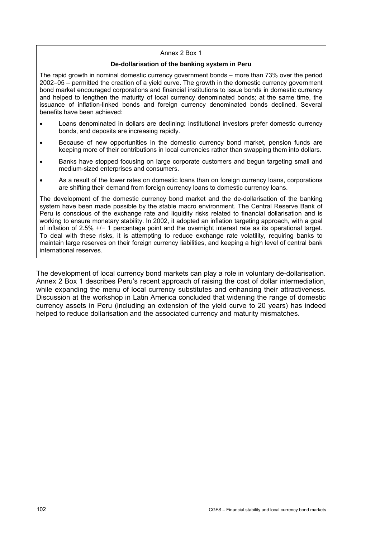#### Annex 2 Box 1

#### **De-dollarisation of the banking system in Peru**

The rapid growth in nominal domestic currency government bonds – more than 73% over the period 2002–05 – permitted the creation of a yield curve. The growth in the domestic currency government bond market encouraged corporations and financial institutions to issue bonds in domestic currency and helped to lengthen the maturity of local currency denominated bonds; at the same time, the issuance of inflation-linked bonds and foreign currency denominated bonds declined. Several benefits have been achieved:

- Loans denominated in dollars are declining: institutional investors prefer domestic currency bonds, and deposits are increasing rapidly.
- Because of new opportunities in the domestic currency bond market, pension funds are keeping more of their contributions in local currencies rather than swapping them into dollars.
- Banks have stopped focusing on large corporate customers and begun targeting small and medium-sized enterprises and consumers.
- As a result of the lower rates on domestic loans than on foreign currency loans, corporations are shifting their demand from foreign currency loans to domestic currency loans.

The development of the domestic currency bond market and the de-dollarisation of the banking system have been made possible by the stable macro environment. The Central Reserve Bank of Peru is conscious of the exchange rate and liquidity risks related to financial dollarisation and is working to ensure monetary stability. In 2002, it adopted an inflation targeting approach, with a goal of inflation of 2.5% +/− 1 percentage point and the overnight interest rate as its operational target. To deal with these risks, it is attempting to reduce exchange rate volatility, requiring banks to maintain large reserves on their foreign currency liabilities, and keeping a high level of central bank international reserves.

The development of local currency bond markets can play a role in voluntary de-dollarisation. Annex 2 Box 1 describes Peru's recent approach of raising the cost of dollar intermediation, while expanding the menu of local currency substitutes and enhancing their attractiveness. Discussion at the workshop in Latin America concluded that widening the range of domestic currency assets in Peru (including an extension of the yield curve to 20 years) has indeed helped to reduce dollarisation and the associated currency and maturity mismatches.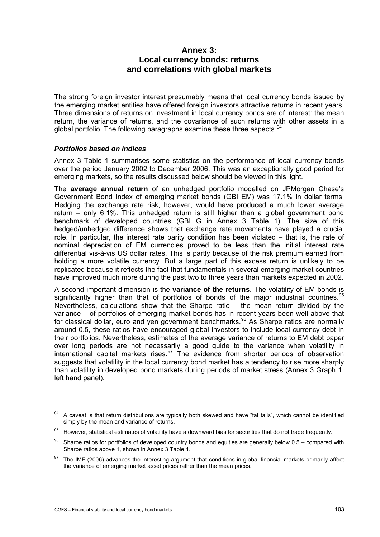# **Annex 3: Local currency bonds: returns and correlations with global markets**

<span id="page-106-0"></span>The strong foreign investor interest presumably means that local currency bonds issued by the emerging market entities have offered foreign investors attractive returns in recent years. Three dimensions of returns on investment in local currency bonds are of interest: the mean return, the variance of returns, and the covariance of such returns with other assets in a global portfolio. The following paragraphs examine these three aspects.  $94$  $94$ 

## *Portfolios based on indices*

Annex 3 Table 1 summarises some statistics on the performance of local currency bonds over the period January 2002 to December 2006. This was an exceptionally good period for emerging markets, so the results discussed below should be viewed in this light.

The **average annual return** of an unhedged portfolio modelled on JPMorgan Chase's Government Bond Index of emerging market bonds (GBI EM) was 17.1% in dollar terms. Hedging the exchange rate risk, however, would have produced a much lower average return – only 6.1%. This unhedged return is still higher than a global government bond benchmark of developed countries (GBI G in Annex 3 Table 1). The size of this hedged/unhedged difference shows that exchange rate movements have played a crucial role. In particular, the interest rate parity condition has been violated – that is, the rate of nominal depreciation of EM currencies proved to be less than the initial interest rate differential vis-à-vis US dollar rates. This is partly because of the risk premium earned from holding a more volatile currency. But a large part of this excess return is unlikely to be replicated because it reflects the fact that fundamentals in several emerging market countries have improved much more during the past two to three years than markets expected in 2002.

A second important dimension is the **variance of the returns**. The volatility of EM bonds is significantly higher than that of portfolios of bonds of the major industrial countries.<sup>[95](#page-106-0)</sup> Nevertheless, calculations show that the Sharpe ratio – the mean return divided by the variance – of portfolios of emerging market bonds has in recent years been well above that for classical dollar, euro and yen government benchmarks.<sup>[96](#page-106-0)</sup> As Sharpe ratios are normally around 0.5, these ratios have encouraged global investors to include local currency debt in their portfolios. Nevertheless, estimates of the average variance of returns to EM debt paper over long periods are not necessarily a good guide to the variance when volatility in international capital markets rises.  $97$  The evidence from shorter periods of observation suggests that volatility in the local currency bond market has a tendency to rise more sharply than volatility in developed bond markets during periods of market stress (Annex 3 Graph 1, left hand panel).

j

<sup>94</sup> A caveat is that return distributions are typically both skewed and have "fat tails", which cannot be identified simply by the mean and variance of returns.

<sup>95</sup> However, statistical estimates of volatility have a downward bias for securities that do not trade frequently.

 $96$  Sharpe ratios for portfolios of developed country bonds and equities are generally below 0.5 – compared with Sharpe ratios above 1, shown in Annex 3 Table 1.

 $97$  The IMF (2006) advances the interesting argument that conditions in global financial markets primarily affect the variance of emerging market asset prices rather than the mean prices.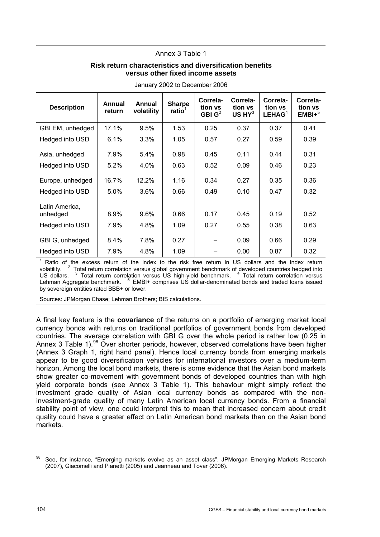## Annex 3 Table 1

## **Risk return characteristics and diversification benefits versus other fixed income assets**

<span id="page-107-0"></span>

| <b>Description</b> | Annual<br>return | Annual<br>volatility | <b>Sharpe</b><br>ratio $1$ | Correla-<br>tion vs<br>GBI $G^2$ | Correla-<br>tion vs<br>$US$ HY $3$ | Correla-<br>tion vs<br>LEHAG <sup>4</sup> | Correla-<br>tion vs<br>$EMBI+^5$ |
|--------------------|------------------|----------------------|----------------------------|----------------------------------|------------------------------------|-------------------------------------------|----------------------------------|
| GBI EM, unhedged   | 17.1%            | 9.5%                 | 1.53                       | 0.25                             | 0.37                               | 0.37                                      | 0.41                             |
| Hedged into USD    | 6.1%             | 3.3%                 | 1.05                       | 0.57                             | 0.27                               | 0.59                                      | 0.39                             |
| Asia, unhedged     | 7.9%             | 5.4%                 | 0.98                       | 0.45                             | 0.11                               | 0.44                                      | 0.31                             |
| Hedged into USD    | 5.2%             | 4.0%                 | 0.63                       | 0.52                             | 0.09                               | 0.46                                      | 0.23                             |
| Europe, unhedged   | 16.7%            | 12.2%                | 1.16                       | 0.34                             | 0.27                               | 0.35                                      | 0.36                             |
| Hedged into USD    | 5.0%             | 3.6%                 | 0.66                       | 0.49                             | 0.10                               | 0.47                                      | 0.32                             |
| Latin America,     |                  |                      |                            |                                  |                                    |                                           |                                  |
| unhedged           | 8.9%             | 9.6%                 | 0.66                       | 0.17                             | 0.45                               | 0.19                                      | 0.52                             |
| Hedged into USD    | 7.9%             | 4.8%                 | 1.09                       | 0.27                             | 0.55                               | 0.38                                      | 0.63                             |
| GBI G, unhedged    | 8.4%             | 7.8%                 | 0.27                       |                                  | 0.09                               | 0.66                                      | 0.29                             |
| Hedged into USD    | 7.9%             | 4.8%                 | 1.09                       |                                  | 0.00                               | 0.87                                      | 0.32                             |

January 2002 to December 2006

1 Ratio of the excess return of the index to the risk free return in US dollars and the index return volatility. <sup>2</sup> Total return correlation versus global government benchmark of developed countries hedged into US dollars. <sup>3</sup> Total return correlation versus US high-yield benchmark. <sup>4</sup> Total return correlation versus Lehman Aggregate benchmark. <sup>5</sup> EMBI+ comprises US dollar-denominated bonds and traded loans issued by sovereign entities rated BBB+ or lower.

Sources: JPMorgan Chase; Lehman Brothers; BIS calculations.

A final key feature is the **covariance** of the returns on a portfolio of emerging market local currency bonds with returns on traditional portfolios of government bonds from developed countries. The average correlation with GBI G over the whole period is rather low (0.25 in Annex 3 Table 1).<sup>[98](#page-107-0)</sup> Over shorter periods, however, observed correlations have been higher (Annex 3 Graph 1, right hand panel). Hence local currency bonds from emerging markets appear to be good diversification vehicles for international investors over a medium-term horizon. Among the local bond markets, there is some evidence that the Asian bond markets show greater co-movement with government bonds of developed countries than with high yield corporate bonds (see Annex 3 Table 1). This behaviour might simply reflect the investment grade quality of Asian local currency bonds as compared with the noninvestment-grade quality of many Latin American local currency bonds. From a financial stability point of view, one could interpret this to mean that increased concern about credit quality could have a greater effect on Latin American bond markets than on the Asian bond markets.

 $\overline{a}$ 

<sup>98</sup> See, for instance, "Emerging markets evolve as an asset class", JPMorgan Emerging Markets Research (2007), Giacomelli and Pianetti (2005) and Jeanneau and Tovar (2006).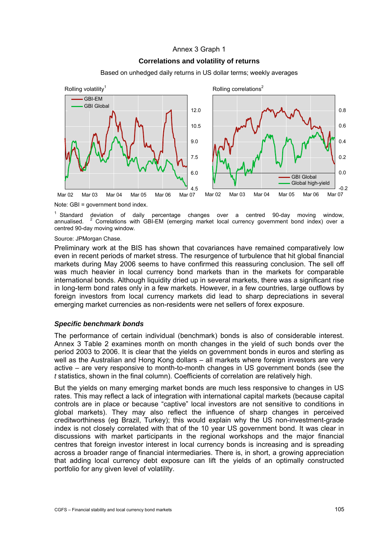## Annex 3 Graph 1

## **Correlations and volatility of returns**

Based on unhedged daily returns in US dollar terms; weekly averages



Note: GBI = government bond index.

<sup>1</sup> Standard Standard deviation of daily percentage changes over a centred 90-day moving window, annualised. <sup>2</sup> Correlations with GBI-EM (emerging market local currency government bond index) over a centred 90-day moving window.

Source: JPMorgan Chase.

Preliminary work at the BIS has shown that covariances have remained comparatively low even in recent periods of market stress. The resurgence of turbulence that hit global financial markets during May 2006 seems to have confirmed this reassuring conclusion. The sell off was much heavier in local currency bond markets than in the markets for comparable international bonds. Although liquidity dried up in several markets, there was a significant rise in long-term bond rates only in a few markets. However, in a few countries, large outflows by foreign investors from local currency markets did lead to sharp depreciations in several emerging market currencies as non-residents were net sellers of forex exposure.

### *Specific benchmark bonds*

The performance of certain individual (benchmark) bonds is also of considerable interest. Annex 3 Table 2 examines month on month changes in the yield of such bonds over the period 2003 to 2006. It is clear that the yields on government bonds in euros and sterling as well as the Australian and Hong Kong dollars – all markets where foreign investors are very active – are very responsive to month-to-month changes in US government bonds (see the *t* statistics, shown in the final column). Coefficients of correlation are relatively high.

But the yields on many emerging market bonds are much less responsive to changes in US rates. This may reflect a lack of integration with international capital markets (because capital controls are in place or because "captive" local investors are not sensitive to conditions in global markets). They may also reflect the influence of sharp changes in perceived creditworthiness (eg Brazil, Turkey); this would explain why the US non-investment-grade index is not closely correlated with that of the 10 year US government bond. It was clear in discussions with market participants in the regional workshops and the major financial centres that foreign investor interest in local currency bonds is increasing and is spreading across a broader range of financial intermediaries. There is, in short, a growing appreciation that adding local currency debt exposure can lift the yields of an optimally constructed portfolio for any given level of volatility.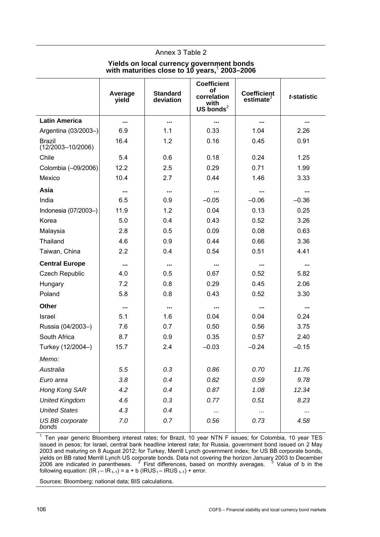## Annex 3 Table 2

#### **Yields on local currency government bonds with maturities close to 10 years,**<sup>1</sup>  **2003–2006**

|                                        |                  |                              | <b>Coefficient</b>   |                         |             |
|----------------------------------------|------------------|------------------------------|----------------------|-------------------------|-------------|
|                                        | Average<br>yield | <b>Standard</b><br>deviation | оf<br>correlation    | Coefficient<br>estimate | t-statistic |
|                                        |                  |                              | with<br>US bonds $2$ |                         |             |
| <b>Latin America</b>                   | $\ddotsc$        |                              | $\cdots$             | $\cdots$                |             |
| Argentina (03/2003-)                   | 6.9              | 1.1                          | 0.33                 | 1.04                    | 2.26        |
| <b>Brazil</b><br>$(12/2003 - 10/2006)$ | 16.4             | 1.2                          | 0.16                 | 0.45                    | 0.91        |
| Chile                                  | 5.4              | 0.6                          | 0.18                 | 0.24                    | 1.25        |
| Colombia (-09/2006)                    | 12.2             | 2.5                          | 0.29                 | 0.71                    | 1.99        |
| Mexico                                 | 10.4             | 2.7                          | 0.44                 | 1.46                    | 3.33        |
| Asia                                   |                  | $\cdots$                     |                      | $\cdots$                | $\cdots$    |
| India                                  | 6.5              | 0.9                          | $-0.05$              | $-0.06$                 | $-0.36$     |
| Indonesia (07/2003-)                   | 11.9             | 1.2                          | 0.04                 | 0.13                    | 0.25        |
| Korea                                  | 5.0              | 0.4                          | 0.43                 | 0.52                    | 3.26        |
| Malaysia                               | 2.8              | 0.5                          | 0.09                 | 0.08                    | 0.63        |
| Thailand                               | 4.6              | 0.9                          | 0.44                 | 0.66                    | 3.36        |
| Taiwan, China                          | 2.2              | 0.4                          | 0.54                 | 0.51                    | 4.41        |
| <b>Central Europe</b>                  |                  |                              |                      |                         |             |
| <b>Czech Republic</b>                  | 4.0              | 0.5                          | 0.67                 | 0.52                    | 5.82        |
| Hungary                                | 7.2              | 0.8                          | 0.29                 | 0.45                    | 2.06        |
| Poland                                 | 5.8              | 0.8                          | 0.43                 | 0.52                    | 3.30        |
| <b>Other</b>                           | $\cdots$         |                              |                      |                         | $\cdots$    |
| Israel                                 | 5.1              | 1.6                          | 0.04                 | 0.04                    | 0.24        |
| Russia (04/2003-)                      | 7.6              | 0.7                          | 0.50                 | 0.56                    | 3.75        |
| South Africa                           | 8.7              | 0.9                          | 0.35                 | 0.57                    | 2.40        |
| Turkey (12/2004-)                      | 15.7             | 2.4                          | $-0.03$              | $-0.24$                 | $-0.15$     |
| Memo:                                  |                  |                              |                      |                         |             |
| Australia                              | 5.5              | 0.3                          | 0.86                 | 0.70                    | 11.76       |
| Euro area                              | 3.8              | 0.4                          | 0.82                 | 0.59                    | 9.78        |
| Hong Kong SAR                          | 4.2              | 0.4                          | 0.87                 | 1.08                    | 12.34       |
| <b>United Kingdom</b>                  | 4.6              | 0.3                          | 0.77                 | 0.51                    | 8.23        |
| <b>United States</b>                   | 4.3              | 0.4                          |                      |                         |             |
| US BB corporate<br>bonds               | 7.0              | 0.7                          | 0.56                 | 0.73                    | 4.58        |

1 Ten year generic Bloomberg interest rates; for Brazil, 10 year NTN F issues; for Colombia, 10 year TES issued in pesos; for Israel, central bank headline interest rate; for Russia, government bond issued on 2 May 2003 and maturing on 8 August 2012; for Turkey, Merrill Lynch government index; for US BB corporate bonds, yields on BB rated Merrill Lynch US corporate bonds. Data not covering the horizon January 2003 to December 2006 are indicated in parentheses.  $2^2$  First differences, based on monthly averages.  $3$  Value of b in the following equation:  $\left( \text{IR}_{t} - \text{IR}_{t-1} \right) = a + b \left( \text{IRUS}_{t} - \text{IRUS}_{t-1} \right) + \text{error}.$ 

Sources: Bloomberg; national data; BIS calculations.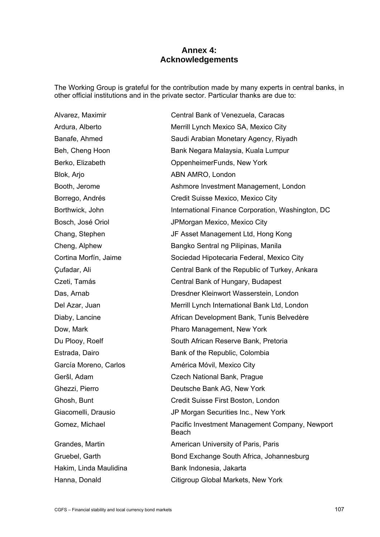## **Annex 4: Acknowledgements**

The Working Group is grateful for the contribution made by many experts in central banks, in other official institutions and in the private sector. Particular thanks are due to:

Alvarez, Maximir Central Bank of Venezuela, Caracas Blok, Arjo **ABN AMRO, London** 

Ardura, Alberto Merrill Lynch Mexico SA, Mexico City Banafe, Ahmed Saudi Arabian Monetary Agency, Riyadh Beh, Cheng Hoon Bank Negara Malaysia, Kuala Lumpur Berko, Elizabeth OppenheimerFunds, New York Booth, Jerome **Ashmore Investment Management, London** Borrego, Andrés **Credit Suisse Mexico, Mexico City** Borthwick, John **International Finance Corporation, Washington, DC** Bosch, José Oriol JPMorgan Mexico, Mexico City Chang, Stephen JF Asset Management Ltd, Hong Kong Cheng, Alphew Bangko Sentral ng Pilipinas, Manila Cortina Morfín, Jaime Sociedad Hipotecaria Federal, Mexico City Çufadar, Ali Central Bank of the Republic of Turkey, Ankara Czeti, Tamás Czeti, Tamás Central Bank of Hungary, Budapest Das, Arnab **Dresdner Kleinwort Wasserstein, London** Del Azar, Juan Merrill Lynch International Bank Ltd, London Diaby, Lancine **African Development Bank, Tunis Belvedère** Dow, Mark **Pharo Management, New York** Du Ploov, Roelf South African Reserve Bank, Pretoria Estrada, Dairo Bank of the Republic, Colombia García Moreno, Carlos **América Móvil, Mexico City** Geršl, Adam Czech National Bank, Prague Ghezzi, Pierro **Deutsche Bank AG, New York** Ghosh, Bunt Credit Suisse First Boston, London Giacomelli, Drausio JP Morgan Securities Inc., New York Gomez, Michael Pacific Investment Management Company, Newport Beach Grandes, Martin **American University of Paris, Paris** Gruebel, Garth Bond Exchange South Africa, Johannesburg Hakim, Linda Maulidina **Bank Indonesia, Jakarta** Hanna, Donald Citigroup Global Markets, New York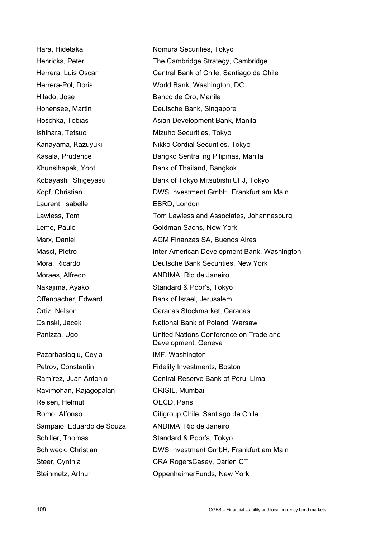Hilado, Jose Banco de Oro, Manila Laurent, Isabelle **EBRD**, London Pazarbasioglu, Ceyla IMF, Washington

Hara, Hidetaka Nomura Securities, Tokyo Henricks, Peter The Cambridge Strategy, Cambridge Herrera, Luis Oscar Central Bank of Chile, Santiago de Chile Herrera-Pol, Doris World Bank, Washington, DC Hohensee, Martin Deutsche Bank, Singapore Hoschka, Tobias **Asian Development Bank, Manila** Ishihara, Tetsuo **Mizuho Securities**, Tokyo Kanayama, Kazuyuki Nikko Cordial Securities, Tokyo Kasala, Prudence **Bangko Sentral ng Pilipinas, Manila** Khunsihapak, Yoot Bank of Thailand, Bangkok Kobayashi, Shigeyasu Bank of Tokyo Mitsubishi UFJ, Tokyo Kopf, Christian **DWS Investment GmbH, Frankfurt am Main** Lawless, Tom Tom Lawless and Associates, Johannesburg Leme, Paulo Goldman Sachs, New York Marx, Daniel **AGM Finanzas SA, Buenos Aires** Masci, Pietro **Inter-American Development Bank, Washington** Mora, Ricardo Deutsche Bank Securities, New York Moraes, Alfredo **ANDIMA, Rio de Janeiro** Nakajima, Ayako Standard & Poor's, Tokyo Offenbacher, Edward Bank of Israel, Jerusalem Ortiz, Nelson Caracas Stockmarket, Caracas Osinski, Jacek National Bank of Poland, Warsaw Panizza, Ugo United Nations Conference on Trade and Development, Geneva Petrov, Constantin Fidelity Investments, Boston Ramírez, Juan Antonio Central Reserve Bank of Peru, Lima Ravimohan, Rajagopalan CRISIL, Mumbai Reisen, Helmut **OECD**, Paris Romo, Alfonso Citigroup Chile, Santiago de Chile Sampaio, Eduardo de Souza ANDIMA, Rio de Janeiro Schiller, Thomas Standard & Poor's, Tokyo Schiweck, Christian **DWS Investment GmbH, Frankfurt am Main** Steer, Cynthia CRA RogersCasey, Darien CT Steinmetz, Arthur **Channelet CompenheimerFunds, New York**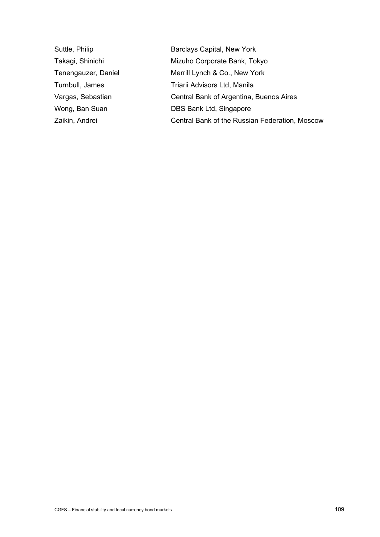Suttle, Philip Barclays Capital, New York Takagi, Shinichi Mizuho Corporate Bank, Tokyo Tenengauzer, Daniel Merrill Lynch & Co., New York Turnbull, James Triarii Advisors Ltd, Manila Vargas, Sebastian Central Bank of Argentina, Buenos Aires Wong, Ban Suan **DBS Bank Ltd, Singapore** Zaikin, Andrei Central Bank of the Russian Federation, Moscow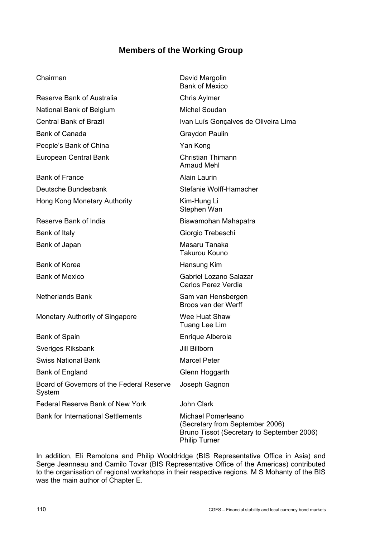# **Members of the Working Group**

## Chairman David Margolin

Reserve Bank of Australia Chris Aylmer National Bank of Belgium Michel Soudan Bank of Canada Graydon Paulin People's Bank of China Yan Kong European Central Bank Christian Thimann

Bank of France Alain Laurin Deutsche Bundesbank Stefanie Wolff-Hamacher Hong Kong Monetary Authority Kim-Hung Li

Bank of Italy Giorgio Trebeschi Bank of Japan Masaru Tanaka

Bank of Korea **Hansung Kim** 

Monetary Authority of Singapore Wee Huat Shaw

Bank of Spain **Enrique Alberola** Sveriges Riksbank **Jill Billborn** Swiss National Bank Marcel Peter Bank of England Glenn Hoggarth Board of Governors of the Federal Reserve System Federal Reserve Bank of New York John Clark

Bank of Mexico Central Bank of Brazil **IVan Luís Gonçalves de Oliveira Lima** Arnaud Mehl Stephen Wan Reserve Bank of India **Biswamohan Mahapatra** Takurou Kouno Bank of Mexico Gabriel Lozano Salazar Carlos Perez Verdia Netherlands Bank Sam van Hensbergen Broos van der Werff Tuang Lee Lim Joseph Gagnon Bank for International Settlements Michael Pomerleano (Secretary from September 2006)

In addition, Eli Remolona and Philip Wooldridge (BIS Representative Office in Asia) and Serge Jeanneau and Camilo Tovar (BIS Representative Office of the Americas) contributed to the organisation of regional workshops in their respective regions. M S Mohanty of the BIS was the main author of Chapter E.

Philip Turner

Bruno Tissot (Secretary to September 2006)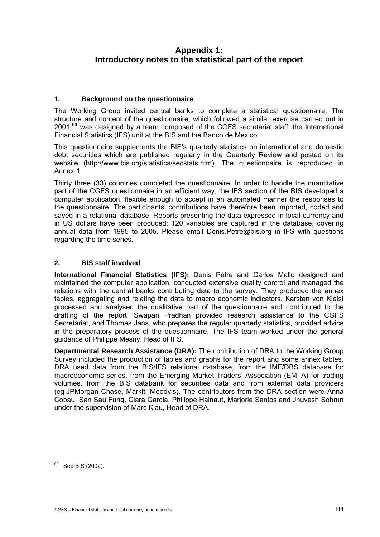## <span id="page-114-0"></span>**Appendix 1: Introductory notes to the statistical part of the report**

## **1. Background on the questionnaire**

The [W](#page-114-0)orking Group invited central banks to complete a statistical questionnaire. The structure and content of the questionnaire, which followed a similar exercise carried out in  $2001$ ,<sup>99</sup> was designed by a team composed of the CGFS secretariat staff, the International Financial Statistics (IFS) unit at the BIS and the Banco de Mexico.

This questionnaire supplements the BIS's quarterly statistics on international and domestic debt sec[urities which are published regularly in](http://www.bis.org/statistics/secstats.htm) the Quarterly Review and posted on its website (http://www.bis.org/statistics/secstats.htm). The questionnaire is reproduced in Annex 1.

Thirty three (33) countries completed the questionnaire. In order to handle the quantitative part of the CGFS questionnaire in an efficient way, the IFS section of the BIS developed a computer application, flexible enough to accept in an automated manner the responses to the questionnaire. The participants' contributions have therefore been imported, coded and saved in a relational database. Reports presenting the data expressed in local currency and in US dollars have been produced; 120 variables are captured in the database, covering annual data from 1995 to 2005. Please email Denis.Petre@bis.org in IFS with questions regarding the time series.

## **2. BIS staff involved**

**International Financial Statistics (IFS):** Denis Pêtre and Carlos Mallo designed and maintained the computer application, conducted extensive quality control and managed the relations with the central banks contributing data to the survey. They produced the annex tables, aggregating and relating the data to macro economic indicators. Karsten von Kleist processed and analysed the qualitative part of the questionnaire and contributed to the drafting of the report. Swapan Pradhan provided research assistance to the CGFS Secretariat, and Thomas Jans, who prepares the regular quarterly statistics, provided advice in the preparatory process of the questionnaire. The IFS team worked under the general guidance of Philippe Mesny, Head of IFS.

**Departmental Research Assistance (DRA):** The contribution of DRA to the Working Group Survey included the production of tables and graphs for the report and some annex tables. DRA used data from the BIS/IFS relational database, from the IMF/DBS database for macroeconomic series, from the Emerging Market Traders' Association (EMTA) for trading volumes, from the BIS databank for securities data and from external data providers (eg JPMorgan Chase, Markit, Moody's). The contributors from the DRA section were Anna Cobau, San Sau Fung, Clara Garcia, Philippe Hainaut, Marjorie Santos and Jhuvesh Sobrun under the supervision of Marc Klau, Head of DRA.

<u>.</u>

<sup>&</sup>lt;sup>99</sup> See BIS (2002).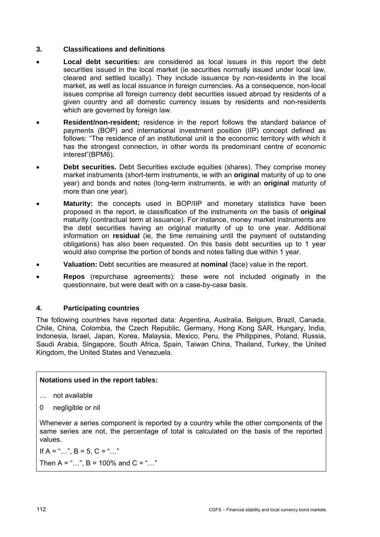## **3. Classifications and definitions**

- **Local debt securities:** are considered as local issues in this report the debt securities issued in the local market (ie securities normally issued under local law, cleared and settled locally). They include issuance by non-residents in the local market, as well as local issuance in foreign currencies. As a consequence, non-local issues comprise all foreign currency debt securities issued abroad by residents of a given country and all domestic currency issues by residents and non-residents which are governed by foreign law.
- **Resident/non-resident;** residence in the report follows the standard balance of payments (BOP) and international investment position (IIP) concept defined as follows: "The residence of an institutional unit is the economic territory with which it has the strongest connection, in other words its predominant centre of economic interest"(BPM6).
- **Debt securities.** Debt Securities exclude equities (shares). They comprise money market instruments (short-term instruments, ie with an **original** maturity of up to one year) and bonds and notes (long-term instruments, ie with an **original** maturity of more than one year).
- Maturity: the concepts used in BOP/IIP and monetary statistics have been proposed in the report, ie classification of the instruments on the basis of **original** maturity (contractual term at issuance). For instance, money market instruments are the debt securities having an original maturity of up to one year. Additional information on **residual** (ie, the time remaining until the payment of outstanding obligations) has also been requested. On this basis debt securities up to 1 year would also comprise the portion of bonds and notes falling due within 1 year.
- **Valuation:** Debt securities are measured at **nominal** (face) value in the report.
- **Repos** (repurchase agreements): these were not included originally in the questionnaire, but were dealt with on a case-by-case basis.

## **4. Participating countries**

The following countries have reported data: Argentina, Australia, Belgium, Brazil, Canada, Chile, China, Colombia, the Czech Republic, Germany, Hong Kong SAR, Hungary, India, Indonesia, Israel, Japan, Korea, Malaysia, Mexico, Peru, the Philippines, Poland, Russia, Saudi Arabia, Singapore, South Africa, Spain, Taiwan China, Thailand, Turkey, the United Kingdom, the United States and Venezuela.

## **Notations used in the report tables:**

- … not available
- 0 negligible or nil

Whenever a series component is reported by a country while the other components of the same series are not, the percentage of total is calculated on the basis of the reported values.

If  $A =$  "…",  $B = 5$ ,  $C =$  "…" Then A = "...", B = 100% and C = "..."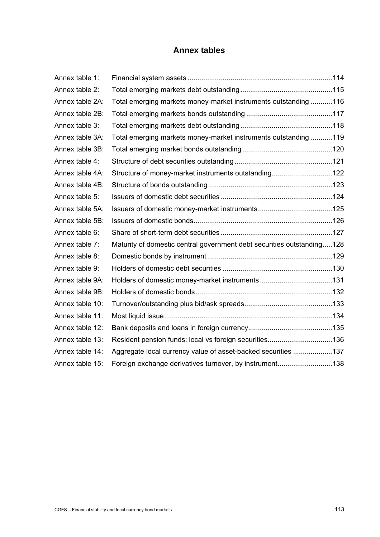# **Annex tables**

| Annex table 1:  |                                                                        |  |
|-----------------|------------------------------------------------------------------------|--|
| Annex table 2:  |                                                                        |  |
| Annex table 2A: | Total emerging markets money-market instruments outstanding 116        |  |
| Annex table 2B: |                                                                        |  |
| Annex table 3:  |                                                                        |  |
| Annex table 3A: | Total emerging markets money-market instruments outstanding 119        |  |
| Annex table 3B: |                                                                        |  |
| Annex table 4:  |                                                                        |  |
| Annex table 4A: | Structure of money-market instruments outstanding122                   |  |
| Annex table 4B: |                                                                        |  |
| Annex table 5:  |                                                                        |  |
| Annex table 5A: |                                                                        |  |
| Annex table 5B: |                                                                        |  |
| Annex table 6:  |                                                                        |  |
| Annex table 7:  | Maturity of domestic central government debt securities outstanding128 |  |
| Annex table 8:  |                                                                        |  |
| Annex table 9:  |                                                                        |  |
| Annex table 9A: |                                                                        |  |
| Annex table 9B: |                                                                        |  |
| Annex table 10: |                                                                        |  |
| Annex table 11: |                                                                        |  |
| Annex table 12: |                                                                        |  |
| Annex table 13: | Resident pension funds: local vs foreign securities136                 |  |
| Annex table 14: | Aggregate local currency value of asset-backed securities 137          |  |
| Annex table 15: | Foreign exchange derivatives turnover, by instrument138                |  |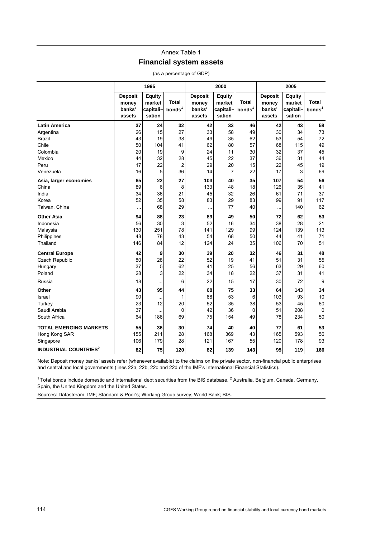## Annex Table 1 **Financial system assets**

|                                         |                                             | 1995                                          |                             |                                             | 2000                                           |                             | 2005                                        |                                                |                             |  |
|-----------------------------------------|---------------------------------------------|-----------------------------------------------|-----------------------------|---------------------------------------------|------------------------------------------------|-----------------------------|---------------------------------------------|------------------------------------------------|-----------------------------|--|
|                                         | <b>Deposit</b><br>money<br>banks'<br>assets | <b>Equity</b><br>market<br>capitali<br>sation | Total<br>bonds <sup>1</sup> | <b>Deposit</b><br>money<br>banks'<br>assets | <b>Equity</b><br>market<br>capitali-<br>sation | Total<br>bonds <sup>1</sup> | <b>Deposit</b><br>money<br>banks'<br>assets | <b>Equity</b><br>market<br>capitali-<br>sation | Total<br>bonds <sup>1</sup> |  |
| <b>Latin America</b>                    | 37                                          | 24                                            | 32                          | 42                                          | 33                                             | 46                          | 42                                          | 43                                             | 58                          |  |
| Argentina                               | 26                                          | 15                                            | 27                          | 33                                          | 58                                             | 49                          | 30                                          | 34                                             | 73                          |  |
| Brazil                                  | 43                                          | 19                                            | 38                          | 49                                          | 35                                             | 62                          | 53                                          | 54                                             | 72                          |  |
| Chile                                   | 50                                          | 104                                           | 41                          | 62                                          | 80                                             | 57                          | 68                                          | 115                                            | 49                          |  |
| Colombia                                | 20                                          | 19                                            | 9                           | 24                                          | 11                                             | 30                          | 32                                          | 37                                             | 45                          |  |
| Mexico                                  | 44                                          | 32                                            | 28                          | 45                                          | 22                                             | 37                          | 36                                          | 31                                             | 44                          |  |
| Peru                                    | 17                                          | 22                                            | $\overline{2}$              | 29                                          | 20                                             | 15                          | 22                                          | 45                                             | 19                          |  |
| Venezuela                               | 16                                          | 5                                             | 36                          | 14                                          | $\overline{7}$                                 | 22                          | 17                                          | 3                                              | 69                          |  |
| Asia, larger economies                  | 65                                          | 22                                            | 27                          | 103                                         | 40                                             | 35                          | 107                                         | 54                                             | 56                          |  |
| China                                   | 89                                          | 6                                             | 8                           | 133                                         | 48                                             | 18                          | 126                                         | 35                                             | 41                          |  |
| India                                   | 34                                          | 36                                            | 21                          | 45                                          | 32                                             | 26                          | 61                                          | 71                                             | 37                          |  |
| Korea                                   | 52                                          | 35                                            | 58                          | 83                                          | 29                                             | 83                          | 99                                          | 91                                             | 117                         |  |
| Taiwan, China                           | $\ddotsc$                                   | 68                                            | 29                          | $\ddotsc$                                   | 77                                             | 40                          | $\cdots$                                    | 140                                            | 62                          |  |
| <b>Other Asia</b>                       | 94                                          | 88                                            | 23                          | 89                                          | 49                                             | 50                          | 72                                          | 62                                             | 53                          |  |
| Indonesia                               | 56                                          | 30                                            | 3                           | 52                                          | 16                                             | 34                          | 38                                          | 28                                             | 21                          |  |
| Malaysia                                | 130                                         | 251                                           | 78                          | 141                                         | 129                                            | 99                          | 124                                         | 139                                            | 113                         |  |
| Philippines                             | 48                                          | 78                                            | 43                          | 54                                          | 68                                             | 50                          | 44                                          | 41                                             | 71                          |  |
| Thailand                                | 146                                         | 84                                            | 12                          | 124                                         | 24                                             | 35                          | 106                                         | 70                                             | 51                          |  |
| <b>Central Europe</b>                   | 42                                          | 9                                             | 30                          | 39                                          | 20                                             | 32                          | 46                                          | 31                                             | 48                          |  |
| Czech Republic                          | 80                                          | 28                                            | 22                          | 52                                          | 19                                             | 41                          | 51                                          | 31                                             | 55                          |  |
| Hungary                                 | 37                                          | 5                                             | 62                          | 41                                          | 25                                             | 56                          | 63                                          | 29                                             | 60                          |  |
| Poland                                  | 28                                          | 3                                             | 22                          | 34                                          | 18                                             | 22                          | 37                                          | 31                                             | 41                          |  |
| Russia                                  | 18                                          | $\ddotsc$                                     | 6                           | 22                                          | 15                                             | 17                          | 30                                          | 72                                             | 9                           |  |
| Other                                   | 43                                          | 95                                            | 44                          | 68                                          | 75                                             | 33                          | 64                                          | 143                                            | 34                          |  |
| Israel                                  | 90                                          |                                               | 1                           | 88                                          | 53                                             | 6                           | 103                                         | 93                                             | 10                          |  |
| Turkey                                  | 23                                          | 12                                            | 20                          | 52                                          | 35                                             | 38                          | 53                                          | 45                                             | 60                          |  |
| Saudi Arabia                            | 37                                          | $\ddotsc$                                     | 0                           | 42                                          | 36                                             | 0                           | 51                                          | 208                                            | 0                           |  |
| South Africa                            | 64                                          | 186                                           | 69                          | 75                                          | 154                                            | 49                          | 78                                          | 234                                            | 50                          |  |
| <b>TOTAL EMERGING MARKETS</b>           | 55                                          | 36                                            | 30                          | 74                                          | 40                                             | 40                          | 77                                          | 61                                             | 53                          |  |
| Hong Kong SAR                           | 155                                         | 211                                           | 28                          | 168                                         | 369                                            | 43                          | 165                                         | 593                                            | 56                          |  |
| Singapore                               | 106                                         | 179                                           | 28                          | 121                                         | 167                                            | 55                          | 120                                         | 178                                            | 93                          |  |
| <b>INDUSTRIAL COUNTRIES<sup>2</sup></b> | 82                                          | 75                                            | 120                         | 82                                          | 139                                            | 143                         | 95                                          | 119                                            | 166                         |  |

(as a percentage of GDP)

Note: Deposit money banks' assets refer (whenever available) to the claims on the private sector, non-financial public enterprises and central and local governments (lines 22a, 22b, 22c and 22d of the IMF's International Financial Statistics).

 $1$ Total bonds include domestic and international debt securities from the BIS database. <sup>2</sup> Australia, Belgium, Canada, Germany, Spain, the United Kingdom and the United States.

Sources: Datastream; IMF; Standard & Poor's; Working Group survey; World Bank; BIS.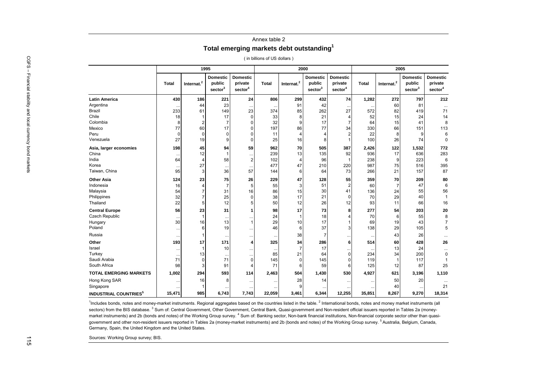### Annex table 2 **Total emerging markets debt outstanding<sup>1</sup>**

( in billions of US dollars )

|                                                                                                                                                                                                                                                                                                                                                                                                                                                                                                                                                                                                                                                                                                                                                                                                                                                                       |              |                  |                                     |                                                   | (in billions of US dollars) |                        |                                                  |                                                   |              |                        |                                                  |                                                   |
|-----------------------------------------------------------------------------------------------------------------------------------------------------------------------------------------------------------------------------------------------------------------------------------------------------------------------------------------------------------------------------------------------------------------------------------------------------------------------------------------------------------------------------------------------------------------------------------------------------------------------------------------------------------------------------------------------------------------------------------------------------------------------------------------------------------------------------------------------------------------------|--------------|------------------|-------------------------------------|---------------------------------------------------|-----------------------------|------------------------|--------------------------------------------------|---------------------------------------------------|--------------|------------------------|--------------------------------------------------|---------------------------------------------------|
|                                                                                                                                                                                                                                                                                                                                                                                                                                                                                                                                                                                                                                                                                                                                                                                                                                                                       |              |                  | 1995                                |                                                   |                             |                        | 2000                                             |                                                   |              |                        | 2005                                             |                                                   |
|                                                                                                                                                                                                                                                                                                                                                                                                                                                                                                                                                                                                                                                                                                                                                                                                                                                                       | <b>Total</b> | Internat. $^{2}$ | <b>Domestic</b><br>public<br>sector | <b>Domestic</b><br>private<br>sector <sup>4</sup> | Total                       | Internat. <sup>2</sup> | <b>Domestic</b><br>public<br>sector <sup>3</sup> | <b>Domestic</b><br>private<br>sector <sup>4</sup> | <b>Total</b> | Internat. <sup>2</sup> | <b>Domestic</b><br>public<br>sector <sup>3</sup> | <b>Domestic</b><br>private<br>sector <sup>4</sup> |
| <b>Latin America</b>                                                                                                                                                                                                                                                                                                                                                                                                                                                                                                                                                                                                                                                                                                                                                                                                                                                  | 430          | 186              | 221                                 | 24                                                | 806                         | 299                    | 432                                              | 74                                                | 1,282        | 272                    | 797                                              | 212                                               |
| Argentina                                                                                                                                                                                                                                                                                                                                                                                                                                                                                                                                                                                                                                                                                                                                                                                                                                                             |              | 44               | 23                                  | $\ldots$                                          |                             | 91                     | 42                                               |                                                   |              | 60                     | 81                                               |                                                   |
| <b>Brazil</b>                                                                                                                                                                                                                                                                                                                                                                                                                                                                                                                                                                                                                                                                                                                                                                                                                                                         | 233          | 61               | 149                                 | 23                                                | 374                         | 85                     | 262                                              | 27                                                | 572          | 82                     | 419                                              | 71                                                |
| Chile                                                                                                                                                                                                                                                                                                                                                                                                                                                                                                                                                                                                                                                                                                                                                                                                                                                                 | 18           |                  | 17                                  | $\overline{0}$                                    | 33                          | 8                      | 21                                               | 4                                                 | 52           | 15                     | 24                                               | 14                                                |
| Colombia                                                                                                                                                                                                                                                                                                                                                                                                                                                                                                                                                                                                                                                                                                                                                                                                                                                              | 8            | $\overline{2}$   | $\overline{7}$                      | 0                                                 | 32                          | 9                      | 17                                               | 7                                                 | 64           | 15                     | 41                                               | 8                                                 |
| Mexico                                                                                                                                                                                                                                                                                                                                                                                                                                                                                                                                                                                                                                                                                                                                                                                                                                                                | 77           | 60               | 17                                  | $\Omega$                                          | 197                         | 86                     | 77                                               | 34                                                | 330          | 66                     | 151                                              | 113                                               |
| Peru                                                                                                                                                                                                                                                                                                                                                                                                                                                                                                                                                                                                                                                                                                                                                                                                                                                                  | $\Omega$     | $\mathbf 0$      | $\Omega$                            | $\Omega$                                          | 11                          | 4                      | $\overline{4}$                                   | $\overline{2}$                                    | 22           | 8                      | g                                                | 6                                                 |
| Venezuela                                                                                                                                                                                                                                                                                                                                                                                                                                                                                                                                                                                                                                                                                                                                                                                                                                                             | 27           | 19               | 9                                   | $\Omega$                                          | 25                          | 16                     | 8                                                |                                                   | 100          | 26                     | 74                                               | $\mathbf 0$                                       |
| Asia, larger economies                                                                                                                                                                                                                                                                                                                                                                                                                                                                                                                                                                                                                                                                                                                                                                                                                                                | 198          | 45               | 94                                  | 59                                                | 962                         | 70                     | 505                                              | 387                                               | 2,426        | 122                    | 1,532                                            | 772                                               |
| China                                                                                                                                                                                                                                                                                                                                                                                                                                                                                                                                                                                                                                                                                                                                                                                                                                                                 |              | 12               |                                     | $\ddotsc$                                         | 239                         | 13                     | 135                                              | 92                                                | 936          | 17                     | 636                                              | 283                                               |
| India                                                                                                                                                                                                                                                                                                                                                                                                                                                                                                                                                                                                                                                                                                                                                                                                                                                                 | 64           | $\overline{4}$   | 58                                  | $\overline{2}$                                    | 102                         | 4                      | 96                                               |                                                   | 238          | 9                      | 223                                              | 6                                                 |
| Korea                                                                                                                                                                                                                                                                                                                                                                                                                                                                                                                                                                                                                                                                                                                                                                                                                                                                 |              | 27               | $\ddotsc$                           | $\ldots$                                          | 477                         | 47                     | 210                                              | 220                                               | 987          | 75                     | 516                                              | 395                                               |
| Taiwan, China                                                                                                                                                                                                                                                                                                                                                                                                                                                                                                                                                                                                                                                                                                                                                                                                                                                         | 95           | 3                | 36                                  | 57                                                | 144                         | 6                      | 64                                               | 73                                                | 266          | 21                     | 157                                              | 87                                                |
| <b>Other Asia</b>                                                                                                                                                                                                                                                                                                                                                                                                                                                                                                                                                                                                                                                                                                                                                                                                                                                     | 124          | 23               | 75                                  | 26                                                | 229                         | 47                     | 128                                              | 55                                                | 359          | 70                     | 209                                              | 80                                                |
| Indonesia                                                                                                                                                                                                                                                                                                                                                                                                                                                                                                                                                                                                                                                                                                                                                                                                                                                             | 16           | $\overline{4}$   | $\overline{7}$                      | 5                                                 | 55                          | 3                      | 51                                               | $\overline{2}$                                    | 60           | $\overline{7}$         | 47                                               | 6                                                 |
| Malaysia                                                                                                                                                                                                                                                                                                                                                                                                                                                                                                                                                                                                                                                                                                                                                                                                                                                              | 54           | $\overline{7}$   | 31                                  | 16                                                | 86                          | 15                     | 30                                               | 41                                                | 136          | 24                     | 55                                               | 56                                                |
| Philippines                                                                                                                                                                                                                                                                                                                                                                                                                                                                                                                                                                                                                                                                                                                                                                                                                                                           | 32           | $\overline{7}$   | 25                                  | $\Omega$                                          | 38                          | 17                     | 21                                               | $\Omega$                                          | 70           | 29                     | 40                                               | 1                                                 |
| Thailand                                                                                                                                                                                                                                                                                                                                                                                                                                                                                                                                                                                                                                                                                                                                                                                                                                                              | 22           | $\overline{5}$   | 12                                  | 5                                                 | 50                          | 12                     | 26                                               | 12                                                | 93           | 11                     | 66                                               | 16                                                |
| <b>Central Europe</b>                                                                                                                                                                                                                                                                                                                                                                                                                                                                                                                                                                                                                                                                                                                                                                                                                                                 | 56           | 23               | 31                                  | 1                                                 | 98                          | 17                     | 73                                               | 8                                                 | 277          | 54                     | 203                                              | 20                                                |
| Czech Republic                                                                                                                                                                                                                                                                                                                                                                                                                                                                                                                                                                                                                                                                                                                                                                                                                                                        |              |                  |                                     | $\cdot\cdot$                                      | 24                          | $\mathbf{1}$           | 18                                               |                                                   | 70           | 6                      | 55                                               | 8                                                 |
| Hungary                                                                                                                                                                                                                                                                                                                                                                                                                                                                                                                                                                                                                                                                                                                                                                                                                                                               | 30           | 16               | 13                                  | $\overline{1}$                                    | 29                          | 10                     | 17                                               |                                                   | 69           | 19                     | 43                                               | $\overline{7}$                                    |
| Poland                                                                                                                                                                                                                                                                                                                                                                                                                                                                                                                                                                                                                                                                                                                                                                                                                                                                | $\ddotsc$    | 6                | 19                                  | $\ddotsc$                                         | 46                          | 6                      | 37                                               | 3                                                 | 138          | 29                     | 105                                              | 5                                                 |
| Russia                                                                                                                                                                                                                                                                                                                                                                                                                                                                                                                                                                                                                                                                                                                                                                                                                                                                | $\ddotsc$    | -1               |                                     | $\ddot{\phantom{0}}$                              |                             | 38                     | $\overline{7}$                                   |                                                   |              | 43                     | 26                                               |                                                   |
| Other                                                                                                                                                                                                                                                                                                                                                                                                                                                                                                                                                                                                                                                                                                                                                                                                                                                                 | 193          | 17               | 171                                 | 4                                                 | 325                         | 34                     | 286                                              | 6                                                 | 514          | 60                     | 428                                              | 26                                                |
| Israel                                                                                                                                                                                                                                                                                                                                                                                                                                                                                                                                                                                                                                                                                                                                                                                                                                                                | $\ddotsc$    |                  | 10                                  | $\ddotsc$                                         |                             | $\overline{7}$         | 17                                               |                                                   |              | 13                     | 24                                               | $\cdots$                                          |
| Turkey                                                                                                                                                                                                                                                                                                                                                                                                                                                                                                                                                                                                                                                                                                                                                                                                                                                                | $\ddotsc$    | 13               | $\ddotsc$                           | $\ldots$                                          | 85                          | 21                     | 64                                               | $\mathbf 0$                                       | 234          | 34                     | 200                                              | $\mathbf 0$                                       |
| Saudi Arabia                                                                                                                                                                                                                                                                                                                                                                                                                                                                                                                                                                                                                                                                                                                                                                                                                                                          | 71           | $\mathbf 0$      | 71                                  | $\mathbf 0$                                       | 145                         | $\mathbf 0$            | 145                                              | 0                                                 | 119          | $\mathbf{1}$           | 117                                              | $\mathbf{1}$                                      |
| South Africa                                                                                                                                                                                                                                                                                                                                                                                                                                                                                                                                                                                                                                                                                                                                                                                                                                                          | 98           | 3                | 91                                  | $\overline{4}$                                    | 71                          | 6                      | 59                                               | 6                                                 | 125          | 12 <sub>2</sub>        | 87                                               | 25                                                |
| <b>TOTAL EMERGING MARKETS</b>                                                                                                                                                                                                                                                                                                                                                                                                                                                                                                                                                                                                                                                                                                                                                                                                                                         | 1,002        | 294              | 593                                 | 114                                               | 2,463                       | 504                    | 1,430                                            | 530                                               | 4,927        | 621                    | 3,196                                            | 1,110                                             |
| Hong Kong SAR                                                                                                                                                                                                                                                                                                                                                                                                                                                                                                                                                                                                                                                                                                                                                                                                                                                         | $\ddotsc$    | 16               | 8                                   | $\ddotsc$                                         |                             | 28                     | 14                                               |                                                   | $\ddotsc$    | 50                     | 20                                               |                                                   |
| Singapore                                                                                                                                                                                                                                                                                                                                                                                                                                                                                                                                                                                                                                                                                                                                                                                                                                                             |              | -1               |                                     | $\ddotsc$                                         |                             | 9                      |                                                  |                                                   |              | 40                     | $\ddotsc$                                        | 21                                                |
| <b>INDUSTRIAL COUNTRIES<sup>5</sup></b>                                                                                                                                                                                                                                                                                                                                                                                                                                                                                                                                                                                                                                                                                                                                                                                                                               | 15,471       | 985              | 6,743                               | 7,743                                             | 22,059                      | 3,461                  | 6,344                                            | 12,255                                            | 35,851       | 8,267                  | 9,270                                            | 18,314                                            |
| <sup>1</sup> Includes bonds, notes and money-market instruments. Regional aggregates based on the countries listed in the table. <sup>2</sup> International bonds, notes and money market instruments (all<br>sectors) from the BIS database. <sup>3</sup> Sum of: Central Government, Other Government, Central Bank, Quasi-government and Non-resident official issuers reported in Tables 2a (money-<br>market instruments) and 2b (bonds and notes) of the Working Group survey. <sup>4</sup> Sum of: Banking sector, Non-bank financial institutions, Non-financial corporate sector other than quasi-<br>government and other non-resident issuers reported in Tables 2a (money-market instruments) and 2b (bonds and notes) of the Working Group survey. <sup>5</sup> Australia, Belgium, Canada,<br>Germany, Spain, the United Kingdom and the United States. |              |                  |                                     |                                                   |                             |                        |                                                  |                                                   |              |                        |                                                  |                                                   |
| Sources: Working Group survey; BIS.                                                                                                                                                                                                                                                                                                                                                                                                                                                                                                                                                                                                                                                                                                                                                                                                                                   |              |                  |                                     |                                                   |                             |                        |                                                  |                                                   |              |                        |                                                  |                                                   |
|                                                                                                                                                                                                                                                                                                                                                                                                                                                                                                                                                                                                                                                                                                                                                                                                                                                                       |              |                  |                                     |                                                   |                             |                        |                                                  |                                                   |              |                        |                                                  |                                                   |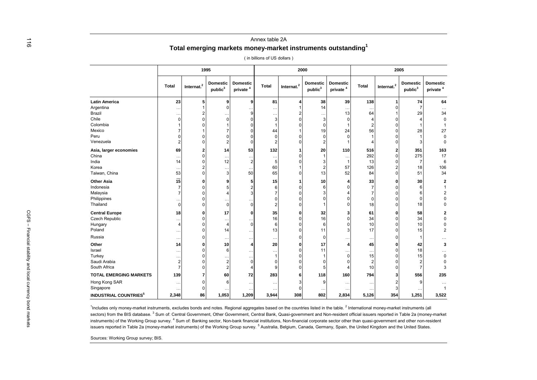#### Annex table 2A **Total emerging markets money-market instruments outstanding<sup>1</sup>**

( in billions of US dollars )

|                               | 1995         |               |                                        |                                         | 2000           |                        |                                        |                                         | 2005      |                        |                                        |                                         |
|-------------------------------|--------------|---------------|----------------------------------------|-----------------------------------------|----------------|------------------------|----------------------------------------|-----------------------------------------|-----------|------------------------|----------------------------------------|-----------------------------------------|
|                               | <b>Total</b> | Internat. $2$ | <b>Domestic</b><br>public <sup>3</sup> | <b>Domestic</b><br>private <sup>4</sup> | Total          | Internat. <sup>2</sup> | <b>Domestic</b><br>public <sup>3</sup> | <b>Domestic</b><br>private <sup>4</sup> | Total     | Internat. <sup>2</sup> | <b>Domestic</b><br>public <sup>3</sup> | <b>Domestic</b><br>private <sup>4</sup> |
| <b>Latin America</b>          | 23           | 5             | 9                                      | 9                                       | 81             |                        | 38                                     | 39                                      | 138       | 1                      | 74                                     | 64                                      |
| Argentina                     |              |               | $\Omega$                               |                                         | $\cdots$       |                        | 14                                     |                                         | $\cdots$  | O                      |                                        | $\cdots$                                |
| Brazil                        |              |               |                                        | q                                       |                |                        | $\ddotsc$                              | 13                                      | 64        |                        | 29                                     | 34                                      |
| Chile                         | 0            |               |                                        |                                         | 3              |                        | 3                                      |                                         |           |                        |                                        | 0                                       |
| Colombia                      |              |               |                                        |                                         | $\mathbf{1}$   |                        | $\Omega$                               |                                         |           |                        |                                        |                                         |
| Mexico                        |              |               |                                        |                                         | 44             |                        | 19                                     | 24                                      | 56        |                        | 28                                     | 27                                      |
| Peru                          | ŋ            |               |                                        |                                         | $\Omega$       |                        | $\Omega$                               |                                         |           |                        |                                        | 0                                       |
| Venezuela                     | 2            |               |                                        |                                         | $\overline{2}$ |                        | $\overline{2}$                         |                                         |           |                        |                                        | $\mathbf 0$                             |
| Asia, larger economies        | 69           |               | 14                                     | 53                                      | 132            |                        | 20                                     | 110                                     | 516       | 2                      | 351                                    | 163                                     |
| China                         |              |               |                                        |                                         | $\ddotsc$      |                        |                                        |                                         | 292       | 0                      | 275                                    | 17                                      |
| India                         | 14           |               | 12                                     |                                         | 5              |                        | 3                                      |                                         | 13        |                        | 7                                      | 6                                       |
| Korea                         | $\ddotsc$    |               |                                        |                                         | 60             |                        | $\overline{2}$                         | 57                                      | 126       |                        | 18                                     | 106                                     |
| Taiwan, China                 | 53           |               | 3                                      | 50                                      | 65             |                        | 13                                     | 52                                      | 84        | ი                      | 51                                     | 34                                      |
| <b>Other Asia</b>             | 15           |               |                                        |                                         | 15             |                        | 10                                     |                                         | 33        |                        | 30                                     | 2                                       |
| Indonesia                     | 7            |               |                                        |                                         | 6              |                        | 6                                      |                                         |           |                        |                                        | 1                                       |
| Malaysia                      |              |               |                                        |                                         | $\overline{7}$ |                        | 3                                      |                                         |           |                        |                                        | $\overline{\mathbf{c}}$                 |
| Philippines                   |              |               |                                        |                                         | $\pmb{0}$      |                        | $\Omega$                               |                                         |           |                        |                                        | $\Omega$                                |
| Thailand                      | 0            |               | $\Omega$                               |                                         | $\overline{2}$ |                        |                                        |                                         | 18        |                        | 18                                     | 0                                       |
| <b>Central Europe</b>         | 18           |               | 17                                     |                                         | 35             |                        | 32                                     |                                         | 61        |                        | 58                                     | 2                                       |
| <b>Czech Republic</b>         |              |               |                                        |                                         | 16             |                        | 16                                     |                                         | 34        |                        | 34                                     | 0                                       |
| Hungary                       | 4            |               |                                        |                                         | 6              |                        | 6                                      |                                         | 10        |                        | 10                                     | 0                                       |
| Poland                        | $\ddotsc$    |               | 14                                     |                                         | 13             |                        | 11                                     |                                         | 17        |                        | 15                                     | 2                                       |
| Russia                        | $\cdot$ .    |               |                                        |                                         | $\cdots$       |                        | $\Omega$                               |                                         |           |                        |                                        |                                         |
| Other                         | 14           |               | 10                                     |                                         | 20             |                        | 17                                     |                                         | 45        |                        | 42                                     | 3                                       |
| Israel                        |              |               | 6                                      |                                         |                |                        | 11                                     |                                         |           |                        | 18                                     |                                         |
| Turkey                        | $\ddotsc$    |               |                                        |                                         | $\mathbf{1}$   |                        |                                        |                                         | 15        |                        | 15                                     | 0                                       |
| Saudi Arabia                  | 2            |               |                                        |                                         | $\Omega$       |                        | $\Omega$                               |                                         |           |                        |                                        |                                         |
| South Africa                  | 7            |               |                                        |                                         | 9              |                        | 5                                      |                                         | 10        |                        |                                        | 3                                       |
| <b>TOTAL EMERGING MARKETS</b> | 139          |               | 60                                     | 72                                      | 283            |                        | 118                                    | 160                                     | 794       |                        | 556                                    | 235                                     |
| Hong Kong SAR                 |              |               | 6                                      |                                         |                |                        | 9                                      | $\ddotsc$                               | $\ddotsc$ |                        |                                        |                                         |
|                               |              |               |                                        | $\cdots$                                |                |                        |                                        |                                         |           | 3                      |                                        | $\mathbf 1$                             |
| Singapore                     | 2,348        | 86            | 1,053                                  | 1,209                                   | 3,944          | 308                    | 802                                    | 2,834                                   | 5,126     | 354                    | 1,251                                  | 3,522                                   |

<sup>1</sup>Includes only money-market instruments, excludes bonds and notes. Regional aggregates based on the countries listed in the table. <sup>2</sup> International money-market instruments (all sectors) from the BIS database. <sup>3</sup> Sum of: Central Government, Other Government, Central Bank, Quasi-government and Non-resident official issuers reported in Table 2a (money-market instruments) of the Working Group survey. <sup>4</sup> Sum of: Banking sector, Non-bank financial institutions, Non-financial corporate sector other than quasi-government and other non-resident issuers reported in Table 2a (money-market instruments) of the Working Group survey.<sup>5</sup> Australia, Belgium, Canada, Germany, Spain, the United Kingdom and the United States.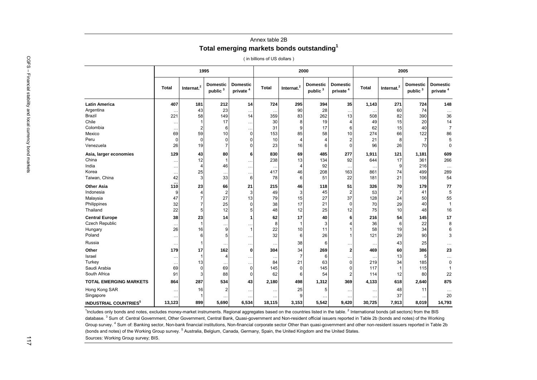### Annex table 2B **Total emerging markets bonds outstanding<sup>1</sup>**

( in billions of US dollars )

| <b>Total</b><br>407<br>$\ddotsc$<br>221 | $Internet.2$<br>181<br>43 | <b>Domestic</b><br>public <sup>3</sup><br>212 | <b>Domestic</b><br>private <sup>4</sup> | <b>Total</b> | Internat. <sup>2</sup> | <b>Domestic</b><br>public <sup>3</sup> | <b>Domestic</b><br>private <sup>4</sup> | Total     | Internat. <sup>2</sup> | <b>Domestic</b><br>public <sup>3</sup> | <b>Domestic</b><br>private <sup>4</sup>                                                                                                                                                                           |
|-----------------------------------------|---------------------------|-----------------------------------------------|-----------------------------------------|--------------|------------------------|----------------------------------------|-----------------------------------------|-----------|------------------------|----------------------------------------|-------------------------------------------------------------------------------------------------------------------------------------------------------------------------------------------------------------------|
|                                         |                           |                                               |                                         |              |                        |                                        |                                         |           |                        |                                        |                                                                                                                                                                                                                   |
|                                         |                           |                                               | 14                                      | 724          | 295                    | 394                                    | 35                                      | 1,143     | 271                    | 724                                    | 148                                                                                                                                                                                                               |
|                                         |                           | 23                                            | $\ddotsc$                               |              | 90                     | 28                                     | $\ddotsc$                               |           | 60                     | 74                                     | $\cdots$                                                                                                                                                                                                          |
|                                         | 58                        | 149                                           | 14                                      | 359          | 83                     | 262                                    | 13                                      | 508       | 82                     | 390                                    | 36                                                                                                                                                                                                                |
| $\ldots$                                | $\mathbf{1}$              | 17                                            | $\cdots$                                | 30           | 8                      | 19                                     | $\overline{4}$                          | 49        | 15                     | 20                                     | 14                                                                                                                                                                                                                |
| $\ldots$                                | $\overline{2}$            | 6                                             | $\ddot{\phantom{0}}$                    | 31           | 9                      | 17                                     | 6                                       | 62        | 15                     | 40                                     | $\overline{7}$                                                                                                                                                                                                    |
| 69                                      | 59                        | 10                                            | $\mathbf 0$                             | 153          | 85                     | 58                                     | 10                                      | 274       | 66                     | 122                                    | 86                                                                                                                                                                                                                |
| $\mathbf 0$                             | $\mathbf 0$               | $\mathbf 0$                                   | $\Omega$                                | 10           | $\overline{4}$         | $\overline{4}$                         | $\overline{2}$                          | 21        | 8                      | $\overline{7}$                         | $\overline{5}$                                                                                                                                                                                                    |
| 26                                      | 19                        | $\overline{7}$                                | $\Omega$                                | 23           | 16                     | 6                                      | $\mathbf 0$                             | 96        | 26                     | 70                                     | $\mathbf 0$                                                                                                                                                                                                       |
| 129                                     | 43                        | 80                                            | 6                                       | 830          | 69                     | 485                                    | 277                                     | 1,911     | 121                    | 1,181                                  | 609                                                                                                                                                                                                               |
| $\cdots$                                |                           |                                               | $\cdots$                                |              |                        |                                        |                                         | 644       |                        |                                        | 266                                                                                                                                                                                                               |
| $\ddotsc$                               | $\overline{4}$            | 46                                            | $\ddotsc$                               |              | $\overline{4}$         | 92                                     | $\ddotsc$                               |           | 9                      | 216                                    | $\cdots$                                                                                                                                                                                                          |
| $\ldots$                                |                           |                                               | $\ddotsc$                               |              | 46                     | 208                                    | 163                                     | 861       | 74                     | 499                                    | 289                                                                                                                                                                                                               |
| 42                                      | 3                         | 33                                            | 6                                       | 78           | 6                      | 51                                     | 22                                      | 181       | 21                     | 106                                    | 54                                                                                                                                                                                                                |
| 110                                     | 23                        | 66                                            | 21                                      | 215          | 46                     | 118                                    | 51                                      |           | 70                     | 179                                    | 77                                                                                                                                                                                                                |
| 9                                       | $\overline{4}$            | $\overline{2}$                                | 3                                       | 49           | 3                      | 45                                     | $\overline{2}$                          | 53        | $\overline{7}$         | 41                                     |                                                                                                                                                                                                                   |
| 47                                      | $\overline{7}$            | 27                                            | 13                                      | 79           | 15                     | 27                                     | 37                                      |           | 24                     | 50                                     | 55                                                                                                                                                                                                                |
| 32                                      | 7                         | 25                                            | $\Omega$                                | 38           | 17                     | 21                                     | $\mathbf 0$                             | 70        | 29                     | 40                                     | $\mathbf{1}$                                                                                                                                                                                                      |
| 22                                      | 5                         | 12                                            |                                         | 48           | 12                     | 25                                     | 12                                      | 75        | 10                     | 48                                     | 16                                                                                                                                                                                                                |
| 38                                      | 23                        | 14                                            | 1                                       | 62           | 17                     | 40                                     | 6                                       | 216       | 54                     | 145                                    | 17                                                                                                                                                                                                                |
| $\ddotsc$                               | $\mathbf{1}$              | $\ddotsc$                                     | $\ddotsc$                               | 8            | 1                      | 3                                      | $\overline{4}$                          | 36        | 6                      | 22                                     | 8                                                                                                                                                                                                                 |
| 26                                      | 16                        | 9                                             | $\overline{1}$                          | 22           | 10                     | 11                                     | $\overline{1}$                          | 58        | 19                     | 34                                     |                                                                                                                                                                                                                   |
| $\ddotsc$                               | 6                         | 5                                             | $\ddotsc$                               | 32           | 6                      | 26                                     | $\overline{1}$                          | 121       | 29                     | 90                                     |                                                                                                                                                                                                                   |
| $\ddotsc$                               | $\mathbf{1}$              |                                               | $\ddotsc$                               | $\cdots$     | 38                     | 6                                      | $\cdots$                                | $\ddotsc$ | 43                     | 25                                     | .                                                                                                                                                                                                                 |
| 179                                     | 17                        |                                               | $\Omega$                                | 304          | 34                     | 269                                    | $\overline{2}$                          | 469       | 60                     | 386                                    | 23                                                                                                                                                                                                                |
| $\ddotsc$                               | $\mathbf{1}$              | $\overline{4}$                                | $\ddotsc$                               | $\ddotsc$    | $\overline{7}$         | 6                                      | $\cdots$                                |           | 13                     | 5                                      | $\cdots$                                                                                                                                                                                                          |
| $\ldots$                                | 13                        |                                               | $\cdots$                                | 84           | 21                     | 63                                     | $\mathbf 0$                             |           | 34                     | 185                                    | $\mathbf 0$                                                                                                                                                                                                       |
| 69                                      | $\mathbf 0$               | 69                                            | $\mathbf 0$                             | 145          | $\mathbf 0$            | 145                                    | $\mathbf 0$                             | 117       | $\mathbf{1}$           | 115                                    | $\mathbf{1}$                                                                                                                                                                                                      |
| 91                                      | 3                         | 88                                            | $\Omega$                                | 62           | 6                      | 54                                     | $\overline{2}$                          | 114       | 12                     | 80                                     | 22                                                                                                                                                                                                                |
| 864                                     | 287                       | 534                                           | 43                                      | 2,180        | 498                    | 1,312                                  | 369                                     | 4,133     | 618                    | 2,640                                  | 875                                                                                                                                                                                                               |
| $\ddotsc$                               | 16                        | $\overline{2}$                                | $\ddotsc$                               |              | 25                     | 5                                      | $\ldots$                                |           | 48                     | 11                                     |                                                                                                                                                                                                                   |
|                                         | 1                         |                                               | $\ddotsc$                               | $\ddotsc$    | 9                      |                                        |                                         |           | 37                     | $\ddotsc$                              | 20                                                                                                                                                                                                                |
| 13,123                                  | 899                       | 5,690                                         | 6,534                                   | 18,115       | 3,153                  | 5,542                                  | 9,420                                   | 30,725    | 7,913                  | 8,019                                  | 14,793                                                                                                                                                                                                            |
|                                         |                           | 12<br>25                                      |                                         | 162          | 238<br>417             | 13                                     | 134                                     | 92        |                        | 17<br>326<br>128<br>219                | 361<br><sup>1</sup> Includes only bonds and notes, excludes money-market instruments. Regional aggregates based on the countries listed in the table. <sup>2</sup> International bonds (all sectors) from the BIS |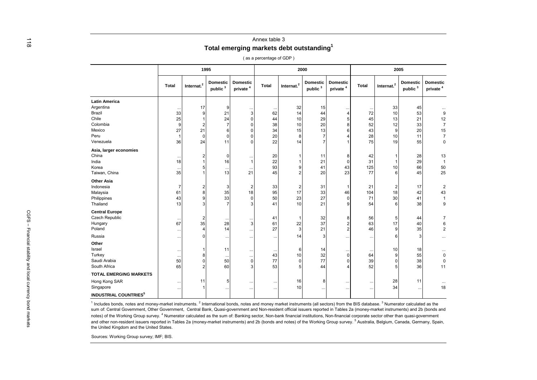| <b>Total</b> |                                                         | 1995                                   |                                         |              | 2000                                         |                                 |                                         |              |                                   | 2005                                   |                                                    |                                                                                                                         |
|--------------|---------------------------------------------------------|----------------------------------------|-----------------------------------------|--------------|----------------------------------------------|---------------------------------|-----------------------------------------|--------------|-----------------------------------|----------------------------------------|----------------------------------------------------|-------------------------------------------------------------------------------------------------------------------------|
|              |                                                         |                                        |                                         |              |                                              |                                 |                                         |              |                                   |                                        |                                                    |                                                                                                                         |
|              | Internat. <sup>2</sup>                                  | <b>Domestic</b><br>public <sup>3</sup> | <b>Domestic</b><br>private <sup>4</sup> | <b>Total</b> | Internat. <sup>2</sup>                       | Domestic<br>public <sup>3</sup> | <b>Domestic</b><br>private <sup>4</sup> | <b>Total</b> | Internat. $2$                     | <b>Domestic</b><br>public <sup>3</sup> | <b>Domestic</b><br>private <sup>4</sup>            |                                                                                                                         |
|              |                                                         |                                        |                                         |              |                                              |                                 |                                         |              |                                   |                                        |                                                    |                                                                                                                         |
|              | 17                                                      | 9                                      |                                         |              | 32                                           | 15                              |                                         |              | 33                                | 45                                     |                                                    |                                                                                                                         |
|              | q                                                       | 21                                     | 3                                       | 62           | 14                                           | 44                              |                                         | 72           | 10                                | 53                                     | 9                                                  |                                                                                                                         |
|              |                                                         |                                        | <sup>0</sup>                            | 44           |                                              |                                 | 5                                       |              |                                   |                                        |                                                    |                                                                                                                         |
|              |                                                         |                                        | <sup>0</sup>                            | 38           | 10                                           |                                 | 8                                       |              |                                   |                                        |                                                    |                                                                                                                         |
|              |                                                         | 6                                      |                                         |              |                                              |                                 | 6                                       |              | 9                                 |                                        |                                                    |                                                                                                                         |
|              | $\Omega$                                                | $\Omega$                               |                                         |              | 8                                            | 7                               |                                         |              |                                   |                                        |                                                    |                                                                                                                         |
|              | 24                                                      | 11                                     | $\Omega$                                | 22           | 14                                           | $\overline{7}$                  |                                         | 75           | 19                                | 55                                     | $\pmb{0}$                                          |                                                                                                                         |
|              |                                                         |                                        |                                         |              |                                              |                                 |                                         |              |                                   |                                        |                                                    |                                                                                                                         |
|              |                                                         | $\Omega$                               |                                         | 20           |                                              | 11                              | 8                                       | 42           |                                   | 28                                     | 13                                                 |                                                                                                                         |
|              |                                                         | 16                                     | $\overline{1}$                          | 22           |                                              | 21                              | $\Omega$                                | 31           |                                   | 29                                     | $\overline{1}$                                     |                                                                                                                         |
|              |                                                         |                                        |                                         | 93           | 9                                            | 41                              | 43                                      | 125          | 10                                | 66                                     |                                                    |                                                                                                                         |
|              |                                                         | 13                                     | 21                                      | 45           |                                              | 20                              | 23                                      | 77           | 6                                 | 45                                     | 25                                                 |                                                                                                                         |
|              |                                                         |                                        |                                         |              |                                              |                                 |                                         |              |                                   |                                        |                                                    |                                                                                                                         |
| 7            |                                                         | 3                                      | 2                                       |              | $\overline{2}$                               | 31                              |                                         | 21           | 2                                 | 17                                     |                                                    |                                                                                                                         |
| 61           |                                                         |                                        | 18                                      |              | 17                                           | 33                              | 46                                      | 104          | 18                                | 42                                     |                                                    |                                                                                                                         |
|              |                                                         | 33                                     | 0                                       | 50           | 23                                           | 27                              | <sup>0</sup>                            | 71           | 30                                | 41                                     | $\mathbf{1}$                                       |                                                                                                                         |
|              |                                                         |                                        | 3                                       | 41           | 10                                           | 21                              | 9                                       | 54           | 6                                 | 38                                     | 9                                                  |                                                                                                                         |
|              |                                                         |                                        |                                         |              |                                              |                                 |                                         |              |                                   |                                        |                                                    |                                                                                                                         |
|              |                                                         |                                        |                                         | 41           |                                              | 32                              | 8                                       | 56           | 5                                 | 44                                     | $\overline{7}$                                     |                                                                                                                         |
| 67           |                                                         | 28                                     | 3                                       | 61           | 22                                           | 37                              | 2                                       | 63           | 17                                | 40                                     | 6                                                  |                                                                                                                         |
|              |                                                         | 14                                     |                                         |              | 3                                            | 21                              | 2                                       | 46           | 9                                 | 35                                     |                                                    |                                                                                                                         |
|              |                                                         |                                        |                                         |              | 14                                           | 3                               |                                         |              |                                   | 3                                      |                                                    |                                                                                                                         |
|              |                                                         |                                        |                                         |              |                                              |                                 |                                         |              |                                   |                                        |                                                    |                                                                                                                         |
|              |                                                         |                                        |                                         |              |                                              | 14                              |                                         |              |                                   |                                        |                                                    |                                                                                                                         |
| $\cdots$     |                                                         | $\cdots$                               | $\cdot\cdot$                            | 43           | 10                                           |                                 | $\Omega$                                | 64           | 9                                 |                                        |                                                    |                                                                                                                         |
|              |                                                         | 50                                     | 0                                       |              | $\Omega$                                     |                                 |                                         | 39           | O                                 | 38                                     | 0                                                  |                                                                                                                         |
|              |                                                         | 60                                     |                                         | 53           |                                              | 44                              |                                         | 52           |                                   | 36                                     | 11                                                 |                                                                                                                         |
|              |                                                         |                                        |                                         |              |                                              |                                 |                                         |              |                                   |                                        |                                                    |                                                                                                                         |
| $\ddotsc$    | 11                                                      | 5                                      | $\cdot$ .                               | $\ddotsc$    | 16                                           | 8                               |                                         | $\ddotsc$    | 28                                | 11                                     |                                                    |                                                                                                                         |
|              |                                                         |                                        |                                         |              |                                              |                                 |                                         |              |                                   |                                        |                                                    |                                                                                                                         |
|              |                                                         |                                        |                                         |              |                                              |                                 |                                         |              |                                   |                                        |                                                    |                                                                                                                         |
|              | 33<br>25<br>9<br>27<br>36<br>18<br>43<br>13<br>50<br>65 | 21<br>35                               | 24<br>35<br>35<br>11                    | $\ddotsc$    | 34<br>20<br>33<br>95<br>27<br>77<br>$\cdots$ | 10<br>15<br>6<br>10             | 29<br>20<br>13<br>32<br>77<br>$\ddotsc$ |              | 45<br>52<br>43<br>28<br>$\ddotsc$ | 10<br>34                               | 13<br>21<br>12<br>33<br>20<br>11<br>10<br>18<br>55 | 12<br>$\overline{7}$<br>$15\,$<br>$\boldsymbol{7}$<br>50<br>$\overline{2}$<br>43<br>$\overline{2}$<br>$\mathbf 0$<br>18 |

 $<sup>1</sup>$  Includes bonds, notes and money-market instruments.  $<sup>2</sup>$  International bonds, notes and money market instruments (all sectors) from the BIS database.  $<sup>3</sup>$  Numerator calculated as the</sup></sup></sup> sum of: Central Government, Other Government, Central Bank, Quasi-government and Non-resident official issuers reported in Tables 2a (money-market instruments) and 2b (bonds and notes) of the Working Group survey.<sup>4</sup> Numerator calculated as the sum of: Banking sector, Non-bank financial institutions, Non-financial corporate sector other than quasi-government and other non-resident issuers reported in Tables 2a (money-market instruments) and 2b (bonds and notes) of the Working Group survey.<sup>5</sup> Australia, Belgium, Canada, Germany, Spain, the United Kingdom and the United States.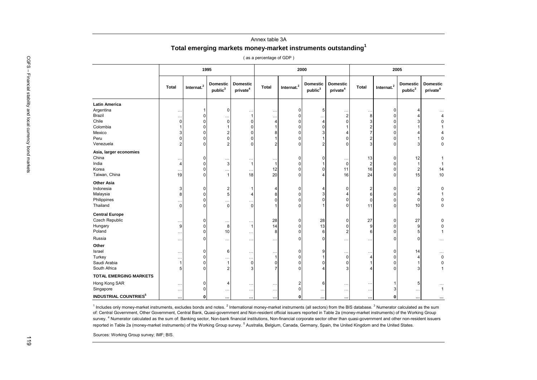#### Annex table 3A **Total emerging markets money-market instruments outstanding<sup>1</sup>**

( as a percentage of GDP )

| <b>Domestic</b><br>Domestic<br><b>Domestic</b><br><b>Domestic</b><br>Internat. <sup>2</sup><br>Internat. <sup>2</sup><br>Internat. <sup>2</sup><br>Total<br>Total<br>Total<br>public <sup>3</sup><br>private <sup>4</sup><br>public <sup>3</sup><br>private <sup>4</sup><br><b>Latin America</b><br>Argentina<br>0<br>5<br>n<br>$\ddotsc$<br>Brazil<br>$\overline{0}$<br>$\overline{2}$<br>ε<br>$\Omega$<br>-1<br>$\ddot{\phantom{0}}$<br>Chile<br>$\overline{0}$<br>$\Omega$<br>0<br>$\Omega$<br>$\Omega$<br>4<br>$\Omega$<br>4<br>$\overline{0}$<br>Colombia<br>$\Omega$<br>$\Omega$<br><sup>0</sup><br>Mexico<br>$\overline{0}$<br>$\Omega$<br>$\Omega$<br>Peru<br>$\mathbf 0$<br>$\overline{0}$<br>$\Omega$<br>$\Omega$<br>n<br>$\Omega$<br>Venezuela<br>0<br>ŋ<br>Asia, larger economies<br>China<br>$\overline{0}$<br>13<br>$\Omega$<br><sup>0</sup><br>India<br>$\overline{0}$<br>$\Omega$<br>3<br>$\mathbf{1}$<br>$\mathbf{1}$<br>0<br>2<br>Korea<br>12<br>$\overline{0}$<br>16<br>$\Omega$<br>11<br>U<br>n<br>$\ddotsc$<br>$\ddot{\phantom{a}}$<br>20<br>Taiwan, China<br>$\overline{0}$<br>24<br>19<br>18<br>$\Omega$<br>16<br>ი<br><b>Other Asia</b><br>Indonesia<br>$\overline{0}$<br>$\Omega$<br>$\mathbf{1}$<br>0<br>2<br>n<br>$\overline{0}$<br>Malaysia<br>$\Omega$<br>5<br>$\overline{4}$<br>8<br>۴<br>n<br>0<br>Philippines<br>$\pmb{0}$<br>$\Omega$<br>ſ<br>O<br>$\cdots$<br>$\ddotsc$<br>$\overline{0}$<br>Thailand<br>0<br>$\Omega$<br>11<br>$\Omega$<br>$\Omega$<br>ŋ<br><b>Central Europe</b><br>Czech Republic<br>28<br>27<br>28<br>$\overline{0}$<br>$\Omega$<br>O<br>U<br>$\ddot{\phantom{a}}$<br>$\overline{0}$<br>Hungary<br>14<br>13<br>$\Omega$<br>8<br>$\mathbf{1}$<br>0<br>c<br>9.<br>n<br>Poland<br>$\Omega$<br>$\overline{2}$<br>$\Omega$<br>10<br>8<br>6<br>Russia<br>$\Omega$<br>$\Omega$<br>O<br>ŋ<br>$\ddotsc$<br>$\ddotsc$<br>. .<br>Other<br>Israel<br>$\Omega$<br>$\overline{0}$<br>9<br>6<br>ŋ<br>$\ddotsc$<br>$\ddot{\phantom{a}}$<br>Turkey<br>0<br>$\Omega$<br>0<br>n<br>Saudi Arabia<br>$\mathbf 0$<br>$\Omega$<br>$\Omega$<br>0<br>$\Omega$<br>O<br>ŋ<br>South Africa<br>3<br>$\Omega$<br>3<br>n<br><b>TOTAL EMERGING MARKETS</b><br>Hong Kong SAR<br>$\overline{2}$<br>$\Omega$<br>6<br>$\ddotsc$<br>Singapore<br>$\overline{0}$<br>$\mathbf 0$<br>3<br>$\cdots$<br>$\ldots$<br>$\ddotsc$<br>$\ddotsc$<br>$\ddotsc$<br>$\ddotsc$<br>$\ddotsc$<br><b>INDUSTRIAL COUNTRIES<sup>5</sup></b><br>$\mathbf 0$<br>$\mathbf{0}$<br>0<br><br>$\ddotsc$<br>٠.<br><sup>1</sup> Includes only money-market instruments, excludes bonds and notes. <sup>2</sup> International money-market instruments (all sectors) from the BIS database. <sup>3</sup> Numerator calculated as the sum |                                          |  | 1995 |  | 2000 |  | 2005                                   |
|-----------------------------------------------------------------------------------------------------------------------------------------------------------------------------------------------------------------------------------------------------------------------------------------------------------------------------------------------------------------------------------------------------------------------------------------------------------------------------------------------------------------------------------------------------------------------------------------------------------------------------------------------------------------------------------------------------------------------------------------------------------------------------------------------------------------------------------------------------------------------------------------------------------------------------------------------------------------------------------------------------------------------------------------------------------------------------------------------------------------------------------------------------------------------------------------------------------------------------------------------------------------------------------------------------------------------------------------------------------------------------------------------------------------------------------------------------------------------------------------------------------------------------------------------------------------------------------------------------------------------------------------------------------------------------------------------------------------------------------------------------------------------------------------------------------------------------------------------------------------------------------------------------------------------------------------------------------------------------------------------------------------------------------------------------------------------------------------------------------------------------------------------------------------------------------------------------------------------------------------------------------------------------------------------------------------------------------------------------------------------------------------------------------------------------------------------------------------------------------------------------------------------------------------------------------------------------------------------------------------------------------------------------------------------------------------------------------------------------|------------------------------------------|--|------|--|------|--|----------------------------------------|
|                                                                                                                                                                                                                                                                                                                                                                                                                                                                                                                                                                                                                                                                                                                                                                                                                                                                                                                                                                                                                                                                                                                                                                                                                                                                                                                                                                                                                                                                                                                                                                                                                                                                                                                                                                                                                                                                                                                                                                                                                                                                                                                                                                                                                                                                                                                                                                                                                                                                                                                                                                                                                                                                                                                             |                                          |  |      |  |      |  | <b>Domestic</b><br>public <sup>3</sup> |
|                                                                                                                                                                                                                                                                                                                                                                                                                                                                                                                                                                                                                                                                                                                                                                                                                                                                                                                                                                                                                                                                                                                                                                                                                                                                                                                                                                                                                                                                                                                                                                                                                                                                                                                                                                                                                                                                                                                                                                                                                                                                                                                                                                                                                                                                                                                                                                                                                                                                                                                                                                                                                                                                                                                             |                                          |  |      |  |      |  |                                        |
|                                                                                                                                                                                                                                                                                                                                                                                                                                                                                                                                                                                                                                                                                                                                                                                                                                                                                                                                                                                                                                                                                                                                                                                                                                                                                                                                                                                                                                                                                                                                                                                                                                                                                                                                                                                                                                                                                                                                                                                                                                                                                                                                                                                                                                                                                                                                                                                                                                                                                                                                                                                                                                                                                                                             |                                          |  |      |  |      |  |                                        |
|                                                                                                                                                                                                                                                                                                                                                                                                                                                                                                                                                                                                                                                                                                                                                                                                                                                                                                                                                                                                                                                                                                                                                                                                                                                                                                                                                                                                                                                                                                                                                                                                                                                                                                                                                                                                                                                                                                                                                                                                                                                                                                                                                                                                                                                                                                                                                                                                                                                                                                                                                                                                                                                                                                                             |                                          |  |      |  |      |  |                                        |
|                                                                                                                                                                                                                                                                                                                                                                                                                                                                                                                                                                                                                                                                                                                                                                                                                                                                                                                                                                                                                                                                                                                                                                                                                                                                                                                                                                                                                                                                                                                                                                                                                                                                                                                                                                                                                                                                                                                                                                                                                                                                                                                                                                                                                                                                                                                                                                                                                                                                                                                                                                                                                                                                                                                             |                                          |  |      |  |      |  |                                        |
|                                                                                                                                                                                                                                                                                                                                                                                                                                                                                                                                                                                                                                                                                                                                                                                                                                                                                                                                                                                                                                                                                                                                                                                                                                                                                                                                                                                                                                                                                                                                                                                                                                                                                                                                                                                                                                                                                                                                                                                                                                                                                                                                                                                                                                                                                                                                                                                                                                                                                                                                                                                                                                                                                                                             |                                          |  |      |  |      |  |                                        |
|                                                                                                                                                                                                                                                                                                                                                                                                                                                                                                                                                                                                                                                                                                                                                                                                                                                                                                                                                                                                                                                                                                                                                                                                                                                                                                                                                                                                                                                                                                                                                                                                                                                                                                                                                                                                                                                                                                                                                                                                                                                                                                                                                                                                                                                                                                                                                                                                                                                                                                                                                                                                                                                                                                                             |                                          |  |      |  |      |  |                                        |
|                                                                                                                                                                                                                                                                                                                                                                                                                                                                                                                                                                                                                                                                                                                                                                                                                                                                                                                                                                                                                                                                                                                                                                                                                                                                                                                                                                                                                                                                                                                                                                                                                                                                                                                                                                                                                                                                                                                                                                                                                                                                                                                                                                                                                                                                                                                                                                                                                                                                                                                                                                                                                                                                                                                             |                                          |  |      |  |      |  |                                        |
|                                                                                                                                                                                                                                                                                                                                                                                                                                                                                                                                                                                                                                                                                                                                                                                                                                                                                                                                                                                                                                                                                                                                                                                                                                                                                                                                                                                                                                                                                                                                                                                                                                                                                                                                                                                                                                                                                                                                                                                                                                                                                                                                                                                                                                                                                                                                                                                                                                                                                                                                                                                                                                                                                                                             |                                          |  |      |  |      |  | З                                      |
|                                                                                                                                                                                                                                                                                                                                                                                                                                                                                                                                                                                                                                                                                                                                                                                                                                                                                                                                                                                                                                                                                                                                                                                                                                                                                                                                                                                                                                                                                                                                                                                                                                                                                                                                                                                                                                                                                                                                                                                                                                                                                                                                                                                                                                                                                                                                                                                                                                                                                                                                                                                                                                                                                                                             |                                          |  |      |  |      |  |                                        |
|                                                                                                                                                                                                                                                                                                                                                                                                                                                                                                                                                                                                                                                                                                                                                                                                                                                                                                                                                                                                                                                                                                                                                                                                                                                                                                                                                                                                                                                                                                                                                                                                                                                                                                                                                                                                                                                                                                                                                                                                                                                                                                                                                                                                                                                                                                                                                                                                                                                                                                                                                                                                                                                                                                                             |                                          |  |      |  |      |  | 12                                     |
|                                                                                                                                                                                                                                                                                                                                                                                                                                                                                                                                                                                                                                                                                                                                                                                                                                                                                                                                                                                                                                                                                                                                                                                                                                                                                                                                                                                                                                                                                                                                                                                                                                                                                                                                                                                                                                                                                                                                                                                                                                                                                                                                                                                                                                                                                                                                                                                                                                                                                                                                                                                                                                                                                                                             |                                          |  |      |  |      |  | $\overline{1}$                         |
|                                                                                                                                                                                                                                                                                                                                                                                                                                                                                                                                                                                                                                                                                                                                                                                                                                                                                                                                                                                                                                                                                                                                                                                                                                                                                                                                                                                                                                                                                                                                                                                                                                                                                                                                                                                                                                                                                                                                                                                                                                                                                                                                                                                                                                                                                                                                                                                                                                                                                                                                                                                                                                                                                                                             |                                          |  |      |  |      |  | $\overline{2}$                         |
|                                                                                                                                                                                                                                                                                                                                                                                                                                                                                                                                                                                                                                                                                                                                                                                                                                                                                                                                                                                                                                                                                                                                                                                                                                                                                                                                                                                                                                                                                                                                                                                                                                                                                                                                                                                                                                                                                                                                                                                                                                                                                                                                                                                                                                                                                                                                                                                                                                                                                                                                                                                                                                                                                                                             |                                          |  |      |  |      |  | 15                                     |
|                                                                                                                                                                                                                                                                                                                                                                                                                                                                                                                                                                                                                                                                                                                                                                                                                                                                                                                                                                                                                                                                                                                                                                                                                                                                                                                                                                                                                                                                                                                                                                                                                                                                                                                                                                                                                                                                                                                                                                                                                                                                                                                                                                                                                                                                                                                                                                                                                                                                                                                                                                                                                                                                                                                             |                                          |  |      |  |      |  |                                        |
|                                                                                                                                                                                                                                                                                                                                                                                                                                                                                                                                                                                                                                                                                                                                                                                                                                                                                                                                                                                                                                                                                                                                                                                                                                                                                                                                                                                                                                                                                                                                                                                                                                                                                                                                                                                                                                                                                                                                                                                                                                                                                                                                                                                                                                                                                                                                                                                                                                                                                                                                                                                                                                                                                                                             |                                          |  |      |  |      |  | 2                                      |
|                                                                                                                                                                                                                                                                                                                                                                                                                                                                                                                                                                                                                                                                                                                                                                                                                                                                                                                                                                                                                                                                                                                                                                                                                                                                                                                                                                                                                                                                                                                                                                                                                                                                                                                                                                                                                                                                                                                                                                                                                                                                                                                                                                                                                                                                                                                                                                                                                                                                                                                                                                                                                                                                                                                             |                                          |  |      |  |      |  | 4                                      |
|                                                                                                                                                                                                                                                                                                                                                                                                                                                                                                                                                                                                                                                                                                                                                                                                                                                                                                                                                                                                                                                                                                                                                                                                                                                                                                                                                                                                                                                                                                                                                                                                                                                                                                                                                                                                                                                                                                                                                                                                                                                                                                                                                                                                                                                                                                                                                                                                                                                                                                                                                                                                                                                                                                                             |                                          |  |      |  |      |  | $\Omega$                               |
|                                                                                                                                                                                                                                                                                                                                                                                                                                                                                                                                                                                                                                                                                                                                                                                                                                                                                                                                                                                                                                                                                                                                                                                                                                                                                                                                                                                                                                                                                                                                                                                                                                                                                                                                                                                                                                                                                                                                                                                                                                                                                                                                                                                                                                                                                                                                                                                                                                                                                                                                                                                                                                                                                                                             |                                          |  |      |  |      |  | 10                                     |
|                                                                                                                                                                                                                                                                                                                                                                                                                                                                                                                                                                                                                                                                                                                                                                                                                                                                                                                                                                                                                                                                                                                                                                                                                                                                                                                                                                                                                                                                                                                                                                                                                                                                                                                                                                                                                                                                                                                                                                                                                                                                                                                                                                                                                                                                                                                                                                                                                                                                                                                                                                                                                                                                                                                             |                                          |  |      |  |      |  |                                        |
|                                                                                                                                                                                                                                                                                                                                                                                                                                                                                                                                                                                                                                                                                                                                                                                                                                                                                                                                                                                                                                                                                                                                                                                                                                                                                                                                                                                                                                                                                                                                                                                                                                                                                                                                                                                                                                                                                                                                                                                                                                                                                                                                                                                                                                                                                                                                                                                                                                                                                                                                                                                                                                                                                                                             |                                          |  |      |  |      |  | 27                                     |
|                                                                                                                                                                                                                                                                                                                                                                                                                                                                                                                                                                                                                                                                                                                                                                                                                                                                                                                                                                                                                                                                                                                                                                                                                                                                                                                                                                                                                                                                                                                                                                                                                                                                                                                                                                                                                                                                                                                                                                                                                                                                                                                                                                                                                                                                                                                                                                                                                                                                                                                                                                                                                                                                                                                             |                                          |  |      |  |      |  | 9                                      |
|                                                                                                                                                                                                                                                                                                                                                                                                                                                                                                                                                                                                                                                                                                                                                                                                                                                                                                                                                                                                                                                                                                                                                                                                                                                                                                                                                                                                                                                                                                                                                                                                                                                                                                                                                                                                                                                                                                                                                                                                                                                                                                                                                                                                                                                                                                                                                                                                                                                                                                                                                                                                                                                                                                                             |                                          |  |      |  |      |  | 5                                      |
|                                                                                                                                                                                                                                                                                                                                                                                                                                                                                                                                                                                                                                                                                                                                                                                                                                                                                                                                                                                                                                                                                                                                                                                                                                                                                                                                                                                                                                                                                                                                                                                                                                                                                                                                                                                                                                                                                                                                                                                                                                                                                                                                                                                                                                                                                                                                                                                                                                                                                                                                                                                                                                                                                                                             |                                          |  |      |  |      |  | $\Omega$                               |
|                                                                                                                                                                                                                                                                                                                                                                                                                                                                                                                                                                                                                                                                                                                                                                                                                                                                                                                                                                                                                                                                                                                                                                                                                                                                                                                                                                                                                                                                                                                                                                                                                                                                                                                                                                                                                                                                                                                                                                                                                                                                                                                                                                                                                                                                                                                                                                                                                                                                                                                                                                                                                                                                                                                             |                                          |  |      |  |      |  |                                        |
|                                                                                                                                                                                                                                                                                                                                                                                                                                                                                                                                                                                                                                                                                                                                                                                                                                                                                                                                                                                                                                                                                                                                                                                                                                                                                                                                                                                                                                                                                                                                                                                                                                                                                                                                                                                                                                                                                                                                                                                                                                                                                                                                                                                                                                                                                                                                                                                                                                                                                                                                                                                                                                                                                                                             |                                          |  |      |  |      |  | 14                                     |
|                                                                                                                                                                                                                                                                                                                                                                                                                                                                                                                                                                                                                                                                                                                                                                                                                                                                                                                                                                                                                                                                                                                                                                                                                                                                                                                                                                                                                                                                                                                                                                                                                                                                                                                                                                                                                                                                                                                                                                                                                                                                                                                                                                                                                                                                                                                                                                                                                                                                                                                                                                                                                                                                                                                             |                                          |  |      |  |      |  | $\Delta$                               |
|                                                                                                                                                                                                                                                                                                                                                                                                                                                                                                                                                                                                                                                                                                                                                                                                                                                                                                                                                                                                                                                                                                                                                                                                                                                                                                                                                                                                                                                                                                                                                                                                                                                                                                                                                                                                                                                                                                                                                                                                                                                                                                                                                                                                                                                                                                                                                                                                                                                                                                                                                                                                                                                                                                                             |                                          |  |      |  |      |  |                                        |
|                                                                                                                                                                                                                                                                                                                                                                                                                                                                                                                                                                                                                                                                                                                                                                                                                                                                                                                                                                                                                                                                                                                                                                                                                                                                                                                                                                                                                                                                                                                                                                                                                                                                                                                                                                                                                                                                                                                                                                                                                                                                                                                                                                                                                                                                                                                                                                                                                                                                                                                                                                                                                                                                                                                             |                                          |  |      |  |      |  | З                                      |
|                                                                                                                                                                                                                                                                                                                                                                                                                                                                                                                                                                                                                                                                                                                                                                                                                                                                                                                                                                                                                                                                                                                                                                                                                                                                                                                                                                                                                                                                                                                                                                                                                                                                                                                                                                                                                                                                                                                                                                                                                                                                                                                                                                                                                                                                                                                                                                                                                                                                                                                                                                                                                                                                                                                             |                                          |  |      |  |      |  |                                        |
|                                                                                                                                                                                                                                                                                                                                                                                                                                                                                                                                                                                                                                                                                                                                                                                                                                                                                                                                                                                                                                                                                                                                                                                                                                                                                                                                                                                                                                                                                                                                                                                                                                                                                                                                                                                                                                                                                                                                                                                                                                                                                                                                                                                                                                                                                                                                                                                                                                                                                                                                                                                                                                                                                                                             |                                          |  |      |  |      |  | 5                                      |
|                                                                                                                                                                                                                                                                                                                                                                                                                                                                                                                                                                                                                                                                                                                                                                                                                                                                                                                                                                                                                                                                                                                                                                                                                                                                                                                                                                                                                                                                                                                                                                                                                                                                                                                                                                                                                                                                                                                                                                                                                                                                                                                                                                                                                                                                                                                                                                                                                                                                                                                                                                                                                                                                                                                             |                                          |  |      |  |      |  | $\ddotsc$                              |
|                                                                                                                                                                                                                                                                                                                                                                                                                                                                                                                                                                                                                                                                                                                                                                                                                                                                                                                                                                                                                                                                                                                                                                                                                                                                                                                                                                                                                                                                                                                                                                                                                                                                                                                                                                                                                                                                                                                                                                                                                                                                                                                                                                                                                                                                                                                                                                                                                                                                                                                                                                                                                                                                                                                             |                                          |  |      |  |      |  |                                        |
|                                                                                                                                                                                                                                                                                                                                                                                                                                                                                                                                                                                                                                                                                                                                                                                                                                                                                                                                                                                                                                                                                                                                                                                                                                                                                                                                                                                                                                                                                                                                                                                                                                                                                                                                                                                                                                                                                                                                                                                                                                                                                                                                                                                                                                                                                                                                                                                                                                                                                                                                                                                                                                                                                                                             |                                          |  |      |  |      |  |                                        |
|                                                                                                                                                                                                                                                                                                                                                                                                                                                                                                                                                                                                                                                                                                                                                                                                                                                                                                                                                                                                                                                                                                                                                                                                                                                                                                                                                                                                                                                                                                                                                                                                                                                                                                                                                                                                                                                                                                                                                                                                                                                                                                                                                                                                                                                                                                                                                                                                                                                                                                                                                                                                                                                                                                                             |                                          |  |      |  |      |  |                                        |
| of: Central Government, Other Government, Central Bank, Quasi-government and Non-resident official issuers reported in Table 2a (money-market instruments) of the Working Group                                                                                                                                                                                                                                                                                                                                                                                                                                                                                                                                                                                                                                                                                                                                                                                                                                                                                                                                                                                                                                                                                                                                                                                                                                                                                                                                                                                                                                                                                                                                                                                                                                                                                                                                                                                                                                                                                                                                                                                                                                                                                                                                                                                                                                                                                                                                                                                                                                                                                                                                             |                                          |  |      |  |      |  |                                        |
| survey. <sup>4</sup> Numerator calculated as the sum of: Banking sector, Non-bank financial institutions, Non-financial corporate sector other than quasi-government and other non-resident issuers                                                                                                                                                                                                                                                                                                                                                                                                                                                                                                                                                                                                                                                                                                                                                                                                                                                                                                                                                                                                                                                                                                                                                                                                                                                                                                                                                                                                                                                                                                                                                                                                                                                                                                                                                                                                                                                                                                                                                                                                                                                                                                                                                                                                                                                                                                                                                                                                                                                                                                                         |                                          |  |      |  |      |  |                                        |
| reported in Table 2a (money-market instruments) of the Working Group survey. <sup>5</sup> Australia, Belgium, Canada, Germany, Spain, the United Kingdom and the United States.                                                                                                                                                                                                                                                                                                                                                                                                                                                                                                                                                                                                                                                                                                                                                                                                                                                                                                                                                                                                                                                                                                                                                                                                                                                                                                                                                                                                                                                                                                                                                                                                                                                                                                                                                                                                                                                                                                                                                                                                                                                                                                                                                                                                                                                                                                                                                                                                                                                                                                                                             |                                          |  |      |  |      |  |                                        |
|                                                                                                                                                                                                                                                                                                                                                                                                                                                                                                                                                                                                                                                                                                                                                                                                                                                                                                                                                                                                                                                                                                                                                                                                                                                                                                                                                                                                                                                                                                                                                                                                                                                                                                                                                                                                                                                                                                                                                                                                                                                                                                                                                                                                                                                                                                                                                                                                                                                                                                                                                                                                                                                                                                                             | Sources: Working Group survey; IMF; BIS. |  |      |  |      |  |                                        |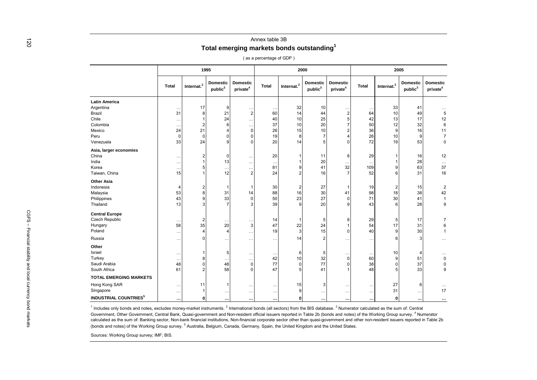| $\overline{120}$                                    |                                                                                                                                                                                                               |                      |               |                                        | Total emerging markets bonds outstanding <sup>1</sup> |                          |                        |                                 |                                         |              |                        |                                        |                                         |
|-----------------------------------------------------|---------------------------------------------------------------------------------------------------------------------------------------------------------------------------------------------------------------|----------------------|---------------|----------------------------------------|-------------------------------------------------------|--------------------------|------------------------|---------------------------------|-----------------------------------------|--------------|------------------------|----------------------------------------|-----------------------------------------|
|                                                     |                                                                                                                                                                                                               |                      |               |                                        |                                                       | (as a percentage of GDP) |                        |                                 |                                         |              |                        |                                        |                                         |
|                                                     |                                                                                                                                                                                                               |                      |               | 1995                                   |                                                       |                          |                        | 2000                            |                                         |              |                        | 2005                                   |                                         |
|                                                     |                                                                                                                                                                                                               | <b>Total</b>         | Internat. $2$ | <b>Domestic</b><br>$\textsf{public}^3$ | <b>Domestic</b><br>private <sup>4</sup>               | <b>Total</b>             | Internat. <sup>2</sup> | Domestic<br>public <sup>3</sup> | <b>Domestic</b><br>private <sup>4</sup> | <b>Total</b> | Internat. <sup>2</sup> | <b>Domestic</b><br>public <sup>3</sup> | <b>Domestic</b><br>private <sup>4</sup> |
|                                                     | <b>Latin America</b>                                                                                                                                                                                          |                      |               |                                        |                                                       |                          |                        |                                 |                                         |              |                        |                                        |                                         |
|                                                     | Argentina                                                                                                                                                                                                     | $\cdot$ .            | 17            | 9                                      | $\cdot$ .                                             | $\cdots$                 | 32                     | 10                              |                                         | $\cdot$ .    | 33                     | 41                                     |                                         |
|                                                     | Brazil                                                                                                                                                                                                        | 31                   | 8             | 21                                     | $\overline{2}$                                        | 60                       | 14                     | 44                              | $\overline{2}$                          | 64           | 10                     | 49                                     | $\,$ 5 $\,$                             |
|                                                     | Chile                                                                                                                                                                                                         | . .                  |               | 24                                     |                                                       | 40                       | 10                     | 25                              | 5 <sup>1</sup>                          | 42           | 13                     | 17                                     | 12                                      |
|                                                     | Colombia                                                                                                                                                                                                      | $\cdot$ .            |               | 6                                      | $\ddotsc$                                             | 37                       | 10                     | 20                              | $\overline{7}$                          | 50           | 12                     | 32                                     | 6                                       |
|                                                     | Mexico                                                                                                                                                                                                        | 24                   | 21            |                                        | $\Omega$                                              | 26                       | 15                     | 10                              | 2                                       | 36           | 9                      | 16                                     | 11                                      |
|                                                     | Peru                                                                                                                                                                                                          | 0                    | $\Omega$      | $\Omega$                               |                                                       | 19                       | 8                      |                                 | 4                                       | 26           | 10                     | 9                                      | $\overline{7}$                          |
|                                                     | Venezuela                                                                                                                                                                                                     | 33                   | 24            | 9                                      | C                                                     | 20                       | 14                     | 5                               | $\Omega$                                | 72           | 19                     | 53                                     | $\Omega$                                |
|                                                     | Asia, larger economies                                                                                                                                                                                        |                      |               |                                        |                                                       |                          |                        |                                 |                                         |              |                        |                                        |                                         |
|                                                     | China                                                                                                                                                                                                         | $\ddotsc$            |               | $\Omega$                               | $\cdot$ .                                             | 20                       |                        | 11                              | 8                                       | 29           |                        | 16                                     | 12                                      |
|                                                     | India                                                                                                                                                                                                         | .                    |               | 13                                     | $\ddotsc$                                             | $\ddots$                 |                        | 20                              |                                         |              |                        | 28                                     | $\cdots$                                |
|                                                     | Korea                                                                                                                                                                                                         | $\ddotsc$            |               |                                        | $\ddot{\phantom{0}}$                                  | 81                       | 9                      | 41                              | 32                                      | 109          | 9                      | 63                                     | 37                                      |
|                                                     | Taiwan, China                                                                                                                                                                                                 | 15                   |               | 12                                     | $\overline{2}$                                        | 24                       | $\overline{2}$         | 16                              | $\overline{7}$                          | 52           | 6                      | 31                                     | 16                                      |
|                                                     | <b>Other Asia</b>                                                                                                                                                                                             |                      |               |                                        |                                                       |                          |                        |                                 |                                         |              |                        |                                        |                                         |
|                                                     | Indonesia                                                                                                                                                                                                     |                      |               | -1                                     |                                                       | 30                       | $\overline{2}$         | 27                              |                                         | 19           | 2                      | 15                                     | $\overline{2}$                          |
|                                                     | Malaysia                                                                                                                                                                                                      | 53                   |               | 31                                     | 14                                                    | 88                       | 16                     | 30                              | 41                                      | 98           | 18                     | 38                                     | 42                                      |
|                                                     | Philippines                                                                                                                                                                                                   | 43                   |               | 33                                     | ∩                                                     | 50                       | 23                     | 27                              | $\Omega$                                | 71           | 30                     | 41                                     | $\mathbf{1}$                            |
|                                                     | Thailand                                                                                                                                                                                                      | 13                   |               |                                        |                                                       | 39                       | 9                      | 20                              | 9                                       | 43           | 6                      | 28                                     | 9                                       |
|                                                     | <b>Central Europe</b>                                                                                                                                                                                         |                      |               |                                        |                                                       |                          |                        |                                 |                                         |              |                        |                                        |                                         |
| $CGES -$                                            | Czech Republic                                                                                                                                                                                                |                      |               |                                        |                                                       | 14                       |                        | 5                               | 8                                       | 29           | 5                      | 17                                     | $\overline{7}$                          |
|                                                     | Hungary                                                                                                                                                                                                       | 58                   | 35            | 20                                     | 3                                                     | 47                       | 22                     | 24                              |                                         | 54           | 17                     | 31                                     | 6                                       |
|                                                     | Poland                                                                                                                                                                                                        | $\ddot{\phantom{a}}$ |               | $\overline{4}$                         | $\ddotsc$                                             | 19                       | 3                      | 15                              | $\Omega$                                | 40           | 9                      | 30                                     | $\mathbf{1}$                            |
| Financial stability and local currency pond markets | Russia                                                                                                                                                                                                        |                      |               |                                        |                                                       |                          | 14                     | $\overline{2}$                  |                                         |              | 6                      |                                        |                                         |
|                                                     |                                                                                                                                                                                                               | $\ddotsc$            |               |                                        | $\ddotsc$                                             | $\cdots$                 |                        |                                 |                                         | $\cdots$     |                        |                                        |                                         |
|                                                     | Other                                                                                                                                                                                                         |                      |               |                                        |                                                       |                          |                        |                                 |                                         |              |                        |                                        |                                         |
|                                                     | Israel                                                                                                                                                                                                        | $\ddot{\phantom{a}}$ |               | 5                                      |                                                       |                          | 6                      | 5                               |                                         |              | 10                     |                                        |                                         |
|                                                     | Turkey                                                                                                                                                                                                        |                      |               |                                        | $\cdot$ .                                             | 42                       | 10                     | 32                              | 0                                       | 60           |                        | 51                                     | $\pmb{0}$                               |
|                                                     | Saudi Arabia                                                                                                                                                                                                  | 48                   |               | 48                                     | $\Omega$                                              | 77                       | $\overline{0}$         | 77                              | O                                       | 38           | 0                      | 37                                     | 0                                       |
|                                                     | South Africa                                                                                                                                                                                                  | 61                   |               | 58                                     |                                                       | 47                       | 5                      | 41                              |                                         | 48           |                        | 33                                     | 9                                       |
|                                                     | <b>TOTAL EMERGING MARKETS</b>                                                                                                                                                                                 |                      |               |                                        |                                                       |                          |                        |                                 |                                         |              |                        |                                        |                                         |
|                                                     | Hong Kong SAR                                                                                                                                                                                                 |                      | 11            | -1                                     |                                                       | $\ldots$                 | 15                     | 3                               |                                         |              | 27                     | 6                                      | .                                       |
|                                                     | Singapore                                                                                                                                                                                                     | $\cdots$             |               | $\ldots$                               | $\ddot{\phantom{0}}$                                  | $\cdots$                 | 9                      | $\cdots$                        | $\ldots$                                | $\ddots$     | 31                     | $\ddotsc$                              | 17                                      |
|                                                     | <b>INDUSTRIAL COUNTRIES<sup>5</sup></b>                                                                                                                                                                       |                      | 0             |                                        |                                                       |                          | $\mathbf{0}$           |                                 |                                         |              | 0                      |                                        |                                         |
|                                                     |                                                                                                                                                                                                               |                      |               |                                        |                                                       | $\cdots$                 |                        |                                 |                                         |              |                        |                                        |                                         |
|                                                     | <sup>1</sup> Includes only bonds and notes, excludes money-market instruments. <sup>2</sup> International bonds (all sectors) from the BIS database. <sup>3</sup> Numerator calculated as the sum of: Central |                      |               |                                        |                                                       |                          |                        |                                 |                                         |              |                        |                                        |                                         |
|                                                     | Government, Other Government, Central Bank, Quasi-government and Non-resident official issuers reported in Table 2b (bonds and notes) of the Working Group survey. <sup>4</sup> Numerator                     |                      |               |                                        |                                                       |                          |                        |                                 |                                         |              |                        |                                        |                                         |
|                                                     | calculated as the sum of: Banking sector, Non-bank financial institutions, Non-financial corporate sector other than quasi-government and other non-resident issuers reported in Table 2b                     |                      |               |                                        |                                                       |                          |                        |                                 |                                         |              |                        |                                        |                                         |
|                                                     | (bonds and notes) of the Working Group survey. <sup>5</sup> Australia, Belgium, Canada, Germany, Spain, the United Kingdom and the United States.                                                             |                      |               |                                        |                                                       |                          |                        |                                 |                                         |              |                        |                                        |                                         |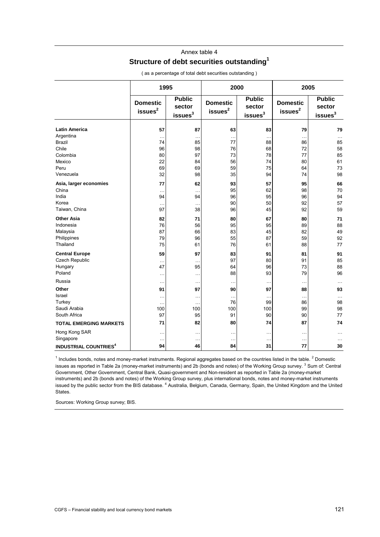# Annex table 4

# **Structure of debt securities outstanding1**

|                                         | 1995                                   |                                                | 2000                                   |                                                | 2005                                   |                                                |  |  |
|-----------------------------------------|----------------------------------------|------------------------------------------------|----------------------------------------|------------------------------------------------|----------------------------------------|------------------------------------------------|--|--|
|                                         | <b>Domestic</b><br>issues <sup>2</sup> | <b>Public</b><br>sector<br>issues <sup>3</sup> | <b>Domestic</b><br>issues <sup>2</sup> | <b>Public</b><br>sector<br>issues <sup>3</sup> | <b>Domestic</b><br>issues <sup>2</sup> | <b>Public</b><br>sector<br>issues <sup>3</sup> |  |  |
| <b>Latin America</b>                    | 57                                     | 87                                             | 63                                     | 83                                             | 79                                     | 79                                             |  |  |
| Argentina                               | $\ddotsc$                              |                                                | $\ddotsc$                              | $\ddotsc$                                      |                                        | $\ddotsc$                                      |  |  |
| <b>Brazil</b>                           | 74                                     | 85                                             | 77                                     | 88                                             | 86                                     | 85                                             |  |  |
| Chile                                   | 96                                     | 98                                             | 76                                     | 68                                             | 72                                     | 58                                             |  |  |
| Colombia                                | 80                                     | 97                                             | 73                                     | 78                                             | 77                                     | 85                                             |  |  |
| Mexico                                  | 22                                     | 84                                             | 56                                     | 74                                             | 80                                     | 61                                             |  |  |
| Peru                                    | 69                                     | 69                                             | 59                                     | 75                                             | 64                                     | 73                                             |  |  |
| Venezuela                               | 32                                     | 98                                             | 35                                     | 94                                             | 74                                     | 98                                             |  |  |
| Asia, larger economies                  | 77                                     | 62                                             | 93                                     | 57                                             | 95                                     | 66                                             |  |  |
| China                                   | $\ddotsc$                              |                                                | 95                                     | 62                                             | 98                                     | 70                                             |  |  |
| India                                   | 94                                     | 94                                             | 96                                     | 95                                             | 96                                     | 94                                             |  |  |
| Korea                                   | $\ddotsc$                              | $\cdots$                                       | 90                                     | 50                                             | 92                                     | 57                                             |  |  |
| Taiwan, China                           | 97                                     | 38                                             | 96                                     | 45                                             | 92                                     | 59                                             |  |  |
| <b>Other Asia</b>                       | 82                                     | 71                                             | 80                                     | 67                                             | 80                                     | 71                                             |  |  |
| Indonesia                               | 76                                     | 56                                             | 95                                     | 95                                             | 89                                     | 88                                             |  |  |
| Malaysia                                | 87                                     | 66                                             | 83                                     | 45                                             | 82                                     | 49                                             |  |  |
| Philippines                             | 79                                     | 96                                             | 55                                     | 87                                             | 59                                     | 92                                             |  |  |
| Thailand                                | 75                                     | 61                                             | 76                                     | 61                                             | 88                                     | 77                                             |  |  |
| <b>Central Europe</b>                   | 59                                     | 97                                             | 83                                     | 91                                             | 81                                     | 91                                             |  |  |
| <b>Czech Republic</b>                   | $\ddot{\phantom{0}}$                   | .                                              | 97                                     | 80                                             | 91                                     | 85                                             |  |  |
| Hungary                                 | 47                                     | 95                                             | 64                                     | 96                                             | 73                                     | 88                                             |  |  |
| Poland                                  | .                                      | .                                              | 88                                     | 93                                             | 79                                     | 96                                             |  |  |
| Russia                                  | $\ddotsc$                              | $\cdots$                                       | $\ddotsc$                              | $\ddotsc$                                      |                                        | $\cdots$                                       |  |  |
| Other                                   | 91                                     | 97                                             | 90                                     | 97                                             | 88                                     | 93                                             |  |  |
| Israel                                  | $\ddotsc$                              | .                                              | $\ddotsc$                              | $\ddotsc$                                      | $\ddotsc$                              | $\cdots$                                       |  |  |
| Turkey                                  | $\ddotsc$                              |                                                | 76                                     | 99                                             | 86                                     | 98                                             |  |  |
| Saudi Arabia                            | 100                                    | 100                                            | 100                                    | 100                                            | 99                                     | 98                                             |  |  |
| South Africa                            | 97                                     | 95                                             | 91                                     | 90                                             | 90                                     | 77                                             |  |  |
| <b>TOTAL EMERGING MARKETS</b>           | 71                                     | 82                                             | 80                                     | 74                                             | 87                                     | 74                                             |  |  |
| Hong Kong SAR<br>Singapore              | $\ddotsc$<br>$\ddotsc$                 | .<br>                                          | $\ddotsc$<br>$\ddotsc$                 | $\ddotsc$<br>$\ddotsc$                         | <br>                                   | $\cdots$<br>$\cdots$                           |  |  |
| <b>INDUSTRIAL COUNTRIES<sup>4</sup></b> | 94                                     | 46                                             | 84                                     | 31                                             | 77                                     | 30                                             |  |  |

( as a percentage of total debt securities outstanding )

 $1$  Includes bonds, notes and money-market instruments. Regional aggregates based on the countries listed in the table.  $2$  Domestic issues as reported in Table 2a (money-market instruments) and 2b (bonds and notes) of the Working Group survey. <sup>3</sup> Sum of: Central Government, Other Government, Central Bank, Quasi-government and Non-resident as reported in Table 2a (money-market instruments) and 2b (bonds and notes) of the Working Group survey, plus international bonds, notes and money-market instruments issued by the public sector from the BIS database. <sup>4</sup> Australia, Belgium, Canada, Germany, Spain, the United Kingdom and the United States.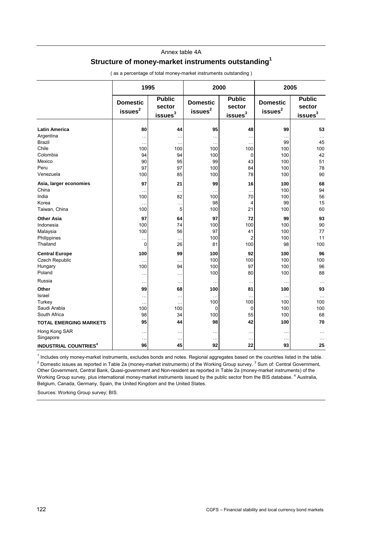#### Annex table 4A

## **Structure of money-market instruments outstanding1**

|                                         | 1995                                   |                                            | 2000                                   |                                                | 2005                                   |                                          |  |  |
|-----------------------------------------|----------------------------------------|--------------------------------------------|----------------------------------------|------------------------------------------------|----------------------------------------|------------------------------------------|--|--|
|                                         | <b>Domestic</b><br>issues <sup>2</sup> | <b>Public</b><br>sector<br>is <sup>3</sup> | <b>Domestic</b><br>issues <sup>2</sup> | <b>Public</b><br>sector<br>issues <sup>3</sup> | <b>Domestic</b><br>issues <sup>2</sup> | <b>Public</b><br>sector<br>$i$ ssues $3$ |  |  |
| <b>Latin America</b>                    | 80                                     | 44                                         | 95                                     | 48                                             | 99                                     | 53                                       |  |  |
| Argentina                               | .                                      | $\ddotsc$                                  |                                        | $\ddotsc$                                      | $\ddotsc$                              | $\cdots$                                 |  |  |
| Brazil                                  | $\ddotsc$                              | $\ddotsc$                                  |                                        | $\ddotsc$                                      | 99                                     | 45                                       |  |  |
| Chile                                   | 100                                    | 100                                        | 100                                    | 100                                            | 100                                    | 100                                      |  |  |
| Colombia                                | 94                                     | 94                                         | 100                                    | $\mathbf 0$                                    | 100                                    | 42                                       |  |  |
| Mexico                                  | 90                                     | 95                                         | 99                                     | 43                                             | 100                                    | 51                                       |  |  |
| Peru                                    | 97                                     | 97                                         | 100                                    | 84                                             | 100                                    | 78                                       |  |  |
| Venezuela                               | 100                                    | 85                                         | 100                                    | 78                                             | 100                                    | 90                                       |  |  |
| Asia, larger economies                  | 97                                     | 21                                         | 99                                     | 16                                             | 100                                    | 68                                       |  |  |
| China                                   | $\ddotsc$                              | $\ddotsc$                                  | .                                      | $\ddotsc$                                      | 100                                    | 94                                       |  |  |
| India                                   | 100                                    | 82                                         | 100                                    | 70                                             | 100                                    | 56                                       |  |  |
| Korea                                   | $\ddotsc$                              | $\ddotsc$                                  | 98                                     | 4                                              | 99                                     | 15                                       |  |  |
| Taiwan, China                           | 100                                    | 5                                          | 100                                    | 21                                             | 100                                    | 60                                       |  |  |
| <b>Other Asia</b>                       | 97                                     | 64                                         | 97                                     | 72                                             | 99                                     | 93                                       |  |  |
| Indonesia                               | 100                                    | 74                                         | 100                                    | 100                                            | 100                                    | 90                                       |  |  |
| Malaysia                                | 100                                    | 56                                         | 97                                     | 41                                             | 100                                    | 77                                       |  |  |
| Philippines                             | $\ddotsc$                              | $\ddotsc$                                  | 100                                    | $\overline{2}$                                 | 100                                    | 11                                       |  |  |
| Thailand                                | 0                                      | 26                                         | 81                                     | 100                                            | 98                                     | 100                                      |  |  |
| <b>Central Europe</b>                   | 100                                    | 99                                         | 100                                    | 92                                             | 100                                    | 96                                       |  |  |
| <b>Czech Republic</b>                   | $\ddotsc$                              | $\cdots$                                   | 100                                    | 100                                            | 100                                    | 100                                      |  |  |
| Hungary                                 | 100                                    | 94                                         | 100                                    | 97                                             | 100                                    | 96                                       |  |  |
| Poland                                  | $\ddotsc$                              | $\ddotsc$                                  | 100                                    | 80                                             | 100                                    | 88                                       |  |  |
| Russia                                  | $\cdots$                               | $\cdots$                                   |                                        | $\ddotsc$                                      | $\ddotsc$                              | $\ddotsc$                                |  |  |
| Other                                   | 99                                     | 68                                         | 100                                    | 81                                             | 100                                    | 93                                       |  |  |
| Israel                                  | $\ddotsc$                              | $\ddotsc$                                  |                                        | $\ddotsc$                                      | $\ddotsc$                              | $\ddotsc$                                |  |  |
| Turkey                                  | и.                                     |                                            | 100                                    | 100                                            | 100                                    | 100                                      |  |  |
| Saudi Arabia                            | 100                                    | 100                                        | 0                                      | $\mathbf 0$                                    | 100                                    | 100                                      |  |  |
| South Africa                            | 98                                     | 34                                         | 100                                    | 55                                             | 100                                    | 68                                       |  |  |
| <b>TOTAL EMERGING MARKETS</b>           | 95                                     | 44                                         | 98                                     | 42                                             | 100                                    | 70                                       |  |  |
| Hong Kong SAR<br>Singapore              | $\ddotsc$<br>$\ddotsc$                 | $\ddotsc$<br>$\ddotsc$                     | .<br>$\ddotsc$                         | $\ddotsc$<br>$\ddotsc$                         | $\ddotsc$<br>$\ddotsc$                 | $\ddotsc$<br>$\cdots$                    |  |  |
| <b>INDUSTRIAL COUNTRIES<sup>4</sup></b> | 96                                     | 45                                         | 92                                     | 22                                             | 93                                     | 25                                       |  |  |

( as a percentage of total money-market instruments outstanding )

<sup>1</sup> Includes only money-market instruments, excludes bonds and notes. Regional aggregates based on the countries listed in the table.<br><sup>2</sup> Demostic issues as reported in Table 23 (money market instruments) of the Werking Gr Domestic issues as reported in Table 2a (money-market instruments) of the Working Group survey.<sup>3</sup> Sum of: Central Government, Other Government, Central Bank, Quasi-government and Non-resident as reported in Table 2a (money-market instruments) of the Working Group survey, plus international money-market instruments issued by the public sector from the BIS database. <sup>4</sup> Australia, Belgium, Canada, Germany, Spain, the United Kingdom and the United States.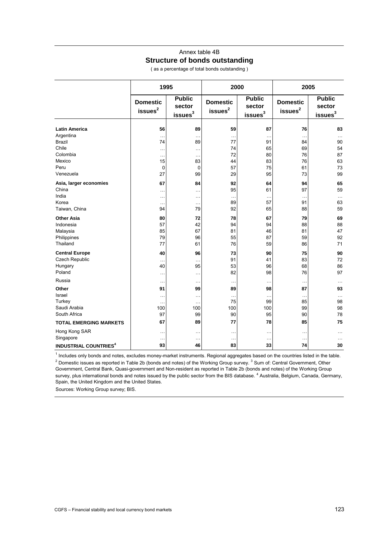## Annex table 4B **Structure of bonds outstanding**

( as a percentage of total bonds outstanding )

|                                         | 1995                                   |                                                |                                        | 2000                                           | 2005                                   |                                                |  |  |
|-----------------------------------------|----------------------------------------|------------------------------------------------|----------------------------------------|------------------------------------------------|----------------------------------------|------------------------------------------------|--|--|
|                                         | <b>Domestic</b><br>issues <sup>2</sup> | <b>Public</b><br>sector<br>issues <sup>3</sup> | <b>Domestic</b><br>issues <sup>2</sup> | <b>Public</b><br>sector<br>issues <sup>3</sup> | <b>Domestic</b><br>issues <sup>2</sup> | <b>Public</b><br>sector<br>issues <sup>3</sup> |  |  |
| <b>Latin America</b>                    | 56                                     | 89                                             | 59                                     | 87                                             | 76                                     | 83                                             |  |  |
| Argentina                               | $\ddotsc$                              | $\ddotsc$                                      | $\ddotsc$                              | $\ddotsc$                                      | .                                      | $\cdots$                                       |  |  |
| <b>Brazil</b>                           | 74                                     | 89                                             | 77                                     | 91                                             | 84                                     | 90                                             |  |  |
| Chile                                   |                                        | $\ddotsc$                                      | 74                                     | 65                                             | 69                                     | 54                                             |  |  |
| Colombia                                | $\ddotsc$                              | $\cdots$                                       | 72                                     | 80                                             | 76                                     | 87                                             |  |  |
| Mexico                                  | 15                                     | 83                                             | 44                                     | 83                                             | 76                                     | 63                                             |  |  |
| Peru                                    | $\mathbf 0$                            | $\mathbf 0$                                    | 57                                     | 75                                             | 61                                     | 73                                             |  |  |
| Venezuela                               | 27                                     | 99                                             | 29                                     | 95                                             | 73                                     | 99                                             |  |  |
| Asia, larger economies                  | 67                                     | 84                                             | 92                                     | 64                                             | 94                                     | 65                                             |  |  |
| China                                   | .                                      | $\ddotsc$                                      | 95                                     | 61                                             | 97                                     | 59                                             |  |  |
| India                                   | $\cdots$                               | $\cdots$                                       | $\ddotsc$                              | $\ddotsc$                                      | $\ddotsc$                              | $\ddotsc$                                      |  |  |
| Korea                                   | $\ddotsc$                              | $\ddotsc$                                      | 89                                     | 57                                             | 91                                     | 63                                             |  |  |
| Taiwan, China                           | 94                                     | 79                                             | 92                                     | 65                                             | 88                                     | 59                                             |  |  |
| <b>Other Asia</b>                       | 80                                     | 72                                             | 78                                     | 67                                             | 79                                     | 69                                             |  |  |
| Indonesia                               | 57                                     | 42                                             | 94                                     | 94                                             | 88                                     | 88                                             |  |  |
| Malaysia                                | 85                                     | 67                                             | 81                                     | 46                                             | 81                                     | 47                                             |  |  |
| Philippines                             | 79                                     | 96                                             | 55                                     | 87                                             | 59                                     | 92                                             |  |  |
| Thailand                                | 77                                     | 61                                             | 76                                     | 59                                             | 86                                     | 71                                             |  |  |
| <b>Central Europe</b>                   | 40                                     | 96                                             | 73                                     | 90                                             | 75                                     | 90                                             |  |  |
| Czech Republic                          | .                                      | $\ddot{\phantom{a}}$                           | 91                                     | 41                                             | 83                                     | 72                                             |  |  |
| Hungary                                 | 40                                     | 95                                             | 53                                     | 96                                             | 68                                     | 86                                             |  |  |
| Poland                                  | .                                      | $\ddotsc$                                      | 82                                     | 98                                             | 76                                     | 97                                             |  |  |
| Russia                                  | .                                      | $\ddotsc$                                      | $\ldots$                               | $\cdots$                                       | .                                      | $\ddotsc$                                      |  |  |
| Other                                   | 91                                     | 99                                             | 89                                     | 98                                             | 87                                     | 93                                             |  |  |
| Israel                                  |                                        |                                                | $\cdots$                               | $\ddotsc$                                      |                                        | .                                              |  |  |
| Turkey                                  | $\ddotsc$                              | $\ddotsc$                                      | 75                                     | 99                                             | 85                                     | 98                                             |  |  |
| Saudi Arabia                            | 100                                    | 100                                            | 100                                    | 100                                            | 99                                     | 98                                             |  |  |
| South Africa                            | 97                                     | 99                                             | 90                                     | 95                                             | 90                                     | 78                                             |  |  |
| <b>TOTAL EMERGING MARKETS</b>           | 67                                     | 89                                             | 77                                     | 78                                             | 85                                     | 75                                             |  |  |
| Hong Kong SAR<br>Singapore              |                                        | $\ddotsc$                                      | $\cdots$                               | $\ddotsc$                                      | .                                      | $\cdots$                                       |  |  |
| <b>INDUSTRIAL COUNTRIES<sup>4</sup></b> | .<br>93                                | $\ddotsc$<br>46                                | $\cdots$<br>83                         | $\ddotsc$<br>33                                | $\ddotsc$<br>74                        | 30                                             |  |  |
|                                         |                                        |                                                |                                        |                                                |                                        |                                                |  |  |

<sup>1</sup> Includes only bonds and notes, excludes money-market instruments. Regional aggregates based on the countries listed in the table.<br><sup>2</sup> Demostic issues as reported in Table 2b (bonds and notes) of the Working Croup supro Domestic issues as reported in Table 2b (bonds and notes) of the Working Group survey.<sup>3</sup> Sum of: Central Government, Other Government, Central Bank, Quasi-government and Non-resident as reported in Table 2b (bonds and notes) of the Working Group survey, plus international bonds and notes issued by the public sector from the BIS database. <sup>4</sup> Australia, Belgium, Canada, Germany, Spain, the United Kingdom and the United States.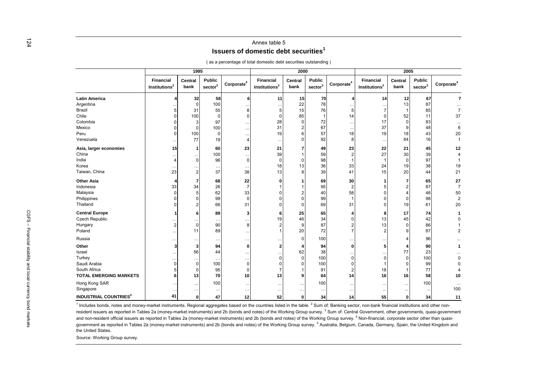### Annex table 5**Issuers of domestic debt securities<sup>1</sup>**

| <b>Financial</b><br>Institutions <sup>2</sup><br>15<br>23<br>33 | Central<br>bank<br>32<br>$\Omega$<br>31<br>100<br>3<br>$\Omega$<br>100<br>77<br>-1<br>$\cdots$<br>$\Omega$<br>$\overline{2}$<br>34<br>5                                                                 | <b>Public</b><br>sector <sup>3</sup><br>58<br>100<br>55<br>97<br>100<br>19<br>60<br>100<br>96<br>37<br>68<br>26 | $\text{Corporate}^4$<br>23<br>38<br>22 | <b>Financial</b><br>Institutions <sup>2</sup><br>11<br>28<br>31<br>19<br>21<br>39<br>18<br>13 | Central<br>bank<br>15<br>22<br>15<br>85<br>$\Omega$<br>13 | <b>Public</b><br>sector <sup>3</sup><br>70<br>78<br>76<br>72<br>67<br>57<br>92<br>49<br>59<br>98<br>36<br>39 | Corporate <sup>4</sup><br>14<br>18<br>23<br>33 | Financial<br>Institutions <sup>2</sup><br>14<br>17<br>37<br>19<br>$\ldots$<br>22<br>27<br>24 | Central<br>bank<br>12<br>13<br>52<br>$\Omega$<br>9<br>18<br>84<br>21<br>30<br>$\Omega$<br>19 | <b>Public</b><br>$\mathsf{sector}^3$<br>67<br>87<br>85<br>11<br>83<br>48<br>43<br>16<br>45<br>39<br>97<br>38 | Corporate <sup>4</sup><br>7<br>$\overline{7}$<br>37<br>6<br>20<br>12<br>19                                                                                                                                                 |
|-----------------------------------------------------------------|---------------------------------------------------------------------------------------------------------------------------------------------------------------------------------------------------------|-----------------------------------------------------------------------------------------------------------------|----------------------------------------|-----------------------------------------------------------------------------------------------|-----------------------------------------------------------|--------------------------------------------------------------------------------------------------------------|------------------------------------------------|----------------------------------------------------------------------------------------------|----------------------------------------------------------------------------------------------|--------------------------------------------------------------------------------------------------------------|----------------------------------------------------------------------------------------------------------------------------------------------------------------------------------------------------------------------------|
|                                                                 |                                                                                                                                                                                                         |                                                                                                                 |                                        |                                                                                               |                                                           |                                                                                                              |                                                |                                                                                              |                                                                                              |                                                                                                              |                                                                                                                                                                                                                            |
|                                                                 |                                                                                                                                                                                                         |                                                                                                                 |                                        |                                                                                               |                                                           |                                                                                                              |                                                |                                                                                              |                                                                                              |                                                                                                              |                                                                                                                                                                                                                            |
|                                                                 |                                                                                                                                                                                                         |                                                                                                                 |                                        |                                                                                               |                                                           |                                                                                                              |                                                |                                                                                              |                                                                                              |                                                                                                              |                                                                                                                                                                                                                            |
|                                                                 |                                                                                                                                                                                                         |                                                                                                                 |                                        |                                                                                               |                                                           |                                                                                                              |                                                |                                                                                              |                                                                                              |                                                                                                              |                                                                                                                                                                                                                            |
|                                                                 |                                                                                                                                                                                                         |                                                                                                                 |                                        |                                                                                               |                                                           |                                                                                                              |                                                |                                                                                              |                                                                                              |                                                                                                              |                                                                                                                                                                                                                            |
|                                                                 |                                                                                                                                                                                                         |                                                                                                                 |                                        |                                                                                               |                                                           |                                                                                                              |                                                |                                                                                              |                                                                                              |                                                                                                              |                                                                                                                                                                                                                            |
|                                                                 |                                                                                                                                                                                                         |                                                                                                                 |                                        |                                                                                               |                                                           |                                                                                                              |                                                |                                                                                              |                                                                                              |                                                                                                              |                                                                                                                                                                                                                            |
|                                                                 |                                                                                                                                                                                                         |                                                                                                                 |                                        |                                                                                               |                                                           |                                                                                                              |                                                |                                                                                              |                                                                                              |                                                                                                              |                                                                                                                                                                                                                            |
|                                                                 |                                                                                                                                                                                                         |                                                                                                                 |                                        |                                                                                               |                                                           |                                                                                                              |                                                |                                                                                              |                                                                                              |                                                                                                              |                                                                                                                                                                                                                            |
|                                                                 |                                                                                                                                                                                                         |                                                                                                                 |                                        |                                                                                               |                                                           |                                                                                                              |                                                |                                                                                              |                                                                                              |                                                                                                              |                                                                                                                                                                                                                            |
|                                                                 |                                                                                                                                                                                                         |                                                                                                                 |                                        |                                                                                               |                                                           |                                                                                                              |                                                |                                                                                              |                                                                                              |                                                                                                              |                                                                                                                                                                                                                            |
|                                                                 |                                                                                                                                                                                                         |                                                                                                                 |                                        |                                                                                               |                                                           |                                                                                                              |                                                |                                                                                              |                                                                                              |                                                                                                              |                                                                                                                                                                                                                            |
|                                                                 |                                                                                                                                                                                                         |                                                                                                                 |                                        |                                                                                               |                                                           |                                                                                                              |                                                |                                                                                              |                                                                                              |                                                                                                              |                                                                                                                                                                                                                            |
|                                                                 |                                                                                                                                                                                                         |                                                                                                                 |                                        |                                                                                               |                                                           |                                                                                                              | 41                                             | 15                                                                                           | 20                                                                                           | 44                                                                                                           | 21                                                                                                                                                                                                                         |
|                                                                 |                                                                                                                                                                                                         |                                                                                                                 |                                        |                                                                                               |                                                           | 69                                                                                                           | 30                                             |                                                                                              | 7                                                                                            | 65                                                                                                           | 27                                                                                                                                                                                                                         |
|                                                                 |                                                                                                                                                                                                         |                                                                                                                 |                                        |                                                                                               |                                                           | 95                                                                                                           |                                                |                                                                                              |                                                                                              | 87                                                                                                           | $\overline{7}$                                                                                                                                                                                                             |
|                                                                 |                                                                                                                                                                                                         | 62                                                                                                              | 33                                     |                                                                                               |                                                           | 40                                                                                                           | 58                                             |                                                                                              |                                                                                              | 46                                                                                                           | 50                                                                                                                                                                                                                         |
|                                                                 | $\Omega$                                                                                                                                                                                                | 99                                                                                                              |                                        |                                                                                               |                                                           | 99                                                                                                           |                                                |                                                                                              | $\Omega$                                                                                     | 98                                                                                                           | $\overline{2}$                                                                                                                                                                                                             |
|                                                                 |                                                                                                                                                                                                         | 66                                                                                                              | 31                                     |                                                                                               |                                                           | 69                                                                                                           | 31                                             |                                                                                              | 19                                                                                           | 61                                                                                                           | 20                                                                                                                                                                                                                         |
|                                                                 | 6                                                                                                                                                                                                       | 89                                                                                                              |                                        |                                                                                               | 25                                                        | 65                                                                                                           |                                                |                                                                                              | 17                                                                                           | 74                                                                                                           |                                                                                                                                                                                                                            |
|                                                                 |                                                                                                                                                                                                         |                                                                                                                 |                                        | 19                                                                                            | 46                                                        | 34                                                                                                           |                                                | 13                                                                                           | 45                                                                                           | 42                                                                                                           |                                                                                                                                                                                                                            |
|                                                                 | $\Omega$                                                                                                                                                                                                | 90                                                                                                              |                                        |                                                                                               | 9                                                         | 87                                                                                                           |                                                | 13                                                                                           | $\Omega$                                                                                     | 86                                                                                                           |                                                                                                                                                                                                                            |
|                                                                 | 11                                                                                                                                                                                                      |                                                                                                                 |                                        |                                                                                               | 20                                                        | 72                                                                                                           |                                                |                                                                                              | 9                                                                                            | 87                                                                                                           |                                                                                                                                                                                                                            |
|                                                                 | $\ddotsc$                                                                                                                                                                                               |                                                                                                                 |                                        |                                                                                               |                                                           | 100                                                                                                          |                                                |                                                                                              |                                                                                              | 96                                                                                                           |                                                                                                                                                                                                                            |
|                                                                 | 3                                                                                                                                                                                                       | 94                                                                                                              |                                        |                                                                                               |                                                           | 94                                                                                                           | O                                              |                                                                                              |                                                                                              | 90                                                                                                           |                                                                                                                                                                                                                            |
|                                                                 | 56                                                                                                                                                                                                      | 44                                                                                                              |                                        |                                                                                               | 62                                                        | 38                                                                                                           |                                                |                                                                                              | 77                                                                                           | 23                                                                                                           |                                                                                                                                                                                                                            |
|                                                                 | $\ddotsc$                                                                                                                                                                                               |                                                                                                                 |                                        |                                                                                               | $\Omega$                                                  | 100                                                                                                          |                                                |                                                                                              | $\Omega$                                                                                     | 100                                                                                                          |                                                                                                                                                                                                                            |
|                                                                 | $\Omega$                                                                                                                                                                                                | 100                                                                                                             |                                        |                                                                                               |                                                           | 100                                                                                                          |                                                |                                                                                              |                                                                                              | 99                                                                                                           |                                                                                                                                                                                                                            |
|                                                                 | $\Omega$                                                                                                                                                                                                | 95                                                                                                              |                                        |                                                                                               |                                                           | 91                                                                                                           |                                                | 18                                                                                           |                                                                                              | 77                                                                                                           |                                                                                                                                                                                                                            |
|                                                                 | 13                                                                                                                                                                                                      |                                                                                                                 | 10                                     | 13                                                                                            |                                                           | 64                                                                                                           | 14                                             | 16                                                                                           | 16                                                                                           | 58                                                                                                           | 10                                                                                                                                                                                                                         |
|                                                                 | $\cdots$                                                                                                                                                                                                | 100                                                                                                             |                                        |                                                                                               |                                                           | 100                                                                                                          |                                                | $\ldots$                                                                                     | $\ddotsc$                                                                                    | 100                                                                                                          |                                                                                                                                                                                                                            |
|                                                                 | $\cdots$                                                                                                                                                                                                |                                                                                                                 |                                        |                                                                                               |                                                           |                                                                                                              |                                                |                                                                                              |                                                                                              |                                                                                                              | 100                                                                                                                                                                                                                        |
| 41                                                              | $\mathbf{0}$                                                                                                                                                                                            |                                                                                                                 |                                        |                                                                                               | $\mathbf{0}$                                              |                                                                                                              |                                                |                                                                                              | $\mathbf{0}$                                                                                 |                                                                                                              | 11                                                                                                                                                                                                                         |
|                                                                 | resident issuers as reported in Tables 2a (money-market instruments) and 2b (bonds and notes) of the Working Group survey. <sup>3</sup> Sum of: Central Government, other governments, quasi-government |                                                                                                                 | 47                                     | 89<br>70<br>12                                                                                | 52                                                        |                                                                                                              | 34                                             | 14                                                                                           | 55                                                                                           |                                                                                                              | 34<br><sup>1</sup> Includes bonds, notes and money-market instruments. Regional aggregates based on the countries listed in the table. <sup>2</sup> Sum of: Banking sector, non-bank financial institutions and other non- |

( as a percentage of total domestic debt securities outstanding )

 $1$  Includes bonds, notes and money-market instruments. Regional aggregates based on the countries listed in the table.  $2$  Sum of: Banking sector, non-bank financial institutions and other nonresident issuers as reported in Tables 2a (money-market instruments) and 2b (bonds and notes) of the Working Group survey. <sup>3</sup> Sum of: Central Government, other governments, quasi-government and non-resident official issuers as reported in Tables 2a (money-market instruments) and 2b (bonds and notes) of the Working Group survey.<sup>4</sup> Non-financial, corporate sector other than quasigovernment as reported in Tables 2a (money-market instruments) and 2b (bonds and notes) of the Working Group survey.<sup>5</sup> Australia, Belgium, Canada, Germany, Spain, the United Kingdom and the United States.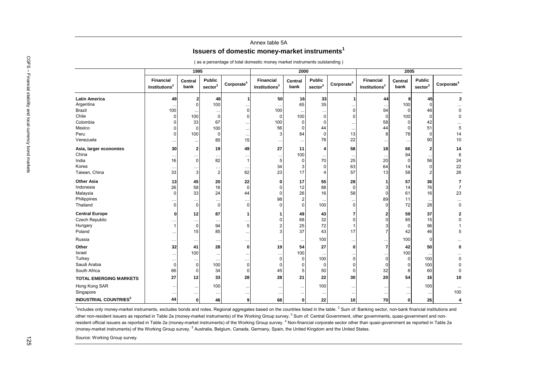## Annex table 5A**Issuers of domestic money-market instruments<sup>1</sup>**

|                               |                                               | 1995                    |                                      |                      |                                        | 2000            |                                      |                        |                                        | 2005            |                                      |                        |
|-------------------------------|-----------------------------------------------|-------------------------|--------------------------------------|----------------------|----------------------------------------|-----------------|--------------------------------------|------------------------|----------------------------------------|-----------------|--------------------------------------|------------------------|
|                               | <b>Financial</b><br>Institutions <sup>2</sup> | <b>Central</b><br>bank  | <b>Public</b><br>sector <sup>3</sup> | $\text{Corporate}^4$ | Financial<br>Institutions <sup>2</sup> | Central<br>bank | <b>Public</b><br>sector <sup>3</sup> | Corporate <sup>4</sup> | Financial<br>Institutions <sup>2</sup> | Central<br>bank | <b>Public</b><br>sector <sup>3</sup> | Corporate <sup>4</sup> |
| <b>Latin America</b>          | 49                                            | 2                       | 48                                   |                      | 50                                     | 16              | 33                                   |                        | 44                                     | 8               | 45                                   | $\overline{2}$         |
| Argentina                     |                                               | $\Omega$                | 100                                  |                      |                                        | 65              | 35                                   |                        |                                        | 100             | $\Omega$                             |                        |
| <b>Brazil</b>                 | 100                                           |                         | $\cdot$ .                            | $\Omega$             | 100                                    | $\ddotsc$       | $\ddotsc$                            | $\Omega$               | 54                                     | $\Omega$        | 46                                   |                        |
| Chile                         | 0                                             | 100                     | 0                                    | 0                    | 0                                      | 100             | 0                                    | $\Omega$               | $\mathbf 0$                            | 100             | 0                                    |                        |
| Colombia                      | <sup>0</sup>                                  | 33                      | 67                                   |                      | 100                                    | 0               | 0                                    |                        | 58                                     | 0               | 42                                   |                        |
| Mexico                        |                                               | $\mathbf 0$             | 100                                  |                      | 56                                     | $\Omega$        | 44                                   |                        | 44                                     | $\Omega$        | 51                                   |                        |
| Peru                          | n                                             | 100                     | $\Omega$                             | $\cdot\cdot$         | $\lvert 3 \rvert$                      | 84              | $\mathbf 0$                          | 13                     | 8                                      | 78              | 0                                    | 14                     |
| Venezuela                     |                                               | $\cdots$                | 85                                   | 15                   |                                        | $\ldots$        | 78                                   | 22                     |                                        | $\ddotsc$       | 90                                   | 10                     |
| Asia, larger economies        | 30                                            | $\overline{\mathbf{2}}$ | 19                                   | 49                   | 27                                     | 11              | 4                                    | 58                     | 18                                     | 66              | 2 <sup>2</sup>                       | 14                     |
| China                         | $\ddotsc$                                     | $\ddotsc$               | $\ddotsc$                            |                      | $\ddots$                               | 100             |                                      |                        |                                        | 94              |                                      |                        |
| India                         | 16                                            | $\mathbf 0$             | 82                                   | -1                   | 5 <sup>5</sup>                         | 0               | 70                                   | 25                     | 20                                     | $\Omega$        | 56                                   | 24                     |
| Korea                         | $\ddotsc$                                     | $\ddotsc$               | $\ddot{\phantom{0}}$                 | $\ddotsc$            | 34                                     | 3               | 0                                    | 63                     | 64                                     | 14              | 0                                    | 22                     |
| Taiwan, China                 | 33                                            | $\sqrt{3}$              | $\overline{2}$                       | 62                   | 23                                     | 17              | $\overline{4}$                       | 57                     | 13                                     | 58              | $\overline{2}$                       | 26                     |
| <b>Other Asia</b>             | 13                                            | 45                      | 20                                   | 22                   | $\mathbf{0}$                           | 17              | 55                                   | 28                     | 1                                      | 57              | 36                                   |                        |
| Indonesia                     | 26                                            | 58                      | 16                                   | $\Omega$             | $\Omega$                               | 12              | 88                                   | $\Omega$               | 3                                      | 14              | 76                                   |                        |
| Malaysia                      | $\Omega$                                      | 33                      | 24                                   | 44                   | $\Omega$                               | 26              | 16                                   | 58                     | $\mathbf 0$                            | 61              | 16                                   | 23                     |
| Philippines                   | $\ddotsc$                                     | $\cdots$                | $\ddot{\phantom{0}}$                 | $\ddotsc$            | 98                                     | $\overline{2}$  |                                      |                        | 89                                     | 11              |                                      |                        |
| Thailand                      | $\Omega$                                      | $\mathbf 0$             | $\Omega$                             | $\Omega$             |                                        | $\Omega$        | 100                                  | 0                      | $\Omega$                               | 72              | 28                                   |                        |
| <b>Central Europe</b>         | ŋ                                             | 12                      | 87                                   |                      |                                        | 49              | 43                                   | 7                      | 2                                      | 59              | 37                                   |                        |
| <b>Czech Republic</b>         |                                               |                         |                                      |                      | 0                                      | 68              | 32                                   | $\Omega$               | $\Omega$                               | 85              | 15                                   |                        |
| Hungary                       |                                               | $\ldots$<br>$\mathbf 0$ | $\ddotsc$<br>94                      | 5                    | 2                                      | 25              | 72                                   |                        |                                        | $\Omega$        | 96                                   |                        |
| Poland                        |                                               | 15                      | 85                                   |                      | 3                                      | 37              | 43                                   | 17                     | $\overline{7}$                         | 42              | 46                                   |                        |
| Russia                        |                                               |                         |                                      |                      |                                        |                 | 100                                  |                        |                                        | 100             | 0                                    |                        |
|                               | $\ddotsc$                                     | $\ddotsc$               | $\ldots$                             | $\ddotsc$            |                                        | $\ddotsc$       |                                      |                        |                                        |                 |                                      |                        |
| Other                         | 32                                            | 41                      | 28                                   | 0                    | 19                                     | 54              | 27                                   | $\mathbf{0}$           | $\overline{7}$                         | 42              | 50                                   |                        |
| Israel                        | $\ldots$                                      | 100                     | $\cdot$ .                            |                      | $\overline{0}$                         | 100<br>$\Omega$ |                                      | $\overline{0}$         | $\mathbf 0$                            | 100<br>$\Omega$ |                                      |                        |
| Turkey<br>Saudi Arabia        | $\ddotsc$                                     | $\cdots$<br>$\mathbf 0$ | $\ddotsc$                            | $\ddotsc$            |                                        |                 | 100                                  | $\Omega$               |                                        |                 | 100                                  |                        |
| South Africa                  | 0<br>66                                       | $\Omega$                | 100<br>34                            | 0<br>$\Omega$        | $\overline{0}$<br>45                   | 0<br>5          | 0<br>50                              | $\Omega$               | 0<br>32                                | 8               | 100<br>60                            |                        |
|                               | 27                                            | 12                      | 33                                   | 28                   | 28                                     | 21              | 22                                   | 30                     | 20                                     | 54              | 16                                   | 10                     |
| <b>TOTAL EMERGING MARKETS</b> |                                               |                         |                                      |                      |                                        |                 |                                      |                        |                                        |                 |                                      |                        |
| Hong Kong SAR                 |                                               | $\cdots$                | 100                                  |                      |                                        | $\ddotsc$       | 100                                  |                        |                                        | $\ldots$        | 100                                  |                        |
| Singapore                     |                                               | $\cdots$                | $\ddot{\phantom{0}}$                 | $\ddotsc$            | $\ddotsc$                              | $\cdots$        |                                      |                        | $\ddots$                               | $\cdots$        | $\cdots$                             | 100                    |
|                               | 44                                            | $\mathbf 0$             | 46                                   | 9                    | 68                                     | $\mathbf{0}$    | 22                                   | 10 <sup>1</sup>        | 70                                     | $\mathbf{0}$    | 26                                   |                        |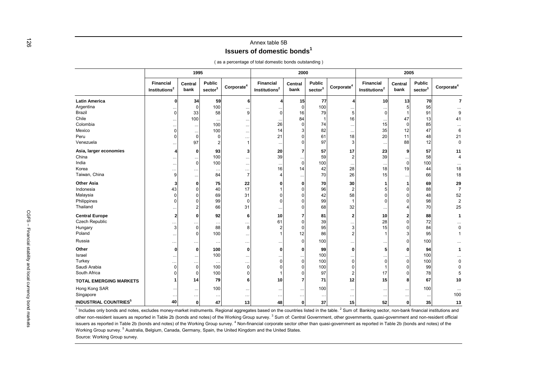## Annex table 5B**Issuers of domestic bonds<sup>1</sup>**

|  |  |  | as a percentage of total domestic bonds outstanding) |  |
|--|--|--|------------------------------------------------------|--|
|  |  |  |                                                      |  |

|                               |                                               | 1995            |                                      |                      |                                        | 2000            |                                      |                      |                                               | 2005            |                                      |                        |
|-------------------------------|-----------------------------------------------|-----------------|--------------------------------------|----------------------|----------------------------------------|-----------------|--------------------------------------|----------------------|-----------------------------------------------|-----------------|--------------------------------------|------------------------|
|                               | <b>Financial</b><br>Institutions <sup>2</sup> | Central<br>bank | <b>Public</b><br>sector <sup>3</sup> | $\text{Corporate}^4$ | Financial<br>Institutions <sup>2</sup> | Central<br>bank | <b>Public</b><br>sector <sup>3</sup> | $\text{Corporate}^4$ | <b>Financial</b><br>Institutions <sup>2</sup> | Central<br>bank | <b>Public</b><br>sector <sup>3</sup> | Corporate <sup>4</sup> |
| <b>Latin America</b>          |                                               | 34              | 59                                   |                      |                                        | 15              | 77                                   |                      | 10                                            | 13              | 70                                   |                        |
| Argentina                     |                                               | $\mathbf 0$     | 100                                  |                      |                                        | $\mathbf 0$     | 100                                  |                      |                                               |                 | 95                                   |                        |
| Brazil                        |                                               | 33              | 58                                   |                      | ŋ                                      | 16              | 79                                   |                      |                                               |                 | 91                                   |                        |
| Chile                         |                                               | 100             |                                      |                      |                                        | 84              |                                      | 16                   |                                               | 47              | 13                                   | 41                     |
| Colombia                      |                                               | $\ddotsc$       | 100                                  |                      | 26                                     | $\Omega$        | 74                                   |                      | 15                                            |                 | 85                                   |                        |
| Mexico                        |                                               | $\cdots$        | 100                                  |                      | 14                                     | 3               | 82                                   |                      | 35                                            | 12              | 47                                   |                        |
| Peru                          |                                               | 0               | <sup>0</sup>                         |                      | 21                                     |                 | 61                                   | 18                   | 20                                            | 11              | 48                                   | 21                     |
| Venezuela                     |                                               | 97              |                                      |                      |                                        |                 | 97                                   |                      | $\ddotsc$                                     | 88              | 12                                   | $\mathbf 0$            |
| Asia, larger economies        |                                               | 0               | 93                                   |                      | 20                                     | 7               | 57                                   | 17                   | 23                                            | q               | 57                                   | 11                     |
| China                         |                                               | $\cdots$        | 100                                  |                      | 39                                     |                 | 59                                   |                      | 39                                            | $\cdots$        | 58                                   |                        |
| India                         |                                               | $\pmb{0}$       | 100                                  |                      |                                        | $\mathbf 0$     | 100                                  |                      | $\ddotsc$                                     | $\Omega$        | 100                                  |                        |
| Korea                         |                                               |                 |                                      |                      | 16                                     | 14              | 42                                   | 28                   | 18                                            | 19              | 44                                   | 18                     |
| Taiwan, China                 |                                               | $\cdots$        | 84                                   |                      |                                        |                 | 70                                   | 26                   | 15                                            |                 | 66                                   | 18                     |
| <b>Other Asia</b>             |                                               | $\bf{0}$        | 75                                   | 22                   |                                        | O               | 70                                   | 30                   |                                               |                 | 69                                   | 29                     |
| Indonesia                     | 43                                            | $\mathbf 0$     | 40                                   | 17                   |                                        | $\Omega$        | 96                                   |                      |                                               |                 | 88                                   | $\overline{7}$         |
| Malaysia                      |                                               | $\Omega$        | 69                                   | 31                   |                                        |                 | 42                                   | 58                   |                                               |                 | 48                                   | 52                     |
| Philippines                   |                                               | $\Omega$        | 99                                   |                      |                                        |                 | 99                                   |                      |                                               |                 | 98                                   |                        |
| Thailand                      |                                               | $\overline{2}$  | 66                                   | 31                   |                                        |                 | 68                                   | 32                   |                                               |                 | 70                                   | 25                     |
| <b>Central Europe</b>         |                                               | 0               | 92                                   |                      | 10                                     |                 | 81                                   |                      | 10                                            |                 | 88                                   |                        |
| <b>Czech Republic</b>         |                                               |                 |                                      |                      | 61                                     | $\Omega$        | 39                                   |                      | 28                                            |                 | 72                                   |                        |
| Hungary                       |                                               | 0               | 88                                   |                      |                                        | $\Omega$        | 95                                   |                      | 15                                            |                 | 84                                   |                        |
| Poland                        |                                               | $\mathbf 0$     | 100                                  |                      |                                        | 12              | 86                                   |                      |                                               |                 | 95                                   |                        |
| Russia                        |                                               |                 | $\cdots$                             |                      |                                        | $\Omega$        | 100                                  |                      |                                               |                 | 100                                  |                        |
| Other                         | ŋ                                             | $\bf{0}$        | 100                                  | O                    | U                                      | $\Omega$        | 99                                   | $\Omega$             |                                               |                 | 94                                   |                        |
| Israel                        |                                               | $\ddotsc$       | 100                                  |                      |                                        |                 | 100                                  |                      |                                               | $\cdots$        | 100                                  |                        |
| Turkey                        |                                               |                 |                                      |                      |                                        | $\Omega$        | 100                                  |                      |                                               |                 | 100                                  |                        |
| Saudi Arabia                  |                                               | $\mathbf 0$     | 100                                  |                      |                                        | $\Omega$        | 100                                  |                      |                                               |                 | 99                                   |                        |
| South Africa                  |                                               | 0               | 100                                  |                      |                                        | $\Omega$        | 97                                   |                      | 17                                            |                 | 78                                   |                        |
| <b>TOTAL EMERGING MARKETS</b> |                                               | 14              | 79                                   |                      | 10                                     |                 | 71                                   | 12                   | 15                                            |                 | 67                                   | 10                     |
| Hong Kong SAR                 |                                               | $\ddotsc$       | 100                                  |                      |                                        | $\ddotsc$       | 100                                  |                      | $\ddotsc$                                     |                 | 100                                  |                        |
| Singapore                     |                                               |                 |                                      |                      |                                        | $\cdots$        |                                      |                      |                                               |                 |                                      | 100                    |
|                               | 40                                            |                 | 47                                   | 13                   | 48                                     | $\mathbf{0}$    | 37                                   | 15                   | 52                                            | $\mathbf 0$     | 35                                   | 13                     |

Source: Working Group survey.  $1$  Includes only bonds and notes, excludes money-market instruments. Regional aggregates based on the countries listed in the table.  $2$  Sum of: Banking sector, non-bank financial institutions and other non-resident issuers as reported in Table 2b (bonds and notes) of the Working Group survey.<sup>3</sup> Sum of: Central Government, other governments, quasi-government and non-resident official issuers as reported in Table 2b (bonds and notes) of the Working Group survey.<sup>4</sup> Non-financial corporate sector other than quasi-government as reported in Table 2b (bonds and notes) of the Working Group survey. 5 Australia, Belgium, Canada, Germany, Spain, the United Kingdom and the United States.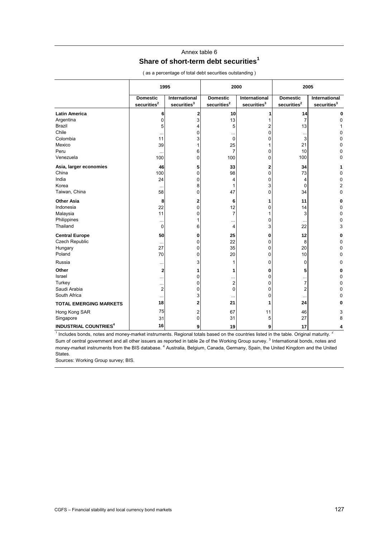## Annex table 6 **Share of short-term debt securities<sup>1</sup>**

|                                         | 1995                                       |                                                 | 2000                                       |                                                 |                                            | 2005                                            |
|-----------------------------------------|--------------------------------------------|-------------------------------------------------|--------------------------------------------|-------------------------------------------------|--------------------------------------------|-------------------------------------------------|
|                                         | <b>Domestic</b><br>securities <sup>2</sup> | <b>International</b><br>securities <sup>3</sup> | <b>Domestic</b><br>securities <sup>2</sup> | <b>International</b><br>securities <sup>3</sup> | <b>Domestic</b><br>securities <sup>2</sup> | <b>International</b><br>securities <sup>3</sup> |
| <b>Latin America</b>                    | 6                                          | 2                                               | 10                                         |                                                 | 14                                         | 0                                               |
| Argentina                               | 0                                          | 3                                               | 13                                         |                                                 | 7                                          | 0                                               |
| Brazil                                  | 5                                          | 4                                               | 5                                          |                                                 | 13                                         |                                                 |
| Chile                                   |                                            | 0                                               | $\ddotsc$                                  | $\Omega$                                        |                                            | 0                                               |
| Colombia                                | 11                                         | 3                                               | 0                                          | $\Omega$                                        | 3                                          | 0                                               |
| Mexico                                  | 39                                         | 1                                               | 25                                         |                                                 | 21                                         | 0                                               |
| Peru                                    | $\ddotsc$                                  | 6                                               | 7                                          | 0                                               | 10                                         | 0                                               |
| Venezuela                               | 100                                        | $\Omega$                                        | 100                                        | 0                                               | 100                                        | O                                               |
| Asia, larger economies                  | 46                                         | 5                                               | 33                                         | 2                                               | 34                                         |                                                 |
| China                                   | 100                                        | 0                                               | 98                                         | 0                                               | 73                                         | 0                                               |
| India                                   | 24                                         | 0                                               | 4                                          | 0                                               | 4                                          | 0                                               |
| Korea                                   |                                            | 8                                               | 1                                          | 3                                               | 0                                          | $\overline{2}$                                  |
| Taiwan, China                           | 58                                         | $\Omega$                                        | 47                                         | 0                                               | 34                                         | 0                                               |
| <b>Other Asia</b>                       | 8                                          | 2                                               | 6                                          | 1                                               | 11                                         | 0                                               |
| Indonesia                               | 22                                         | 0                                               | 12                                         | 0                                               | 14                                         | $\Omega$                                        |
| Malaysia                                | 11                                         | $\Omega$                                        | $\overline{7}$                             |                                                 | 3                                          | $\Omega$                                        |
| Philippines                             | .                                          | 1                                               |                                            | 0                                               |                                            | $\Omega$                                        |
| Thailand                                | 0                                          | 6                                               | 4                                          | 3                                               | 22                                         | 3                                               |
| <b>Central Europe</b>                   | 50                                         | 0                                               | 25                                         | 0                                               | 12                                         | 0                                               |
| Czech Republic                          |                                            | 0                                               | 22                                         | 0                                               | 8                                          | $\Omega$                                        |
| Hungary                                 | 27                                         | $\Omega$                                        | 35                                         | 0                                               | 20                                         | 0                                               |
| Poland                                  | 70                                         | $\Omega$                                        | 20                                         | $\Omega$                                        | 10                                         | 0                                               |
| Russia                                  |                                            | 3                                               | 1                                          | 0                                               | 0                                          | 0                                               |
| Other                                   | 2                                          | 1                                               | 1                                          | 0                                               | 5                                          | 0                                               |
| Israel                                  |                                            | 0                                               |                                            | 0                                               | .                                          | 0                                               |
| Turkey                                  | .                                          | 0                                               | $\overline{c}$                             | 0                                               | $\overline{7}$                             | 0                                               |
| Saudi Arabia                            | 2                                          | 0                                               | 0                                          | 0                                               | 2                                          | 0                                               |
| South Africa                            |                                            | 3                                               |                                            | 0                                               |                                            | $\Omega$                                        |
| <b>TOTAL EMERGING MARKETS</b>           | 18                                         | $\overline{2}$                                  | 21                                         | 1                                               | 24                                         | c                                               |
| Hong Kong SAR                           | 75                                         | 2                                               | 67                                         | 11                                              | 46                                         | 3                                               |
| Singapore                               | 31                                         | $\Omega$                                        | 31                                         | 5                                               | 27                                         | 8                                               |
| <b>INDUSTRIAL COUNTRIES<sup>4</sup></b> | 16                                         | 9                                               | 19                                         | 9                                               | 17                                         | Δ                                               |

( as a percentage of total debt securities outstanding )

<sup>1</sup> Includes bonds, notes and money-market instruments. Regional totals based on the countries listed in the table. Original maturity. <sup>2</sup> Sum of central government and all other issuers as reported in table 2e of the Working Group survey. <sup>3</sup> International bonds, notes and money-market instruments from the BIS database. <sup>4</sup> Australia, Belgium, Canada, Germany, Spain, the United Kingdom and the United States.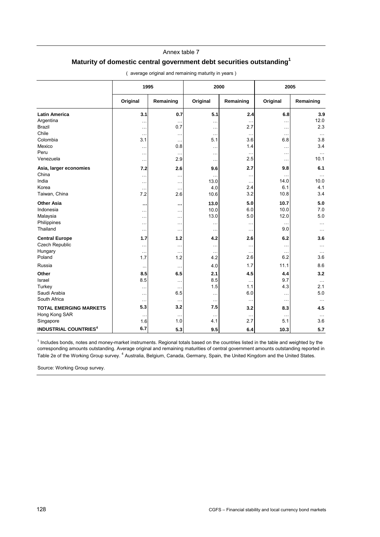#### Annex table 7

## **Maturity of domestic central government debt securities outstanding1**

|                                         | 1995                 |               | 2000      |           | 2005      |           |
|-----------------------------------------|----------------------|---------------|-----------|-----------|-----------|-----------|
|                                         | Original             | Remaining     | Original  | Remaining | Original  | Remaining |
| <b>Latin America</b>                    | 3.1                  | 0.7           | 5.1       | 2.4       | 6.8       | 3.9       |
| Argentina                               | .                    | $\ddotsc$     |           | $\ddotsc$ | $\ddotsc$ | 12.0      |
| <b>Brazil</b>                           | .                    | 0.7           | $\ddotsc$ | 2.7       | $\ddotsc$ | 2.3       |
| Chile                                   | $\ddotsc$            | $\ddotsc$     | $\ddotsc$ | $\ddotsc$ | $\ddotsc$ | $\cdots$  |
| Colombia                                | 3.1                  | $\ddotsc$     | 5.1       | 3.6       | 6.8       | 3.8       |
| Mexico                                  |                      | 0.8           |           | 1.4       | $\ddotsc$ | 3.4       |
| Peru                                    | .                    | $\sim$ $\sim$ | .         | $\ddotsc$ | $\ddotsc$ | $\ddotsc$ |
| Venezuela                               | .                    | 2.9           | .         | 2.5       | $\ddotsc$ | 10.1      |
| Asia, larger economies                  | 7.2                  | 2.6           | 9.6       | 2.7       | 9.8       | 6.1       |
| China                                   | .                    | $\ddotsc$     | $\ddotsc$ | $\ddots$  | $\ddotsc$ | $\ldots$  |
| India                                   | .                    | $\ddotsc$     | 13.0      | $\ddotsc$ | 14.0      | 10.0      |
| Korea                                   | $\ddotsc$            | $\sim$ $\sim$ | 4.0       | 2.4       | 6.1       | 4.1       |
| Taiwan, China                           | 7.2                  | 2.6           | 10.6      | 3.2       | 10.8      | 3.4       |
| <b>Other Asia</b>                       | $\ddot{\phantom{1}}$ | $\ddotsc$     | 13.0      | 5.0       | 10.7      | 5.0       |
| Indonesia                               | .                    | $\cdots$      | 10.0      | 6.0       | 10.0      | 7.0       |
| Malaysia                                | .                    | $\cdots$      | 13.0      | 5.0       | 12.0      | 5.0       |
| Philippines                             | .                    | $\ddotsc$     | .         | $\cdots$  | $\ddotsc$ | $\cdots$  |
| Thailand                                | .                    | $\ddotsc$     | .         | $\ddotsc$ | 9.0       |           |
| <b>Central Europe</b>                   | 1.7                  | 1.2           | 4.2       | 2.6       | 6.2       | 3.6       |
| Czech Republic                          | .                    | $\ddotsc$     |           | $\ddotsc$ | $\ddotsc$ | $\ldots$  |
| Hungary                                 | .                    | $\ddotsc$     | $\ddotsc$ | $\ddotsc$ | $\ddotsc$ |           |
| Poland                                  | 1.7                  | 1.2           | 4.2       | 2.6       | 6.2       | 3.6       |
| Russia                                  | $\ddotsc$            | $\ddotsc$     | 4.0       | 1.7       | 11.1      | 8.6       |
| Other                                   | 8.5                  | 6.5           | 2.1       | 4.5       | 4.4       | 3.2       |
| Israel                                  | 8.5                  | $\ddotsc$     | 8.5       | $\ddotsc$ | 9.7       | $\ddotsc$ |
| Turkey                                  | .                    | $\ddotsc$     | 1.5       | 1.1       | 4.3       | 2.1       |
| Saudi Arabia                            | $\ddotsc$            | 6.5           | $\ddotsc$ | 6.0       | $\ddotsc$ | 5.0       |
| South Africa                            | $\ddotsc$            | $\ddotsc$     | $\ddotsc$ | $\ddotsc$ | $\ddotsc$ | $\cdots$  |
| <b>TOTAL EMERGING MARKETS</b>           | 5.3                  | 3.2           | 7.5       | 3.2       | 8.3       | 4.5       |
| Hong Kong SAR                           | $\ddot{\phantom{a}}$ | $\ddotsc$     | $\ddotsc$ | $\ddotsc$ | $\ddotsc$ |           |
| Singapore                               | 1.6                  | 1.0           | 4.1       | 2.7       | 5.1       | 3.6       |
| <b>INDUSTRIAL COUNTRIES<sup>4</sup></b> | 6.7                  | 5.3           | 9.5       | 6.4       | 10.3      | 5.7       |

( average original and remaining maturity in years )

<sup>1</sup> Includes bonds, notes and money-market instruments. Regional totals based on the countries listed in the table and weighted by the corresponding amounts outstanding. Average original and remaining maturities of central government amounts outstanding reported in Table 2e of the Working Group survey. <sup>4</sup> Australia, Belgium, Canada, Germany, Spain, the United Kingdom and the United States.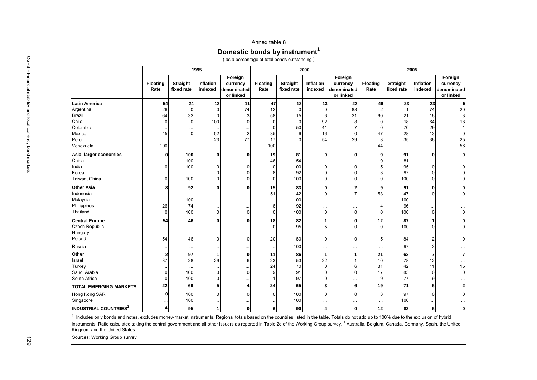#### Annex table 8

**Domestic bonds by instrument<sup>1</sup>**

( as a percentage of total bonds outstanding )

|                               |                         |                               | 1995                 |                                                 |                  |                               | 2000                 |                                                 |                         |                        | 2005                 |                                                 |
|-------------------------------|-------------------------|-------------------------------|----------------------|-------------------------------------------------|------------------|-------------------------------|----------------------|-------------------------------------------------|-------------------------|------------------------|----------------------|-------------------------------------------------|
|                               | <b>Floating</b><br>Rate | <b>Straight</b><br>fixed rate | Inflation<br>indexed | Foreign<br>currency<br>denominated<br>or linked | Floating<br>Rate | <b>Straight</b><br>fixed rate | Inflation<br>indexed | Foreign<br>currency<br>denominated<br>or linked | <b>Floating</b><br>Rate | Straight<br>fixed rate | Inflation<br>indexed | Foreign<br>currency<br>denominated<br>or linked |
| <b>Latin America</b>          | 54                      | 24                            | 12                   | 11                                              | 47               | 12                            | 13                   | 22                                              | 46                      | 23                     | 23                   |                                                 |
| Argentina                     | 26                      | $\mathbf 0$                   | $\Omega$             | 74                                              | 12               | $\Omega$                      | $\Omega$             | 88                                              | $\overline{2}$          |                        | 74                   |                                                 |
| Brazil                        | 64                      | 32                            | $\Omega$             | 3                                               | 58               | 15                            | 6                    | 21                                              | 60                      | 21                     | 16                   |                                                 |
| Chile                         | $\Omega$                | $\mathbf 0$                   | 100                  | $\Omega$                                        | $\Omega$         | $\mathbf 0$                   | 92                   | 8                                               | 0                       | 18                     | 64                   |                                                 |
| Colombia                      |                         |                               | $\ddotsc$            |                                                 | $\Omega$         | 50                            | 41                   | $\overline{7}$                                  | 0                       | 70                     | 29                   |                                                 |
| Mexico                        | 45                      | $\overline{0}$                | 52                   | $\overline{2}$                                  | 35               | 6                             | 16                   | $\mathbf 0$                                     | 47                      | 28                     | 13                   |                                                 |
| Peru                          | $\cdots$                | $\ddotsc$                     | 23                   | 77                                              | 17               | $\Omega$                      | 54                   | 29                                              | 3                       | 35                     | 36                   |                                                 |
| Venezuela                     | 100                     | $\cdots$                      | $\ddots$             | $\ddotsc$                                       | 100              | $\cdots$                      | $\ldots$             | $\ldots$                                        | 44                      | $\cdots$               | $\ddotsc$            |                                                 |
| Asia, larger economies        | $\mathbf 0$             | 100                           | $\mathbf{0}$         | $\mathbf{0}$                                    | 19               | 81                            | $\mathbf 0$          | $\mathbf 0$                                     | 9                       | 91                     | $\mathbf{0}$         |                                                 |
| China                         |                         | 100                           | $\ddot{\phantom{0}}$ |                                                 | 46               | 54                            |                      |                                                 | 19                      | 81                     | $\ddotsc$            |                                                 |
| India                         | $\Omega$                | 100                           | $\Omega$             | $\Omega$                                        | $\Omega$         | 100                           | $\Omega$             | $\mathbf 0$                                     | 5                       | 95                     | $\Omega$             |                                                 |
| Korea                         |                         |                               | $\Omega$             | $\Omega$                                        | 8                | 92                            | $\Omega$             | $\mathbf 0$                                     | 3                       | 97                     | $\Omega$             |                                                 |
| Taiwan, China                 | 0                       | 100                           | $\Omega$             | <sup>0</sup>                                    | $\Omega$         | 100                           | $\Omega$             | $\Omega$                                        | 0                       | 100                    | $\Omega$             |                                                 |
| <b>Other Asia</b>             | 8                       | 92                            | $\mathbf{0}$         | $\mathbf{0}$                                    | 15               | 83                            | 0                    | $\overline{2}$                                  | 9                       | 91                     | $\Omega$             |                                                 |
| Indonesia                     |                         |                               | $\ddots$             |                                                 | 51               | 42                            | $\Omega$             | $\overline{7}$                                  | 53                      | 47                     | $\Omega$             |                                                 |
| Malaysia                      | $\ldots$                | 100                           | $\ldots$             | $\ddotsc$                                       | $\ddotsc$        | 100                           | $\cdots$             |                                                 | $\ldots$                | 100                    | $\cdots$             |                                                 |
| Philippines                   | 26                      | 74                            | $\cdots$             | $\ddotsc$                                       | 8                | 92                            | $\cdots$             | $\ddotsc$                                       | 4                       | 96                     | $\cdots$             |                                                 |
| Thailand                      | $\mathbf 0$             | 100                           | $\mathbf 0$          | $\overline{0}$                                  | n                | 100                           | $\Omega$             | $\mathbf 0$                                     | 0                       | 100                    | $\mathbf 0$          |                                                 |
| <b>Central Europe</b>         | 54                      | 46                            | 0                    | $\mathbf{0}$                                    | 18               | 82                            | -1                   | $\mathbf{0}$                                    | 12                      | 87                     | 1                    |                                                 |
| <b>Czech Republic</b>         | $\ddotsc$               | $\ddotsc$                     | $\ddotsc$            | $\ddotsc$                                       | $\Omega$         | 95                            | 5                    | $\Omega$                                        | $\mathbf 0$             | 100                    | $\Omega$             |                                                 |
| Hungary                       | $\cdots$                | $\cdot\cdot$                  | $\ddots$             | $\cdots$                                        |                  | $\ddotsc$                     | $\ddots$             |                                                 | $\ddotsc$               | $\cdots$               | $\ddotsc$            |                                                 |
| Poland                        | 54                      | 46                            | $\mathbf 0$          | $\overline{0}$                                  | 20               | 80                            | $\Omega$             | $\mathbf 0$                                     | 15                      | 84                     | $\overline{2}$       |                                                 |
| Russia                        |                         | $\ddotsc$                     | $\ddots$             |                                                 | $\ddotsc$        | 100                           | $\ddotsc$            |                                                 | $\ddotsc$               | 97                     | 3                    |                                                 |
| Other                         | $\overline{2}$          | 97                            | $\mathbf{1}$         | $\mathbf{0}$                                    | 11               | 86                            | 1                    | 1                                               | 21                      | 63                     | 7                    |                                                 |
| Israel                        | 37                      | 28                            | 29                   | 6                                               | 23               | 53                            | 22                   |                                                 | 10                      | 78                     | 12                   |                                                 |
| Turkey                        | $\ddotsc$               |                               | $\ldots$             |                                                 | 24               | 70                            | $\Omega$             | 6                                               | 31                      | 42                     | 11                   |                                                 |
| Saudi Arabia                  | 0                       | 100                           | $\mathbf 0$          | $\Omega$                                        | 9                | 91                            | $\Omega$             | $\Omega$                                        | 17                      | 83                     | $\mathbf 0$          |                                                 |
| South Africa                  | $\Omega$                | 100                           | $\Omega$             |                                                 |                  | 97                            | $\Omega$             |                                                 | 9                       | 77                     | 9                    |                                                 |
| <b>TOTAL EMERGING MARKETS</b> | 22                      | 69                            | 5                    | 4                                               | 24               | 65                            | 3                    | 6                                               | 19                      | 71                     | 6                    |                                                 |
| Hong Kong SAR                 | $\Omega$                | 100                           | $\Omega$             | $\Omega$                                        | $\Omega$         | 100                           | $\Omega$             | $\Omega$                                        | 3                       | 97                     | $\Omega$             |                                                 |
| Singapore                     |                         | 100                           | $\ddotsc$            |                                                 |                  | 100                           |                      |                                                 | $\cdots$                | 100                    | $\ddotsc$            |                                                 |
|                               | $\boldsymbol{A}$        | 95                            |                      | $\mathbf{0}$                                    | 6                | 90                            |                      | $\Omega$                                        | 12                      | 83                     | 6                    |                                                 |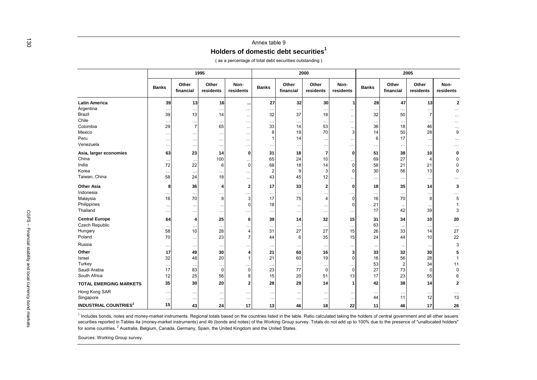|                                          |              |                      | 1995                   |                   |                |                    | 2000               |                   |              |                      | 2005               |                   |
|------------------------------------------|--------------|----------------------|------------------------|-------------------|----------------|--------------------|--------------------|-------------------|--------------|----------------------|--------------------|-------------------|
|                                          | <b>Banks</b> | Other<br>financial   | Other<br>residents     | Non-<br>residents | <b>Banks</b>   | Other<br>financial | Other<br>residents | Non-<br>residents | <b>Banks</b> | Other<br>financial   | Other<br>residents | Non-<br>residents |
| <b>Latin America</b>                     | 39           | 13                   | 16                     | $\cdots$          | 27             | 32                 | 30                 | 1                 | 28           | 47                   | 13                 | $\mathbf{2}$      |
| Argentina                                | $\ddotsc$    | $\cdots$             | $\cdots$               | $\ldots$          | $\ddotsc$      | $\cdots$           | $\cdots$           | $\cdots$          | $\ddotsc$    | $\ddotsc$            | $\ddotsc$          | $\cdots$          |
| Brazil                                   | 39           | 13                   | 14                     | $\cdots$          | 32             | 37                 | 18                 | $\cdots$          | 32           | 50                   | $\overline{7}$     | $\cdots$          |
| Chile                                    | $\ddotsc$    | $\ddotsc$            | $\ddotsc$              | $\ldots$          | $\ldots$       |                    |                    | $\cdots$          | $\ddotsc$    | $\ddot{\phantom{0}}$ | $\ldots$           | .                 |
| Colombia                                 | 29           | $\overline{7}$       | 65                     | $\ddotsc$         | 33             | 14                 | 53                 | $\cdots$          | 36           | 18                   | 46                 | $\cdots$          |
| Mexico                                   | $\ldots$     | $\cdots$             | $\ddotsc$              | $\cdots$          | 8              | 19                 | 70                 | 3                 | 14           | 50                   | 28                 | $\boldsymbol{9}$  |
| Peru                                     | $\ddotsc$    | $\ddotsc$            | $\cdots$               | $\cdots$          |                | 14                 |                    | $\cdots$          | 6            | 17                   | $\ddotsc$          | .                 |
| Venezuela                                | $\ldots$     | $\ldots$             | $\ddotsc$              | $\ldots$          | $\cdots$       | $\ldots$           | $\ldots$           | $\cdots$          | $\cdots$     | $\ldots$             | $\cdots$           | .                 |
| Asia, larger economies                   | 63           | 23                   | 14                     | 0                 | 31             | 18                 | 7                  | $\mathbf 0$       | 51           | 38                   | 10                 | 0                 |
| China                                    | $\cdots$     | $\ddotsc$            | 100                    |                   | 65             | 24                 | 10                 |                   | 69           | 27                   | $\overline{4}$     | $\Omega$          |
| India                                    | 72           | 22                   | 6                      | $\Omega$          | 68             | 18                 | 14                 | $\mathbf 0$       | 58           | 21                   | 21                 | 0                 |
| Korea                                    | $\ldots$     | $\ddotsc$            |                        | $\ldots$          | $\overline{2}$ | 9                  | 3                  | $\mathbf 0$       | 30           | 56                   | 13                 | 0                 |
| Taiwan, China                            | 58           | 24                   | 18                     | $\cdots$          | 43             | 45                 | 12                 |                   | $\cdots$     | $\ddot{\phantom{0}}$ | $\ldots$           |                   |
| <b>Other Asia</b>                        | 8            | 36                   | $\boldsymbol{\Lambda}$ | 2 <sup>1</sup>    | 17             | 33                 | $\mathbf{2}$       | $\mathbf 0$       | 18           | 35                   | 14                 | $\mathbf{3}$      |
| Indonesia                                | $\ddotsc$    |                      |                        | .                 | $\ddotsc$      | $\sim$ .           |                    | $\cdots$          | $\ddotsc$    | $\ddotsc$            | $\ddotsc$          | $\cdots$          |
| Malaysia                                 | 16           | 70                   | 8                      | 3                 | 17             | 75                 | 4                  | $\mathbf 0$       | 16           | 70                   | 8                  | 5                 |
| Philippines                              | $\ddotsc$    | $\ddot{\phantom{a}}$ |                        | $\Omega$          | 18             | $\ddots$           |                    | $\Omega$          | 21           | $\ddotsc$            | $\ddotsc$          | $\mathbf{1}$      |
| Thailand                                 | $\cdots$     | $\ddot{\phantom{0}}$ | $\ddotsc$              |                   | $\ldots$       | $\ldots$           | $\ddotsc$          | $\cdots$          | 17           | 42                   | 39                 | 3                 |
| <b>Central Europe</b>                    | 64           | 4                    | 25                     | 6                 | 39             | 14                 | 32                 | 15                | 31           | 34                   | 10                 | 20                |
| Czech Republic                           | $\cdots$     | $\ldots$             | $\cdots$               |                   | $\cdots$       | $\ldots$           | $\cdots$           | $\cdots$          | 63           | $\cdot\cdot$         | $\cdots$           | $\cdots$          |
| Hungary                                  | 58           | 10                   | 28                     | 4                 | 31             | 27                 | 27                 | 15                | 26           | 33                   | 14                 | 27                |
| Poland                                   | 70           | $\ddotsc$            | 23                     | 7                 | 44             | 6                  | 35                 | 15                | 24           | 44                   | 10                 | 22                |
| Russia                                   | $\ldots$     | $\ddotsc$            | $\cdots$               | .                 | $\ldots$       | $\cdots$           | $\cdots$           | $\ldots$          | $\cdots$     | $\ddotsc$            | $\ddotsc$          | 3                 |
| Other                                    | 17           | 49                   | 30                     | 4                 | 21             | 60                 | 16                 | 3                 | 33           | 32                   | 30                 | 5                 |
| Israel                                   | 32           | 48                   | 20                     | 1                 | 21             | 60                 | 19                 | $\mathbf 0$       | 16           | 56                   | 28                 | $\mathbf{1}$      |
| Turkey                                   | $\cdots$     |                      |                        | . .               | $\ddotsc$      |                    |                    |                   | 53           | $\mathcal{P}$        | 34                 | 11                |
| Saudi Arabia                             | 17           | 83                   | $\Omega$               | $\Omega$          | 23             | 77                 | $\mathbf 0$        | $\mathbf 0$       | 27           | 73                   | $\mathbf 0$        | $\Omega$          |
| South Africa                             | 12           | 25                   | 56                     | 8                 | 15             | 20                 | 51                 | 13                | 17           | 23                   | 55                 | 6                 |
| <b>TOTAL EMERGING MARKETS</b>            | 35           | 30                   | 20                     | 2                 | 28             | 29                 | 14                 | $\mathbf 1$       | 42           | 38                   | 14                 | 2                 |
| Hong Kong SAR                            | $\ldots$     | $\ddotsc$            | $\ddotsc$              | $\ldots$          | $\cdots$       |                    | $\cdots$           |                   | $\cdots$     | $\ddot{\phantom{0}}$ | $\ddotsc$          |                   |
| Singapore                                | $\cdots$     | $\ddotsc$            | $\ldots$               | $\cdots$          | $\ldots$       | $\ldots$           | $\ldots$           | $\cdots$          | 44           | 11                   | 12                 | 13                |
| <b>INDUSTRIAL COUNTRIES</b> <sup>2</sup> | 15           | 43                   | 24                     | 17                | 13             | 46                 | 18                 | 22                | 11           | 46                   | 17                 | 26                |

<sup>1</sup> Includes bonds, notes and money-market instruments. Regional totals based on the countries listed in the table. Ratio calculated taking the holders of central government and all other issuers securities reported in Tables 4a (money-market instruments) and 4b (bonds and notes) of the Working Group survey. Totals do not add up to 100% due to the presence of "unallocated holders" for some countries. 2 Australia, Belgium, Canada, Germany, Spain, the United Kingdom and the United States.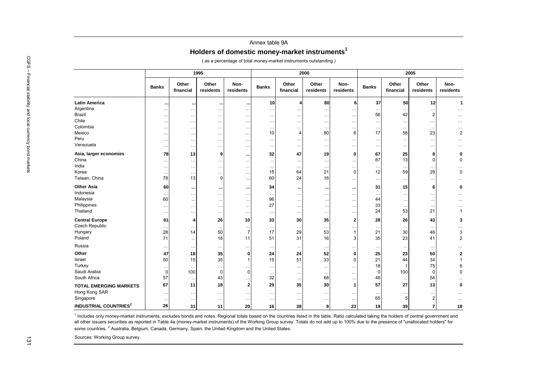## Annex table 9A**Holders of domestic money-market instruments<sup>1</sup>**

|                                         |                            |                       | 1995                 |                      |                        |                          | 2000               |                   |              |                          | 2005                       |                   |
|-----------------------------------------|----------------------------|-----------------------|----------------------|----------------------|------------------------|--------------------------|--------------------|-------------------|--------------|--------------------------|----------------------------|-------------------|
|                                         | <b>Banks</b>               | Other<br>financial    | Other<br>residents   | Non-<br>residents    | Banks                  | Other<br>financial       | Other<br>residents | Non-<br>residents | <b>Banks</b> | Other<br>financial       | Other<br>residents         | Non-<br>residents |
| <b>Latin America</b>                    |                            | $\cdots$              | $\cdots$             | - 11                 | 10                     | $\overline{\phantom{a}}$ | 80                 | 6                 | 37           | 50                       | 12                         |                   |
| Argentina                               | $\ddot{\phantom{0}}$       | $\ddotsc$             | $\ldots$             | $\ddot{\phantom{0}}$ | $\ldots$               | $\ddotsc$                | $\ddotsc$          |                   |              |                          | $\ddotsc$                  | $\cdots$          |
| <b>Brazil</b>                           | $\ddotsc$                  | $\cdots$              | $\cdots$             | $\ldots$             | $\cdot$ .              | $\cdots$                 | $\cdots$           | $\ldots$          | 56           | 42                       | $\overline{2}$             | $\cdots$          |
| Chile                                   | $\ddotsc$                  | $\cdots$              | $\ldots$             | $\ldots$             | $\ddotsc$              | $\cdots$                 | $\ddotsc$          | $\cdots$          | .            | $\ldots$                 | $\ddotsc$                  | $\cdots$          |
| Colombia                                | $\ldots$                   | $\ddotsc$             | $\ldots$             | $\ldots$             | $\ddotsc$              | $\ldots$                 | $\ddotsc$          | $\cdots$          | $\cdots$     | $\ddotsc$                | $\ddotsc$                  | $\cdots$          |
| Mexico                                  | $\ddotsc$                  | $\ddotsc$             | $\cdots$             | $\ddot{\phantom{0}}$ | 10                     | $\overline{4}$           | 80                 | 6                 | 17           | 58                       | 23                         |                   |
| Peru                                    | $\ddotsc$                  | $\ddotsc$             | $\ddotsc$            | $\ddotsc$            |                        | $\ddotsc$                | $\ddotsc$          |                   |              | $\ldots$                 | $\ddotsc$                  |                   |
| Venezuela                               | $\ddotsc$                  | $\cdots$              | $\ldots$             | $\ldots$             | $\ddot{\phantom{0}}$   | $\ldots$                 | $\ddotsc$          | $\ldots$          | $\cdots$     | $\ldots$                 | $\ddotsc$                  | $\cdots$          |
| Asia, larger economies                  | 78                         | 13                    | 9                    | $\ddot{\phantom{1}}$ | 32                     | 47                       | 19                 | 0                 | 67           | 25                       | 8                          |                   |
| China                                   | $\ddot{\phantom{0}}$       |                       | .                    | $\ddot{\phantom{0}}$ | $\ddotsc$              | $\ddots$                 | $\ddotsc$          |                   | 87           | 13                       | $\Omega$                   |                   |
| India                                   | $\ddotsc$                  |                       | $\ddotsc$            | $\ddotsc$            |                        | $\ddotsc$                | $\ddotsc$          | $\ddotsc$         | .            | $\ldots$                 | $\ddotsc$                  | .                 |
| Korea                                   | $\ddotsc$                  | $\cdots$              | $\ldots$             | $\ddotsc$            | 15                     | 64                       | 21                 | $\mathbf 0$       | 12           | 59                       | 29                         |                   |
| Taiwan, China                           | 78                         | 13                    | 9                    | $\cdot$              | 60                     | 24                       | 16                 |                   | .            | $\ldots$                 | $\ddots$                   | .                 |
| <b>Other Asia</b>                       | 60                         | $\cdots$              |                      | $\ddot{\phantom{1}}$ | 34                     | $\cdots$                 |                    |                   | 31           | 15                       | 6                          |                   |
| Indonesia                               | $\ddot{\phantom{0}}$       |                       | $\ddotsc$            | $\ddot{\phantom{a}}$ |                        | $\ldots$                 | $\cdots$           |                   |              | $\ldots$                 | $\ddotsc$                  |                   |
| Malaysia                                | 60                         | $\ddotsc$             | $\cdots$             | $\ddotsc$            | 96                     | $\cdots$                 | $\ddotsc$          | $\ddotsc$         | 44           | $\cdots$                 | $\ldots$                   |                   |
| Philippines                             | $\cdot$ .                  | $\cdots$              | $\cdots$             | $\ddot{\phantom{0}}$ | 27                     | $\cdots$                 | $\ddotsc$          |                   | 33           | $\ddotsc$                | $\cdot$ .                  |                   |
| Thailand                                | $\ddot{\phantom{0}}$       |                       | $\cdots$             | $\ddot{\phantom{0}}$ | $\ddotsc$              | $\cdots$                 | $\ddotsc$          | $\ldots$          | 24           | 53                       | 21                         |                   |
| <b>Central Europe</b>                   | 61                         | 4                     | 26                   | 10                   | 33                     | 30                       | 35                 | $\mathbf{2}$      | 28           | 26                       | 43                         |                   |
| <b>Czech Republic</b>                   | $\ddotsc$                  | $\ddotsc$             | $\ddotsc$            | $\ddotsc$            | $\ddotsc$              | $\ddotsc$                | $\ddotsc$          |                   | .            | $\ddotsc$                | $\ddotsc$                  | $\cdots$          |
| Hungary                                 | 28                         | 14                    | 50                   | 7                    | 17                     | 29                       | 53                 |                   | 21           | 30                       | 46                         |                   |
| Poland                                  | 71                         | $\cdots$              | 18                   | 11                   | 51                     | 31                       | 16                 | 3                 | 35           | 23                       | 41                         |                   |
| Russia                                  | $\ddotsc$                  | $\ldots$              | $\ldots$             | $\ldots$             | $\ddotsc$              | $\cdots$                 | $\cdots$           |                   | $\cdots$     | $\ldots$                 | $\ddots$                   |                   |
| Other                                   | 47                         | 18                    | 35                   | $\mathbf{0}$         | 24                     | 24                       | 52                 | $\mathbf 0$       | 25           | 23                       | 50                         |                   |
| Israel                                  | 50                         | 15                    | 35                   |                      | 15                     | 51                       | 33                 | $\mathbf 0$       | 21           | 44                       | 34                         |                   |
| Turkey                                  | $\ddotsc$                  | $\cdots$              | $\ldots$             | $\ddotsc$            | $\ddotsc$              | $\ldots$                 | $\ddotsc$          | $\ddotsc$         | 18           | -1                       | 75                         |                   |
| Saudi Arabia                            | $\Omega$                   | 100                   | $\mathbf 0$          | $\Omega$             | $\ddotsc$              | $\ldots$                 | $\ldots$           |                   | 0            | 100                      | $\Omega$                   |                   |
| South Africa                            | 57                         | $\ddotsc$             | 43                   |                      | 32                     | $\ddots$                 | 68                 |                   | 46           | $\ldots$                 | 54                         |                   |
| <b>TOTAL EMERGING MARKETS</b>           | 67                         | 11                    | 18                   | $\mathbf{2}$         | 29                     | 35                       | 30                 | 1                 | 57           | 27                       | 13                         |                   |
| Hong Kong SAR                           |                            |                       |                      |                      |                        |                          |                    |                   |              |                          |                            |                   |
| Singapore                               |                            | $\ldots$<br>$\ddotsc$ | $\cdots$<br>$\ldots$ | $\ddot{\phantom{0}}$ | $\cdot$ .<br>$\ddotsc$ | $\cdots$                 | $\cdots$           |                   | 65           | $\cdot \cdot \cdot$<br>5 | $\ddots$<br>$\overline{2}$ |                   |
|                                         | $\ddot{\phantom{0}}$<br>26 |                       |                      | $\ddotsc$            |                        | $\cdots$                 | $\cdots$           |                   |              |                          |                            |                   |
| <b>INDUSTRIAL COUNTRIES<sup>2</sup></b> |                            | 31                    | 11                   | 20                   | 16                     | 38                       | 8                  | 23                | 19           | 39                       | $\overline{7}$             | 18                |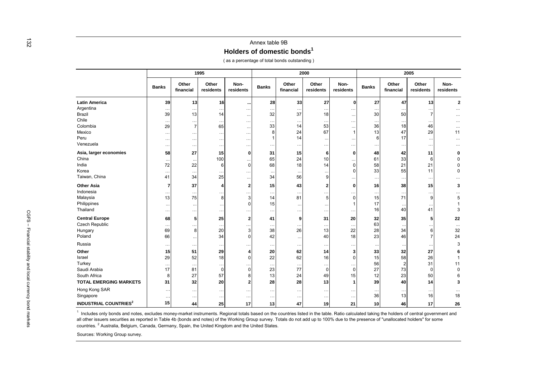|                                         |                           |                       | 1995                   |                      |                 |                            | 2000               |                               |              |                      | 2005                 |                   |
|-----------------------------------------|---------------------------|-----------------------|------------------------|----------------------|-----------------|----------------------------|--------------------|-------------------------------|--------------|----------------------|----------------------|-------------------|
|                                         | <b>Banks</b>              | Other<br>financial    | Other<br>residents     | Non-<br>residents    | <b>Banks</b>    | Other<br>financial         | Other<br>residents | Non-<br>residents             | <b>Banks</b> | Other<br>financial   | Other<br>residents   | Non-<br>residents |
| <b>Latin America</b>                    | 39                        | 13                    | 16                     | $\ddot{\phantom{0}}$ | 28              | 33                         | 27                 | $\Omega$                      | 27           | 47                   | 13                   | $\overline{2}$    |
| Argentina                               | $\ddotsc$                 | $\ldots$              |                        | $\cdots$             | $\ddotsc$       | $\ldots$                   |                    | $\cdots$                      |              | $\ddotsc$            |                      |                   |
| Brazil                                  | 39                        | 13                    | 14                     | $\cdots$             | 32              | 37                         | 18                 | $\ldots$                      | 30           | 50                   | 7                    | $\cdots$          |
| Chile                                   | $\ddotsc$                 | $\ldots$              | $\ddotsc$              | $\cdots$             | $\ddotsc$       | $\ddotsc$                  | $\sim$ $\sim$      | $\ddotsc$                     | $\ddotsc$    | $\ddotsc$            |                      | $\cdots$          |
| Colombia<br>Mexico                      | 29                        | $\overline{7}$        | 65                     | $\cdots$             | 33<br>8         | 14<br>24                   | 53<br>67           | $\cdots$<br>$\overline{1}$    | 36<br>13     | 18<br>47             | 46<br>29             | $\cdots$<br>11    |
| Peru                                    | $\cdots$<br>$\cdots$      | $\ldots$<br>$\ddotsc$ | $\ddotsc$<br>$\ddotsc$ | $\ldots$<br>$\ldots$ | 1               | 14                         |                    | $\cdots$                      | 6            | 17                   |                      | $\cdots$          |
| Venezuela                               | $\cdots$                  | $\cdots$              | $\ldots$               | $\cdots$             | $\ddotsc$       | $\ldots$                   | .                  | $\ddotsc$                     | $\cdots$     | $\ldots$             | $\ddotsc$            |                   |
| Asia, larger economies                  | 58                        | 27                    | 15                     | $\mathbf 0$          | 31              | 15                         | 6                  | 0                             | 48           | 42                   | 11                   | 0                 |
| China                                   | $\ddotsc$                 | $\cdot\cdot$          | 100                    |                      | 65              | 24                         | 10                 |                               | 61           | 33                   | 6                    | 0                 |
| India                                   | 72                        | 22                    | 6                      | $\mathbf 0$          | 68              | 18                         | 14                 | $\mathbf 0$                   | 58           | 21                   | 21                   | 0                 |
| Korea                                   | $\cdots$                  | $\cdot$ .             |                        | $\cdots$             | $\cdot$ .       | $\ddotsc$                  |                    | $\mathbf 0$                   | 33           | 55                   | 11                   | $\pmb{0}$         |
| Taiwan, China                           | 41                        | 34                    | 25                     | $\ldots$             | 34              | 56                         | 9                  | $\ddotsc$                     | $\ldots$     | $\ddot{\phantom{0}}$ | $\ddotsc$            |                   |
| <b>Other Asia</b>                       | 7                         | 37                    | 4                      | $\overline{2}$       | 15              | 43                         | 2                  | $\bf{0}$                      | 16           | 38                   | 15                   | 3                 |
| Indonesia                               | $\ddotsc$                 | $\ddotsc$             |                        | $\cdots$             | $\ddotsc$       | $\ddotsc$                  |                    | $\cdots$                      | $\ddotsc$    | $\ddot{\phantom{0}}$ | $\ddot{\phantom{a}}$ |                   |
| Malaysia<br>Philippines                 | 13                        | 75                    | 8                      | 3<br>$\Omega$        | 14<br>15        | 81                         | 5                  | $\mathbf 0$<br>$\overline{1}$ | 15<br>17     | 71                   | 9                    | 5<br>$\mathbf{1}$ |
| Thailand                                | $\ldots$<br>$\cdots$      | $\ddotsc$<br>$\cdots$ | $\ldots$               | $\ldots$             | $\cdots$        | $\cdot\cdot$<br>$\cdots$   | $\ddotsc$          | $\cdots$                      | 16           | $\ddotsc$<br>40      | 41                   | 3                 |
| <b>Central Europe</b>                   | 68                        | 5                     | 25                     | $\overline{2}$       | 41              | 9                          | 31                 | 20                            | 32           | 35                   | 5                    | 22                |
| Czech Republic                          |                           | $\ddotsc$             | $\ldots$               |                      |                 |                            | $\ldots$           | $\ddotsc$                     | 63           |                      |                      | $\ldots$          |
| Hungary                                 | $\cdot \cdot \cdot$<br>69 | 8                     | 20                     | $\cdots$<br>3        | $\cdots$<br>38  | $\ddot{\phantom{0}}$<br>26 | 13                 | 22                            | 28           | 34                   |                      | 32                |
| Poland                                  | 66                        | $\cdot\cdot$          | 34                     | $\Omega$             | 42              | $\ldots$                   | 40                 | 18                            | 23           | 46                   |                      | 24                |
| Russia                                  | $\ddotsc$                 | $\ldots$              | $\ldots$               | $\cdots$             | $\ldots$        | $\ldots$                   | $\ddotsc$          | $\cdots$                      | $\cdots$     | $\ddotsc$            |                      | 3                 |
| Other                                   | 15                        | 51                    | 29                     | 4                    | 20              | 62                         | 14                 | 3                             | 33           | 32                   | 27                   | 6                 |
| Israel                                  | 29                        | 52                    | 18                     | $\mathbf 0$          | 22              | 62                         | 16                 | $\mathbf 0$                   | 15           | 58                   | 26                   | $\mathbf{1}$      |
| Turkey                                  | $\ldots$                  | $\ddotsc$             | $\cdots$               | $\cdots$             | $\ldots$        | $\ldots$                   | $\cdots$           | $\cdots$                      | 56           | $\overline{2}$       | 31                   | 11                |
| Saudi Arabia                            | 17                        | 81                    | $\mathbf 0$            | $\mathbf 0$          | 23              | 77                         | 0                  | $\mathbf 0$                   | 27           | 73                   | $\Omega$             | $\pmb{0}$         |
| South Africa                            | 8<br>31                   | 27<br>32              | 57<br>20               | 8<br>$\overline{2}$  | 13<br>28        | 24<br>28                   | 49<br>13           | 15<br>$\overline{1}$          | 12<br>39     | 23<br>40             | 50<br>14             | 3                 |
| <b>TOTAL EMERGING MARKETS</b>           |                           |                       |                        |                      |                 |                            |                    |                               |              |                      |                      |                   |
| Hong Kong SAR<br>Singapore              | $\ddotsc$                 | $\ldots$              | $\ldots$               | $\cdots$             | $\cdots$        | $\cdot$ .                  | $\ddotsc$          | $\ddotsc$                     | 36           | $\cdot$ .<br>13      | $\ldots$<br>16       | 18                |
|                                         | $\ddotsc$                 | $\cdot$ .             | $\ldots$               | $\cdots$             | $\cdots$        | $\cdots$                   | $\ddotsc$          | $\cdots$                      |              |                      |                      |                   |
| <b>INDUSTRIAL COUNTRIES<sup>2</sup></b> | 15                        | 44                    | 25                     | 17                   | 13 <sup>1</sup> | 47                         | 19                 | 21                            | 10           | 46                   | 17                   | 26                |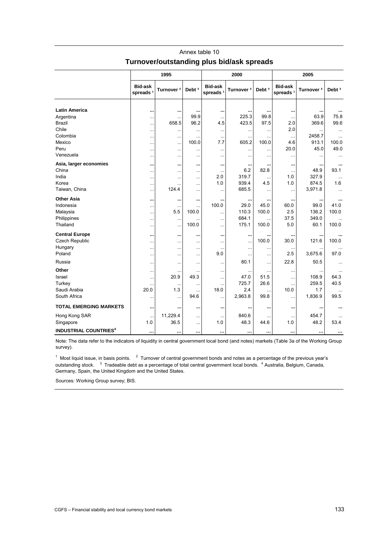|                                         |                                        | 1995                  |                   |                                        | 2000                  |                   |                                        | 2005                  |                   |
|-----------------------------------------|----------------------------------------|-----------------------|-------------------|----------------------------------------|-----------------------|-------------------|----------------------------------------|-----------------------|-------------------|
|                                         | <b>Bid-ask</b><br>spreads <sup>1</sup> | Turnover <sup>2</sup> | Debt <sup>3</sup> | <b>Bid-ask</b><br>spreads <sup>1</sup> | Turnover <sup>2</sup> | Debt <sup>3</sup> | <b>Bid-ask</b><br>spreads <sup>1</sup> | Turnover <sup>2</sup> | Debt <sup>3</sup> |
|                                         |                                        |                       |                   |                                        |                       |                   |                                        |                       |                   |
| <b>Latin America</b>                    |                                        |                       |                   |                                        |                       |                   | $\cdots$                               |                       |                   |
| Argentina                               | $\ddotsc$                              | $\ddotsc$             | 99.9              | $\ddotsc$                              | 225.3                 | 99.8              | $\ddotsc$                              | 63.9                  | 75.8              |
| Brazil                                  | .                                      | 658.5                 | 96.2              | 4.5                                    | 423.5                 | 97.5              | 2.0                                    | 369.6                 | 99.6              |
| Chile                                   | $\ddotsc$                              | $\ddotsc$             |                   | $\ddotsc$                              |                       | $\ddotsc$         | 2.0                                    |                       |                   |
| Colombia                                | $\ddotsc$                              | $\ddotsc$             |                   | $\ddotsc$                              | $\ddotsc$             | $\ddotsc$         |                                        | 2458.7                | $\ddotsc$         |
| Mexico                                  |                                        | $\ddotsc$             | 100.0             | 7.7                                    | 605.2                 | 100.0             | 4.6                                    | 913.1                 | 100.0             |
| Peru                                    |                                        | $\ddotsc$             |                   |                                        |                       | .                 | 20.0                                   | 45.0                  | 49.0              |
| Venezuela                               | .                                      | $\ddotsc$             |                   | $\ddotsc$                              | $\ddotsc$             | .                 |                                        | $\ddotsc$             | $\ddotsc$         |
| Asia, larger economies                  |                                        | $\ddotsc$             |                   | $\ddot{\phantom{1}}$                   |                       |                   |                                        |                       |                   |
| China                                   |                                        | $\ddotsc$             |                   | $\cdots$                               | 6.2                   | 82.8              |                                        | 48.9                  | 93.1              |
| India                                   | .                                      | $\ddotsc$             |                   | 2.0                                    | 319.7                 | $\ddotsc$         | 1.0                                    | 327.9                 |                   |
| Korea                                   |                                        | $\ddotsc$             |                   | 1.0                                    | 939.4                 | 4.5               | 1.0                                    | 874.5                 | 1.6               |
| Taiwan, China                           | $\ddotsc$                              | 124.4                 |                   | $\ddotsc$                              | 685.5                 | $\ddotsc$         | $\ddotsc$                              | 3,971.8               |                   |
| <b>Other Asia</b>                       |                                        |                       |                   |                                        |                       |                   | $\cdots$                               |                       | $\ddotsc$         |
| Indonesia                               |                                        | $\cdots$              |                   | 100.0                                  | 29.0                  | 45.0              | 60.0                                   | 99.0                  | 41.0              |
| Malaysia                                | .                                      | 5.5                   | 100.0             | .                                      | 110.3                 | 100.0             | 2.5                                    | 136.2                 | 100.0             |
| Philippines                             |                                        | $\ddotsc$             |                   | .                                      | 684.1                 |                   | 37.5                                   | 349.0                 |                   |
| Thailand                                | .                                      | $\ddotsc$             | 100.0             |                                        | 175.1                 | 100.0             | 5.0                                    | 60.1                  | 100.0             |
| <b>Central Europe</b>                   |                                        |                       |                   |                                        |                       |                   |                                        |                       |                   |
| Czech Republic                          |                                        | $\ddotsc$             |                   |                                        |                       | 100.0             | 30.0                                   | 121.6                 | 100.0             |
| Hungary                                 | .                                      | $\ddotsc$             |                   | $\ddotsc$                              |                       | .                 |                                        | .                     |                   |
| Poland                                  | $\ddotsc$                              | $\ddotsc$             |                   | 9.0                                    |                       | .                 | 2.5                                    | 3,675.6               | 97.0              |
| Russia                                  |                                        | $\ddotsc$             |                   | $\ddotsc$                              | 80.1                  | .                 | 22.8                                   | 50.5                  | $\ddotsc$         |
| Other                                   |                                        |                       |                   | $\ddotsc$                              | $\ddotsc$             |                   |                                        |                       |                   |
| Israel                                  | $\ddotsc$                              | 20.9                  | 49.3              | $\ddotsc$                              | 47.0                  | 51.5              | $\ddotsc$                              | 108.9                 | 64.3              |
| Turkey                                  | .                                      | $\ddotsc$             |                   |                                        | 725.7                 | 26.6              |                                        | 259.5                 | 40.5              |
| Saudi Arabia                            | 20.0                                   | 1.3                   |                   | 18.0                                   | 2.4                   |                   | 10.0                                   | 1.7                   |                   |
| South Africa                            | $\ddotsc$                              | $\ddotsc$             | 94.6              |                                        | 2,963.8               | 99.8              | $\ddotsc$                              | 1,836.9               | 99.5              |
| <b>TOTAL EMERGING MARKETS</b>           |                                        |                       |                   |                                        |                       |                   | $\cdots$                               |                       | $\cdots$          |
| Hong Kong SAR                           | $\ddotsc$                              | 11,229.4              |                   | $\ddotsc$                              | 840.6                 | .                 |                                        | 454.7                 |                   |
| Singapore                               | 1.0                                    | 36.5                  |                   | 1.0                                    | 48.3                  | 44.6              | 1.0                                    | 48.2                  | 53.4              |
| <b>INDUSTRIAL COUNTRIES<sup>4</sup></b> |                                        |                       |                   |                                        | $\cdots$              |                   | $\cdots$                               | $\cdots$              |                   |

## Annex table 10 **Turnover/outstanding plus bid/ask spreads**

Note: The data refer to the indicators of liquidity in central government local bond (and notes) markets (Table 3a of the Working Group survey).

 $1$  Most liquid issue, in basis points.  $2$  Turnover of central government bonds and notes as a percentage of the previous year's outstanding stock. <sup>3</sup> Tradeable debt as a percentage of total central government local bonds. <sup>4</sup> Australia, Belgium, Canada, Germany, Spain, the United Kingdom and the United States.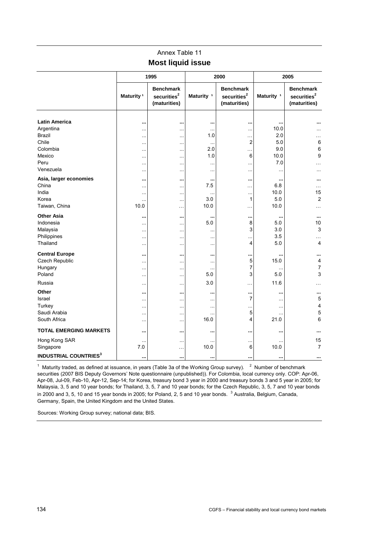## Annex Table 11 **Most liquid issue**

|                                                                                                        |                                                                                             | 1995                                                                                    |                                                                           | 2000                                                                       |                                                           | 2005                                                        |
|--------------------------------------------------------------------------------------------------------|---------------------------------------------------------------------------------------------|-----------------------------------------------------------------------------------------|---------------------------------------------------------------------------|----------------------------------------------------------------------------|-----------------------------------------------------------|-------------------------------------------------------------|
|                                                                                                        | Maturity <sup>1</sup>                                                                       | <b>Benchmark</b><br>securities <sup>2</sup><br>(maturities)                             | Maturity <sup>1</sup>                                                     | <b>Benchmark</b><br>securities <sup>2</sup><br>(maturities)                | Maturity <sup>1</sup>                                     | <b>Benchmark</b><br>securities <sup>2</sup><br>(maturities) |
| <b>Latin America</b><br>Argentina<br><b>Brazil</b><br>Chile<br>Colombia<br>Mexico<br>Peru<br>Venezuela | <br>$\ddotsc$<br>$\ddotsc$<br>$\ddotsc$<br>$\ddotsc$<br>$\ddotsc$<br>$\ddotsc$<br>$\ddotsc$ | <br>$\cdots$<br>$\ddotsc$<br>$\cdots$<br>$\ddotsc$<br>$\cdots$<br>$\cdots$<br>$\ddotsc$ | <br>$\ddotsc$<br>1.0<br>$\ddotsc$<br>2.0<br>1.0<br>$\ddotsc$<br>$\ddotsc$ | <br>$\ddotsc$<br>$\ddotsc$<br>2<br>$\ddotsc$<br>6<br>$\cdots$<br>$\ddotsc$ | <br>10.0<br>2.0<br>5.0<br>9.0<br>10.0<br>7.0<br>$\ddotsc$ | $\ddotsc$<br>6<br>6<br>9<br>.<br>$\cdots$                   |
| Asia, larger economies<br>China<br>India<br>Korea<br>Taiwan, China                                     | <br>$\ddotsc$<br>$\ldots$<br>$\ddotsc$<br>10.0                                              | <br>$\cdots$<br><br>$\ddotsc$<br>$\ddotsc$                                              | <br>7.5<br>$\ddotsc$<br>3.0<br>10.0                                       | $\ddotsc$<br>.<br>$\ddotsc$<br>$\mathbf{1}$<br>$\ddotsc$                   | $\ddotsc$<br>6.8<br>10.0<br>5.0<br>10.0                   | <br>$\cdots$<br>15<br>2<br>.                                |
| <b>Other Asia</b><br>Indonesia<br>Malaysia<br>Philippines<br>Thailand                                  | $\cdots$<br>$\ddotsc$<br>$\ddotsc$<br>$\ldots$<br>$\ddotsc$                                 | <br>$\cdots$<br>$\ddotsc$<br>$\cdots$<br>$\ddotsc$                                      | <br>5.0<br>$\cdots$<br>$\ddotsc$<br>$\ddotsc$                             | <br>8<br>3<br><br>4                                                        | $\ddotsc$<br>5.0<br>3.0<br>3.5<br>5.0                     | <br>10<br>3<br>4                                            |
| <b>Central Europe</b><br>Czech Republic<br>Hungary<br>Poland                                           | <br>$\ddotsc$<br>$\ddotsc$<br>$\ddotsc$                                                     | <br>$\ddotsc$<br>$\ddotsc$<br>$\ddotsc$                                                 | <br>$\cdots$<br>$\ddotsc$<br>5.0                                          | <br>5<br>$\overline{7}$<br>3                                               | 15.0<br>5.0                                               | <br>4<br>$\overline{7}$<br>3                                |
| Russia<br>Other<br>Israel<br>Turkey<br>Saudi Arabia<br>South Africa                                    | $\ldots$<br><br>$\ldots$<br>$\ddotsc$<br>$\ldots$<br>$\ddotsc$                              | $\cdots$<br><br>$\cdots$<br>$\cdots$<br>$\ddotsc$<br>$\cdots$                           | 3.0<br><br>$\ddotsc$<br>$\ddotsc$<br><br>16.0                             | $\cdots$<br><br>$\overline{7}$<br><br>5<br>4                               | 11.6<br><br>$\ddotsc$<br><br>.<br>21.0                    | .<br><br>5<br>4<br>5<br>6                                   |
| <b>TOTAL EMERGING MARKETS</b>                                                                          | $\ddotsc$                                                                                   |                                                                                         |                                                                           |                                                                            |                                                           |                                                             |
| Hong Kong SAR<br>Singapore<br><b>INDUSTRIAL COUNTRIES<sup>3</sup></b>                                  | $\ddotsc$<br>7.0<br>$\ddotsc$                                                               | $\ddotsc$<br>$\cdots$<br>                                                               | 10.0<br>                                                                  | $\ddotsc$<br>6<br>$\ddotsc$                                                | 10.0<br>                                                  | 15<br>$\overline{7}$<br>$\cdots$                            |

<sup>1</sup> Maturity traded, as defined at issuance, in years (Table 3a of the Working Group survey).  $2 \times 10^{10}$  Number of benchmark securities (2007 BIS Deputy Governors' Note questionnaire (unpublished)). For Colombia, local currency only. COP: Apr-06, Apr-08, Jul-09, Feb-10, Apr-12, Sep-14; for Korea, treasury bond 3 year in 2000 and treasury bonds 3 and 5 year in 2005; for Malaysia, 3, 5 and 10 year bonds; for Thailand, 3, 5, 7 and 10 year bonds; for the Czech Republic, 3, 5, 7 and 10 year bonds in 2000 and 3, 5, 10 and 15 year bonds in 2005; for Poland, 2, 5 and 10 year bonds.  $^3$  Australia, Belgium, Canada, Germany, Spain, the United Kingdom and the United States.

Sources: Working Group survey; national data; BIS.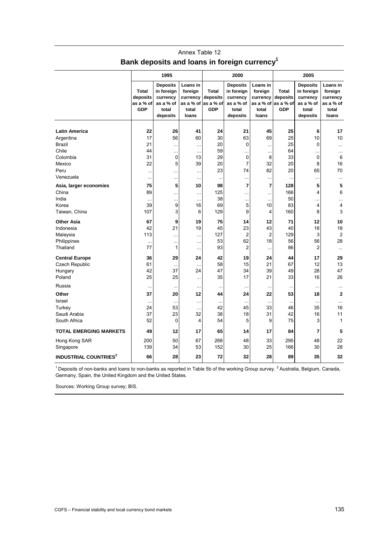|                                         | 1995                                                |                                                                             |                                                                |                                              | 2000                                                                        |                                                                | 2005                                                |                                                                             |                                                                |  |
|-----------------------------------------|-----------------------------------------------------|-----------------------------------------------------------------------------|----------------------------------------------------------------|----------------------------------------------|-----------------------------------------------------------------------------|----------------------------------------------------------------|-----------------------------------------------------|-----------------------------------------------------------------------------|----------------------------------------------------------------|--|
|                                         | <b>Total</b><br>deposits<br>as a % of<br><b>GDP</b> | <b>Deposits</b><br>in foreign<br>currency<br>as a % of<br>total<br>deposits | Loans in<br>foreign<br>currency<br>as a % of<br>total<br>loans | Total<br>deposits<br>as a % of<br><b>GDP</b> | <b>Deposits</b><br>in foreign<br>currency<br>as a % of<br>total<br>deposits | Loans in<br>foreign<br>currency<br>as a % of<br>total<br>loans | <b>Total</b><br>deposits<br>as a % of<br><b>GDP</b> | <b>Deposits</b><br>in foreign<br>currency<br>as a % of<br>total<br>deposits | Loans in<br>foreign<br>currency<br>as a % of<br>total<br>loans |  |
| <b>Latin America</b>                    | 22                                                  | 26                                                                          | 41                                                             | 24                                           | 21                                                                          | 45                                                             | 25                                                  | 6                                                                           | 17                                                             |  |
|                                         | 17                                                  | 56                                                                          | 60                                                             | 30                                           | 63                                                                          | 69                                                             | 25                                                  | 10                                                                          | 10                                                             |  |
| Argentina                               | 21                                                  |                                                                             |                                                                | 20                                           | 0                                                                           |                                                                | 25                                                  | 0                                                                           |                                                                |  |
| Brazil                                  |                                                     |                                                                             | $\ddotsc$                                                      |                                              |                                                                             | $\ddotsc$                                                      |                                                     |                                                                             |                                                                |  |
| Chile                                   | 44                                                  |                                                                             | $\ddotsc$                                                      | 59                                           |                                                                             |                                                                | 64                                                  |                                                                             |                                                                |  |
| Colombia                                | 31                                                  | 0                                                                           | 13                                                             | 29                                           | 0                                                                           | 8                                                              | 33                                                  | 0                                                                           | 6                                                              |  |
| Mexico                                  | 22                                                  | 5                                                                           | 39                                                             | 20                                           | $\overline{7}$                                                              | 32                                                             | 20                                                  | 8                                                                           | 16                                                             |  |
| Peru                                    | $\ddotsc$                                           |                                                                             |                                                                | 23                                           | 74                                                                          | 82                                                             | 20                                                  | 65                                                                          | 70                                                             |  |
| Venezuela                               | $\ddotsc$                                           |                                                                             | $\ddotsc$                                                      | $\ddotsc$                                    | $\ddotsc$                                                                   | $\sim$                                                         | $\ldots$                                            |                                                                             | $\ddotsc$                                                      |  |
| Asia, larger economies                  | 75                                                  | 5                                                                           | 10                                                             | 98                                           | $\overline{7}$                                                              | $\overline{7}$                                                 | 128                                                 | 5                                                                           | 5                                                              |  |
| China                                   | 89                                                  |                                                                             |                                                                | 125                                          |                                                                             |                                                                | 166                                                 | 4                                                                           | 6                                                              |  |
| India                                   | $\ddotsc$                                           |                                                                             | $\ddotsc$                                                      | 38                                           |                                                                             | $\ddotsc$                                                      | 50                                                  |                                                                             |                                                                |  |
| Korea                                   | 39                                                  | 9                                                                           | 16                                                             | 69                                           | 5                                                                           | 10                                                             | 83                                                  | 4                                                                           | 4                                                              |  |
| Taiwan, China                           | 107                                                 | 3                                                                           | 6                                                              | 129                                          | 9                                                                           | 4                                                              | 160                                                 | 8                                                                           | 3                                                              |  |
| <b>Other Asia</b>                       | 67                                                  | 9                                                                           | 19                                                             | 75                                           | 14                                                                          | 12                                                             | 71                                                  | 12                                                                          | 10                                                             |  |
| Indonesia                               | 42                                                  | 21                                                                          | 19                                                             | 45                                           | 23                                                                          | 43                                                             | 40                                                  | 18                                                                          | 18                                                             |  |
| Malaysia                                | 113                                                 |                                                                             |                                                                | 127                                          | $\overline{2}$                                                              | $\overline{2}$                                                 | 129                                                 | 3                                                                           | $\overline{2}$                                                 |  |
| Philippines                             | $\ddot{\phantom{a}}$                                | $\ddotsc$                                                                   | $\ddotsc$                                                      | 53                                           | 62                                                                          | 18                                                             | 56                                                  | 56                                                                          | 28                                                             |  |
| Thailand                                | 77                                                  | 1                                                                           | $\ddotsc$                                                      | 93                                           | 2                                                                           | ä.                                                             | 86                                                  | $\overline{c}$                                                              | $\ddotsc$                                                      |  |
|                                         |                                                     |                                                                             |                                                                |                                              |                                                                             |                                                                |                                                     |                                                                             |                                                                |  |
| <b>Central Europe</b>                   | 36                                                  | 29                                                                          | 24                                                             | 42                                           | 19                                                                          | 24                                                             | 44                                                  | 17                                                                          | 29                                                             |  |
| <b>Czech Republic</b>                   | 61                                                  | $\ddotsc$                                                                   | $\ddotsc$                                                      | 58                                           | 15                                                                          | 21                                                             | 67                                                  | 12                                                                          | 13                                                             |  |
| Hungary                                 | 42                                                  | 37                                                                          | 24                                                             | 47                                           | 34                                                                          | 39                                                             | 49                                                  | 28                                                                          | 47                                                             |  |
| Poland                                  | 25                                                  | 25                                                                          |                                                                | 35                                           | 17                                                                          | 21                                                             | 33                                                  | 16                                                                          | 26                                                             |  |
| Russia                                  | $\ddotsc$                                           |                                                                             | $\ddotsc$                                                      |                                              | $\ddotsc$                                                                   | $\ddotsc$                                                      |                                                     |                                                                             |                                                                |  |
| Other                                   | 37                                                  | 20                                                                          | 12                                                             | 44                                           | 24                                                                          | 22                                                             | 53                                                  | 18                                                                          | $\overline{2}$                                                 |  |
| Israel                                  | $\mathbf{r}$ .                                      | $\ddotsc$                                                                   | $\ddotsc$                                                      | $\ddotsc$                                    | $\sim$                                                                      | $\ddotsc$                                                      | $\ddotsc$                                           | .                                                                           | .                                                              |  |
| Turkey                                  | 24                                                  | 53                                                                          | $\ddotsc$                                                      | 42                                           | 45                                                                          | 33                                                             | 46                                                  | 35                                                                          | 16                                                             |  |
| Saudi Arabia                            | 37                                                  | 23                                                                          | 32                                                             | 38                                           | 18                                                                          | 31                                                             | 42                                                  | 16                                                                          | 11                                                             |  |
| South Africa                            | 52                                                  | 0                                                                           | 4                                                              | 54                                           | 5                                                                           | 9                                                              | 75                                                  | 3                                                                           | 1                                                              |  |
| <b>TOTAL EMERGING MARKETS</b>           | 49                                                  | 12                                                                          | 17                                                             | 65                                           | 14                                                                          | 17                                                             | 84                                                  | 7                                                                           | 5                                                              |  |
| Hong Kong SAR                           | 200                                                 | 50                                                                          | 67                                                             | 268                                          | 48                                                                          | 33                                                             | 295                                                 | 48                                                                          | 22                                                             |  |
| Singapore                               | 139                                                 | 34                                                                          | 53                                                             | 152                                          | 30                                                                          | 25                                                             | 166                                                 | 30                                                                          | 28                                                             |  |
| <b>INDUSTRIAL COUNTRIES<sup>2</sup></b> | 66                                                  | 28                                                                          | 23                                                             | 72                                           | 32                                                                          | 28                                                             | 89                                                  | 35                                                                          | 32                                                             |  |

# Annex Table 12 **Bank deposits and loans in foreign currency1**

 $1$  Deposits of non-banks and loans to non-banks as reported in Table 5b of the working Group survey. <sup>2</sup> Australia, Belgium, Canada, Germany, Spain, the United Kingdom and the United States.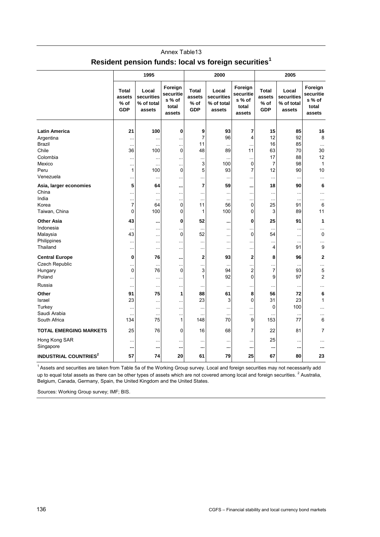|                                         |                                                | 1995                                        | 2000                                              |                                                |                                             |                                                   |                                                | 2005                                        |                                                   |  |  |
|-----------------------------------------|------------------------------------------------|---------------------------------------------|---------------------------------------------------|------------------------------------------------|---------------------------------------------|---------------------------------------------------|------------------------------------------------|---------------------------------------------|---------------------------------------------------|--|--|
|                                         | <b>Total</b><br>assets<br>$%$ of<br><b>GDP</b> | Local<br>securities<br>% of total<br>assets | Foreign<br>securitie<br>s % of<br>total<br>assets | <b>Total</b><br>assets<br>$%$ of<br><b>GDP</b> | Local<br>securities<br>% of total<br>assets | Foreign<br>securitie<br>s % of<br>total<br>assets | <b>Total</b><br>assets<br>$%$ of<br><b>GDP</b> | Local<br>securities<br>% of total<br>assets | Foreign<br>securitie<br>s % of<br>total<br>assets |  |  |
|                                         |                                                |                                             |                                                   |                                                |                                             |                                                   |                                                |                                             |                                                   |  |  |
| <b>Latin America</b>                    | 21                                             | 100                                         | 0                                                 | 9                                              | 93                                          | 7                                                 | 15                                             | 85                                          | 16                                                |  |  |
| Argentina                               |                                                | $\ldots$                                    |                                                   | $\overline{7}$                                 | 96                                          | 4                                                 | 12                                             | 92                                          | 8                                                 |  |  |
| <b>Brazil</b>                           | $\ddotsc$                                      | $\ddotsc$                                   | $\ddotsc$                                         | 11                                             | $\ddotsc$                                   | $\ddotsc$                                         | 16                                             | 85                                          | $\ddotsc$                                         |  |  |
| Chile                                   | 36                                             | 100                                         | 0                                                 | 48                                             | 89                                          | 11                                                | 63                                             | 70                                          | 30                                                |  |  |
| Colombia                                | .                                              | $\ddotsc$                                   | Ω.                                                |                                                |                                             |                                                   | 17                                             | 88                                          | 12                                                |  |  |
| Mexico                                  | $\ddotsc$                                      | $\ddotsc$                                   | $\ddotsc$                                         | 3                                              | 100                                         | 0                                                 | $\overline{7}$                                 | 98                                          | 1                                                 |  |  |
| Peru                                    | $\mathbf{1}$                                   | 100                                         | 0                                                 | 5                                              | 93                                          | 7                                                 | 12                                             | 90                                          | 10                                                |  |  |
| Venezuela                               |                                                | $\ddotsc$                                   |                                                   |                                                |                                             |                                                   | $\cdots$                                       |                                             |                                                   |  |  |
| Asia, larger economies                  | 5                                              | 64                                          |                                                   | 7                                              | 59                                          |                                                   | 18                                             | 90                                          | 6                                                 |  |  |
| China                                   | $\ddotsc$                                      | $\ddotsc$                                   |                                                   |                                                | .                                           |                                                   | $\cdots$                                       |                                             |                                                   |  |  |
| India                                   |                                                | $\ddotsc$                                   | $\ddotsc$                                         | $\ddotsc$                                      | $\ddotsc$                                   |                                                   | $\ddotsc$                                      | $\ddotsc$                                   |                                                   |  |  |
| Korea                                   | $\overline{7}$                                 | 64                                          | 0                                                 | 11                                             | 56                                          | 0                                                 | 25                                             | 91                                          | 6                                                 |  |  |
| Taiwan, China                           | 0                                              | 100                                         | 0                                                 | 1                                              | 100                                         | 0                                                 | 3                                              | 89                                          | 11                                                |  |  |
| <b>Other Asia</b>                       | 43                                             | $\ddot{\phantom{0}}$                        | 0                                                 | 52                                             |                                             | 0                                                 | 25                                             | 91                                          | 1                                                 |  |  |
| Indonesia                               |                                                |                                             | .                                                 |                                                | $\ddotsc$                                   | .                                                 | $\ddotsc$                                      | $\ddotsc$                                   |                                                   |  |  |
| Malaysia                                | 43                                             | Ω.                                          | $\mathbf 0$                                       | 52                                             |                                             | 0                                                 | 54                                             |                                             | 0                                                 |  |  |
| Philippines                             | $\ddotsc$                                      | $\ddotsc$                                   | $\ddotsc$                                         |                                                | $\ddotsc$                                   |                                                   | $\ddotsc$                                      | $\ddotsc$                                   |                                                   |  |  |
| Thailand                                |                                                | $\ddotsc$                                   | $\ddotsc$                                         |                                                |                                             |                                                   | 4                                              | 91                                          | 9                                                 |  |  |
| <b>Central Europe</b>                   | $\bf{0}$                                       | 76                                          |                                                   | $\mathbf{2}$                                   | 93                                          | $\mathbf{2}$                                      | 8                                              | 96                                          | $\overline{2}$                                    |  |  |
| Czech Republic                          |                                                |                                             |                                                   |                                                |                                             |                                                   |                                                |                                             |                                                   |  |  |
| Hungary                                 | $\ddotsc$<br>$\mathbf 0$                       | $\ddotsc$<br>76                             | $\ddotsc$<br>0                                    | <br>3                                          | 94                                          | <br>2                                             | <br>$\overline{7}$                             | $\ddotsc$<br>93                             | <br>5                                             |  |  |
| Poland                                  |                                                |                                             |                                                   | 1                                              | 92                                          | 0                                                 | 9                                              | 97                                          | $\overline{2}$                                    |  |  |
|                                         | $\ddotsc$                                      | $\ddotsc$                                   | ä.                                                |                                                |                                             |                                                   |                                                |                                             |                                                   |  |  |
| Russia                                  | $\ddotsc$                                      | $\ddotsc$                                   | $\ddotsc$                                         |                                                |                                             | .                                                 | $\ddotsc$                                      | $\ddotsc$                                   | .                                                 |  |  |
| Other                                   | 91                                             | 75                                          | 1                                                 | 88                                             | 61                                          | 8                                                 | 56                                             | 72                                          | 6                                                 |  |  |
| Israel                                  | 23                                             | $\ddotsc$                                   | ä.                                                | 23                                             | 3                                           | 0                                                 | 31                                             | 23                                          | 1                                                 |  |  |
| Turkey                                  | $\ddotsc$                                      | $\ddotsc$                                   | $\ddotsc$                                         |                                                | $\ddotsc$                                   | .                                                 | $\mathbf 0$                                    | 100                                         | $\ddotsc$                                         |  |  |
| Saudi Arabia                            |                                                | $\ddotsc$                                   |                                                   | $\ddotsc$                                      | $\cdots$                                    |                                                   | $\ddotsc$                                      |                                             | .                                                 |  |  |
| South Africa                            | 134                                            | 75                                          | $\mathbf{1}$                                      | 148                                            | 70                                          | 9                                                 | 153                                            | 77                                          | 6                                                 |  |  |
| <b>TOTAL EMERGING MARKETS</b>           | 25                                             | 76                                          | 0                                                 | 16                                             | 68                                          | 7                                                 | 22                                             | 81                                          | 7                                                 |  |  |
| Hong Kong SAR                           | .                                              | $\sim$                                      | $\ddotsc$                                         | $\ddotsc$                                      | .                                           |                                                   | 25                                             | $\ddotsc$                                   |                                                   |  |  |
| Singapore                               |                                                |                                             |                                                   |                                                |                                             |                                                   |                                                |                                             |                                                   |  |  |
| <b>INDUSTRIAL COUNTRIES<sup>2</sup></b> | 57                                             | 74                                          | 20                                                | 61                                             | 79                                          | 25                                                | 67                                             | 80                                          | 23                                                |  |  |
|                                         |                                                |                                             |                                                   |                                                |                                             |                                                   |                                                |                                             |                                                   |  |  |

# Annex Table13 **Resident pension funds: local vs foreign securities<sup>1</sup>**

<sup>1</sup> Assets and securities are taken from Table 5a of the Working Group survey. Local and foreign securities may not necessarily add up to equal total assets as there can be other types of assets which are not covered among local and foreign securities. <sup>2</sup> Australia, Belgium, Canada, Germany, Spain, the United Kingdom and the United States.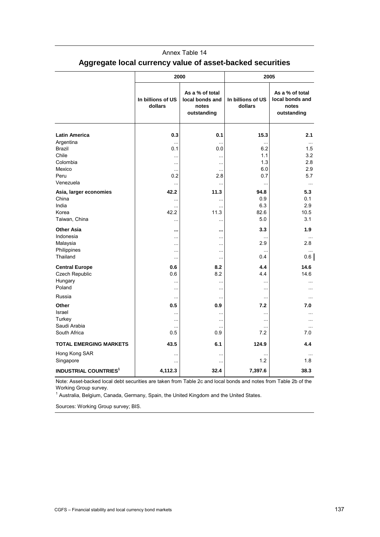|                                          |                              | 2000                                                       | 2005                         |                                                            |  |  |  |
|------------------------------------------|------------------------------|------------------------------------------------------------|------------------------------|------------------------------------------------------------|--|--|--|
|                                          | In billions of US<br>dollars | As a % of total<br>local bonds and<br>notes<br>outstanding | In billions of US<br>dollars | As a % of total<br>local bonds and<br>notes<br>outstanding |  |  |  |
| <b>Latin America</b>                     | 0.3                          | 0.1                                                        | 15.3                         | 2.1                                                        |  |  |  |
| Argentina                                |                              |                                                            |                              | $\ddotsc$                                                  |  |  |  |
| <b>Brazil</b>                            | 0.1                          | 0.0                                                        | 6.2                          | 1.5                                                        |  |  |  |
| Chile<br>Colombia                        | $\ddotsc$                    | $\cdots$                                                   | 1.1                          | 3.2                                                        |  |  |  |
| Mexico                                   | $\ddotsc$<br>å.              | $\ddotsc$                                                  | 1.3<br>6.0                   | 2.8<br>2.9                                                 |  |  |  |
| Peru                                     | 0.2                          | 2.8                                                        | 0.7                          | 5.7                                                        |  |  |  |
| Venezuela                                |                              |                                                            |                              | $\cdots$                                                   |  |  |  |
| Asia, larger economies                   | 42.2                         | 11.3                                                       | 94.8                         | 5.3                                                        |  |  |  |
| China                                    |                              | $\ddotsc$                                                  | 0.9                          | 0.1                                                        |  |  |  |
| India                                    |                              | $\ddotsc$                                                  | 6.3                          | 2.9                                                        |  |  |  |
| Korea                                    | 42.2                         | 11.3                                                       | 82.6                         | 10.5                                                       |  |  |  |
| Taiwan, China                            | $\ddotsc$                    | $\ddotsc$                                                  | 5.0                          | 3.1                                                        |  |  |  |
| <b>Other Asia</b>                        |                              |                                                            | 3.3                          | 1.9                                                        |  |  |  |
| Indonesia                                | $\ddotsc$                    | $\ddotsc$                                                  |                              | $\cdots$                                                   |  |  |  |
| Malaysia<br>Philippines                  | $\ddotsc$                    | $\cdots$                                                   | 2.9                          | 2.8                                                        |  |  |  |
| Thailand                                 | $\ddotsc$<br>$\ddotsc$       | $\ddotsc$<br>$\ddotsc$                                     | å.<br>0.4                    | 0.6                                                        |  |  |  |
|                                          |                              |                                                            | 4.4                          | 14.6                                                       |  |  |  |
| <b>Central Europe</b><br>Czech Republic  | 0.6<br>0.6                   | 8.2<br>8.2                                                 | 4.4                          | 14.6                                                       |  |  |  |
| Hungary                                  |                              | $\ddotsc$                                                  | $\ddotsc$                    |                                                            |  |  |  |
| Poland                                   | $\ddotsc$                    | $\ddotsc$                                                  | .                            |                                                            |  |  |  |
| Russia                                   | $\ddotsc$                    | $\ddotsc$                                                  | $\ddotsc$                    | $\ddotsc$                                                  |  |  |  |
| Other                                    | 0.5                          | 0.9                                                        | 7.2                          | 7.0                                                        |  |  |  |
| Israel                                   | $\ddotsc$                    | $\ddotsc$                                                  | å.                           | $\ddotsc$                                                  |  |  |  |
| Turkey                                   |                              | $\ddotsc$                                                  | $\ddotsc$                    | .                                                          |  |  |  |
| Saudi Arabia                             | $\ddotsc$                    | $\ddotsc$                                                  | $\ddotsc$                    | $\cdots$                                                   |  |  |  |
| South Africa                             | 0.5                          | 0.9                                                        | 7.2                          | 7.0                                                        |  |  |  |
| <b>TOTAL EMERGING MARKETS</b>            | 43.5                         | 6.1                                                        | 124.9                        | 4.4                                                        |  |  |  |
| Hong Kong SAR                            |                              | $\ddotsc$                                                  |                              |                                                            |  |  |  |
| Singapore                                |                              | $\ddotsc$                                                  | 1.2                          | 1.8                                                        |  |  |  |
| <b>INDUSTRIAL COUNTRIES</b> <sup>1</sup> | 4,112.3                      | 32.4                                                       | 7,397.6                      | 38.3                                                       |  |  |  |

# Annex Table 14 **Aggregate local currency value of asset-backed securities**

Note: Asset-backed local debt securities are taken from Table 2c and local bonds and notes from Table 2b of the Working Group survey.

<sup>1</sup> Australia, Belgium, Canada, Germany, Spain, the United Kingdom and the United States.